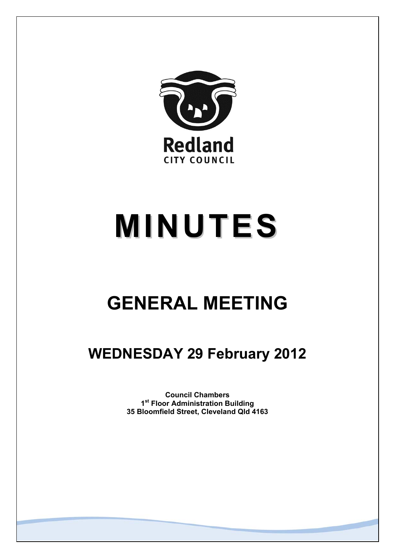

# **MINUTES**

# **GENERAL MEETING**

# **WEDNESDAY 29 February 2012**

**Council Chambers 1st Floor Administration Building 35 Bloomfield Street, Cleveland Qld 4163**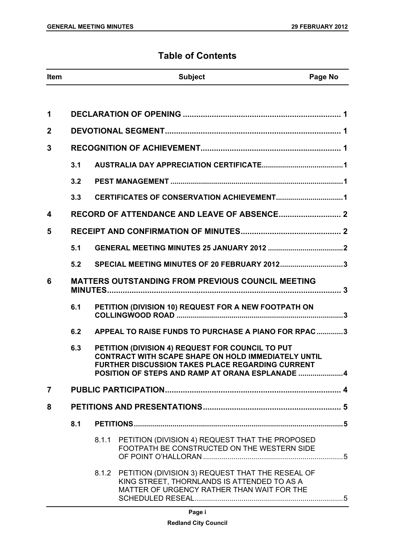# **Table of Contents**

| <b>Item</b>    |     |       | <b>Subject</b>                                                                                                                                                                                                 | Page No |
|----------------|-----|-------|----------------------------------------------------------------------------------------------------------------------------------------------------------------------------------------------------------------|---------|
|                |     |       |                                                                                                                                                                                                                |         |
| 1              |     |       |                                                                                                                                                                                                                |         |
| $\mathbf 2$    |     |       |                                                                                                                                                                                                                |         |
| 3              |     |       |                                                                                                                                                                                                                |         |
|                | 3.1 |       |                                                                                                                                                                                                                |         |
|                | 3.2 |       |                                                                                                                                                                                                                |         |
|                | 3.3 |       |                                                                                                                                                                                                                |         |
| 4              |     |       |                                                                                                                                                                                                                |         |
| 5              |     |       |                                                                                                                                                                                                                |         |
|                | 5.1 |       |                                                                                                                                                                                                                |         |
|                | 5.2 |       | SPECIAL MEETING MINUTES OF 20 FEBRUARY 20123                                                                                                                                                                   |         |
| 6              |     |       | <b>MATTERS OUTSTANDING FROM PREVIOUS COUNCIL MEETING</b>                                                                                                                                                       |         |
|                | 6.1 |       | PETITION (DIVISION 10) REQUEST FOR A NEW FOOTPATH ON                                                                                                                                                           |         |
|                | 6.2 |       | APPEAL TO RAISE FUNDS TO PURCHASE A PIANO FOR RPAC3                                                                                                                                                            |         |
|                | 6.3 |       | PETITION (DIVISION 4) REQUEST FOR COUNCIL TO PUT<br>CONTRACT WITH SCAPE SHAPE ON HOLD IMMEDIATELY UNTIL<br>FURTHER DISCUSSION TAKES PLACE REGARDING CURRENT<br>POSITION OF STEPS AND RAMP AT ORANA ESPLANADE 4 |         |
| $\overline{7}$ |     |       |                                                                                                                                                                                                                |         |
| 8              |     |       |                                                                                                                                                                                                                |         |
|                | 8.1 |       |                                                                                                                                                                                                                |         |
|                |     | 8.1.1 | PETITION (DIVISION 4) REQUEST THAT THE PROPOSED<br>FOOTPATH BE CONSTRUCTED ON THE WESTERN SIDE                                                                                                                 |         |
|                |     |       | 8.1.2 PETITION (DIVISION 3) REQUEST THAT THE RESEAL OF<br>KING STREET, THORNLANDS IS ATTENDED TO AS A<br>MATTER OF URGENCY RATHER THAN WAIT FOR THE                                                            |         |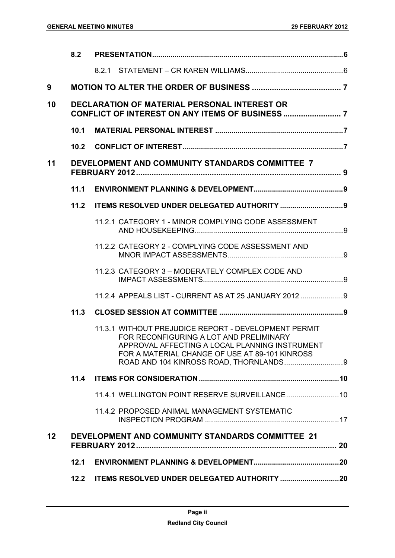|    | 8.2               |                                                                                                                                                                                                     |
|----|-------------------|-----------------------------------------------------------------------------------------------------------------------------------------------------------------------------------------------------|
|    |                   |                                                                                                                                                                                                     |
| 9  |                   |                                                                                                                                                                                                     |
| 10 |                   | <b>DECLARATION OF MATERIAL PERSONAL INTEREST OR</b>                                                                                                                                                 |
|    | 10.1              |                                                                                                                                                                                                     |
|    | 10.2 <sub>1</sub> |                                                                                                                                                                                                     |
| 11 |                   | DEVELOPMENT AND COMMUNITY STANDARDS COMMITTEE 7                                                                                                                                                     |
|    | 11.1              |                                                                                                                                                                                                     |
|    | 11.2              |                                                                                                                                                                                                     |
|    |                   | 11.2.1 CATEGORY 1 - MINOR COMPLYING CODE ASSESSMENT                                                                                                                                                 |
|    |                   | 11.2.2 CATEGORY 2 - COMPLYING CODE ASSESSMENT AND                                                                                                                                                   |
|    |                   | 11.2.3 CATEGORY 3 - MODERATELY COMPLEX CODE AND                                                                                                                                                     |
|    |                   | 11.2.4 APPEALS LIST - CURRENT AS AT 25 JANUARY 2012                                                                                                                                                 |
|    | 11.3              |                                                                                                                                                                                                     |
|    |                   | 11.3.1 WITHOUT PREJUDICE REPORT - DEVELOPMENT PERMIT<br>FOR RECONFIGURING A LOT AND PRELIMINARY<br>APPROVAL AFFECTING A LOCAL PLANNING INSTRUMENT<br>FOR A MATERIAL CHANGE OF USE AT 89-101 KINROSS |
|    | 11.4              |                                                                                                                                                                                                     |
|    |                   | 11.4.1 WELLINGTON POINT RESERVE SURVEILLANCE 10                                                                                                                                                     |
|    |                   | 11.4.2 PROPOSED ANIMAL MANAGEMENT SYSTEMATIC                                                                                                                                                        |
| 12 |                   | <b>DEVELOPMENT AND COMMUNITY STANDARDS COMMITTEE 21</b>                                                                                                                                             |
|    | 12.1              |                                                                                                                                                                                                     |
|    | 12.2              |                                                                                                                                                                                                     |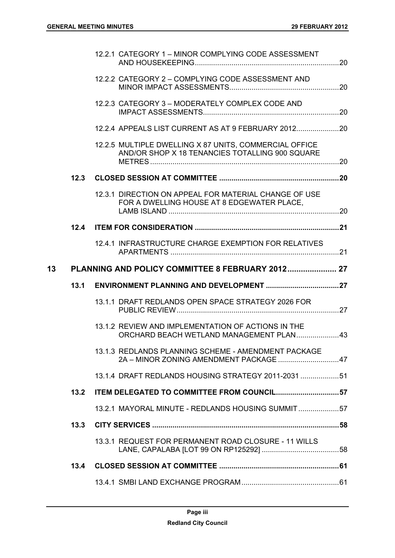|    |      | 12.2.1 CATEGORY 1 - MINOR COMPLYING CODE ASSESSMENT                                                       |  |
|----|------|-----------------------------------------------------------------------------------------------------------|--|
|    |      | 12.2.2 CATEGORY 2 - COMPLYING CODE ASSESSMENT AND                                                         |  |
|    |      | 12.2.3 CATEGORY 3 - MODERATELY COMPLEX CODE AND                                                           |  |
|    |      | 12.2.4 APPEALS LIST CURRENT AS AT 9 FEBRUARY 2012                                                         |  |
|    |      | 12.2.5 MULTIPLE DWELLING X 87 UNITS, COMMERCIAL OFFICE<br>AND/OR SHOP X 18 TENANCIES TOTALLING 900 SQUARE |  |
|    | 12.3 |                                                                                                           |  |
|    |      | 12.3.1 DIRECTION ON APPEAL FOR MATERIAL CHANGE OF USE<br>FOR A DWELLING HOUSE AT 8 EDGEWATER PLACE.       |  |
|    | 12.4 |                                                                                                           |  |
|    |      | 12.4.1 INFRASTRUCTURE CHARGE EXEMPTION FOR RELATIVES                                                      |  |
|    |      |                                                                                                           |  |
| 13 |      | PLANNING AND POLICY COMMITTEE 8 FEBRUARY 2012 27                                                          |  |
|    | 13.1 |                                                                                                           |  |
|    |      | 13.1.1 DRAFT REDLANDS OPEN SPACE STRATEGY 2026 FOR                                                        |  |
|    |      | 13.1.2 REVIEW AND IMPLEMENTATION OF ACTIONS IN THE<br>ORCHARD BEACH WETLAND MANAGEMENT PLAN43             |  |
|    |      | 13.1.3 REDLANDS PLANNING SCHEME - AMENDMENT PACKAGE<br>2A - MINOR ZONING AMENDMENT PACKAGE  47            |  |
|    |      | 13.1.4 DRAFT REDLANDS HOUSING STRATEGY 2011-2031  51                                                      |  |
|    | 13.2 | ITEM DELEGATED TO COMMITTEE FROM COUNCIL57                                                                |  |
|    |      | 13.2.1 MAYORAL MINUTE - REDLANDS HOUSING SUMMIT57                                                         |  |
|    | 13.3 |                                                                                                           |  |
|    |      | 13.3.1 REQUEST FOR PERMANENT ROAD CLOSURE - 11 WILLS                                                      |  |
|    | 13.4 |                                                                                                           |  |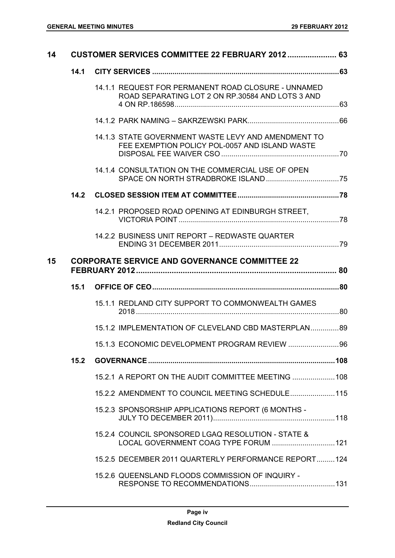| 14 |      | CUSTOMER SERVICES COMMITTEE 22 FEBRUARY 2012  63                                                        |  |
|----|------|---------------------------------------------------------------------------------------------------------|--|
|    | 14.1 |                                                                                                         |  |
|    |      | 14.1.1 REQUEST FOR PERMANENT ROAD CLOSURE - UNNAMED<br>ROAD SEPARATING LOT 2 ON RP.30584 AND LOTS 3 AND |  |
|    |      |                                                                                                         |  |
|    |      | 14.1.3 STATE GOVERNMENT WASTE LEVY AND AMENDMENT TO<br>FEE EXEMPTION POLICY POL-0057 AND ISLAND WASTE   |  |
|    |      | 14.1.4 CONSULTATION ON THE COMMERCIAL USE OF OPEN                                                       |  |
|    |      |                                                                                                         |  |
|    |      | 14.2.1 PROPOSED ROAD OPENING AT EDINBURGH STREET.                                                       |  |
|    |      | 14.2.2 BUSINESS UNIT REPORT - REDWASTE QUARTER                                                          |  |
| 15 |      | <b>CORPORATE SERVICE AND GOVERNANCE COMMITTEE 22</b>                                                    |  |
|    | 15.1 |                                                                                                         |  |
|    |      | 15.1.1 REDLAND CITY SUPPORT TO COMMONWEALTH GAMES                                                       |  |
|    |      | 15.1.2 IMPLEMENTATION OF CLEVELAND CBD MASTERPLAN89                                                     |  |
|    |      | 15.1.3 ECONOMIC DEVELOPMENT PROGRAM REVIEW 96                                                           |  |
|    | 15.2 |                                                                                                         |  |
|    |      | 15.2.1 A REPORT ON THE AUDIT COMMITTEE MEETING  108                                                     |  |
|    |      | 15.2.2 AMENDMENT TO COUNCIL MEETING SCHEDULE 115                                                        |  |
|    |      | 15.2.3 SPONSORSHIP APPLICATIONS REPORT (6 MONTHS -                                                      |  |
|    |      |                                                                                                         |  |
|    |      | 15.2.4 COUNCIL SPONSORED LGAQ RESOLUTION - STATE &<br>LOCAL GOVERNMENT COAG TYPE FORUM  121             |  |
|    |      | 15.2.5 DECEMBER 2011 QUARTERLY PERFORMANCE REPORT124                                                    |  |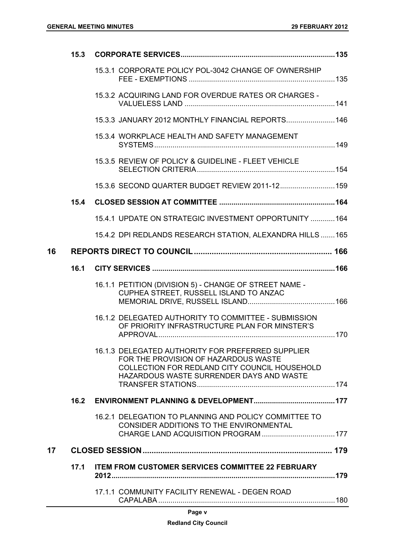|    | 15.3 |                                                                                                                                                                                        |  |
|----|------|----------------------------------------------------------------------------------------------------------------------------------------------------------------------------------------|--|
|    |      | 15.3.1 CORPORATE POLICY POL-3042 CHANGE OF OWNERSHIP                                                                                                                                   |  |
|    |      | 15.3.2 ACQUIRING LAND FOR OVERDUE RATES OR CHARGES -                                                                                                                                   |  |
|    |      | 15.3.3 JANUARY 2012 MONTHLY FINANCIAL REPORTS 146                                                                                                                                      |  |
|    |      | 15.3.4 WORKPLACE HEALTH AND SAFETY MANAGEMENT                                                                                                                                          |  |
|    |      | 15.3.5 REVIEW OF POLICY & GUIDELINE - FLEET VEHICLE                                                                                                                                    |  |
|    |      | 15.3.6 SECOND QUARTER BUDGET REVIEW 2011-12 159                                                                                                                                        |  |
|    | 15.4 |                                                                                                                                                                                        |  |
|    |      | 15.4.1 UPDATE ON STRATEGIC INVESTMENT OPPORTUNITY  164                                                                                                                                 |  |
|    |      | 15.4.2 DPI REDLANDS RESEARCH STATION, ALEXANDRA HILLS  165                                                                                                                             |  |
| 16 |      |                                                                                                                                                                                        |  |
|    | 16.1 |                                                                                                                                                                                        |  |
|    |      | 16.1.1 PETITION (DIVISION 5) - CHANGE OF STREET NAME -<br>CUPHEA STREET, RUSSELL ISLAND TO ANZAC                                                                                       |  |
|    |      | 16.1.2 DELEGATED AUTHORITY TO COMMITTEE - SUBMISSION<br>OF PRIORITY INFRASTRUCTURE PLAN FOR MINSTER'S                                                                                  |  |
|    |      | 16.1.3 DELEGATED AUTHORITY FOR PREFERRED SUPPLIER<br>FOR THE PROVISION OF HAZARDOUS WASTE<br>COLLECTION FOR REDLAND CITY COUNCIL HOUSEHOLD<br>HAZARDOUS WASTE SURRENDER DAYS AND WASTE |  |
|    | 16.2 |                                                                                                                                                                                        |  |
|    |      | 16.2.1 DELEGATION TO PLANNING AND POLICY COMMITTEE TO<br>CONSIDER ADDITIONS TO THE ENVIRONMENTAL                                                                                       |  |
| 17 |      |                                                                                                                                                                                        |  |
|    | 17.1 | <b>ITEM FROM CUSTOMER SERVICES COMMITTEE 22 FEBRUARY</b>                                                                                                                               |  |
|    |      | 17.1.1 COMMUNITY FACILITY RENEWAL - DEGEN ROAD                                                                                                                                         |  |
|    |      |                                                                                                                                                                                        |  |

|--|--|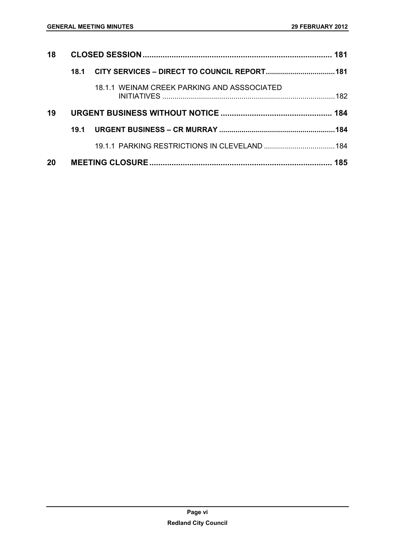| 18 |      |                                             | 181  |
|----|------|---------------------------------------------|------|
|    | 18.1 |                                             |      |
|    |      | 18.1.1 WEINAM CREEK PARKING AND ASSSOCIATED |      |
| 19 |      |                                             |      |
|    | 19.1 |                                             | .184 |
|    |      |                                             |      |
| 20 |      |                                             | 185  |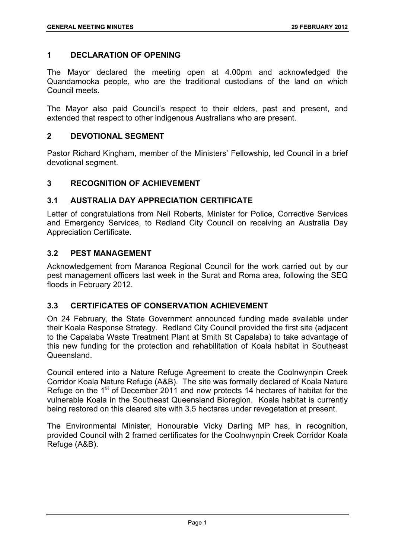# **1 DECLARATION OF OPENING**

The Mayor declared the meeting open at 4.00pm and acknowledged the Quandamooka people, who are the traditional custodians of the land on which Council meets.

The Mayor also paid Council's respect to their elders, past and present, and extended that respect to other indigenous Australians who are present.

#### **2 DEVOTIONAL SEGMENT**

Pastor Richard Kingham, member of the Ministers' Fellowship, led Council in a brief devotional segment.

# **3 RECOGNITION OF ACHIEVEMENT**

# **3.1 AUSTRALIA DAY APPRECIATION CERTIFICATE**

Letter of congratulations from Neil Roberts, Minister for Police, Corrective Services and Emergency Services, to Redland City Council on receiving an Australia Day Appreciation Certificate.

# **3.2 PEST MANAGEMENT**

Acknowledgement from Maranoa Regional Council for the work carried out by our pest management officers last week in the Surat and Roma area, following the SEQ floods in February 2012.

# **3.3 CERTIFICATES OF CONSERVATION ACHIEVEMENT**

On 24 February, the State Government announced funding made available under their Koala Response Strategy. Redland City Council provided the first site (adjacent to the Capalaba Waste Treatment Plant at Smith St Capalaba) to take advantage of this new funding for the protection and rehabilitation of Koala habitat in Southeast Queensland.

Council entered into a Nature Refuge Agreement to create the Coolnwynpin Creek Corridor Koala Nature Refuge (A&B). The site was formally declared of Koala Nature Refuge on the 1<sup>st</sup> of December 2011 and now protects 14 hectares of habitat for the vulnerable Koala in the Southeast Queensland Bioregion. Koala habitat is currently being restored on this cleared site with 3.5 hectares under revegetation at present.

The Environmental Minister, Honourable Vicky Darling MP has, in recognition, provided Council with 2 framed certificates for the Coolnwynpin Creek Corridor Koala Refuge (A&B).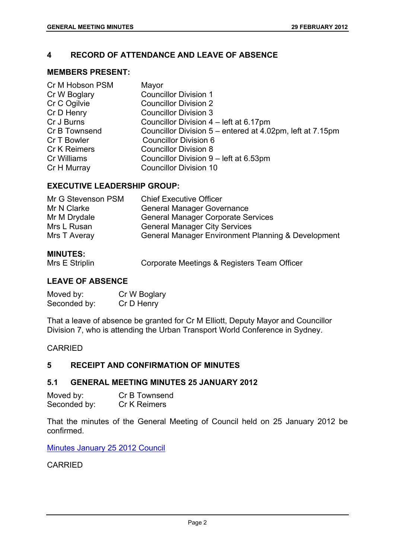# **4 RECORD OF ATTENDANCE AND LEAVE OF ABSENCE**

# **MEMBERS PRESENT:**

| Cr M Hobson PSM     | Mayor                                                     |
|---------------------|-----------------------------------------------------------|
| Cr W Boglary        | <b>Councillor Division 1</b>                              |
| Cr C Ogilvie        | <b>Councillor Division 2</b>                              |
| Cr D Henry          | <b>Councillor Division 3</b>                              |
| Cr J Burns          | Councillor Division 4 – left at 6.17pm                    |
| Cr B Townsend       | Councillor Division 5 – entered at 4.02pm, left at 7.15pm |
| Cr T Bowler         | <b>Councillor Division 6</b>                              |
| <b>Cr K Reimers</b> | <b>Councillor Division 8</b>                              |
| Cr Williams         | Councillor Division 9 - left at 6.53pm                    |
| Cr H Murray         | <b>Councillor Division 10</b>                             |

# **EXECUTIVE LEADERSHIP GROUP:**

| Mr G Stevenson PSM | <b>Chief Executive Officer</b>                     |
|--------------------|----------------------------------------------------|
| Mr N Clarke        | <b>General Manager Governance</b>                  |
| Mr M Drydale       | <b>General Manager Corporate Services</b>          |
| Mrs L Rusan        | <b>General Manager City Services</b>               |
| Mrs T Averay       | General Manager Environment Planning & Development |
|                    |                                                    |

# **MINUTES:**

| Mrs E Striplin | Corporate Meetings & Registers Team Officer |  |
|----------------|---------------------------------------------|--|
|                |                                             |  |

#### **LEAVE OF ABSENCE**

| Moved by:    | Cr W Boglary |
|--------------|--------------|
| Seconded by: | Cr D Henry   |

That a leave of absence be granted for Cr M Elliott, Deputy Mayor and Councillor Division 7, who is attending the Urban Transport World Conference in Sydney.

# CARRIED

# **5 RECEIPT AND CONFIRMATION OF MINUTES**

# **5.1 GENERAL MEETING MINUTES 25 JANUARY 2012**

| Moved by:    | Cr B Townsend       |
|--------------|---------------------|
| Seconded by: | <b>Cr K Reimers</b> |

That the minutes of the General Meeting of Council held on 25 January 2012 be confirmed.

Minutes January 25 2012 Council

CARRIED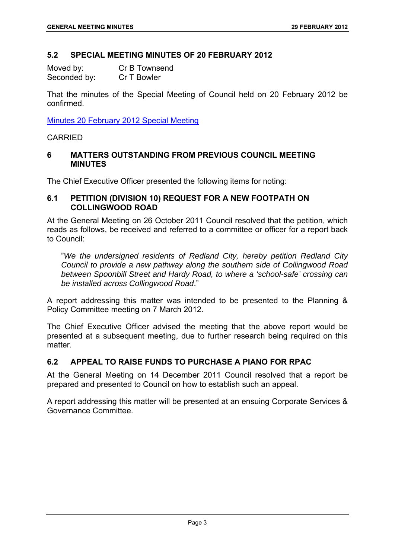# **5.2 SPECIAL MEETING MINUTES OF 20 FEBRUARY 2012**

| Moved by:    | Cr B Townsend |
|--------------|---------------|
| Seconded by: | Cr T Bowler   |

That the minutes of the Special Meeting of Council held on 20 February 2012 be confirmed.

Minutes 20 February 2012 Special Meeting

#### CARRIED

#### **6 MATTERS OUTSTANDING FROM PREVIOUS COUNCIL MEETING MINUTES**

The Chief Executive Officer presented the following items for noting:

# **6.1 PETITION (DIVISION 10) REQUEST FOR A NEW FOOTPATH ON COLLINGWOOD ROAD**

At the General Meeting on 26 October 2011 Council resolved that the petition, which reads as follows, be received and referred to a committee or officer for a report back to Council:

"*We the undersigned residents of Redland City, hereby petition Redland City Council to provide a new pathway along the southern side of Collingwood Road between Spoonbill Street and Hardy Road, to where a 'school-safe' crossing can be installed across Collingwood Road*."

A report addressing this matter was intended to be presented to the Planning & Policy Committee meeting on 7 March 2012.

The Chief Executive Officer advised the meeting that the above report would be presented at a subsequent meeting, due to further research being required on this matter.

# **6.2 APPEAL TO RAISE FUNDS TO PURCHASE A PIANO FOR RPAC**

At the General Meeting on 14 December 2011 Council resolved that a report be prepared and presented to Council on how to establish such an appeal.

A report addressing this matter will be presented at an ensuing Corporate Services & Governance Committee.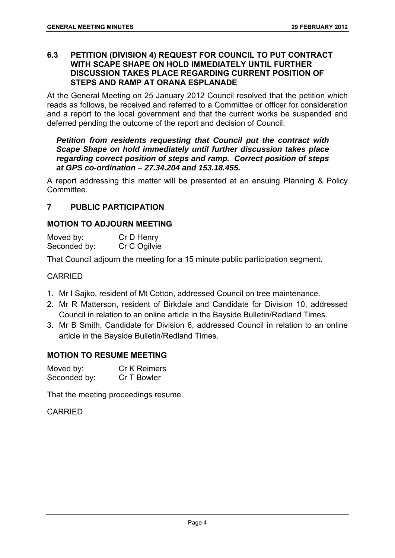# **6.3 PETITION (DIVISION 4) REQUEST FOR COUNCIL TO PUT CONTRACT WITH SCAPE SHAPE ON HOLD IMMEDIATELY UNTIL FURTHER DISCUSSION TAKES PLACE REGARDING CURRENT POSITION OF STEPS AND RAMP AT ORANA ESPLANADE**

At the General Meeting on 25 January 2012 Council resolved that the petition which reads as follows, be received and referred to a Committee or officer for consideration and a report to the local government and that the current works be suspended and deferred pending the outcome of the report and decision of Council:

# *Petition from residents requesting that Council put the contract with Scape Shape on hold immediately until further discussion takes place regarding correct position of steps and ramp. Correct position of steps at GPS co-ordination – 27.34.204 and 153.18.455.*

A report addressing this matter will be presented at an ensuing Planning & Policy Committee.

# **7 PUBLIC PARTICIPATION**

# **MOTION TO ADJOURN MEETING**

| Moved by:    | Cr D Henry   |
|--------------|--------------|
| Seconded by: | Cr C Ogilvie |

That Council adjourn the meeting for a 15 minute public participation segment.

# CARRIED

- 1. Mr I Sajko, resident of Mt Cotton, addressed Council on tree maintenance.
- 2. Mr R Matterson, resident of Birkdale and Candidate for Division 10, addressed Council in relation to an online article in the Bayside Bulletin/Redland Times.
- 3. Mr B Smith, Candidate for Division 6, addressed Council in relation to an online article in the Bayside Bulletin/Redland Times.

# **MOTION TO RESUME MEETING**

| Moved by:    | <b>Cr K Reimers</b> |
|--------------|---------------------|
| Seconded by: | Cr T Bowler         |

That the meeting proceedings resume.

CARRIED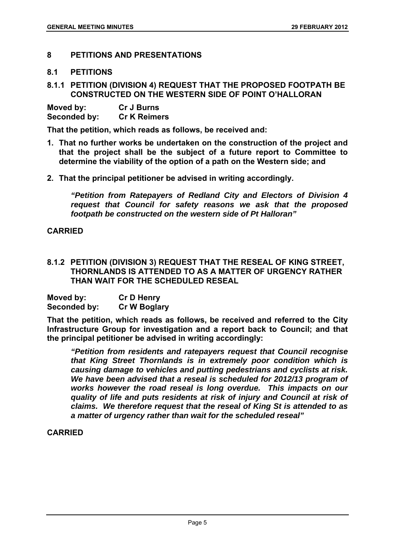# **8 PETITIONS AND PRESENTATIONS**

# **8.1 PETITIONS**

# **8.1.1 PETITION (DIVISION 4) REQUEST THAT THE PROPOSED FOOTPATH BE CONSTRUCTED ON THE WESTERN SIDE OF POINT O'HALLORAN**

| Moved by:    | <b>Cr J Burns</b>   |
|--------------|---------------------|
| Seconded by: | <b>Cr K Reimers</b> |

**That the petition, which reads as follows, be received and:** 

- **1. That no further works be undertaken on the construction of the project and that the project shall be the subject of a future report to Committee to determine the viability of the option of a path on the Western side; and**
- **2. That the principal petitioner be advised in writing accordingly.**

*"Petition from Ratepayers of Redland City and Electors of Division 4 request that Council for safety reasons we ask that the proposed footpath be constructed on the western side of Pt Halloran"* 

# **CARRIED**

**8.1.2 PETITION (DIVISION 3) REQUEST THAT THE RESEAL OF KING STREET, THORNLANDS IS ATTENDED TO AS A MATTER OF URGENCY RATHER THAN WAIT FOR THE SCHEDULED RESEAL** 

| Moved by:           | <b>Cr D Henry</b>   |
|---------------------|---------------------|
| <b>Seconded by:</b> | <b>Cr W Boglary</b> |

**That the petition, which reads as follows, be received and referred to the City Infrastructure Group for investigation and a report back to Council; and that the principal petitioner be advised in writing accordingly:** 

*"Petition from residents and ratepayers request that Council recognise that King Street Thornlands is in extremely poor condition which is causing damage to vehicles and putting pedestrians and cyclists at risk. We have been advised that a reseal is scheduled for 2012/13 program of works however the road reseal is long overdue. This impacts on our quality of life and puts residents at risk of injury and Council at risk of claims. We therefore request that the reseal of King St is attended to as a matter of urgency rather than wait for the scheduled reseal"* 

# **CARRIED**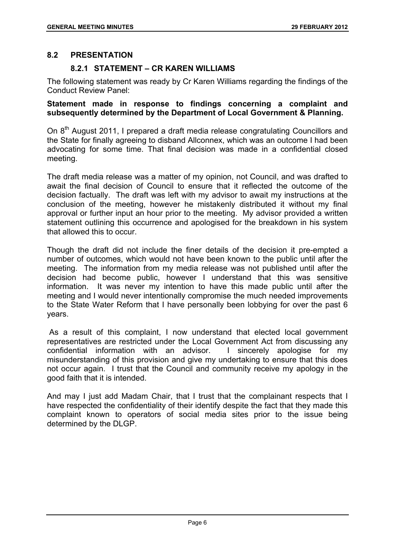# **8.2 PRESENTATION**

# **8.2.1 STATEMENT – CR KAREN WILLIAMS**

The following statement was ready by Cr Karen Williams regarding the findings of the Conduct Review Panel:

# **Statement made in response to findings concerning a complaint and subsequently determined by the Department of Local Government & Planning.**

On 8<sup>th</sup> August 2011. I prepared a draft media release congratulating Councillors and the State for finally agreeing to disband Allconnex, which was an outcome I had been advocating for some time. That final decision was made in a confidential closed meeting.

The draft media release was a matter of my opinion, not Council, and was drafted to await the final decision of Council to ensure that it reflected the outcome of the decision factually. The draft was left with my advisor to await my instructions at the conclusion of the meeting, however he mistakenly distributed it without my final approval or further input an hour prior to the meeting. My advisor provided a written statement outlining this occurrence and apologised for the breakdown in his system that allowed this to occur.

Though the draft did not include the finer details of the decision it pre-empted a number of outcomes, which would not have been known to the public until after the meeting. The information from my media release was not published until after the decision had become public, however I understand that this was sensitive information. It was never my intention to have this made public until after the meeting and I would never intentionally compromise the much needed improvements to the State Water Reform that I have personally been lobbying for over the past 6 years.

 As a result of this complaint, I now understand that elected local government representatives are restricted under the Local Government Act from discussing any confidential information with an advisor. I sincerely apologise for my misunderstanding of this provision and give my undertaking to ensure that this does not occur again. I trust that the Council and community receive my apology in the good faith that it is intended.

And may I just add Madam Chair, that I trust that the complainant respects that I have respected the confidentiality of their identify despite the fact that they made this complaint known to operators of social media sites prior to the issue being determined by the DLGP.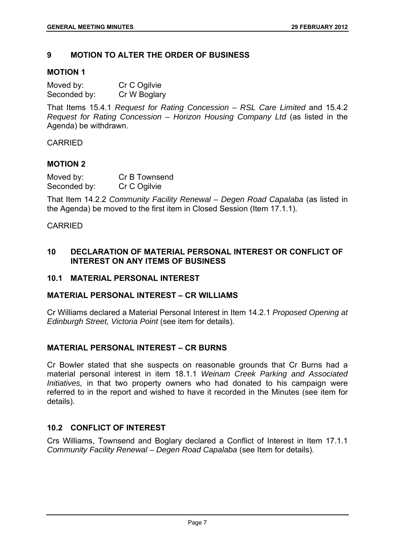# **9 MOTION TO ALTER THE ORDER OF BUSINESS**

### **MOTION 1**

| Moved by:    | Cr C Ogilvie |
|--------------|--------------|
| Seconded by: | Cr W Boglary |

That Items 15.4.1 *Request for Rating Concession – RSL Care Limited* and 15.4.2 *Request for Rating Concession – Horizon Housing Company Ltd* (as listed in the Agenda) be withdrawn.

CARRIED

#### **MOTION 2**

| Moved by:    | Cr B Townsend |
|--------------|---------------|
| Seconded by: | Cr C Ogilvie  |

That Item 14.2.2 *Community Facility Renewal – Degen Road Capalaba* (as listed in the Agenda) be moved to the first item in Closed Session (Item 17.1.1).

#### CARRIED

# **10 DECLARATION OF MATERIAL PERSONAL INTEREST OR CONFLICT OF INTEREST ON ANY ITEMS OF BUSINESS**

# **10.1 MATERIAL PERSONAL INTEREST**

# **MATERIAL PERSONAL INTEREST – CR WILLIAMS**

Cr Williams declared a Material Personal Interest in Item 14.2.1 *Proposed Opening at Edinburgh Street, Victoria Point* (see item for details).

# **MATERIAL PERSONAL INTEREST – CR BURNS**

Cr Bowler stated that she suspects on reasonable grounds that Cr Burns had a material personal interest in item 18.1.1 *Weinam Creek Parking and Associated Initiatives,* in that two property owners who had donated to his campaign were referred to in the report and wished to have it recorded in the Minutes (see item for details).

# **10.2 CONFLICT OF INTEREST**

Crs Williams, Townsend and Boglary declared a Conflict of Interest in Item 17.1.1 *Community Facility Renewal – Degen Road Capalaba* (see Item for details).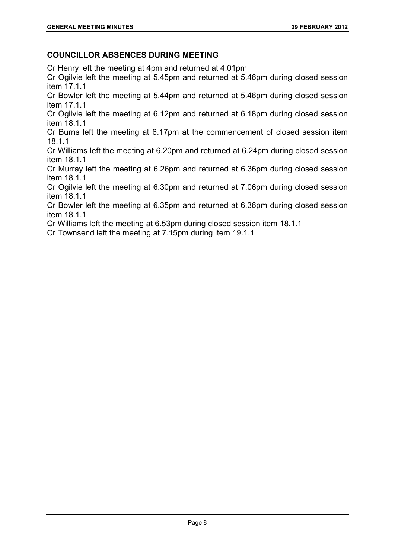# **COUNCILLOR ABSENCES DURING MEETING**

Cr Henry left the meeting at 4pm and returned at 4.01pm

Cr Ogilvie left the meeting at 5.45pm and returned at 5.46pm during closed session item 17.1.1

Cr Bowler left the meeting at 5.44pm and returned at 5.46pm during closed session item 17.1.1

Cr Ogilvie left the meeting at 6.12pm and returned at 6.18pm during closed session item 18.1.1

Cr Burns left the meeting at 6.17pm at the commencement of closed session item 18.1.1

Cr Williams left the meeting at 6.20pm and returned at 6.24pm during closed session item 18.1.1

Cr Murray left the meeting at 6.26pm and returned at 6.36pm during closed session item 18.1.1

Cr Ogilvie left the meeting at 6.30pm and returned at 7.06pm during closed session item 18.1.1

Cr Bowler left the meeting at 6.35pm and returned at 6.36pm during closed session item 18.1.1

Cr Williams left the meeting at 6.53pm during closed session item 18.1.1

Cr Townsend left the meeting at 7.15pm during item 19.1.1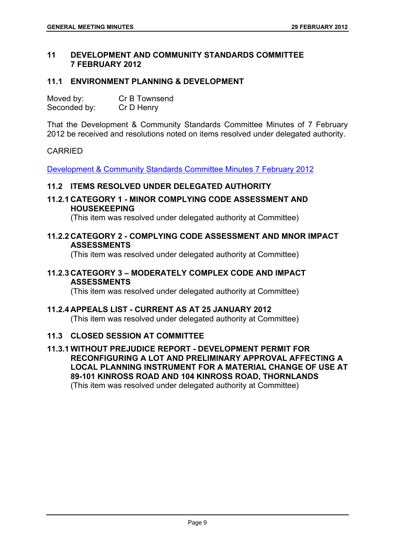# **11 DEVELOPMENT AND COMMUNITY STANDARDS COMMITTEE 7 FEBRUARY 2012**

# **11.1 ENVIRONMENT PLANNING & DEVELOPMENT**

| Moved by:    | Cr B Townsend |
|--------------|---------------|
| Seconded by: | Cr D Henry    |

That the Development & Community Standards Committee Minutes of 7 February 2012 be received and resolutions noted on items resolved under delegated authority.

# CARRIED

Development & Community Standards Committee Minutes 7 February 2012

# **11.2 ITEMS RESOLVED UNDER DELEGATED AUTHORITY**

**11.2.1 CATEGORY 1 - MINOR COMPLYING CODE ASSESSMENT AND HOUSEKEEPING** 

(This item was resolved under delegated authority at Committee)

#### **11.2.2 CATEGORY 2 - COMPLYING CODE ASSESSMENT AND MNOR IMPACT ASSESSMENTS**

(This item was resolved under delegated authority at Committee)

# **11.2.3 CATEGORY 3 – MODERATELY COMPLEX CODE AND IMPACT ASSESSMENTS**

(This item was resolved under delegated authority at Committee)

# **11.2.4 APPEALS LIST - CURRENT AS AT 25 JANUARY 2012**

(This item was resolved under delegated authority at Committee)

# **11.3 CLOSED SESSION AT COMMITTEE**

**11.3.1 WITHOUT PREJUDICE REPORT - DEVELOPMENT PERMIT FOR RECONFIGURING A LOT AND PRELIMINARY APPROVAL AFFECTING A LOCAL PLANNING INSTRUMENT FOR A MATERIAL CHANGE OF USE AT 89-101 KINROSS ROAD AND 104 KINROSS ROAD, THORNLANDS**  (This item was resolved under delegated authority at Committee)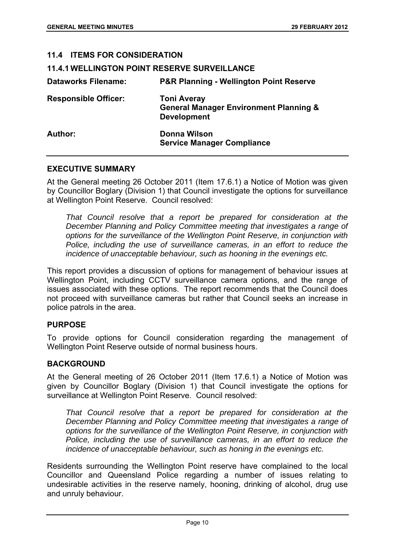| <b>11.4 ITEMS FOR CONSIDERATION</b>                 |                                                                                               |
|-----------------------------------------------------|-----------------------------------------------------------------------------------------------|
| <b>11.4.1 WELLINGTON POINT RESERVE SURVEILLANCE</b> |                                                                                               |
| <b>Dataworks Filename:</b>                          | <b>P&amp;R Planning - Wellington Point Reserve</b>                                            |
| <b>Responsible Officer:</b>                         | <b>Toni Averay</b><br><b>General Manager Environment Planning &amp;</b><br><b>Development</b> |
| Author:                                             | Donna Wilson<br><b>Service Manager Compliance</b>                                             |

#### **EXECUTIVE SUMMARY**

At the General meeting 26 October 2011 (Item 17.6.1) a Notice of Motion was given by Councillor Boglary (Division 1) that Council investigate the options for surveillance at Wellington Point Reserve. Council resolved:

*That Council resolve that a report be prepared for consideration at the December Planning and Policy Committee meeting that investigates a range of options for the surveillance of the Wellington Point Reserve, in conjunction with Police, including the use of surveillance cameras, in an effort to reduce the incidence of unacceptable behaviour, such as hooning in the evenings etc.* 

This report provides a discussion of options for management of behaviour issues at Wellington Point, including CCTV surveillance camera options, and the range of issues associated with these options. The report recommends that the Council does not proceed with surveillance cameras but rather that Council seeks an increase in police patrols in the area.

# **PURPOSE**

To provide options for Council consideration regarding the management of Wellington Point Reserve outside of normal business hours.

# **BACKGROUND**

At the General meeting of 26 October 2011 (Item 17.6.1) a Notice of Motion was given by Councillor Boglary (Division 1) that Council investigate the options for surveillance at Wellington Point Reserve. Council resolved:

*That Council resolve that a report be prepared for consideration at the December Planning and Policy Committee meeting that investigates a range of options for the surveillance of the Wellington Point Reserve, in conjunction with Police, including the use of surveillance cameras, in an effort to reduce the incidence of unacceptable behaviour, such as honing in the evenings etc.* 

Residents surrounding the Wellington Point reserve have complained to the local Councillor and Queensland Police regarding a number of issues relating to undesirable activities in the reserve namely, hooning, drinking of alcohol, drug use and unruly behaviour.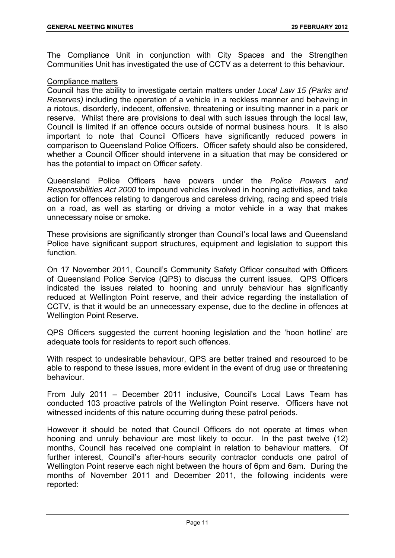The Compliance Unit in conjunction with City Spaces and the Strengthen Communities Unit has investigated the use of CCTV as a deterrent to this behaviour.

# Compliance matters

Council has the ability to investigate certain matters under *Local Law 15 (Parks and Reserves)* including the operation of a vehicle in a reckless manner and behaving in a riotous, disorderly, indecent, offensive, threatening or insulting manner in a park or reserve. Whilst there are provisions to deal with such issues through the local law, Council is limited if an offence occurs outside of normal business hours. It is also important to note that Council Officers have significantly reduced powers in comparison to Queensland Police Officers. Officer safety should also be considered, whether a Council Officer should intervene in a situation that may be considered or has the potential to impact on Officer safety.

Queensland Police Officers have powers under the *Police Powers and Responsibilities Act 2000* to impound vehicles involved in hooning activities, and take action for offences relating to dangerous and careless driving, racing and speed trials on a road, as well as starting or driving a motor vehicle in a way that makes unnecessary noise or smoke.

These provisions are significantly stronger than Council's local laws and Queensland Police have significant support structures, equipment and legislation to support this function.

On 17 November 2011, Council's Community Safety Officer consulted with Officers of Queensland Police Service (QPS) to discuss the current issues. QPS Officers indicated the issues related to hooning and unruly behaviour has significantly reduced at Wellington Point reserve, and their advice regarding the installation of CCTV, is that it would be an unnecessary expense, due to the decline in offences at Wellington Point Reserve.

QPS Officers suggested the current hooning legislation and the 'hoon hotline' are adequate tools for residents to report such offences.

With respect to undesirable behaviour, QPS are better trained and resourced to be able to respond to these issues, more evident in the event of drug use or threatening behaviour.

From July 2011 – December 2011 inclusive, Council's Local Laws Team has conducted 103 proactive patrols of the Wellington Point reserve. Officers have not witnessed incidents of this nature occurring during these patrol periods.

However it should be noted that Council Officers do not operate at times when hooning and unruly behaviour are most likely to occur. In the past twelve (12) months, Council has received one complaint in relation to behaviour matters. Of further interest, Council's after-hours security contractor conducts one patrol of Wellington Point reserve each night between the hours of 6pm and 6am. During the months of November 2011 and December 2011, the following incidents were reported: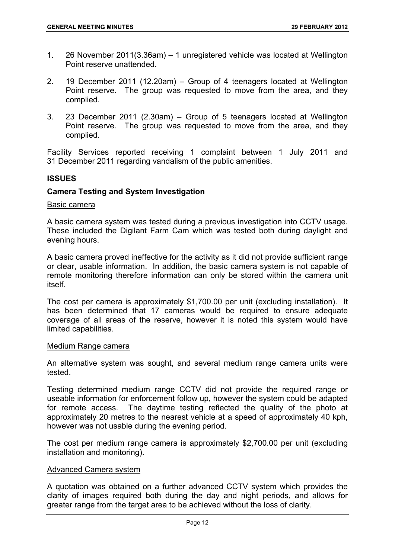- 1. 26 November 2011(3.36am) 1 unregistered vehicle was located at Wellington Point reserve unattended.
- 2. 19 December 2011 (12.20am) Group of 4 teenagers located at Wellington Point reserve. The group was requested to move from the area, and they complied.
- 3. 23 December 2011 (2.30am) Group of 5 teenagers located at Wellington Point reserve. The group was requested to move from the area, and they complied.

Facility Services reported receiving 1 complaint between 1 July 2011 and 31 December 2011 regarding vandalism of the public amenities.

# **ISSUES**

# **Camera Testing and System Investigation**

#### Basic camera

A basic camera system was tested during a previous investigation into CCTV usage. These included the Digilant Farm Cam which was tested both during daylight and evening hours.

A basic camera proved ineffective for the activity as it did not provide sufficient range or clear, usable information. In addition, the basic camera system is not capable of remote monitoring therefore information can only be stored within the camera unit itself.

The cost per camera is approximately \$1,700.00 per unit (excluding installation). It has been determined that 17 cameras would be required to ensure adequate coverage of all areas of the reserve, however it is noted this system would have limited capabilities.

#### Medium Range camera

An alternative system was sought, and several medium range camera units were tested.

Testing determined medium range CCTV did not provide the required range or useable information for enforcement follow up, however the system could be adapted for remote access. The daytime testing reflected the quality of the photo at approximately 20 metres to the nearest vehicle at a speed of approximately 40 kph, however was not usable during the evening period.

The cost per medium range camera is approximately \$2,700.00 per unit (excluding installation and monitoring).

#### Advanced Camera system

A quotation was obtained on a further advanced CCTV system which provides the clarity of images required both during the day and night periods, and allows for greater range from the target area to be achieved without the loss of clarity.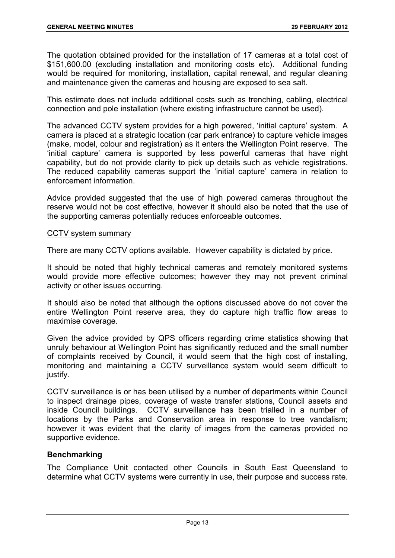The quotation obtained provided for the installation of 17 cameras at a total cost of \$151,600.00 (excluding installation and monitoring costs etc). Additional funding would be required for monitoring, installation, capital renewal, and regular cleaning and maintenance given the cameras and housing are exposed to sea salt.

This estimate does not include additional costs such as trenching, cabling, electrical connection and pole installation (where existing infrastructure cannot be used).

The advanced CCTV system provides for a high powered, 'initial capture' system. A camera is placed at a strategic location (car park entrance) to capture vehicle images (make, model, colour and registration) as it enters the Wellington Point reserve. The 'initial capture' camera is supported by less powerful cameras that have night capability, but do not provide clarity to pick up details such as vehicle registrations. The reduced capability cameras support the 'initial capture' camera in relation to enforcement information.

Advice provided suggested that the use of high powered cameras throughout the reserve would not be cost effective, however it should also be noted that the use of the supporting cameras potentially reduces enforceable outcomes.

#### CCTV system summary

There are many CCTV options available. However capability is dictated by price.

It should be noted that highly technical cameras and remotely monitored systems would provide more effective outcomes; however they may not prevent criminal activity or other issues occurring.

It should also be noted that although the options discussed above do not cover the entire Wellington Point reserve area, they do capture high traffic flow areas to maximise coverage.

Given the advice provided by QPS officers regarding crime statistics showing that unruly behaviour at Wellington Point has significantly reduced and the small number of complaints received by Council, it would seem that the high cost of installing, monitoring and maintaining a CCTV surveillance system would seem difficult to justify.

CCTV surveillance is or has been utilised by a number of departments within Council to inspect drainage pipes, coverage of waste transfer stations, Council assets and inside Council buildings. CCTV surveillance has been trialled in a number of locations by the Parks and Conservation area in response to tree vandalism; however it was evident that the clarity of images from the cameras provided no supportive evidence.

# **Benchmarking**

The Compliance Unit contacted other Councils in South East Queensland to determine what CCTV systems were currently in use, their purpose and success rate.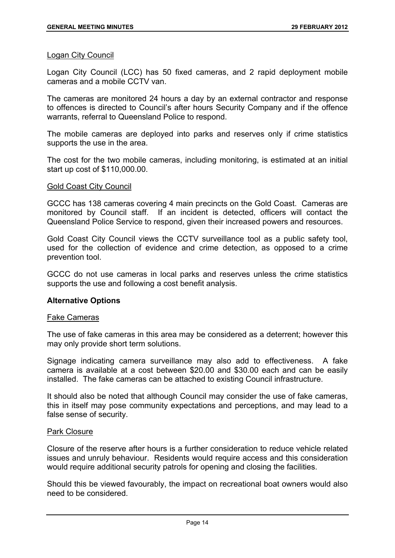#### Logan City Council

Logan City Council (LCC) has 50 fixed cameras, and 2 rapid deployment mobile cameras and a mobile CCTV van.

The cameras are monitored 24 hours a day by an external contractor and response to offences is directed to Council's after hours Security Company and if the offence warrants, referral to Queensland Police to respond.

The mobile cameras are deployed into parks and reserves only if crime statistics supports the use in the area.

The cost for the two mobile cameras, including monitoring, is estimated at an initial start up cost of \$110,000.00.

#### Gold Coast City Council

GCCC has 138 cameras covering 4 main precincts on the Gold Coast. Cameras are monitored by Council staff. If an incident is detected, officers will contact the Queensland Police Service to respond, given their increased powers and resources.

Gold Coast City Council views the CCTV surveillance tool as a public safety tool, used for the collection of evidence and crime detection, as opposed to a crime prevention tool.

GCCC do not use cameras in local parks and reserves unless the crime statistics supports the use and following a cost benefit analysis.

#### **Alternative Options**

#### Fake Cameras

The use of fake cameras in this area may be considered as a deterrent; however this may only provide short term solutions.

Signage indicating camera surveillance may also add to effectiveness. A fake camera is available at a cost between \$20.00 and \$30.00 each and can be easily installed. The fake cameras can be attached to existing Council infrastructure.

It should also be noted that although Council may consider the use of fake cameras, this in itself may pose community expectations and perceptions, and may lead to a false sense of security.

#### Park Closure

Closure of the reserve after hours is a further consideration to reduce vehicle related issues and unruly behaviour. Residents would require access and this consideration would require additional security patrols for opening and closing the facilities.

Should this be viewed favourably, the impact on recreational boat owners would also need to be considered.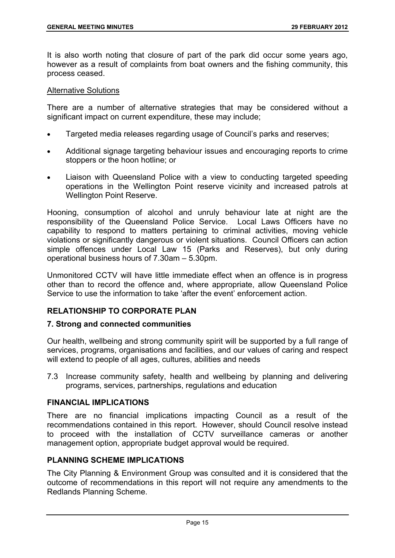It is also worth noting that closure of part of the park did occur some years ago, however as a result of complaints from boat owners and the fishing community, this process ceased.

#### Alternative Solutions

There are a number of alternative strategies that may be considered without a significant impact on current expenditure, these may include;

- Targeted media releases regarding usage of Council's parks and reserves;
- Additional signage targeting behaviour issues and encouraging reports to crime stoppers or the hoon hotline; or
- Liaison with Queensland Police with a view to conducting targeted speeding operations in the Wellington Point reserve vicinity and increased patrols at Wellington Point Reserve.

Hooning, consumption of alcohol and unruly behaviour late at night are the responsibility of the Queensland Police Service. Local Laws Officers have no capability to respond to matters pertaining to criminal activities, moving vehicle violations or significantly dangerous or violent situations. Council Officers can action simple offences under Local Law 15 (Parks and Reserves), but only during operational business hours of 7.30am – 5.30pm.

Unmonitored CCTV will have little immediate effect when an offence is in progress other than to record the offence and, where appropriate, allow Queensland Police Service to use the information to take 'after the event' enforcement action.

# **RELATIONSHIP TO CORPORATE PLAN**

#### **7. Strong and connected communities**

Our health, wellbeing and strong community spirit will be supported by a full range of services, programs, organisations and facilities, and our values of caring and respect will extend to people of all ages, cultures, abilities and needs

7.3 Increase community safety, health and wellbeing by planning and delivering programs, services, partnerships, regulations and education

### **FINANCIAL IMPLICATIONS**

There are no financial implications impacting Council as a result of the recommendations contained in this report. However, should Council resolve instead to proceed with the installation of CCTV surveillance cameras or another management option, appropriate budget approval would be required.

# **PLANNING SCHEME IMPLICATIONS**

The City Planning & Environment Group was consulted and it is considered that the outcome of recommendations in this report will not require any amendments to the Redlands Planning Scheme.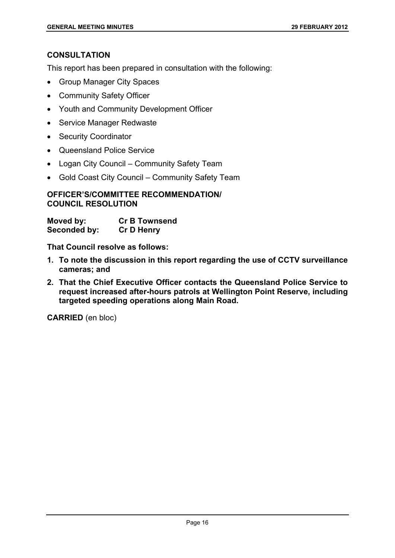# **CONSULTATION**

This report has been prepared in consultation with the following:

- Group Manager City Spaces
- Community Safety Officer
- Youth and Community Development Officer
- Service Manager Redwaste
- Security Coordinator
- Queensland Police Service
- Logan City Council Community Safety Team
- Gold Coast City Council Community Safety Team

# **OFFICER'S/COMMITTEE RECOMMENDATION/ COUNCIL RESOLUTION**

| Moved by:    | <b>Cr B Townsend</b> |
|--------------|----------------------|
| Seconded by: | <b>Cr D Henry</b>    |

**That Council resolve as follows:** 

- **1. To note the discussion in this report regarding the use of CCTV surveillance cameras; and**
- **2. That the Chief Executive Officer contacts the Queensland Police Service to request increased after-hours patrols at Wellington Point Reserve, including targeted speeding operations along Main Road.**

**CARRIED** (en bloc)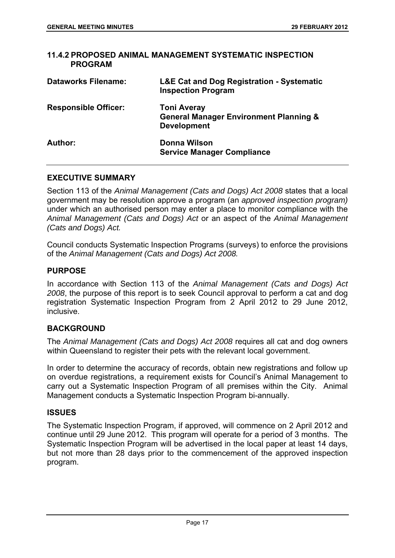| 11.4.2 PROPOSED ANIMAL MANAGEMENT SYSTEMATIC INSPECTION<br><b>PROGRAM</b> |                                                                                               |
|---------------------------------------------------------------------------|-----------------------------------------------------------------------------------------------|
| <b>Dataworks Filename:</b>                                                | <b>L&amp;E Cat and Dog Registration - Systematic</b><br><b>Inspection Program</b>             |
| <b>Responsible Officer:</b>                                               | <b>Toni Averay</b><br><b>General Manager Environment Planning &amp;</b><br><b>Development</b> |
| Author:                                                                   | Donna Wilson<br><b>Service Manager Compliance</b>                                             |

#### **EXECUTIVE SUMMARY**

Section 113 of the *Animal Management (Cats and Dogs) Act 2008* states that a local government may be resolution approve a program (an *approved inspection program)*  under which an authorised person may enter a place to monitor compliance with the *Animal Management (Cats and Dogs) Act* or an aspect of the *Animal Management (Cats and Dogs) Act.* 

Council conducts Systematic Inspection Programs (surveys) to enforce the provisions of the *Animal Management (Cats and Dogs) Act 2008.* 

#### **PURPOSE**

In accordance with Section 113 of the *Animal Management (Cats and Dogs) Act 2008*, the purpose of this report is to seek Council approval to perform a cat and dog registration Systematic Inspection Program from 2 April 2012 to 29 June 2012, inclusive.

# **BACKGROUND**

The *Animal Management (Cats and Dogs) Act 2008* requires all cat and dog owners within Queensland to register their pets with the relevant local government.

In order to determine the accuracy of records, obtain new registrations and follow up on overdue registrations, a requirement exists for Council's Animal Management to carry out a Systematic Inspection Program of all premises within the City. Animal Management conducts a Systematic Inspection Program bi-annually.

#### **ISSUES**

The Systematic Inspection Program, if approved, will commence on 2 April 2012 and continue until 29 June 2012. This program will operate for a period of 3 months. The Systematic Inspection Program will be advertised in the local paper at least 14 days, but not more than 28 days prior to the commencement of the approved inspection program.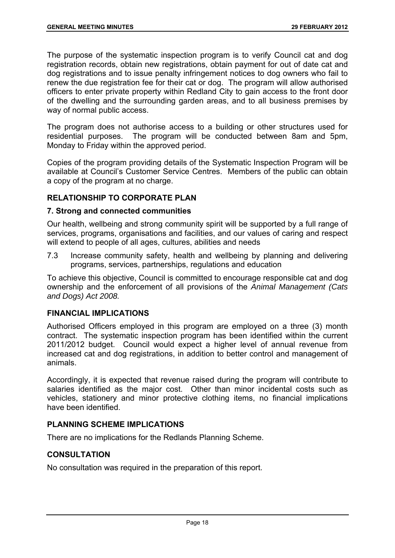The purpose of the systematic inspection program is to verify Council cat and dog registration records, obtain new registrations, obtain payment for out of date cat and dog registrations and to issue penalty infringement notices to dog owners who fail to renew the due registration fee for their cat or dog. The program will allow authorised officers to enter private property within Redland City to gain access to the front door of the dwelling and the surrounding garden areas, and to all business premises by way of normal public access.

The program does not authorise access to a building or other structures used for residential purposes. The program will be conducted between 8am and 5pm, Monday to Friday within the approved period.

Copies of the program providing details of the Systematic Inspection Program will be available at Council's Customer Service Centres. Members of the public can obtain a copy of the program at no charge.

# **RELATIONSHIP TO CORPORATE PLAN**

#### **7. Strong and connected communities**

Our health, wellbeing and strong community spirit will be supported by a full range of services, programs, organisations and facilities, and our values of caring and respect will extend to people of all ages, cultures, abilities and needs

7.3 Increase community safety, health and wellbeing by planning and delivering programs, services, partnerships, regulations and education

To achieve this objective, Council is committed to encourage responsible cat and dog ownership and the enforcement of all provisions of the *Animal Management (Cats and Dogs) Act 2008.* 

# **FINANCIAL IMPLICATIONS**

Authorised Officers employed in this program are employed on a three (3) month contract. The systematic inspection program has been identified within the current 2011/2012 budget. Council would expect a higher level of annual revenue from increased cat and dog registrations, in addition to better control and management of animals.

Accordingly, it is expected that revenue raised during the program will contribute to salaries identified as the major cost. Other than minor incidental costs such as vehicles, stationery and minor protective clothing items, no financial implications have been identified.

# **PLANNING SCHEME IMPLICATIONS**

There are no implications for the Redlands Planning Scheme.

# **CONSULTATION**

No consultation was required in the preparation of this report.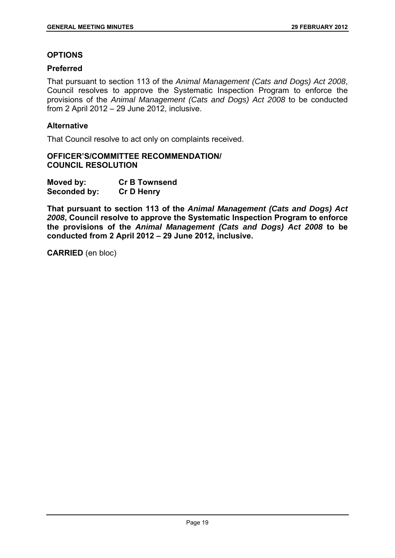#### **OPTIONS**

#### **Preferred**

That pursuant to section 113 of the *Animal Management (Cats and Dogs) Act 2008*, Council resolves to approve the Systematic Inspection Program to enforce the provisions of the *Animal Management (Cats and Dogs) Act 2008* to be conducted from 2 April 2012 – 29 June 2012, inclusive.

#### **Alternative**

That Council resolve to act only on complaints received.

#### **OFFICER'S/COMMITTEE RECOMMENDATION/ COUNCIL RESOLUTION**

| Moved by:    | <b>Cr B Townsend</b> |
|--------------|----------------------|
| Seconded by: | <b>Cr D Henry</b>    |

**That pursuant to section 113 of the** *Animal Management (Cats and Dogs) Act 2008***, Council resolve to approve the Systematic Inspection Program to enforce the provisions of the** *Animal Management (Cats and Dogs) Act 2008* **to be conducted from 2 April 2012 – 29 June 2012, inclusive.** 

**CARRIED** (en bloc)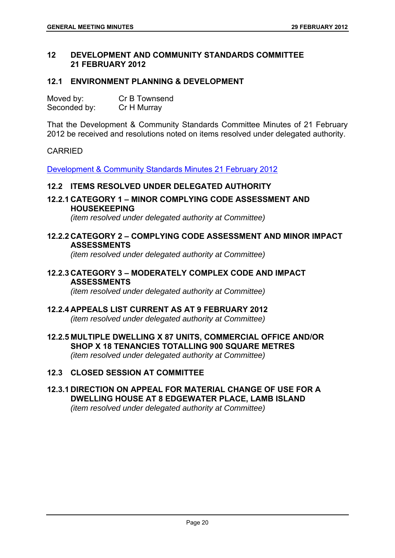# **12 DEVELOPMENT AND COMMUNITY STANDARDS COMMITTEE 21 FEBRUARY 2012**

# **12.1 ENVIRONMENT PLANNING & DEVELOPMENT**

| Moved by:    | Cr B Townsend |
|--------------|---------------|
| Seconded by: | Cr H Murray   |

That the Development & Community Standards Committee Minutes of 21 February 2012 be received and resolutions noted on items resolved under delegated authority.

# CARRIED

Development & Community Standards Minutes 21 February 2012

# **12.2 ITEMS RESOLVED UNDER DELEGATED AUTHORITY**

**12.2.1 CATEGORY 1 – MINOR COMPLYING CODE ASSESSMENT AND HOUSEKEEPING** 

*(item resolved under delegated authority at Committee)* 

#### **12.2.2 CATEGORY 2 – COMPLYING CODE ASSESSMENT AND MINOR IMPACT ASSESSMENTS**

*(item resolved under delegated authority at Committee)* 

# **12.2.3 CATEGORY 3 – MODERATELY COMPLEX CODE AND IMPACT ASSESSMENTS**

*(item resolved under delegated authority at Committee)* 

# **12.2.4 APPEALS LIST CURRENT AS AT 9 FEBRUARY 2012**

*(item resolved under delegated authority at Committee)* 

# **12.2.5 MULTIPLE DWELLING X 87 UNITS, COMMERCIAL OFFICE AND/OR SHOP X 18 TENANCIES TOTALLING 900 SQUARE METRES**  *(item resolved under delegated authority at Committee)*

# **12.3 CLOSED SESSION AT COMMITTEE**

# **12.3.1 DIRECTION ON APPEAL FOR MATERIAL CHANGE OF USE FOR A DWELLING HOUSE AT 8 EDGEWATER PLACE, LAMB ISLAND**  *(item resolved under delegated authority at Committee)*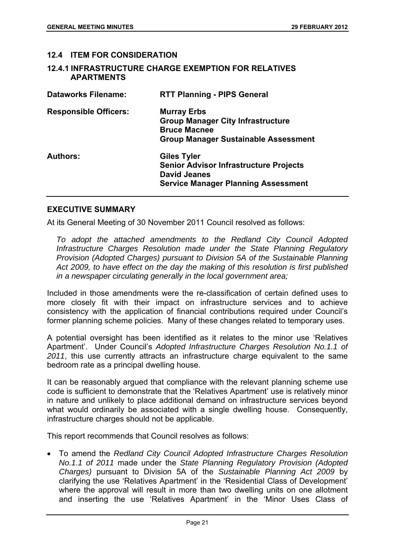# **12.4 ITEM FOR CONSIDERATION**

**12.4.1 INFRASTRUCTURE CHARGE EXEMPTION FOR RELATIVES APARTMENTS** 

| <b>Dataworks Filename:</b>   | <b>RTT Planning - PIPS General</b>                                                                                                       |
|------------------------------|------------------------------------------------------------------------------------------------------------------------------------------|
| <b>Responsible Officers:</b> | <b>Murray Erbs</b><br><b>Group Manager City Infrastructure</b><br><b>Bruce Macnee</b><br><b>Group Manager Sustainable Assessment</b>     |
| <b>Authors:</b>              | <b>Giles Tyler</b><br><b>Senior Advisor Infrastructure Projects</b><br><b>David Jeanes</b><br><b>Service Manager Planning Assessment</b> |

#### **EXECUTIVE SUMMARY**

At its General Meeting of 30 November 2011 Council resolved as follows:

*To adopt the attached amendments to the Redland City Council Adopted Infrastructure Charges Resolution made under the State Planning Regulatory Provision (Adopted Charges) pursuant to Division 5A of the Sustainable Planning Act 2009, to have effect on the day the making of this resolution is first published in a newspaper circulating generally in the local government area;* 

Included in those amendments were the re-classification of certain defined uses to more closely fit with their impact on infrastructure services and to achieve consistency with the application of financial contributions required under Council's former planning scheme policies. Many of these changes related to temporary uses.

A potential oversight has been identified as it relates to the minor use 'Relatives Apartment'. Under Council's *Adopted Infrastructure Charges Resolution No.1.1 of 2011*, this use currently attracts an infrastructure charge equivalent to the same bedroom rate as a principal dwelling house.

It can be reasonably argued that compliance with the relevant planning scheme use code is sufficient to demonstrate that the 'Relatives Apartment' use is relatively minor in nature and unlikely to place additional demand on infrastructure services beyond what would ordinarily be associated with a single dwelling house. Consequently, infrastructure charges should not be applicable.

This report recommends that Council resolves as follows:

 To amend the *Redland City Council Adopted Infrastructure Charges Resolution No.1.1 of 2011* made under the *State Planning Regulatory Provision (Adopted Charges)* pursuant to Division 5A of the *Sustainable Planning Act 2009* by clarifying the use 'Relatives Apartment' in the 'Residential Class of Development' where the approval will result in more than two dwelling units on one allotment and inserting the use 'Relatives Apartment' in the 'Minor Uses Class of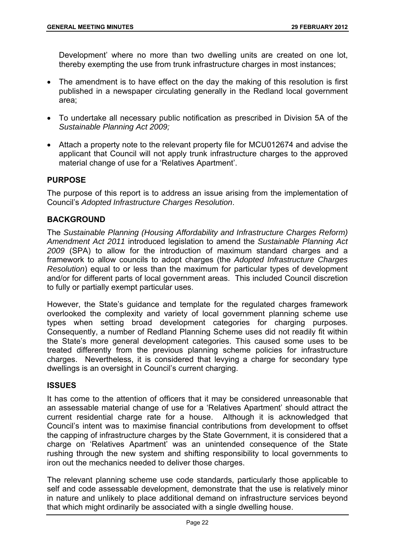Development' where no more than two dwelling units are created on one lot, thereby exempting the use from trunk infrastructure charges in most instances;

- The amendment is to have effect on the day the making of this resolution is first published in a newspaper circulating generally in the Redland local government area;
- To undertake all necessary public notification as prescribed in Division 5A of the *Sustainable Planning Act 2009;*
- Attach a property note to the relevant property file for MCU012674 and advise the applicant that Council will not apply trunk infrastructure charges to the approved material change of use for a 'Relatives Apartment'.

# **PURPOSE**

The purpose of this report is to address an issue arising from the implementation of Council's *Adopted Infrastructure Charges Resolution*.

# **BACKGROUND**

The *Sustainable Planning (Housing Affordability and Infrastructure Charges Reform) Amendment Act 2011* introduced legislation to amend the *Sustainable Planning Act 2009* (SPA) to allow for the introduction of maximum standard charges and a framework to allow councils to adopt charges (the *Adopted Infrastructure Charges Resolution*) equal to or less than the maximum for particular types of development and/or for different parts of local government areas. This included Council discretion to fully or partially exempt particular uses.

However, the State's guidance and template for the regulated charges framework overlooked the complexity and variety of local government planning scheme use types when setting broad development categories for charging purposes. Consequently, a number of Redland Planning Scheme uses did not readily fit within the State's more general development categories. This caused some uses to be treated differently from the previous planning scheme policies for infrastructure charges. Nevertheless, it is considered that levying a charge for secondary type dwellings is an oversight in Council's current charging.

# **ISSUES**

It has come to the attention of officers that it may be considered unreasonable that an assessable material change of use for a 'Relatives Apartment' should attract the current residential charge rate for a house. Although it is acknowledged that Council's intent was to maximise financial contributions from development to offset the capping of infrastructure charges by the State Government, it is considered that a charge on 'Relatives Apartment' was an unintended consequence of the State rushing through the new system and shifting responsibility to local governments to iron out the mechanics needed to deliver those charges.

The relevant planning scheme use code standards, particularly those applicable to self and code assessable development, demonstrate that the use is relatively minor in nature and unlikely to place additional demand on infrastructure services beyond that which might ordinarily be associated with a single dwelling house.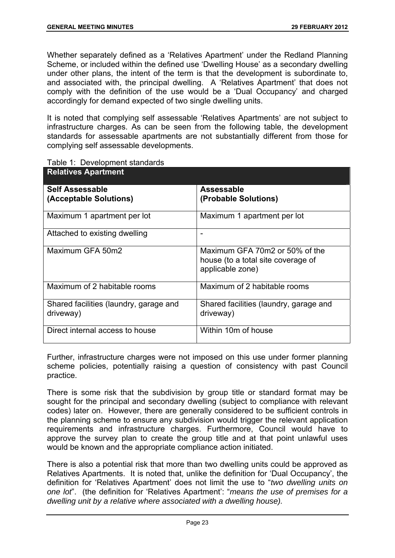Whether separately defined as a 'Relatives Apartment' under the Redland Planning Scheme, or included within the defined use 'Dwelling House' as a secondary dwelling under other plans, the intent of the term is that the development is subordinate to, and associated with, the principal dwelling. A 'Relatives Apartment' that does not comply with the definition of the use would be a 'Dual Occupancy' and charged accordingly for demand expected of two single dwelling units.

It is noted that complying self assessable 'Relatives Apartments' are not subject to infrastructure charges. As can be seen from the following table, the development standards for assessable apartments are not substantially different from those for complying self assessable developments.

| <b>Relatives Apartment</b>                          |                                                                                          |
|-----------------------------------------------------|------------------------------------------------------------------------------------------|
| Self Assessable<br>(Acceptable Solutions)           | Assessable<br>(Probable Solutions)                                                       |
| Maximum 1 apartment per lot                         | Maximum 1 apartment per lot                                                              |
| Attached to existing dwelling                       | -                                                                                        |
| Maximum GFA 50m2                                    | Maximum GFA 70m2 or 50% of the<br>house (to a total site coverage of<br>applicable zone) |
| Maximum of 2 habitable rooms                        | Maximum of 2 habitable rooms                                                             |
| Shared facilities (laundry, garage and<br>driveway) | Shared facilities (laundry, garage and<br>driveway)                                      |
| Direct internal access to house                     | Within 10m of house                                                                      |

| Table 1: Development standards |
|--------------------------------|
|--------------------------------|

Further, infrastructure charges were not imposed on this use under former planning scheme policies, potentially raising a question of consistency with past Council practice.

There is some risk that the subdivision by group title or standard format may be sought for the principal and secondary dwelling (subject to compliance with relevant codes) later on. However, there are generally considered to be sufficient controls in the planning scheme to ensure any subdivision would trigger the relevant application requirements and infrastructure charges. Furthermore, Council would have to approve the survey plan to create the group title and at that point unlawful uses would be known and the appropriate compliance action initiated.

There is also a potential risk that more than two dwelling units could be approved as Relatives Apartments. It is noted that, unlike the definition for 'Dual Occupancy', the definition for 'Relatives Apartment' does not limit the use to "*two dwelling units on one lot*". (the definition for 'Relatives Apartment': "*means the use of premises for a dwelling unit by a relative where associated with a dwelling house).*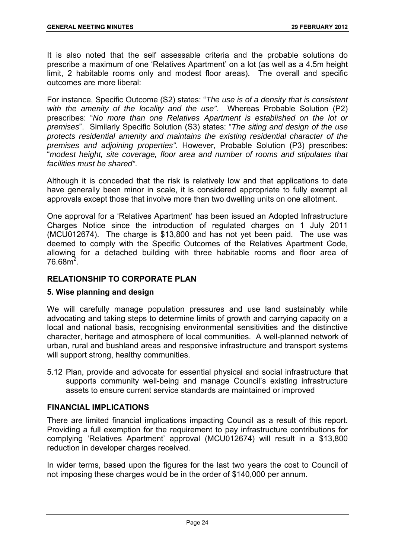It is also noted that the self assessable criteria and the probable solutions do prescribe a maximum of one 'Relatives Apartment' on a lot (as well as a 4.5m height limit, 2 habitable rooms only and modest floor areas). The overall and specific outcomes are more liberal:

For instance, Specific Outcome (S2) states: "*The use is of a density that is consistent with the amenity of the locality and the use".* Whereas Probable Solution (P2) prescribes: "*No more than one Relatives Apartment is established on the lot or premises*". Similarly Specific Solution (S3) states: "*The siting and design of the use protects residential amenity and maintains the existing residential character of the premises and adjoining properties".* However, Probable Solution (P3) prescribes: "*modest height, site coverage, floor area and number of rooms and stipulates that facilities must be shared"*.

Although it is conceded that the risk is relatively low and that applications to date have generally been minor in scale, it is considered appropriate to fully exempt all approvals except those that involve more than two dwelling units on one allotment.

One approval for a 'Relatives Apartment' has been issued an Adopted Infrastructure Charges Notice since the introduction of regulated charges on 1 July 2011 (MCU012674). The charge is \$13,800 and has not yet been paid. The use was deemed to comply with the Specific Outcomes of the Relatives Apartment Code, allowing for a detached building with three habitable rooms and floor area of  $76.68<sup>2</sup>$ .

# **RELATIONSHIP TO CORPORATE PLAN**

# **5. Wise planning and design**

We will carefully manage population pressures and use land sustainably while advocating and taking steps to determine limits of growth and carrying capacity on a local and national basis, recognising environmental sensitivities and the distinctive character, heritage and atmosphere of local communities. A well-planned network of urban, rural and bushland areas and responsive infrastructure and transport systems will support strong, healthy communities.

5.12 Plan, provide and advocate for essential physical and social infrastructure that supports community well-being and manage Council's existing infrastructure assets to ensure current service standards are maintained or improved

# **FINANCIAL IMPLICATIONS**

There are limited financial implications impacting Council as a result of this report. Providing a full exemption for the requirement to pay infrastructure contributions for complying 'Relatives Apartment' approval (MCU012674) will result in a \$13,800 reduction in developer charges received.

In wider terms, based upon the figures for the last two years the cost to Council of not imposing these charges would be in the order of \$140,000 per annum.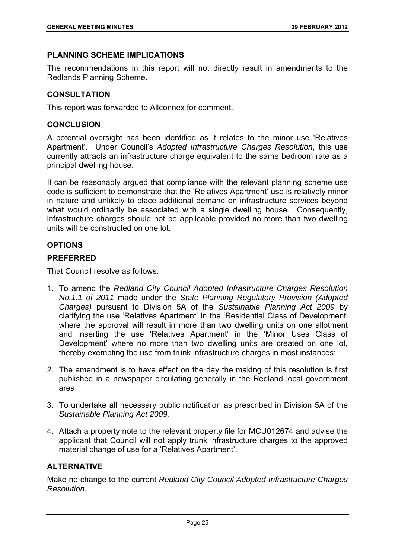# **PLANNING SCHEME IMPLICATIONS**

The recommendations in this report will not directly result in amendments to the Redlands Planning Scheme.

# **CONSULTATION**

This report was forwarded to Allconnex for comment.

# **CONCLUSION**

A potential oversight has been identified as it relates to the minor use 'Relatives Apartment'. Under Council's *Adopted Infrastructure Charges Resolution*, this use currently attracts an infrastructure charge equivalent to the same bedroom rate as a principal dwelling house.

It can be reasonably argued that compliance with the relevant planning scheme use code is sufficient to demonstrate that the 'Relatives Apartment' use is relatively minor in nature and unlikely to place additional demand on infrastructure services beyond what would ordinarily be associated with a single dwelling house. Consequently, infrastructure charges should not be applicable provided no more than two dwelling units will be constructed on one lot.

# **OPTIONS**

#### **PREFERRED**

That Council resolve as follows:

- 1. To amend the *Redland City Council Adopted Infrastructure Charges Resolution No.1.1 of 2011* made under the *State Planning Regulatory Provision (Adopted Charges)* pursuant to Division 5A of the *Sustainable Planning Act 2009* by clarifying the use 'Relatives Apartment' in the 'Residential Class of Development' where the approval will result in more than two dwelling units on one allotment and inserting the use 'Relatives Apartment' in the 'Minor Uses Class of Development' where no more than two dwelling units are created on one lot, thereby exempting the use from trunk infrastructure charges in most instances;
- 2. The amendment is to have effect on the day the making of this resolution is first published in a newspaper circulating generally in the Redland local government area;
- 3. To undertake all necessary public notification as prescribed in Division 5A of the *Sustainable Planning Act 2009;*
- 4. Attach a property note to the relevant property file for MCU012674 and advise the applicant that Council will not apply trunk infrastructure charges to the approved material change of use for a 'Relatives Apartment'.

#### **ALTERNATIVE**

Make no change to the current *Redland City Council Adopted Infrastructure Charges Resolution.*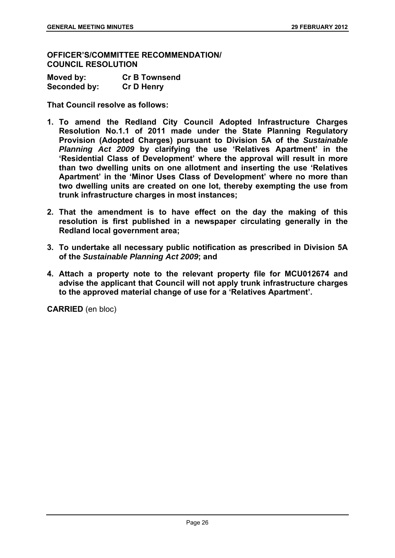**OFFICER'S/COMMITTEE RECOMMENDATION/ COUNCIL RESOLUTION** 

| Moved by:    | <b>Cr B Townsend</b> |
|--------------|----------------------|
| Seconded by: | <b>Cr D Henry</b>    |

**That Council resolve as follows:** 

- **1. To amend the Redland City Council Adopted Infrastructure Charges Resolution No.1.1 of 2011 made under the State Planning Regulatory Provision (Adopted Charges) pursuant to Division 5A of the** *Sustainable Planning Act 2009* **by clarifying the use 'Relatives Apartment' in the 'Residential Class of Development' where the approval will result in more than two dwelling units on one allotment and inserting the use 'Relatives Apartment' in the 'Minor Uses Class of Development' where no more than two dwelling units are created on one lot, thereby exempting the use from trunk infrastructure charges in most instances;**
- **2. That the amendment is to have effect on the day the making of this resolution is first published in a newspaper circulating generally in the Redland local government area;**
- **3. To undertake all necessary public notification as prescribed in Division 5A of the** *Sustainable Planning Act 2009***; and**
- **4. Attach a property note to the relevant property file for MCU012674 and advise the applicant that Council will not apply trunk infrastructure charges to the approved material change of use for a 'Relatives Apartment'.**

**CARRIED** (en bloc)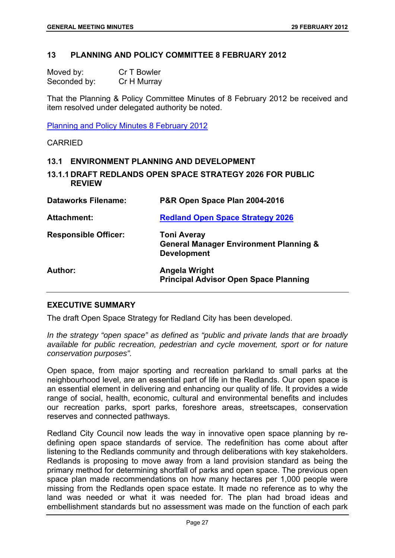#### **13 PLANNING AND POLICY COMMITTEE 8 FEBRUARY 2012**

| Moved by:    | Cr T Bowler |
|--------------|-------------|
| Seconded by: | Cr H Murray |

That the Planning & Policy Committee Minutes of 8 February 2012 be received and item resolved under delegated authority be noted.

Planning and Policy Minutes 8 February 2012

CARRIED

#### **13.1 ENVIRONMENT PLANNING AND DEVELOPMENT**

**13.1.1 DRAFT REDLANDS OPEN SPACE STRATEGY 2026 FOR PUBLIC REVIEW** 

| <b>Dataworks Filename:</b>  | P&R Open Space Plan 2004-2016                                                                 |
|-----------------------------|-----------------------------------------------------------------------------------------------|
| Attachment:                 | <b>Redland Open Space Strategy 2026</b>                                                       |
| <b>Responsible Officer:</b> | <b>Toni Averay</b><br><b>General Manager Environment Planning &amp;</b><br><b>Development</b> |
| Author:                     | Angela Wright<br><b>Principal Advisor Open Space Planning</b>                                 |

#### **EXECUTIVE SUMMARY**

The draft Open Space Strategy for Redland City has been developed.

*In the strategy "open space" as defined as "public and private lands that are broadly available for public recreation, pedestrian and cycle movement, sport or for nature conservation purposes".* 

Open space, from major sporting and recreation parkland to small parks at the neighbourhood level, are an essential part of life in the Redlands. Our open space is an essential element in delivering and enhancing our quality of life. It provides a wide range of social, health, economic, cultural and environmental benefits and includes our recreation parks, sport parks, foreshore areas, streetscapes, conservation reserves and connected pathways.

Redland City Council now leads the way in innovative open space planning by redefining open space standards of service. The redefinition has come about after listening to the Redlands community and through deliberations with key stakeholders. Redlands is proposing to move away from a land provision standard as being the primary method for determining shortfall of parks and open space. The previous open space plan made recommendations on how many hectares per 1,000 people were missing from the Redlands open space estate. It made no reference as to why the land was needed or what it was needed for. The plan had broad ideas and embellishment standards but no assessment was made on the function of each park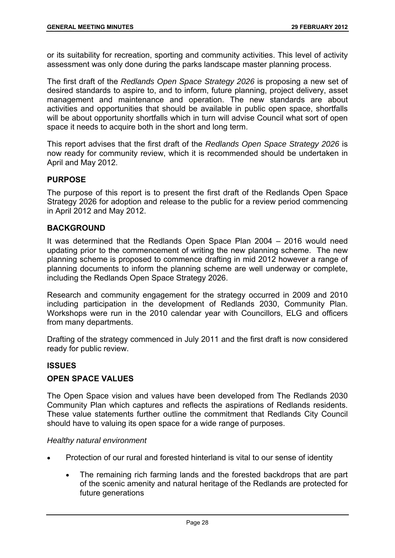or its suitability for recreation, sporting and community activities. This level of activity assessment was only done during the parks landscape master planning process.

The first draft of the *Redlands Open Space Strategy 2026* is proposing a new set of desired standards to aspire to, and to inform, future planning, project delivery, asset management and maintenance and operation. The new standards are about activities and opportunities that should be available in public open space, shortfalls will be about opportunity shortfalls which in turn will advise Council what sort of open space it needs to acquire both in the short and long term.

This report advises that the first draft of the *Redlands Open Space Strategy 2026* is now ready for community review, which it is recommended should be undertaken in April and May 2012.

# **PURPOSE**

The purpose of this report is to present the first draft of the Redlands Open Space Strategy 2026 for adoption and release to the public for a review period commencing in April 2012 and May 2012.

# **BACKGROUND**

It was determined that the Redlands Open Space Plan 2004 – 2016 would need updating prior to the commencement of writing the new planning scheme. The new planning scheme is proposed to commence drafting in mid 2012 however a range of planning documents to inform the planning scheme are well underway or complete, including the Redlands Open Space Strategy 2026.

Research and community engagement for the strategy occurred in 2009 and 2010 including participation in the development of Redlands 2030, Community Plan. Workshops were run in the 2010 calendar year with Councillors, ELG and officers from many departments.

Drafting of the strategy commenced in July 2011 and the first draft is now considered ready for public review.

# **ISSUES**

# **OPEN SPACE VALUES**

The Open Space vision and values have been developed from The Redlands 2030 Community Plan which captures and reflects the aspirations of Redlands residents. These value statements further outline the commitment that Redlands City Council should have to valuing its open space for a wide range of purposes.

#### *Healthy natural environment*

- Protection of our rural and forested hinterland is vital to our sense of identity
	- The remaining rich farming lands and the forested backdrops that are part of the scenic amenity and natural heritage of the Redlands are protected for future generations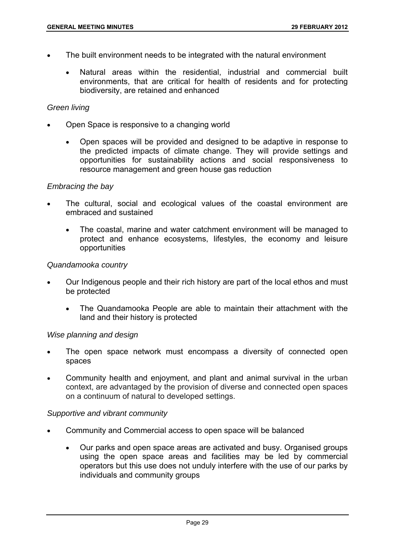- The built environment needs to be integrated with the natural environment
	- Natural areas within the residential, industrial and commercial built environments, that are critical for health of residents and for protecting biodiversity, are retained and enhanced

#### *Green living*

- Open Space is responsive to a changing world
	- Open spaces will be provided and designed to be adaptive in response to the predicted impacts of climate change. They will provide settings and opportunities for sustainability actions and social responsiveness to resource management and green house gas reduction

#### *Embracing the bay*

- The cultural, social and ecological values of the coastal environment are embraced and sustained
	- The coastal, marine and water catchment environment will be managed to protect and enhance ecosystems, lifestyles, the economy and leisure opportunities

#### *Quandamooka country*

- Our Indigenous people and their rich history are part of the local ethos and must be protected
	- The Quandamooka People are able to maintain their attachment with the land and their history is protected

#### *Wise planning and design*

- The open space network must encompass a diversity of connected open spaces
- Community health and enjoyment, and plant and animal survival in the urban context, are advantaged by the provision of diverse and connected open spaces on a continuum of natural to developed settings.

#### *Supportive and vibrant community*

- Community and Commercial access to open space will be balanced
	- Our parks and open space areas are activated and busy. Organised groups using the open space areas and facilities may be led by commercial operators but this use does not unduly interfere with the use of our parks by individuals and community groups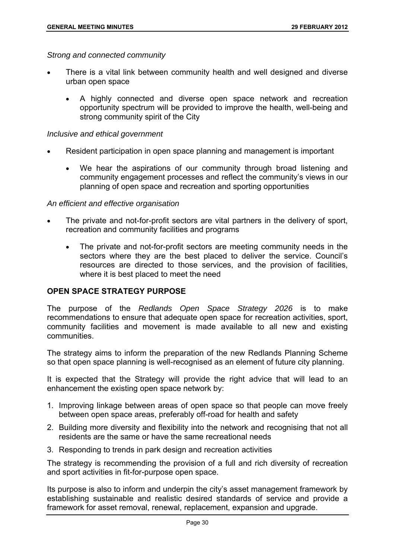*Strong and connected community* 

- There is a vital link between community health and well designed and diverse urban open space
	- A highly connected and diverse open space network and recreation opportunity spectrum will be provided to improve the health, well-being and strong community spirit of the City

## *Inclusive and ethical government*

- Resident participation in open space planning and management is important
	- We hear the aspirations of our community through broad listening and community engagement processes and reflect the community's views in our planning of open space and recreation and sporting opportunities

### *An efficient and effective organisation*

- The private and not-for-profit sectors are vital partners in the delivery of sport, recreation and community facilities and programs
	- The private and not-for-profit sectors are meeting community needs in the sectors where they are the best placed to deliver the service. Council's resources are directed to those services, and the provision of facilities, where it is best placed to meet the need

## **OPEN SPACE STRATEGY PURPOSE**

The purpose of the *Redlands Open Space Strategy 2026* is to make recommendations to ensure that adequate open space for recreation activities, sport, community facilities and movement is made available to all new and existing communities.

The strategy aims to inform the preparation of the new Redlands Planning Scheme so that open space planning is well-recognised as an element of future city planning.

It is expected that the Strategy will provide the right advice that will lead to an enhancement the existing open space network by:

- 1. Improving linkage between areas of open space so that people can move freely between open space areas, preferably off-road for health and safety
- 2. Building more diversity and flexibility into the network and recognising that not all residents are the same or have the same recreational needs
- 3. Responding to trends in park design and recreation activities

The strategy is recommending the provision of a full and rich diversity of recreation and sport activities in fit-for-purpose open space.

Its purpose is also to inform and underpin the city's asset management framework by establishing sustainable and realistic desired standards of service and provide a framework for asset removal, renewal, replacement, expansion and upgrade.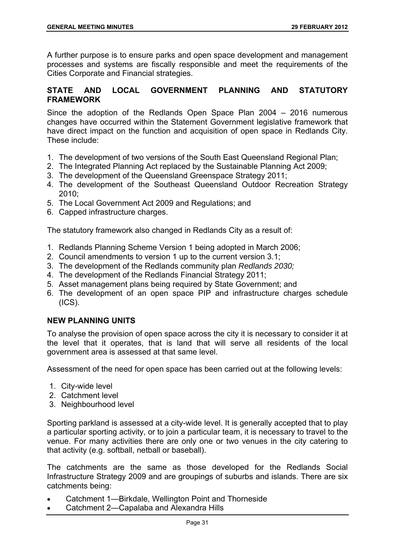A further purpose is to ensure parks and open space development and management processes and systems are fiscally responsible and meet the requirements of the Cities Corporate and Financial strategies.

# **STATE AND LOCAL GOVERNMENT PLANNING AND STATUTORY FRAMEWORK**

Since the adoption of the Redlands Open Space Plan 2004 – 2016 numerous changes have occurred within the Statement Government legislative framework that have direct impact on the function and acquisition of open space in Redlands City. These include:

- 1. The development of two versions of the South East Queensland Regional Plan;
- 2. The Integrated Planning Act replaced by the Sustainable Planning Act 2009;
- 3. The development of the Queensland Greenspace Strategy 2011;
- 4. The development of the Southeast Queensland Outdoor Recreation Strategy 2010;
- 5. The Local Government Act 2009 and Regulations; and
- 6. Capped infrastructure charges.

The statutory framework also changed in Redlands City as a result of:

- 1. Redlands Planning Scheme Version 1 being adopted in March 2006;
- 2. Council amendments to version 1 up to the current version 3.1;
- 3. The development of the Redlands community plan *Redlands 2030;*
- 4. The development of the Redlands Financial Strategy 2011;
- 5. Asset management plans being required by State Government; and
- 6. The development of an open space PIP and infrastructure charges schedule (ICS).

## **NEW PLANNING UNITS**

To analyse the provision of open space across the city it is necessary to consider it at the level that it operates, that is land that will serve all residents of the local government area is assessed at that same level.

Assessment of the need for open space has been carried out at the following levels:

- 1. City-wide level
- 2. Catchment level
- 3. Neighbourhood level

Sporting parkland is assessed at a city-wide level. It is generally accepted that to play a particular sporting activity, or to join a particular team, it is necessary to travel to the venue. For many activities there are only one or two venues in the city catering to that activity (e.g. softball, netball or baseball).

The catchments are the same as those developed for the Redlands Social Infrastructure Strategy 2009 and are groupings of suburbs and islands. There are six catchments being:

- Catchment 1—Birkdale, Wellington Point and Thorneside
- Catchment 2—Capalaba and Alexandra Hills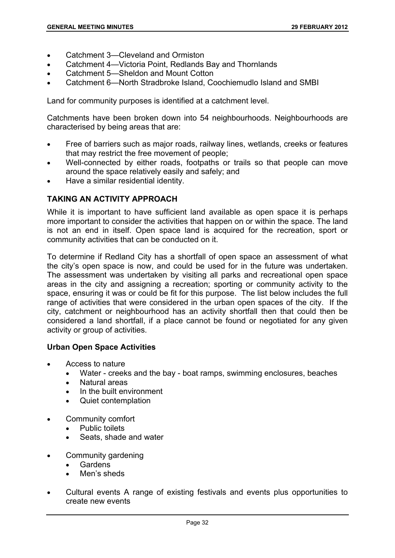- Catchment 3—Cleveland and Ormiston
- Catchment 4—Victoria Point, Redlands Bay and Thornlands
- Catchment 5—Sheldon and Mount Cotton
- Catchment 6—North Stradbroke Island, Coochiemudlo Island and SMBI

Land for community purposes is identified at a catchment level.

Catchments have been broken down into 54 neighbourhoods. Neighbourhoods are characterised by being areas that are:

- Free of barriers such as major roads, railway lines, wetlands, creeks or features that may restrict the free movement of people;
- Well-connected by either roads, footpaths or trails so that people can move around the space relatively easily and safely; and
- Have a similar residential identity.

# **TAKING AN ACTIVITY APPROACH**

While it is important to have sufficient land available as open space it is perhaps more important to consider the activities that happen on or within the space. The land is not an end in itself. Open space land is acquired for the recreation, sport or community activities that can be conducted on it.

To determine if Redland City has a shortfall of open space an assessment of what the city's open space is now, and could be used for in the future was undertaken. The assessment was undertaken by visiting all parks and recreational open space areas in the city and assigning a recreation; sporting or community activity to the space, ensuring it was or could be fit for this purpose. The list below includes the full range of activities that were considered in the urban open spaces of the city. If the city, catchment or neighbourhood has an activity shortfall then that could then be considered a land shortfall, if a place cannot be found or negotiated for any given activity or group of activities.

## **Urban Open Space Activities**

- Access to nature
	- Water creeks and the bay boat ramps, swimming enclosures, beaches
	- Natural areas
	- In the built environment
	- Quiet contemplation
- Community comfort
	- Public toilets
	- Seats, shade and water
- Community gardening
	- **Gardens**
	- Men's sheds
- Cultural events A range of existing festivals and events plus opportunities to create new events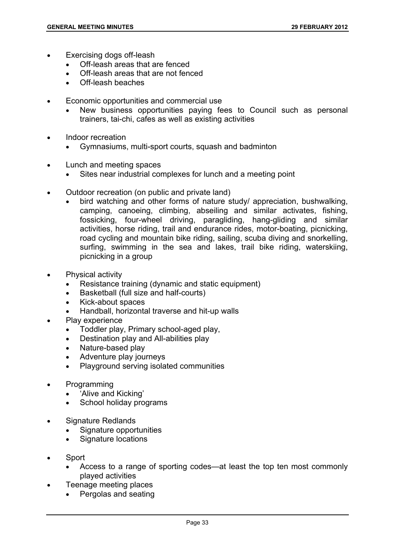- Exercising dogs off-leash
	- Off-leash areas that are fenced
	- Off-leash areas that are not fenced
	- Off-leash beaches
- Economic opportunities and commercial use
	- New business opportunities paying fees to Council such as personal trainers, tai-chi, cafes as well as existing activities
- Indoor recreation
	- Gymnasiums, multi-sport courts, squash and badminton
- Lunch and meeting spaces
	- Sites near industrial complexes for lunch and a meeting point
- Outdoor recreation (on public and private land)
	- bird watching and other forms of nature study/ appreciation, bushwalking, camping, canoeing, climbing, abseiling and similar activates, fishing, fossicking, four-wheel driving, paragliding, hang-gliding and similar activities, horse riding, trail and endurance rides, motor-boating, picnicking, road cycling and mountain bike riding, sailing, scuba diving and snorkelling, surfing, swimming in the sea and lakes, trail bike riding, waterskiing, picnicking in a group
- Physical activity
	- Resistance training (dynamic and static equipment)
	- Basketball (full size and half-courts)
	- Kick-about spaces
	- Handball, horizontal traverse and hit-up walls
	- Play experience
		- Toddler play, Primary school-aged play,
		- Destination play and All-abilities play
		- Nature-based play
		- Adventure play journeys
		- Playground serving isolated communities
- Programming
	- 'Alive and Kicking'
	- School holiday programs
- Signature Redlands
	- Signature opportunities
	- Signature locations
- Sport
	- Access to a range of sporting codes—at least the top ten most commonly played activities
	- Teenage meeting places
		- Pergolas and seating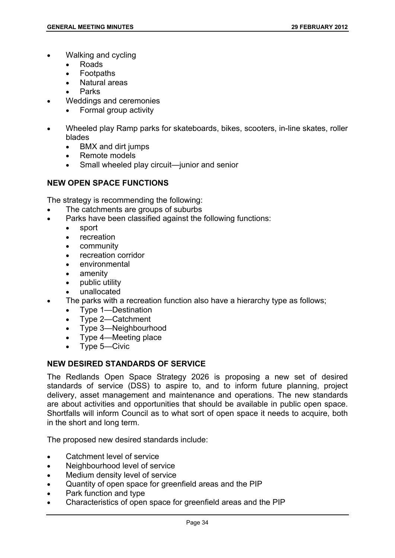- Walking and cycling
	- Roads
	- Footpaths
	- Natural areas
	- Parks
- Weddings and ceremonies
	- Formal group activity
- Wheeled play Ramp parks for skateboards, bikes, scooters, in-line skates, roller blades
	- BMX and dirt jumps
	- Remote models
	- Small wheeled play circuit—junior and senior

# **NEW OPEN SPACE FUNCTIONS**

The strategy is recommending the following:

- The catchments are groups of suburbs
- Parks have been classified against the following functions:
	- sport
	- recreation
	- community
	- recreation corridor
	- environmental
	- amenity
	- public utility
	- unallocated
- The parks with a recreation function also have a hierarchy type as follows;
	- Type 1—Destination
	- Type 2—Catchment
	- Type 3—Neighbourhood
	- Type 4—Meeting place
	- Type 5—Civic

## **NEW DESIRED STANDARDS OF SERVICE**

The Redlands Open Space Strategy 2026 is proposing a new set of desired standards of service (DSS) to aspire to, and to inform future planning, project delivery, asset management and maintenance and operations. The new standards are about activities and opportunities that should be available in public open space. Shortfalls will inform Council as to what sort of open space it needs to acquire, both in the short and long term.

The proposed new desired standards include:

- Catchment level of service
- Neighbourhood level of service
- Medium density level of service
- Quantity of open space for greenfield areas and the PIP
- Park function and type
- Characteristics of open space for greenfield areas and the PIP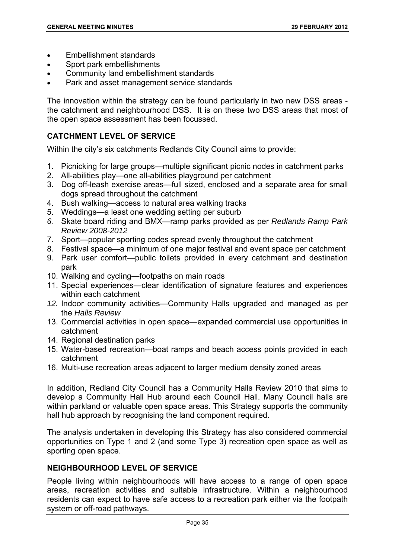- Embellishment standards
- Sport park embellishments
- Community land embellishment standards
- Park and asset management service standards

The innovation within the strategy can be found particularly in two new DSS areas the catchment and neighbourhood DSS. It is on these two DSS areas that most of the open space assessment has been focussed.

## **CATCHMENT LEVEL OF SERVICE**

Within the city's six catchments Redlands City Council aims to provide:

- 1. Picnicking for large groups—multiple significant picnic nodes in catchment parks
- 2. All-abilities play—one all-abilities playground per catchment
- 3. Dog off-leash exercise areas—full sized, enclosed and a separate area for small dogs spread throughout the catchment
- 4. Bush walking—access to natural area walking tracks
- 5. Weddings—a least one wedding setting per suburb
- *6.* Skate board riding and BMX—ramp parks provided as per *Redlands Ramp Park Review 2008-2012*
- 7. Sport—popular sporting codes spread evenly throughout the catchment
- 8. Festival space—a minimum of one major festival and event space per catchment
- 9. Park user comfort—public toilets provided in every catchment and destination park
- 10. Walking and cycling—footpaths on main roads
- 11. Special experiences—clear identification of signature features and experiences within each catchment
- *12.* Indoor community activities—Community Halls upgraded and managed as per the *Halls Review*
- 13. Commercial activities in open space—expanded commercial use opportunities in catchment
- 14. Regional destination parks
- 15. Water-based recreation—boat ramps and beach access points provided in each catchment
- 16. Multi-use recreation areas adjacent to larger medium density zoned areas

In addition, Redland City Council has a Community Halls Review 2010 that aims to develop a Community Hall Hub around each Council Hall. Many Council halls are within parkland or valuable open space areas. This Strategy supports the community hall hub approach by recognising the land component required.

The analysis undertaken in developing this Strategy has also considered commercial opportunities on Type 1 and 2 (and some Type 3) recreation open space as well as sporting open space.

# **NEIGHBOURHOOD LEVEL OF SERVICE**

People living within neighbourhoods will have access to a range of open space areas, recreation activities and suitable infrastructure. Within a neighbourhood residents can expect to have safe access to a recreation park either via the footpath system or off-road pathways.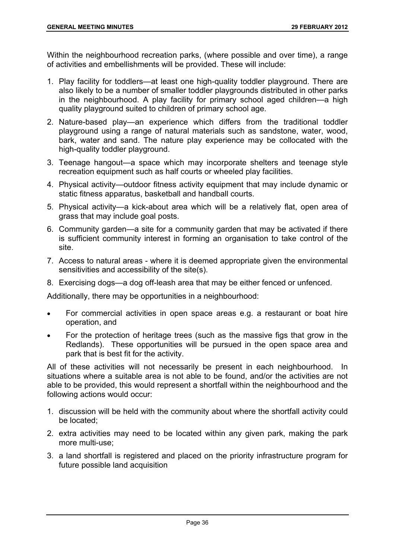Within the neighbourhood recreation parks, (where possible and over time), a range of activities and embellishments will be provided. These will include:

- 1. Play facility for toddlers—at least one high-quality toddler playground. There are also likely to be a number of smaller toddler playgrounds distributed in other parks in the neighbourhood. A play facility for primary school aged children—a high quality playground suited to children of primary school age.
- 2. Nature-based play—an experience which differs from the traditional toddler playground using a range of natural materials such as sandstone, water, wood, bark, water and sand. The nature play experience may be collocated with the high-quality toddler playground.
- 3. Teenage hangout—a space which may incorporate shelters and teenage style recreation equipment such as half courts or wheeled play facilities.
- 4. Physical activity—outdoor fitness activity equipment that may include dynamic or static fitness apparatus, basketball and handball courts.
- 5. Physical activity—a kick-about area which will be a relatively flat, open area of grass that may include goal posts.
- 6. Community garden—a site for a community garden that may be activated if there is sufficient community interest in forming an organisation to take control of the site.
- 7. Access to natural areas where it is deemed appropriate given the environmental sensitivities and accessibility of the site(s).
- 8. Exercising dogs—a dog off-leash area that may be either fenced or unfenced.

Additionally, there may be opportunities in a neighbourhood:

- For commercial activities in open space areas e.g. a restaurant or boat hire operation, and
- For the protection of heritage trees (such as the massive figs that grow in the Redlands). These opportunities will be pursued in the open space area and park that is best fit for the activity.

All of these activities will not necessarily be present in each neighbourhood. In situations where a suitable area is not able to be found, and/or the activities are not able to be provided, this would represent a shortfall within the neighbourhood and the following actions would occur:

- 1. discussion will be held with the community about where the shortfall activity could be located;
- 2. extra activities may need to be located within any given park, making the park more multi-use;
- 3. a land shortfall is registered and placed on the priority infrastructure program for future possible land acquisition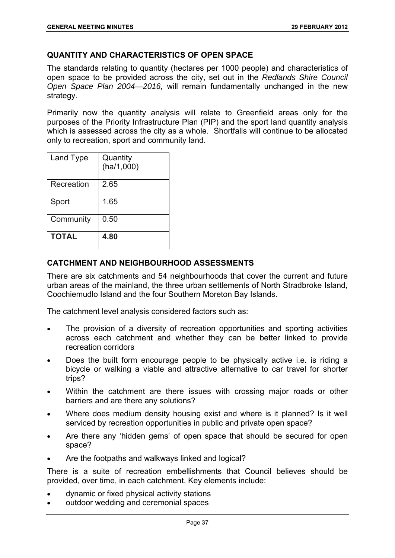## **QUANTITY AND CHARACTERISTICS OF OPEN SPACE**

The standards relating to quantity (hectares per 1000 people) and characteristics of open space to be provided across the city, set out in the *Redlands Shire Council Open Space Plan 2004—2016,* will remain fundamentally unchanged in the new strategy.

Primarily now the quantity analysis will relate to Greenfield areas only for the purposes of the Priority Infrastructure Plan (PIP) and the sport land quantity analysis which is assessed across the city as a whole. Shortfalls will continue to be allocated only to recreation, sport and community land.

| Land Type    | Quantity<br>(ha/1,000) |
|--------------|------------------------|
| Recreation   | 2.65                   |
| Sport        | 1.65                   |
| Community    | 0.50                   |
| <b>TOTAL</b> | 4.80                   |

# **CATCHMENT AND NEIGHBOURHOOD ASSESSMENTS**

There are six catchments and 54 neighbourhoods that cover the current and future urban areas of the mainland, the three urban settlements of North Stradbroke Island, Coochiemudlo Island and the four Southern Moreton Bay Islands.

The catchment level analysis considered factors such as:

- The provision of a diversity of recreation opportunities and sporting activities across each catchment and whether they can be better linked to provide recreation corridors
- Does the built form encourage people to be physically active i.e. is riding a bicycle or walking a viable and attractive alternative to car travel for shorter trips?
- Within the catchment are there issues with crossing major roads or other barriers and are there any solutions?
- Where does medium density housing exist and where is it planned? Is it well serviced by recreation opportunities in public and private open space?
- Are there any 'hidden gems' of open space that should be secured for open space?
- Are the footpaths and walkways linked and logical?

There is a suite of recreation embellishments that Council believes should be provided, over time, in each catchment. Key elements include:

- dynamic or fixed physical activity stations
- outdoor wedding and ceremonial spaces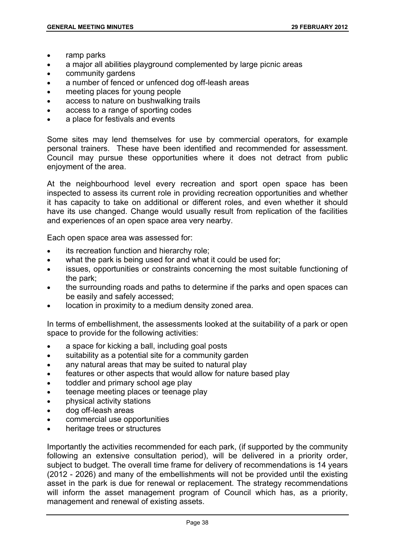- ramp parks
- a major all abilities playground complemented by large picnic areas
- community gardens
- a number of fenced or unfenced dog off-leash areas
- meeting places for young people
- access to nature on bushwalking trails
- access to a range of sporting codes
- a place for festivals and events

Some sites may lend themselves for use by commercial operators, for example personal trainers. These have been identified and recommended for assessment. Council may pursue these opportunities where it does not detract from public enjoyment of the area.

At the neighbourhood level every recreation and sport open space has been inspected to assess its current role in providing recreation opportunities and whether it has capacity to take on additional or different roles, and even whether it should have its use changed. Change would usually result from replication of the facilities and experiences of an open space area very nearby.

Each open space area was assessed for:

- its recreation function and hierarchy role;
- what the park is being used for and what it could be used for;
- issues, opportunities or constraints concerning the most suitable functioning of the park;
- the surrounding roads and paths to determine if the parks and open spaces can be easily and safely accessed;
- location in proximity to a medium density zoned area.

In terms of embellishment, the assessments looked at the suitability of a park or open space to provide for the following activities:

- a space for kicking a ball, including goal posts
- suitability as a potential site for a community garden
- any natural areas that may be suited to natural play
- features or other aspects that would allow for nature based play
- toddler and primary school age play
- **teenage meeting places or teenage play**
- physical activity stations
- dog off-leash areas
- commercial use opportunities
- heritage trees or structures

Importantly the activities recommended for each park, (if supported by the community following an extensive consultation period), will be delivered in a priority order, subject to budget. The overall time frame for delivery of recommendations is 14 years (2012 - 2026) and many of the embellishments will not be provided until the existing asset in the park is due for renewal or replacement. The strategy recommendations will inform the asset management program of Council which has, as a priority, management and renewal of existing assets.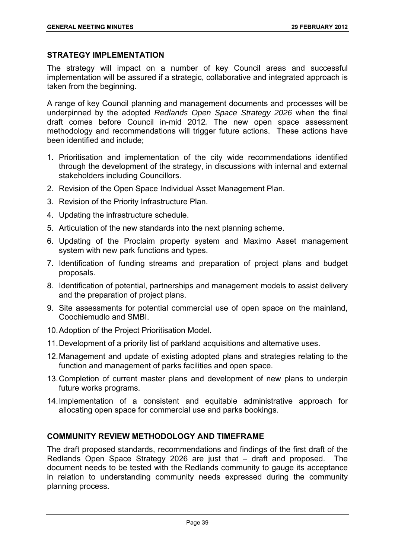# **STRATEGY IMPLEMENTATION**

The strategy will impact on a number of key Council areas and successful implementation will be assured if a strategic, collaborative and integrated approach is taken from the beginning.

A range of key Council planning and management documents and processes will be underpinned by the adopted *Redlands Open Space Strategy 2026* when the final draft comes before Council in-mid 2012*.* The new open space assessment methodology and recommendations will trigger future actions. These actions have been identified and include;

- 1. Prioritisation and implementation of the city wide recommendations identified through the development of the strategy, in discussions with internal and external stakeholders including Councillors.
- 2. Revision of the Open Space Individual Asset Management Plan.
- 3. Revision of the Priority Infrastructure Plan.
- 4. Updating the infrastructure schedule.
- 5. Articulation of the new standards into the next planning scheme.
- 6. Updating of the Proclaim property system and Maximo Asset management system with new park functions and types.
- 7. Identification of funding streams and preparation of project plans and budget proposals.
- 8. Identification of potential, partnerships and management models to assist delivery and the preparation of project plans.
- 9. Site assessments for potential commercial use of open space on the mainland, Coochiemudlo and SMBI.
- 10. Adoption of the Project Prioritisation Model.
- 11. Development of a priority list of parkland acquisitions and alternative uses.
- 12. Management and update of existing adopted plans and strategies relating to the function and management of parks facilities and open space.
- 13. Completion of current master plans and development of new plans to underpin future works programs.
- 14. Implementation of a consistent and equitable administrative approach for allocating open space for commercial use and parks bookings.

## **COMMUNITY REVIEW METHODOLOGY AND TIMEFRAME**

The draft proposed standards, recommendations and findings of the first draft of the Redlands Open Space Strategy 2026 are just that – draft and proposed. The document needs to be tested with the Redlands community to gauge its acceptance in relation to understanding community needs expressed during the community planning process.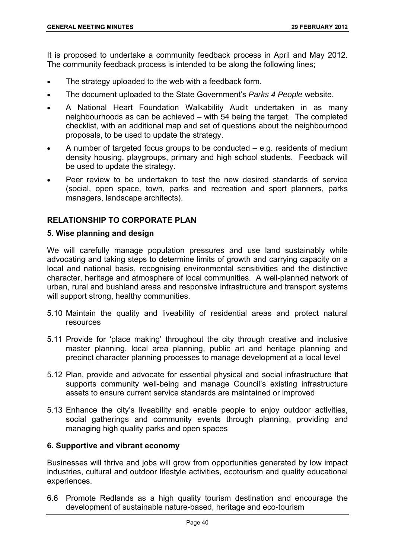It is proposed to undertake a community feedback process in April and May 2012. The community feedback process is intended to be along the following lines;

- The strategy uploaded to the web with a feedback form.
- The document uploaded to the State Government's *Parks 4 People* website.
- A National Heart Foundation Walkability Audit undertaken in as many neighbourhoods as can be achieved – with 54 being the target. The completed checklist, with an additional map and set of questions about the neighbourhood proposals, to be used to update the strategy.
- A number of targeted focus groups to be conducted e.g. residents of medium density housing, playgroups, primary and high school students. Feedback will be used to update the strategy.
- Peer review to be undertaken to test the new desired standards of service (social, open space, town, parks and recreation and sport planners, parks managers, landscape architects).

## **RELATIONSHIP TO CORPORATE PLAN**

### **5. Wise planning and design**

We will carefully manage population pressures and use land sustainably while advocating and taking steps to determine limits of growth and carrying capacity on a local and national basis, recognising environmental sensitivities and the distinctive character, heritage and atmosphere of local communities. A well-planned network of urban, rural and bushland areas and responsive infrastructure and transport systems will support strong, healthy communities.

- 5.10 Maintain the quality and liveability of residential areas and protect natural resources
- 5.11 Provide for 'place making' throughout the city through creative and inclusive master planning, local area planning, public art and heritage planning and precinct character planning processes to manage development at a local level
- 5.12 Plan, provide and advocate for essential physical and social infrastructure that supports community well-being and manage Council's existing infrastructure assets to ensure current service standards are maintained or improved
- 5.13 Enhance the city's liveability and enable people to enjoy outdoor activities, social gatherings and community events through planning, providing and managing high quality parks and open spaces

## **6. Supportive and vibrant economy**

Businesses will thrive and jobs will grow from opportunities generated by low impact industries, cultural and outdoor lifestyle activities, ecotourism and quality educational experiences.

6.6 Promote Redlands as a high quality tourism destination and encourage the development of sustainable nature-based, heritage and eco-tourism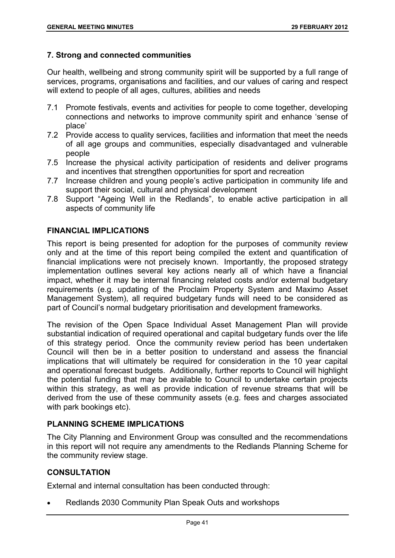## **7. Strong and connected communities**

Our health, wellbeing and strong community spirit will be supported by a full range of services, programs, organisations and facilities, and our values of caring and respect will extend to people of all ages, cultures, abilities and needs

- 7.1 Promote festivals, events and activities for people to come together, developing connections and networks to improve community spirit and enhance 'sense of place'
- 7.2 Provide access to quality services, facilities and information that meet the needs of all age groups and communities, especially disadvantaged and vulnerable people
- 7.5 Increase the physical activity participation of residents and deliver programs and incentives that strengthen opportunities for sport and recreation
- 7.7 Increase children and young people's active participation in community life and support their social, cultural and physical development
- 7.8 Support "Ageing Well in the Redlands", to enable active participation in all aspects of community life

# **FINANCIAL IMPLICATIONS**

This report is being presented for adoption for the purposes of community review only and at the time of this report being compiled the extent and quantification of financial implications were not precisely known. Importantly, the proposed strategy implementation outlines several key actions nearly all of which have a financial impact, whether it may be internal financing related costs and/or external budgetary requirements (e.g. updating of the Proclaim Property System and Maximo Asset Management System), all required budgetary funds will need to be considered as part of Council's normal budgetary prioritisation and development frameworks.

The revision of the Open Space Individual Asset Management Plan will provide substantial indication of required operational and capital budgetary funds over the life of this strategy period. Once the community review period has been undertaken Council will then be in a better position to understand and assess the financial implications that will ultimately be required for consideration in the 10 year capital and operational forecast budgets. Additionally, further reports to Council will highlight the potential funding that may be available to Council to undertake certain projects within this strategy, as well as provide indication of revenue streams that will be derived from the use of these community assets (e.g. fees and charges associated with park bookings etc).

## **PLANNING SCHEME IMPLICATIONS**

The City Planning and Environment Group was consulted and the recommendations in this report will not require any amendments to the Redlands Planning Scheme for the community review stage.

## **CONSULTATION**

External and internal consultation has been conducted through:

Redlands 2030 Community Plan Speak Outs and workshops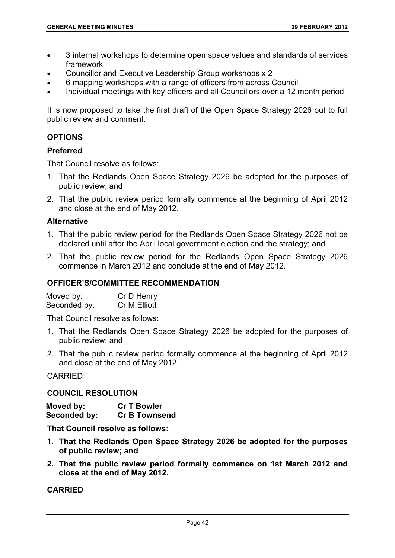- 3 internal workshops to determine open space values and standards of services framework
- Councillor and Executive Leadership Group workshops x 2
- 6 mapping workshops with a range of officers from across Council
- Individual meetings with key officers and all Councillors over a 12 month period

It is now proposed to take the first draft of the Open Space Strategy 2026 out to full public review and comment.

## **OPTIONS**

## **Preferred**

That Council resolve as follows:

- 1. That the Redlands Open Space Strategy 2026 be adopted for the purposes of public review; and
- 2. That the public review period formally commence at the beginning of April 2012 and close at the end of May 2012.

## **Alternative**

- 1. That the public review period for the Redlands Open Space Strategy 2026 not be declared until after the April local government election and the strategy; and
- 2. That the public review period for the Redlands Open Space Strategy 2026 commence in March 2012 and conclude at the end of May 2012.

### **OFFICER'S/COMMITTEE RECOMMENDATION**

| Moved by:    | Cr D Henry   |
|--------------|--------------|
| Seconded by: | Cr M Elliott |

That Council resolve as follows:

- 1. That the Redlands Open Space Strategy 2026 be adopted for the purposes of public review; and
- 2. That the public review period formally commence at the beginning of April 2012 and close at the end of May 2012.

CARRIED

### **COUNCIL RESOLUTION**

| Moved by:    | <b>Cr T Bowler</b>   |
|--------------|----------------------|
| Seconded by: | <b>Cr B Townsend</b> |

**That Council resolve as follows:** 

- **1. That the Redlands Open Space Strategy 2026 be adopted for the purposes of public review; and**
- **2. That the public review period formally commence on 1st March 2012 and close at the end of May 2012.**

# **CARRIED**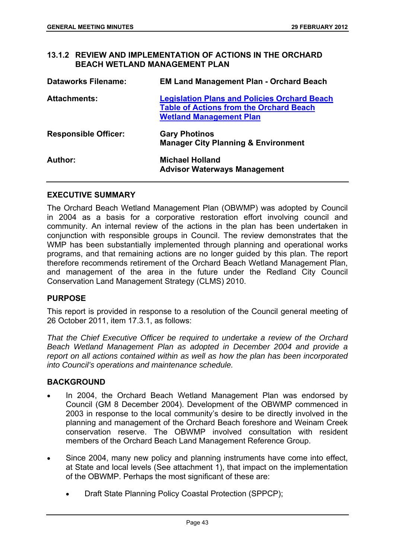## **13.1.2 REVIEW AND IMPLEMENTATION OF ACTIONS IN THE ORCHARD BEACH WETLAND MANAGEMENT PLAN**

| <b>Dataworks Filename:</b>  | <b>EM Land Management Plan - Orchard Beach</b>                                                                                          |
|-----------------------------|-----------------------------------------------------------------------------------------------------------------------------------------|
| <b>Attachments:</b>         | <b>Legislation Plans and Policies Orchard Beach</b><br><b>Table of Actions from the Orchard Beach</b><br><b>Wetland Management Plan</b> |
| <b>Responsible Officer:</b> | <b>Gary Photinos</b><br><b>Manager City Planning &amp; Environment</b>                                                                  |
| Author:                     | <b>Michael Holland</b><br><b>Advisor Waterways Management</b>                                                                           |

#### **EXECUTIVE SUMMARY**

The Orchard Beach Wetland Management Plan (OBWMP) was adopted by Council in 2004 as a basis for a corporative restoration effort involving council and community. An internal review of the actions in the plan has been undertaken in conjunction with responsible groups in Council. The review demonstrates that the WMP has been substantially implemented through planning and operational works programs, and that remaining actions are no longer guided by this plan. The report therefore recommends retirement of the Orchard Beach Wetland Management Plan, and management of the area in the future under the Redland City Council Conservation Land Management Strategy (CLMS) 2010.

### **PURPOSE**

This report is provided in response to a resolution of the Council general meeting of 26 October 2011, item 17.3.1, as follows:

*That the Chief Executive Officer be required to undertake a review of the Orchard Beach Wetland Management Plan as adopted in December 2004 and provide a report on all actions contained within as well as how the plan has been incorporated into Council's operations and maintenance schedule.* 

#### **BACKGROUND**

- In 2004, the Orchard Beach Wetland Management Plan was endorsed by Council (GM 8 December 2004). Development of the OBWMP commenced in 2003 in response to the local community's desire to be directly involved in the planning and management of the Orchard Beach foreshore and Weinam Creek conservation reserve. The OBWMP involved consultation with resident members of the Orchard Beach Land Management Reference Group.
- Since 2004, many new policy and planning instruments have come into effect, at State and local levels (See attachment 1), that impact on the implementation of the OBWMP. Perhaps the most significant of these are:
	- Draft State Planning Policy Coastal Protection (SPPCP);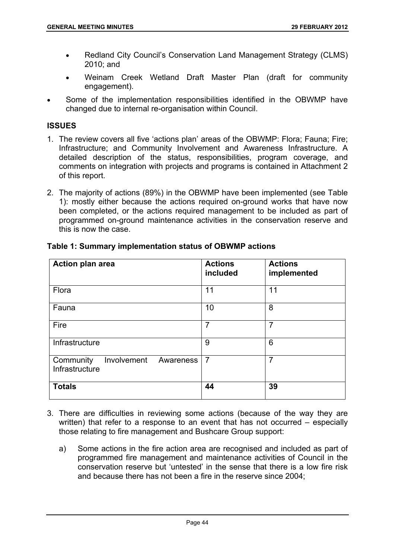- Redland City Council's Conservation Land Management Strategy (CLMS) 2010; and
- Weinam Creek Wetland Draft Master Plan (draft for community engagement).
- Some of the implementation responsibilities identified in the OBWMP have changed due to internal re-organisation within Council.

# **ISSUES**

- 1. The review covers all five 'actions plan' areas of the OBWMP: Flora; Fauna; Fire; Infrastructure; and Community Involvement and Awareness Infrastructure. A detailed description of the status, responsibilities, program coverage, and comments on integration with projects and programs is contained in Attachment 2 of this report.
- 2. The majority of actions (89%) in the OBWMP have been implemented (see Table 1): mostly either because the actions required on-ground works that have now been completed, or the actions required management to be included as part of programmed on-ground maintenance activities in the conservation reserve and this is now the case.

| <b>Action plan area</b>                                 | <b>Actions</b><br>included | <b>Actions</b><br>implemented |
|---------------------------------------------------------|----------------------------|-------------------------------|
| Flora                                                   | 11                         | 11                            |
| Fauna                                                   | 10                         | 8                             |
| Fire                                                    | $\overline{7}$             | $\overline{7}$                |
| Infrastructure                                          | 9                          | 6                             |
| Involvement<br>Community<br>Awareness<br>Infrastructure | $\overline{7}$             | $\overline{7}$                |
| <b>Totals</b>                                           | 44                         | 39                            |

# **Table 1: Summary implementation status of OBWMP actions**

- 3. There are difficulties in reviewing some actions (because of the way they are written) that refer to a response to an event that has not occurred – especially those relating to fire management and Bushcare Group support:
	- a) Some actions in the fire action area are recognised and included as part of programmed fire management and maintenance activities of Council in the conservation reserve but 'untested' in the sense that there is a low fire risk and because there has not been a fire in the reserve since 2004;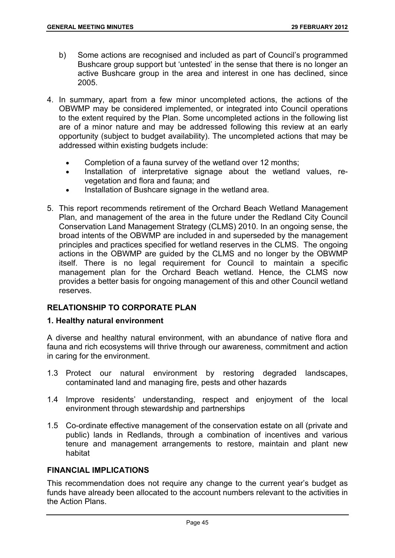- b) Some actions are recognised and included as part of Council's programmed Bushcare group support but 'untested' in the sense that there is no longer an active Bushcare group in the area and interest in one has declined, since 2005.
- 4. In summary, apart from a few minor uncompleted actions, the actions of the OBWMP may be considered implemented, or integrated into Council operations to the extent required by the Plan. Some uncompleted actions in the following list are of a minor nature and may be addressed following this review at an early opportunity (subject to budget availability). The uncompleted actions that may be addressed within existing budgets include:
	- Completion of a fauna survey of the wetland over 12 months;
	- Installation of interpretative signage about the wetland values, revegetation and flora and fauna; and
	- Installation of Bushcare signage in the wetland area.
- 5. This report recommends retirement of the Orchard Beach Wetland Management Plan, and management of the area in the future under the Redland City Council Conservation Land Management Strategy (CLMS) 2010. In an ongoing sense, the broad intents of the OBWMP are included in and superseded by the management principles and practices specified for wetland reserves in the CLMS. The ongoing actions in the OBWMP are guided by the CLMS and no longer by the OBWMP itself. There is no legal requirement for Council to maintain a specific management plan for the Orchard Beach wetland. Hence, the CLMS now provides a better basis for ongoing management of this and other Council wetland reserves.

# **RELATIONSHIP TO CORPORATE PLAN**

## **1. Healthy natural environment**

A diverse and healthy natural environment, with an abundance of native flora and fauna and rich ecosystems will thrive through our awareness, commitment and action in caring for the environment.

- 1.3 Protect our natural environment by restoring degraded landscapes, contaminated land and managing fire, pests and other hazards
- 1.4 Improve residents' understanding, respect and enjoyment of the local environment through stewardship and partnerships
- 1.5 Co-ordinate effective management of the conservation estate on all (private and public) lands in Redlands, through a combination of incentives and various tenure and management arrangements to restore, maintain and plant new habitat

### **FINANCIAL IMPLICATIONS**

This recommendation does not require any change to the current year's budget as funds have already been allocated to the account numbers relevant to the activities in the Action Plans.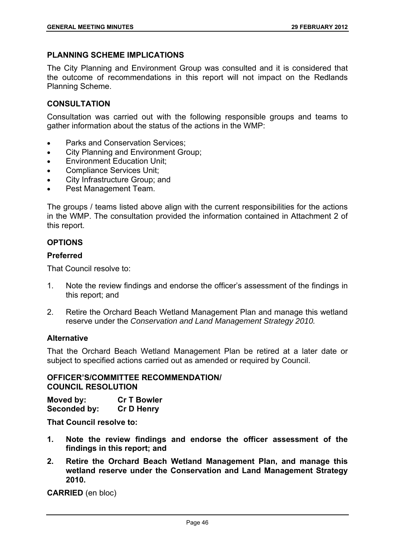# **PLANNING SCHEME IMPLICATIONS**

The City Planning and Environment Group was consulted and it is considered that the outcome of recommendations in this report will not impact on the Redlands Planning Scheme.

# **CONSULTATION**

Consultation was carried out with the following responsible groups and teams to gather information about the status of the actions in the WMP:

- Parks and Conservation Services;
- City Planning and Environment Group;
- **Environment Education Unit;**
- Compliance Services Unit;
- City Infrastructure Group; and
- Pest Management Team.

The groups / teams listed above align with the current responsibilities for the actions in the WMP. The consultation provided the information contained in Attachment 2 of this report.

# **OPTIONS**

## **Preferred**

That Council resolve to:

- 1. Note the review findings and endorse the officer's assessment of the findings in this report; and
- 2. Retire the Orchard Beach Wetland Management Plan and manage this wetland reserve under the *Conservation and Land Management Strategy 2010.*

## **Alternative**

That the Orchard Beach Wetland Management Plan be retired at a later date or subject to specified actions carried out as amended or required by Council.

## **OFFICER'S/COMMITTEE RECOMMENDATION/ COUNCIL RESOLUTION**

| Moved by:    | <b>Cr T Bowler</b> |
|--------------|--------------------|
| Seconded by: | <b>Cr D Henry</b>  |

**That Council resolve to:** 

- **1. Note the review findings and endorse the officer assessment of the findings in this report; and**
- **2. Retire the Orchard Beach Wetland Management Plan, and manage this wetland reserve under the Conservation and Land Management Strategy 2010.**

**CARRIED** (en bloc)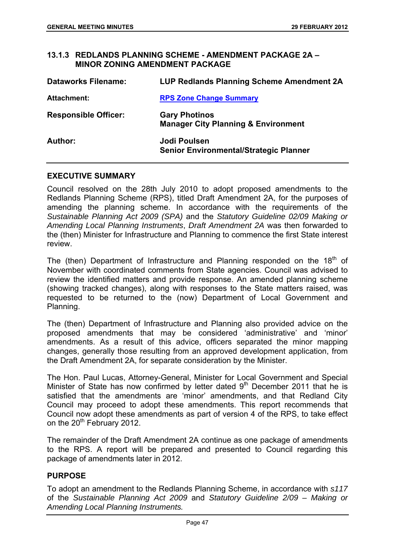## **13.1.3 REDLANDS PLANNING SCHEME - AMENDMENT PACKAGE 2A – MINOR ZONING AMENDMENT PACKAGE**

| <b>Dataworks Filename:</b>  | LUP Redlands Planning Scheme Amendment 2A                              |
|-----------------------------|------------------------------------------------------------------------|
| <b>Attachment:</b>          | <b>RPS Zone Change Summary</b>                                         |
| <b>Responsible Officer:</b> | <b>Gary Photinos</b><br><b>Manager City Planning &amp; Environment</b> |
| Author:                     | Jodi Poulsen<br><b>Senior Environmental/Strategic Planner</b>          |

## **EXECUTIVE SUMMARY**

Council resolved on the 28th July 2010 to adopt proposed amendments to the Redlands Planning Scheme (RPS), titled Draft Amendment 2A, for the purposes of amending the planning scheme. In accordance with the requirements of the *Sustainable Planning Act 2009 (SPA)* and the *Statutory Guideline 02/09 Making or Amending Local Planning Instruments*, *Draft Amendment 2A* was then forwarded to the (then) Minister for Infrastructure and Planning to commence the first State interest review.

The (then) Department of Infrastructure and Planning responded on the  $18<sup>th</sup>$  of November with coordinated comments from State agencies. Council was advised to review the identified matters and provide response. An amended planning scheme (showing tracked changes), along with responses to the State matters raised, was requested to be returned to the (now) Department of Local Government and Planning.

The (then) Department of Infrastructure and Planning also provided advice on the proposed amendments that may be considered 'administrative' and 'minor' amendments. As a result of this advice, officers separated the minor mapping changes, generally those resulting from an approved development application, from the Draft Amendment 2A, for separate consideration by the Minister.

The Hon. Paul Lucas, Attorney-General, Minister for Local Government and Special Minister of State has now confirmed by letter dated  $9<sup>th</sup>$  December 2011 that he is satisfied that the amendments are 'minor' amendments, and that Redland City Council may proceed to adopt these amendments. This report recommends that Council now adopt these amendments as part of version 4 of the RPS, to take effect on the 20<sup>th</sup> February 2012.

The remainder of the Draft Amendment 2A continue as one package of amendments to the RPS. A report will be prepared and presented to Council regarding this package of amendments later in 2012.

## **PURPOSE**

To adopt an amendment to the Redlands Planning Scheme, in accordance with *s117*  of the *Sustainable Planning Act 2009* and *Statutory Guideline 2/09 – Making or Amending Local Planning Instruments.*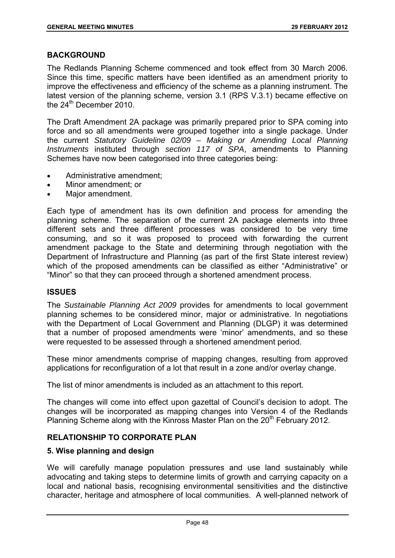## **BACKGROUND**

The Redlands Planning Scheme commenced and took effect from 30 March 2006. Since this time, specific matters have been identified as an amendment priority to improve the effectiveness and efficiency of the scheme as a planning instrument. The latest version of the planning scheme, version 3.1 (RPS V.3.1) became effective on the 24<sup>th</sup> December 2010.

The Draft Amendment 2A package was primarily prepared prior to SPA coming into force and so all amendments were grouped together into a single package. Under the current *Statutory Guideline 02/09 – Making or Amending Local Planning Instruments* instituted through *section 117 of SPA*, amendments to Planning Schemes have now been categorised into three categories being:

- Administrative amendment;
- Minor amendment; or
- Major amendment.

Each type of amendment has its own definition and process for amending the planning scheme. The separation of the current 2A package elements into three different sets and three different processes was considered to be very time consuming, and so it was proposed to proceed with forwarding the current amendment package to the State and determining through negotiation with the Department of Infrastructure and Planning (as part of the first State interest review) which of the proposed amendments can be classified as either "Administrative" or "Minor" so that they can proceed through a shortened amendment process.

## **ISSUES**

The *Sustainable Planning Act 2009* provides for amendments to local government planning schemes to be considered minor, major or administrative. In negotiations with the Department of Local Government and Planning (DLGP) it was determined that a number of proposed amendments were 'minor' amendments, and so these were requested to be assessed through a shortened amendment period.

These minor amendments comprise of mapping changes, resulting from approved applications for reconfiguration of a lot that result in a zone and/or overlay change.

The list of minor amendments is included as an attachment to this report.

The changes will come into effect upon gazettal of Council's decision to adopt. The changes will be incorporated as mapping changes into Version 4 of the Redlands Planning Scheme along with the Kinross Master Plan on the 20<sup>th</sup> February 2012.

## **RELATIONSHIP TO CORPORATE PLAN**

## **5. Wise planning and design**

We will carefully manage population pressures and use land sustainably while advocating and taking steps to determine limits of growth and carrying capacity on a local and national basis, recognising environmental sensitivities and the distinctive character, heritage and atmosphere of local communities. A well-planned network of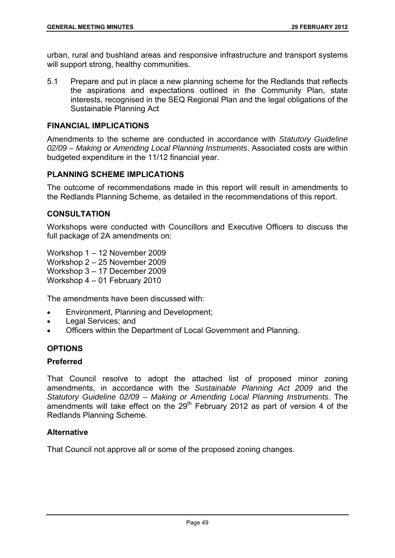urban, rural and bushland areas and responsive infrastructure and transport systems will support strong, healthy communities.

5.1 Prepare and put in place a new planning scheme for the Redlands that reflects the aspirations and expectations outlined in the Community Plan, state interests, recognised in the SEQ Regional Plan and the legal obligations of the Sustainable Planning Act

## **FINANCIAL IMPLICATIONS**

Amendments to the scheme are conducted in accordance with *Statutory Guideline 02/09 – Making or Amending Local Planning Instruments*. Associated costs are within budgeted expenditure in the 11/12 financial year.

## **PLANNING SCHEME IMPLICATIONS**

The outcome of recommendations made in this report will result in amendments to the Redlands Planning Scheme, as detailed in the recommendations of this report.

## **CONSULTATION**

Workshops were conducted with Councillors and Executive Officers to discuss the full package of 2A amendments on:

Workshop 1 – 12 November 2009 Workshop 2 – 25 November 2009 Workshop 3 – 17 December 2009 Workshop 4 – 01 February 2010

The amendments have been discussed with:

- Environment, Planning and Development;
- Legal Services; and
- Officers within the Department of Local Government and Planning.

# **OPTIONS**

### **Preferred**

That Council resolve to adopt the attached list of proposed minor zoning amendments, in accordance with the *Sustainable Planning Act 2009* and the *Statutory Guideline 02/09 – Making or Amending Local Planning Instruments*. The amendments will take effect on the 29<sup>th</sup> February 2012 as part of version 4 of the Redlands Planning Scheme.

## **Alternative**

That Council not approve all or some of the proposed zoning changes.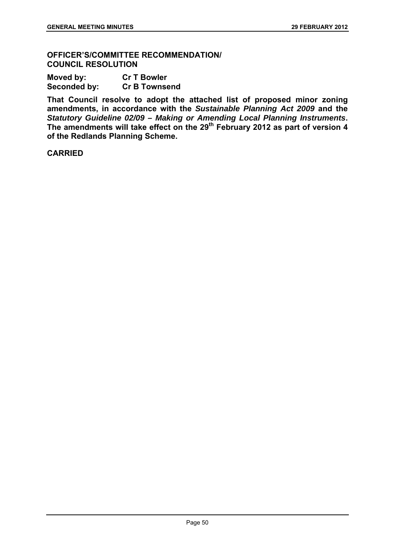### **OFFICER'S/COMMITTEE RECOMMENDATION/ COUNCIL RESOLUTION**

| Moved by:    | <b>Cr T Bowler</b>   |
|--------------|----------------------|
| Seconded by: | <b>Cr B Townsend</b> |

**That Council resolve to adopt the attached list of proposed minor zoning amendments, in accordance with the** *Sustainable Planning Act 2009* **and the**  *Statutory Guideline 02/09 – Making or Amending Local Planning Instruments***.**  The amendments will take effect on the 29<sup>th</sup> February 2012 as part of version 4 **of the Redlands Planning Scheme.** 

## **CARRIED**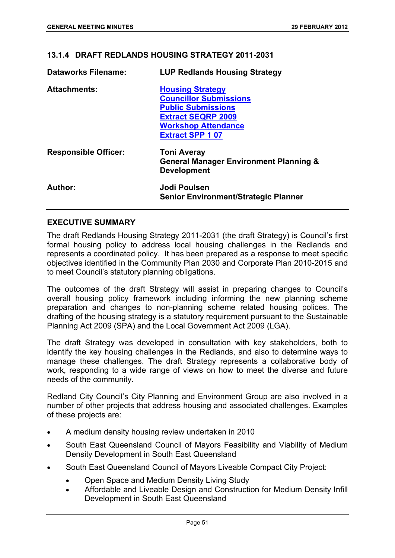## **13.1.4 DRAFT REDLANDS HOUSING STRATEGY 2011-2031**

| <b>Dataworks Filename:</b>  | <b>LUP Redlands Housing Strategy</b>                                                                                                                                       |
|-----------------------------|----------------------------------------------------------------------------------------------------------------------------------------------------------------------------|
| <b>Attachments:</b>         | <b>Housing Strategy</b><br><b>Councillor Submissions</b><br><b>Public Submissions</b><br><b>Extract SEQRP 2009</b><br><b>Workshop Attendance</b><br><b>Extract SPP 107</b> |
| <b>Responsible Officer:</b> | <b>Toni Averay</b><br><b>General Manager Environment Planning &amp;</b><br><b>Development</b>                                                                              |
| Author:                     | Jodi Poulsen<br><b>Senior Environment/Strategic Planner</b>                                                                                                                |

## **EXECUTIVE SUMMARY**

The draft Redlands Housing Strategy 2011-2031 (the draft Strategy) is Council's first formal housing policy to address local housing challenges in the Redlands and represents a coordinated policy. It has been prepared as a response to meet specific objectives identified in the Community Plan 2030 and Corporate Plan 2010-2015 and to meet Council's statutory planning obligations.

The outcomes of the draft Strategy will assist in preparing changes to Council's overall housing policy framework including informing the new planning scheme preparation and changes to non-planning scheme related housing polices. The drafting of the housing strategy is a statutory requirement pursuant to the Sustainable Planning Act 2009 (SPA) and the Local Government Act 2009 (LGA).

The draft Strategy was developed in consultation with key stakeholders, both to identify the key housing challenges in the Redlands, and also to determine ways to manage these challenges. The draft Strategy represents a collaborative body of work, responding to a wide range of views on how to meet the diverse and future needs of the community.

Redland City Council's City Planning and Environment Group are also involved in a number of other projects that address housing and associated challenges. Examples of these projects are:

- A medium density housing review undertaken in 2010
- South East Queensland Council of Mayors Feasibility and Viability of Medium Density Development in South East Queensland
- South East Queensland Council of Mayors Liveable Compact City Project:
	- Open Space and Medium Density Living Study
	- Affordable and Liveable Design and Construction for Medium Density Infill Development in South East Queensland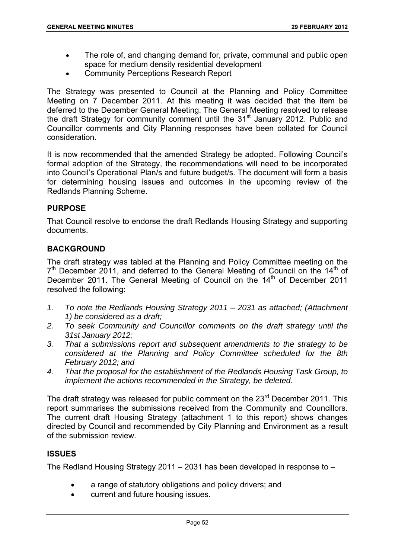- The role of, and changing demand for, private, communal and public open space for medium density residential development
- Community Perceptions Research Report

The Strategy was presented to Council at the Planning and Policy Committee Meeting on 7 December 2011. At this meeting it was decided that the item be deferred to the December General Meeting. The General Meeting resolved to release the draft Strategy for community comment until the 31<sup>st</sup> January 2012. Public and Councillor comments and City Planning responses have been collated for Council consideration.

It is now recommended that the amended Strategy be adopted. Following Council's formal adoption of the Strategy, the recommendations will need to be incorporated into Council's Operational Plan/s and future budget/s. The document will form a basis for determining housing issues and outcomes in the upcoming review of the Redlands Planning Scheme.

# **PURPOSE**

That Council resolve to endorse the draft Redlands Housing Strategy and supporting documents.

## **BACKGROUND**

The draft strategy was tabled at the Planning and Policy Committee meeting on the  $7<sup>th</sup>$  December 2011, and deferred to the General Meeting of Council on the 14<sup>th</sup> of December 2011. The General Meeting of Council on the 14<sup>th</sup> of December 2011 resolved the following:

- *1. To note the Redlands Housing Strategy 2011 2031 as attached; (Attachment 1) be considered as a draft;*
- *2. To seek Community and Councillor comments on the draft strategy until the 31st January 2012;*
- *3. That a submissions report and subsequent amendments to the strategy to be considered at the Planning and Policy Committee scheduled for the 8th February 2012; and*
- *4. That the proposal for the establishment of the Redlands Housing Task Group, to implement the actions recommended in the Strategy, be deleted.*

The draft strategy was released for public comment on the 23<sup>rd</sup> December 2011. This report summarises the submissions received from the Community and Councillors. The current draft Housing Strategy (attachment 1 to this report) shows changes directed by Council and recommended by City Planning and Environment as a result of the submission review.

## **ISSUES**

The Redland Housing Strategy 2011 – 2031 has been developed in response to –

- a range of statutory obligations and policy drivers; and
- current and future housing issues.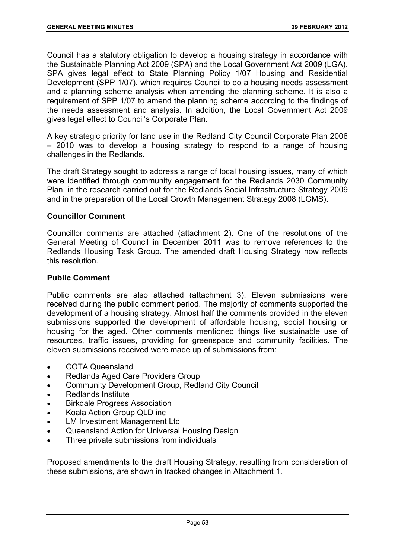Council has a statutory obligation to develop a housing strategy in accordance with the Sustainable Planning Act 2009 (SPA) and the Local Government Act 2009 (LGA). SPA gives legal effect to State Planning Policy 1/07 Housing and Residential Development (SPP 1/07), which requires Council to do a housing needs assessment and a planning scheme analysis when amending the planning scheme. It is also a requirement of SPP 1/07 to amend the planning scheme according to the findings of the needs assessment and analysis. In addition, the Local Government Act 2009 gives legal effect to Council's Corporate Plan.

A key strategic priority for land use in the Redland City Council Corporate Plan 2006 – 2010 was to develop a housing strategy to respond to a range of housing challenges in the Redlands.

The draft Strategy sought to address a range of local housing issues, many of which were identified through community engagement for the Redlands 2030 Community Plan, in the research carried out for the Redlands Social Infrastructure Strategy 2009 and in the preparation of the Local Growth Management Strategy 2008 (LGMS).

## **Councillor Comment**

Councillor comments are attached (attachment 2). One of the resolutions of the General Meeting of Council in December 2011 was to remove references to the Redlands Housing Task Group. The amended draft Housing Strategy now reflects this resolution.

## **Public Comment**

Public comments are also attached (attachment 3). Eleven submissions were received during the public comment period. The majority of comments supported the development of a housing strategy. Almost half the comments provided in the eleven submissions supported the development of affordable housing, social housing or housing for the aged. Other comments mentioned things like sustainable use of resources, traffic issues, providing for greenspace and community facilities. The eleven submissions received were made up of submissions from:

- COTA Queensland
- Redlands Aged Care Providers Group
- Community Development Group, Redland City Council
- Redlands Institute
- Birkdale Progress Association
- Koala Action Group QLD inc
- LM Investment Management Ltd
- Queensland Action for Universal Housing Design
- Three private submissions from individuals

Proposed amendments to the draft Housing Strategy, resulting from consideration of these submissions, are shown in tracked changes in Attachment 1.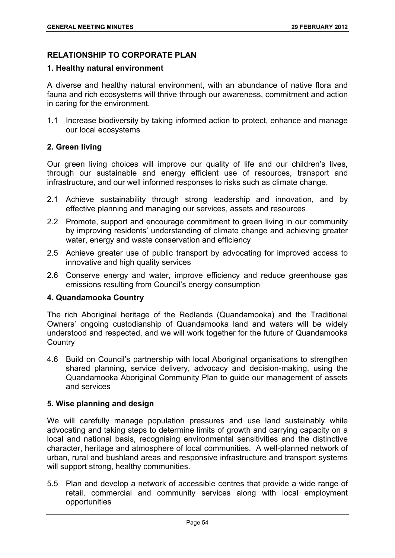# **RELATIONSHIP TO CORPORATE PLAN**

## **1. Healthy natural environment**

A diverse and healthy natural environment, with an abundance of native flora and fauna and rich ecosystems will thrive through our awareness, commitment and action in caring for the environment.

1.1 Increase biodiversity by taking informed action to protect, enhance and manage our local ecosystems

## **2. Green living**

Our green living choices will improve our quality of life and our children's lives, through our sustainable and energy efficient use of resources, transport and infrastructure, and our well informed responses to risks such as climate change.

- 2.1 Achieve sustainability through strong leadership and innovation, and by effective planning and managing our services, assets and resources
- 2.2 Promote, support and encourage commitment to green living in our community by improving residents' understanding of climate change and achieving greater water, energy and waste conservation and efficiency
- 2.5 Achieve greater use of public transport by advocating for improved access to innovative and high quality services
- 2.6 Conserve energy and water, improve efficiency and reduce greenhouse gas emissions resulting from Council's energy consumption

## **4. Quandamooka Country**

The rich Aboriginal heritage of the Redlands (Quandamooka) and the Traditional Owners' ongoing custodianship of Quandamooka land and waters will be widely understood and respected, and we will work together for the future of Quandamooka **Country** 

4.6 Build on Council's partnership with local Aboriginal organisations to strengthen shared planning, service delivery, advocacy and decision-making, using the Quandamooka Aboriginal Community Plan to guide our management of assets and services

## **5. Wise planning and design**

We will carefully manage population pressures and use land sustainably while advocating and taking steps to determine limits of growth and carrying capacity on a local and national basis, recognising environmental sensitivities and the distinctive character, heritage and atmosphere of local communities. A well-planned network of urban, rural and bushland areas and responsive infrastructure and transport systems will support strong, healthy communities.

5.5 Plan and develop a network of accessible centres that provide a wide range of retail, commercial and community services along with local employment opportunities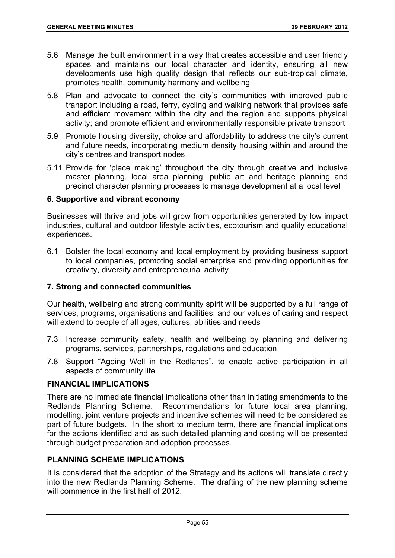- 5.6 Manage the built environment in a way that creates accessible and user friendly spaces and maintains our local character and identity, ensuring all new developments use high quality design that reflects our sub-tropical climate, promotes health, community harmony and wellbeing
- 5.8 Plan and advocate to connect the city's communities with improved public transport including a road, ferry, cycling and walking network that provides safe and efficient movement within the city and the region and supports physical activity; and promote efficient and environmentally responsible private transport
- 5.9 Promote housing diversity, choice and affordability to address the city's current and future needs, incorporating medium density housing within and around the city's centres and transport nodes
- 5.11 Provide for 'place making' throughout the city through creative and inclusive master planning, local area planning, public art and heritage planning and precinct character planning processes to manage development at a local level

## **6. Supportive and vibrant economy**

Businesses will thrive and jobs will grow from opportunities generated by low impact industries, cultural and outdoor lifestyle activities, ecotourism and quality educational experiences.

6.1 Bolster the local economy and local employment by providing business support to local companies, promoting social enterprise and providing opportunities for creativity, diversity and entrepreneurial activity

## **7. Strong and connected communities**

Our health, wellbeing and strong community spirit will be supported by a full range of services, programs, organisations and facilities, and our values of caring and respect will extend to people of all ages, cultures, abilities and needs

- 7.3 Increase community safety, health and wellbeing by planning and delivering programs, services, partnerships, regulations and education
- 7.8 Support "Ageing Well in the Redlands", to enable active participation in all aspects of community life

# **FINANCIAL IMPLICATIONS**

There are no immediate financial implications other than initiating amendments to the Redlands Planning Scheme. Recommendations for future local area planning, modelling, joint venture projects and incentive schemes will need to be considered as part of future budgets. In the short to medium term, there are financial implications for the actions identified and as such detailed planning and costing will be presented through budget preparation and adoption processes.

# **PLANNING SCHEME IMPLICATIONS**

It is considered that the adoption of the Strategy and its actions will translate directly into the new Redlands Planning Scheme. The drafting of the new planning scheme will commence in the first half of 2012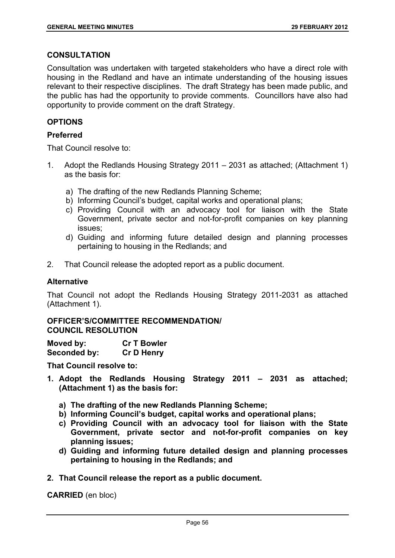## **CONSULTATION**

Consultation was undertaken with targeted stakeholders who have a direct role with housing in the Redland and have an intimate understanding of the housing issues relevant to their respective disciplines. The draft Strategy has been made public, and the public has had the opportunity to provide comments. Councillors have also had opportunity to provide comment on the draft Strategy.

# **OPTIONS**

# **Preferred**

That Council resolve to:

- 1. Adopt the Redlands Housing Strategy 2011 2031 as attached; (Attachment 1) as the basis for:
	- a) The drafting of the new Redlands Planning Scheme;
	- b) Informing Council's budget, capital works and operational plans;
	- c) Providing Council with an advocacy tool for liaison with the State Government, private sector and not-for-profit companies on key planning issues;
	- d) Guiding and informing future detailed design and planning processes pertaining to housing in the Redlands; and
- 2. That Council release the adopted report as a public document.

### **Alternative**

That Council not adopt the Redlands Housing Strategy 2011-2031 as attached (Attachment 1).

### **OFFICER'S/COMMITTEE RECOMMENDATION/ COUNCIL RESOLUTION**

| Moved by:    | <b>Cr T Bowler</b> |
|--------------|--------------------|
| Seconded by: | <b>Cr D Henry</b>  |

**That Council resolve to:** 

- **1. Adopt the Redlands Housing Strategy 2011 2031 as attached; (Attachment 1) as the basis for:** 
	- **a) The drafting of the new Redlands Planning Scheme;**
	- **b) Informing Council's budget, capital works and operational plans;**
	- **c) Providing Council with an advocacy tool for liaison with the State Government, private sector and not-for-profit companies on key planning issues;**
	- **d) Guiding and informing future detailed design and planning processes pertaining to housing in the Redlands; and**
- **2. That Council release the report as a public document.**

**CARRIED** (en bloc)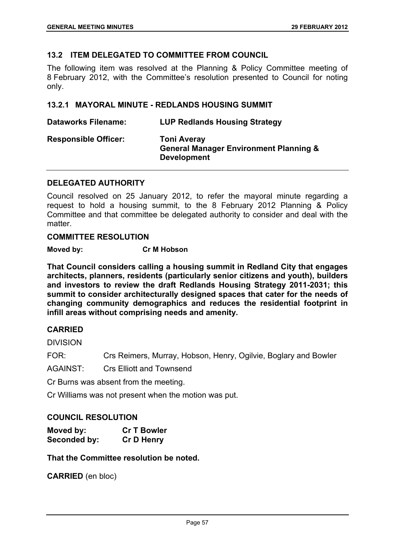## **13.2 ITEM DELEGATED TO COMMITTEE FROM COUNCIL**

The following item was resolved at the Planning & Policy Committee meeting of 8 February 2012, with the Committee's resolution presented to Council for noting only.

### **13.2.1 MAYORAL MINUTE - REDLANDS HOUSING SUMMIT**

**Dataworks Filename: LUP Redlands Housing Strategy Responsible Officer: Toni Averay General Manager Environment Planning & Development** 

## **DELEGATED AUTHORITY**

Council resolved on 25 January 2012, to refer the mayoral minute regarding a request to hold a housing summit, to the 8 February 2012 Planning & Policy Committee and that committee be delegated authority to consider and deal with the matter.

### **COMMITTEE RESOLUTION**

**Moved by: Cr M Hobson** 

**That Council considers calling a housing summit in Redland City that engages architects, planners, residents (particularly senior citizens and youth), builders and investors to review the draft Redlands Housing Strategy 2011-2031; this summit to consider architecturally designed spaces that cater for the needs of changing community demographics and reduces the residential footprint in infill areas without comprising needs and amenity.** 

### **CARRIED**

DIVISION

FOR: Crs Reimers, Murray, Hobson, Henry, Ogilvie, Boglary and Bowler

AGAINST: Crs Elliott and Townsend

Cr Burns was absent from the meeting.

Cr Williams was not present when the motion was put.

## **COUNCIL RESOLUTION**

| Moved by:    | <b>Cr T Bowler</b> |
|--------------|--------------------|
| Seconded by: | <b>Cr D Henry</b>  |

**That the Committee resolution be noted.** 

**CARRIED** (en bloc)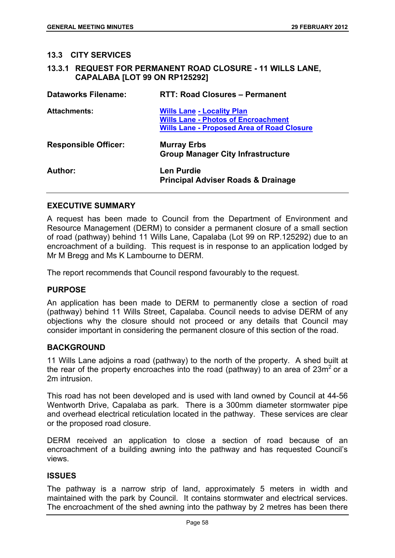#### **13.3 CITY SERVICES**

**13.3.1 REQUEST FOR PERMANENT ROAD CLOSURE - 11 WILLS LANE, CAPALABA [LOT 99 ON RP125292]** 

| <b>Dataworks Filename:</b>  | <b>RTT: Road Closures - Permanent</b>                                                                                                |
|-----------------------------|--------------------------------------------------------------------------------------------------------------------------------------|
| <b>Attachments:</b>         | <b>Wills Lane - Locality Plan</b><br><b>Wills Lane - Photos of Encroachment</b><br><b>Wills Lane - Proposed Area of Road Closure</b> |
| <b>Responsible Officer:</b> | <b>Murray Erbs</b><br><b>Group Manager City Infrastructure</b>                                                                       |
| Author:                     | Len Purdie<br><b>Principal Adviser Roads &amp; Drainage</b>                                                                          |

#### **EXECUTIVE SUMMARY**

A request has been made to Council from the Department of Environment and Resource Management (DERM) to consider a permanent closure of a small section of road (pathway) behind 11 Wills Lane, Capalaba (Lot 99 on RP.125292) due to an encroachment of a building. This request is in response to an application lodged by Mr M Bregg and Ms K Lambourne to DERM.

The report recommends that Council respond favourably to the request.

## **PURPOSE**

An application has been made to DERM to permanently close a section of road (pathway) behind 11 Wills Street, Capalaba. Council needs to advise DERM of any objections why the closure should not proceed or any details that Council may consider important in considering the permanent closure of this section of the road.

#### **BACKGROUND**

11 Wills Lane adjoins a road (pathway) to the north of the property. A shed built at the rear of the property encroaches into the road (pathway) to an area of  $23m^2$  or a 2m intrusion.

This road has not been developed and is used with land owned by Council at 44-56 Wentworth Drive, Capalaba as park. There is a 300mm diameter stormwater pipe and overhead electrical reticulation located in the pathway. These services are clear or the proposed road closure.

DERM received an application to close a section of road because of an encroachment of a building awning into the pathway and has requested Council's views.

### **ISSUES**

The pathway is a narrow strip of land, approximately 5 meters in width and maintained with the park by Council. It contains stormwater and electrical services. The encroachment of the shed awning into the pathway by 2 metres has been there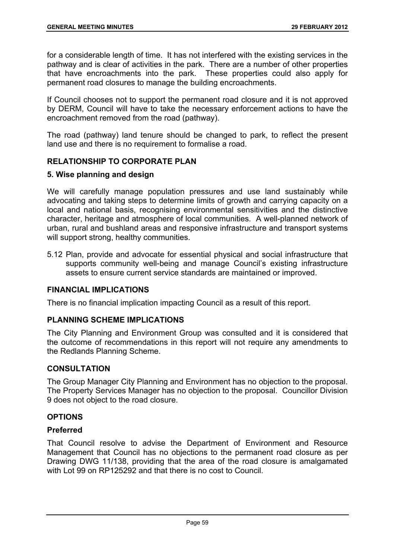for a considerable length of time. It has not interfered with the existing services in the pathway and is clear of activities in the park. There are a number of other properties that have encroachments into the park. These properties could also apply for permanent road closures to manage the building encroachments.

If Council chooses not to support the permanent road closure and it is not approved by DERM, Council will have to take the necessary enforcement actions to have the encroachment removed from the road (pathway).

The road (pathway) land tenure should be changed to park, to reflect the present land use and there is no requirement to formalise a road.

## **RELATIONSHIP TO CORPORATE PLAN**

## **5. Wise planning and design**

We will carefully manage population pressures and use land sustainably while advocating and taking steps to determine limits of growth and carrying capacity on a local and national basis, recognising environmental sensitivities and the distinctive character, heritage and atmosphere of local communities. A well-planned network of urban, rural and bushland areas and responsive infrastructure and transport systems will support strong, healthy communities.

5.12 Plan, provide and advocate for essential physical and social infrastructure that supports community well-being and manage Council's existing infrastructure assets to ensure current service standards are maintained or improved.

## **FINANCIAL IMPLICATIONS**

There is no financial implication impacting Council as a result of this report.

# **PLANNING SCHEME IMPLICATIONS**

The City Planning and Environment Group was consulted and it is considered that the outcome of recommendations in this report will not require any amendments to the Redlands Planning Scheme.

## **CONSULTATION**

The Group Manager City Planning and Environment has no objection to the proposal. The Property Services Manager has no objection to the proposal. Councillor Division 9 does not object to the road closure.

## **OPTIONS**

## **Preferred**

That Council resolve to advise the Department of Environment and Resource Management that Council has no objections to the permanent road closure as per Drawing DWG 11/138, providing that the area of the road closure is amalgamated with Lot 99 on RP125292 and that there is no cost to Council.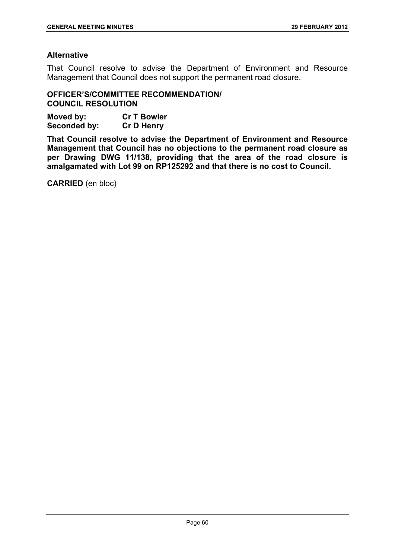# **Alternative**

That Council resolve to advise the Department of Environment and Resource Management that Council does not support the permanent road closure.

**OFFICER'S/COMMITTEE RECOMMENDATION/ COUNCIL RESOLUTION** 

| Moved by:    | <b>Cr T Bowler</b> |
|--------------|--------------------|
| Seconded by: | <b>Cr D Henry</b>  |

**That Council resolve to advise the Department of Environment and Resource Management that Council has no objections to the permanent road closure as per Drawing DWG 11/138, providing that the area of the road closure is amalgamated with Lot 99 on RP125292 and that there is no cost to Council.** 

**CARRIED** (en bloc)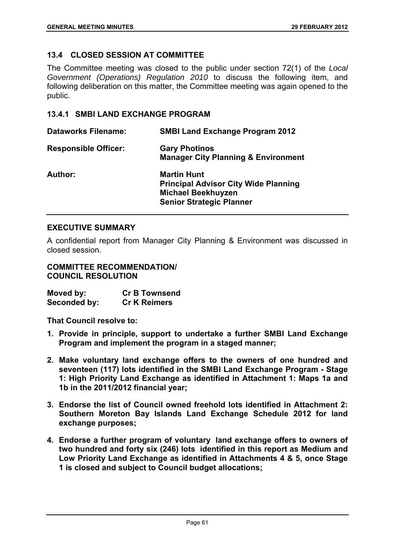# **13.4 CLOSED SESSION AT COMMITTEE**

The Committee meeting was closed to the public under section 72(1) of the *Local Government (Operations) Regulation 2010* to discuss the following item, and following deliberation on this matter, the Committee meeting was again opened to the public.

# **13.4.1 SMBI LAND EXCHANGE PROGRAM**

| <b>Dataworks Filename:</b>  | <b>SMBI Land Exchange Program 2012</b>                                                                                            |
|-----------------------------|-----------------------------------------------------------------------------------------------------------------------------------|
| <b>Responsible Officer:</b> | <b>Gary Photinos</b><br><b>Manager City Planning &amp; Environment</b>                                                            |
| Author:                     | <b>Martin Hunt</b><br><b>Principal Advisor City Wide Planning</b><br><b>Michael Beekhuyzen</b><br><b>Senior Strategic Planner</b> |

## **EXECUTIVE SUMMARY**

A confidential report from Manager City Planning & Environment was discussed in closed session.

## **COMMITTEE RECOMMENDATION/ COUNCIL RESOLUTION**

**Moved by: Cr B Townsend Seconded by: Cr K Reimers** 

**That Council resolve to:** 

- **1. Provide in principle, support to undertake a further SMBI Land Exchange Program and implement the program in a staged manner;**
- **2. Make voluntary land exchange offers to the owners of one hundred and seventeen (117) lots identified in the SMBI Land Exchange Program - Stage 1: High Priority Land Exchange as identified in Attachment 1: Maps 1a and 1b in the 2011/2012 financial year;**
- **3. Endorse the list of Council owned freehold lots identified in Attachment 2: Southern Moreton Bay Islands Land Exchange Schedule 2012 for land exchange purposes;**
- **4. Endorse a further program of voluntary land exchange offers to owners of two hundred and forty six (246) lots identified in this report as Medium and Low Priority Land Exchange as identified in Attachments 4 & 5, once Stage 1 is closed and subject to Council budget allocations;**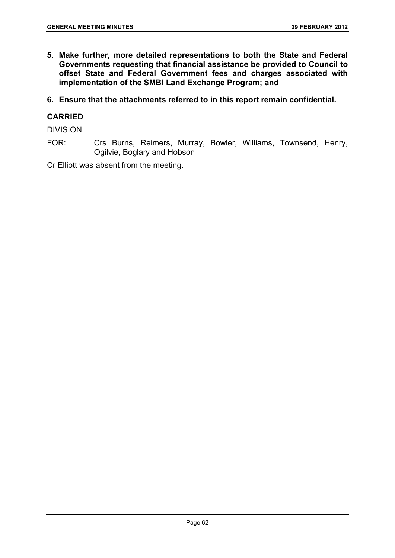**5. Make further, more detailed representations to both the State and Federal Governments requesting that financial assistance be provided to Council to offset State and Federal Government fees and charges associated with implementation of the SMBI Land Exchange Program; and** 

**6. Ensure that the attachments referred to in this report remain confidential.** 

# **CARRIED**

DIVISION

FOR: Crs Burns, Reimers, Murray, Bowler, Williams, Townsend, Henry, Ogilvie, Boglary and Hobson

Cr Elliott was absent from the meeting.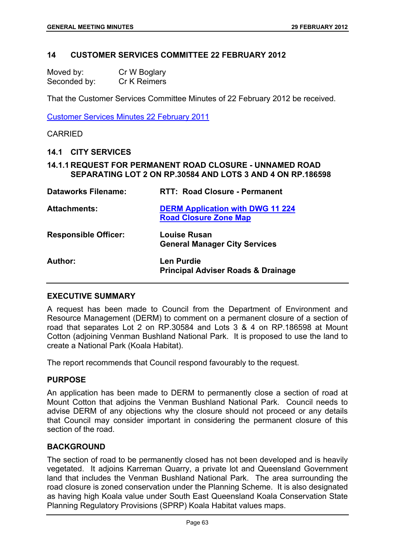### **14 CUSTOMER SERVICES COMMITTEE 22 FEBRUARY 2012**

| Moved by:    | Cr W Boglary |
|--------------|--------------|
| Seconded by: | Cr K Reimers |

That the Customer Services Committee Minutes of 22 February 2012 be received.

Customer Services Minutes 22 February 2011

#### CARRIED

#### **14.1 CITY SERVICES**

## **14.1.1 REQUEST FOR PERMANENT ROAD CLOSURE - UNNAMED ROAD SEPARATING LOT 2 ON RP.30584 AND LOTS 3 AND 4 ON RP.186598**

| <b>Dataworks Filename:</b>  | <b>RTT: Road Closure - Permanent</b>                                    |
|-----------------------------|-------------------------------------------------------------------------|
| <b>Attachments:</b>         | <b>DERM Application with DWG 11 224</b><br><b>Road Closure Zone Map</b> |
| <b>Responsible Officer:</b> | <b>Louise Rusan</b><br><b>General Manager City Services</b>             |
| Author:                     | Len Purdie<br><b>Principal Adviser Roads &amp; Drainage</b>             |

### **EXECUTIVE SUMMARY**

A request has been made to Council from the Department of Environment and Resource Management (DERM) to comment on a permanent closure of a section of road that separates Lot 2 on RP.30584 and Lots 3 & 4 on RP.186598 at Mount Cotton (adjoining Venman Bushland National Park. It is proposed to use the land to create a National Park (Koala Habitat).

The report recommends that Council respond favourably to the request.

### **PURPOSE**

An application has been made to DERM to permanently close a section of road at Mount Cotton that adjoins the Venman Bushland National Park. Council needs to advise DERM of any objections why the closure should not proceed or any details that Council may consider important in considering the permanent closure of this section of the road.

## **BACKGROUND**

The section of road to be permanently closed has not been developed and is heavily vegetated. It adjoins Karreman Quarry, a private lot and Queensland Government land that includes the Venman Bushland National Park. The area surrounding the road closure is zoned conservation under the Planning Scheme. It is also designated as having high Koala value under South East Queensland Koala Conservation State Planning Regulatory Provisions (SPRP) Koala Habitat values maps.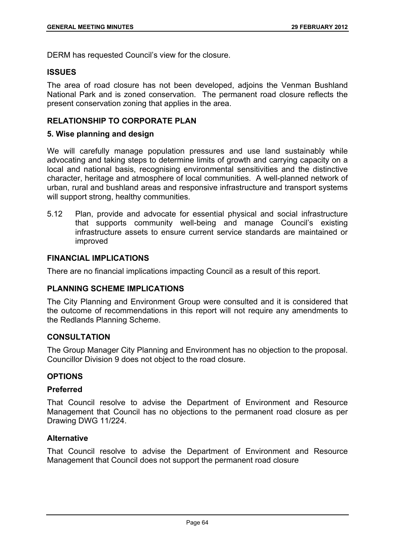DERM has requested Council's view for the closure.

## **ISSUES**

The area of road closure has not been developed, adjoins the Venman Bushland National Park and is zoned conservation. The permanent road closure reflects the present conservation zoning that applies in the area.

# **RELATIONSHIP TO CORPORATE PLAN**

## **5. Wise planning and design**

We will carefully manage population pressures and use land sustainably while advocating and taking steps to determine limits of growth and carrying capacity on a local and national basis, recognising environmental sensitivities and the distinctive character, heritage and atmosphere of local communities. A well-planned network of urban, rural and bushland areas and responsive infrastructure and transport systems will support strong, healthy communities.

5.12 Plan, provide and advocate for essential physical and social infrastructure that supports community well-being and manage Council's existing infrastructure assets to ensure current service standards are maintained or improved

# **FINANCIAL IMPLICATIONS**

There are no financial implications impacting Council as a result of this report.

# **PLANNING SCHEME IMPLICATIONS**

The City Planning and Environment Group were consulted and it is considered that the outcome of recommendations in this report will not require any amendments to the Redlands Planning Scheme.

## **CONSULTATION**

The Group Manager City Planning and Environment has no objection to the proposal. Councillor Division 9 does not object to the road closure.

## **OPTIONS**

## **Preferred**

That Council resolve to advise the Department of Environment and Resource Management that Council has no objections to the permanent road closure as per Drawing DWG 11/224.

## **Alternative**

That Council resolve to advise the Department of Environment and Resource Management that Council does not support the permanent road closure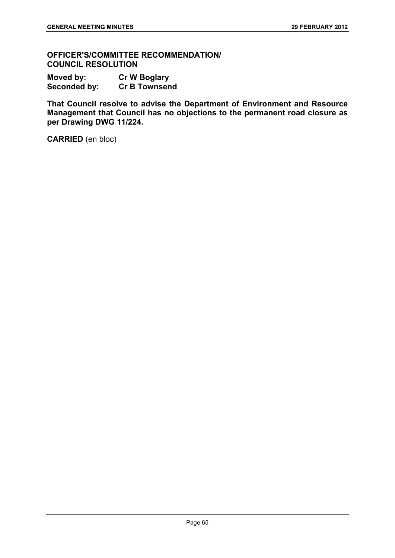**OFFICER'S/COMMITTEE RECOMMENDATION/ COUNCIL RESOLUTION** 

**Moved by: Cr W Boglary Seconded by: Cr B Townsend** 

**That Council resolve to advise the Department of Environment and Resource Management that Council has no objections to the permanent road closure as per Drawing DWG 11/224.** 

**CARRIED** (en bloc)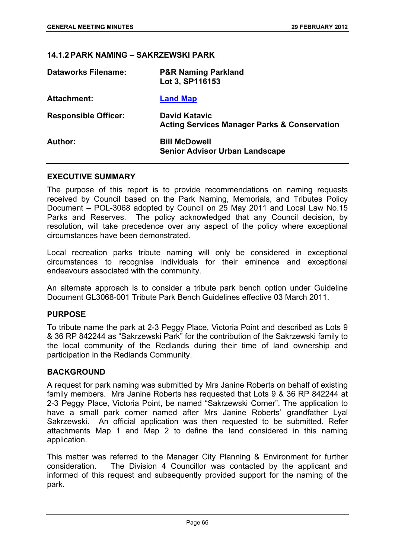#### **14.1.2 PARK NAMING – SAKRZEWSKI PARK**

| <b>Dataworks Filename:</b>  | <b>P&amp;R Naming Parkland</b><br>Lot 3, SP116153                               |
|-----------------------------|---------------------------------------------------------------------------------|
| <b>Attachment:</b>          | <b>Land Map</b>                                                                 |
| <b>Responsible Officer:</b> | <b>David Katavic</b><br><b>Acting Services Manager Parks &amp; Conservation</b> |
| Author:                     | <b>Bill McDowell</b><br><b>Senior Advisor Urban Landscape</b>                   |

#### **EXECUTIVE SUMMARY**

The purpose of this report is to provide recommendations on naming requests received by Council based on the Park Naming, Memorials, and Tributes Policy Document – POL-3068 adopted by Council on 25 May 2011 and Local Law No.15 Parks and Reserves. The policy acknowledged that any Council decision, by resolution, will take precedence over any aspect of the policy where exceptional circumstances have been demonstrated.

Local recreation parks tribute naming will only be considered in exceptional circumstances to recognise individuals for their eminence and exceptional endeavours associated with the community.

An alternate approach is to consider a tribute park bench option under Guideline Document GL3068-001 Tribute Park Bench Guidelines effective 03 March 2011.

# **PURPOSE**

To tribute name the park at 2-3 Peggy Place, Victoria Point and described as Lots 9 & 36 RP 842244 as "Sakrzewski Park" for the contribution of the Sakrzewski family to the local community of the Redlands during their time of land ownership and participation in the Redlands Community.

# **BACKGROUND**

A request for park naming was submitted by Mrs Janine Roberts on behalf of existing family members. Mrs Janine Roberts has requested that Lots 9 & 36 RP 842244 at 2-3 Peggy Place, Victoria Point, be named "Sakrzewski Corner". The application to have a small park corner named after Mrs Janine Roberts' grandfather Lyal Sakrzewski. An official application was then requested to be submitted. Refer attachments Map 1 and Map 2 to define the land considered in this naming application.

This matter was referred to the Manager City Planning & Environment for further consideration. The Division 4 Councillor was contacted by the applicant and informed of this request and subsequently provided support for the naming of the park.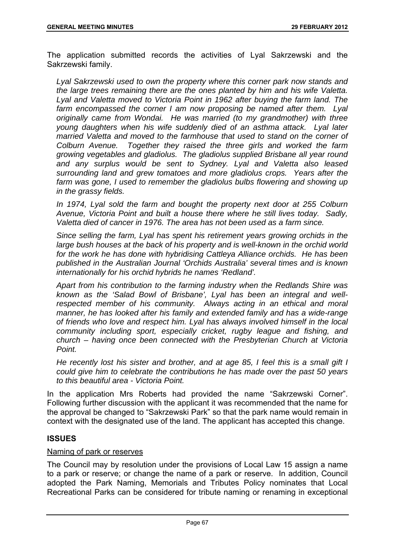The application submitted records the activities of Lyal Sakrzewski and the Sakrzewski family.

*Lyal Sakrzewski used to own the property where this corner park now stands and the large trees remaining there are the ones planted by him and his wife Valetta. Lyal and Valetta moved to Victoria Point in 1962 after buying the farm land. The*  farm encompassed the corner I am now proposing be named after them. Lyal *originally came from Wondai. He was married (to my grandmother) with three young daughters when his wife suddenly died of an asthma attack. Lyal later married Valetta and moved to the farmhouse that used to stand on the corner of Colburn Avenue. Together they raised the three girls and worked the farm growing vegetables and gladiolus. The gladiolus supplied Brisbane all year round and any surplus would be sent to Sydney. Lyal and Valetta also leased surrounding land and grew tomatoes and more gladiolus crops. Years after the farm was gone, I used to remember the gladiolus bulbs flowering and showing up in the grassy fields.* 

*In 1974, Lyal sold the farm and bought the property next door at 255 Colburn Avenue, Victoria Point and built a house there where he still lives today. Sadly, Valetta died of cancer in 1976. The area has not been used as a farm since.* 

*Since selling the farm, Lyal has spent his retirement years growing orchids in the*  large bush houses at the back of his property and is well-known in the orchid world *for the work he has done with hybridising Cattleya Alliance orchids. He has been published in the Australian Journal 'Orchids Australia' several times and is known internationally for his orchid hybrids he names 'Redland'.* 

*Apart from his contribution to the farming industry when the Redlands Shire was known as the 'Salad Bowl of Brisbane', Lyal has been an integral and wellrespected member of his community. Always acting in an ethical and moral manner, he has looked after his family and extended family and has a wide-range of friends who love and respect him. Lyal has always involved himself in the local community including sport, especially cricket, rugby league and fishing, and church – having once been connected with the Presbyterian Church at Victoria Point.* 

*He recently lost his sister and brother, and at age 85, I feel this is a small gift I could give him to celebrate the contributions he has made over the past 50 years to this beautiful area - Victoria Point.* 

In the application Mrs Roberts had provided the name "Sakrzewski Corner". Following further discussion with the applicant it was recommended that the name for the approval be changed to "Sakrzewski Park" so that the park name would remain in context with the designated use of the land. The applicant has accepted this change.

# **ISSUES**

# Naming of park or reserves

The Council may by resolution under the provisions of Local Law 15 assign a name to a park or reserve; or change the name of a park or reserve. In addition, Council adopted the Park Naming, Memorials and Tributes Policy nominates that Local Recreational Parks can be considered for tribute naming or renaming in exceptional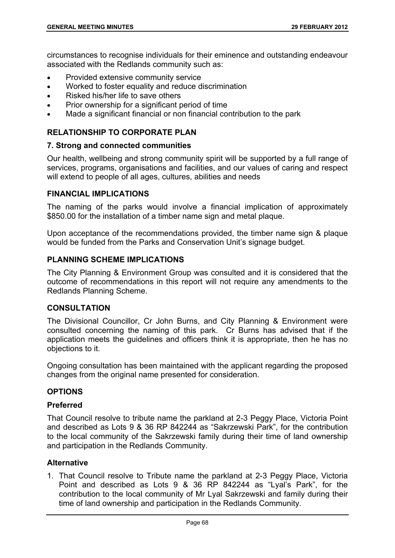circumstances to recognise individuals for their eminence and outstanding endeavour associated with the Redlands community such as:

- Provided extensive community service
- Worked to foster equality and reduce discrimination
- Risked his/her life to save others
- Prior ownership for a significant period of time
- Made a significant financial or non financial contribution to the park

# **RELATIONSHIP TO CORPORATE PLAN**

#### **7. Strong and connected communities**

Our health, wellbeing and strong community spirit will be supported by a full range of services, programs, organisations and facilities, and our values of caring and respect will extend to people of all ages, cultures, abilities and needs

# **FINANCIAL IMPLICATIONS**

The naming of the parks would involve a financial implication of approximately \$850.00 for the installation of a timber name sign and metal plaque.

Upon acceptance of the recommendations provided, the timber name sign & plaque would be funded from the Parks and Conservation Unit's signage budget.

# **PLANNING SCHEME IMPLICATIONS**

The City Planning & Environment Group was consulted and it is considered that the outcome of recommendations in this report will not require any amendments to the Redlands Planning Scheme.

# **CONSULTATION**

The Divisional Councillor, Cr John Burns, and City Planning & Environment were consulted concerning the naming of this park. Cr Burns has advised that if the application meets the guidelines and officers think it is appropriate, then he has no objections to it.

Ongoing consultation has been maintained with the applicant regarding the proposed changes from the original name presented for consideration.

# **OPTIONS**

#### **Preferred**

That Council resolve to tribute name the parkland at 2-3 Peggy Place, Victoria Point and described as Lots 9 & 36 RP 842244 as "Sakrzewski Park", for the contribution to the local community of the Sakrzewski family during their time of land ownership and participation in the Redlands Community.

#### **Alternative**

1. That Council resolve to Tribute name the parkland at 2-3 Peggy Place, Victoria Point and described as Lots 9 & 36 RP 842244 as "Lyal's Park", for the contribution to the local community of Mr Lyal Sakrzewski and family during their time of land ownership and participation in the Redlands Community.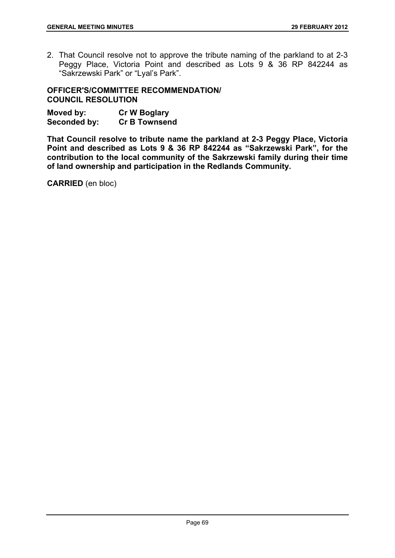2. That Council resolve not to approve the tribute naming of the parkland to at 2-3 Peggy Place, Victoria Point and described as Lots 9 & 36 RP 842244 as "Sakrzewski Park" or "Lyal's Park".

**OFFICER'S/COMMITTEE RECOMMENDATION/ COUNCIL RESOLUTION** 

| Moved by:    | <b>Cr W Boglary</b>  |
|--------------|----------------------|
| Seconded by: | <b>Cr B Townsend</b> |

**That Council resolve to tribute name the parkland at 2-3 Peggy Place, Victoria Point and described as Lots 9 & 36 RP 842244 as "Sakrzewski Park", for the contribution to the local community of the Sakrzewski family during their time of land ownership and participation in the Redlands Community.** 

**CARRIED** (en bloc)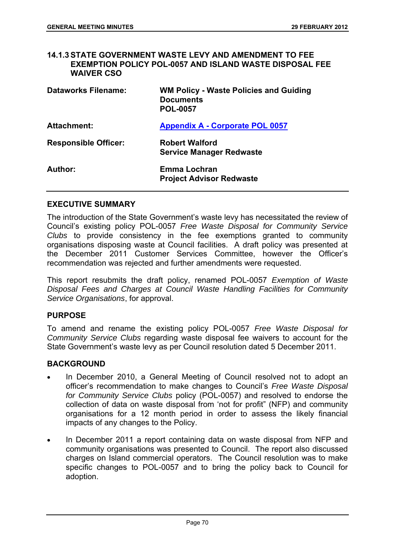#### **14.1.3 STATE GOVERNMENT WASTE LEVY AND AMENDMENT TO FEE EXEMPTION POLICY POL-0057 AND ISLAND WASTE DISPOSAL FEE WAIVER CSO**

| <b>Dataworks Filename:</b>  | <b>WM Policy - Waste Policies and Guiding</b><br><b>Documents</b><br><b>POL-0057</b> |
|-----------------------------|--------------------------------------------------------------------------------------|
| <b>Attachment:</b>          | <b>Appendix A - Corporate POL 0057</b>                                               |
| <b>Responsible Officer:</b> | <b>Robert Walford</b><br><b>Service Manager Redwaste</b>                             |
| Author:                     | Emma Lochran<br><b>Project Advisor Redwaste</b>                                      |

# **EXECUTIVE SUMMARY**

The introduction of the State Government's waste levy has necessitated the review of Council's existing policy POL-0057 *Free Waste Disposal for Community Service Clubs* to provide consistency in the fee exemptions granted to community organisations disposing waste at Council facilities. A draft policy was presented at the December 2011 Customer Services Committee, however the Officer's recommendation was rejected and further amendments were requested.

This report resubmits the draft policy, renamed POL-0057 *Exemption of Waste Disposal Fees and Charges at Council Waste Handling Facilities for Community Service Organisations*, for approval.

#### **PURPOSE**

To amend and rename the existing policy POL-0057 *Free Waste Disposal for Community Service Clubs* regarding waste disposal fee waivers to account for the State Government's waste levy as per Council resolution dated 5 December 2011.

# **BACKGROUND**

- In December 2010, a General Meeting of Council resolved not to adopt an officer's recommendation to make changes to Council's *Free Waste Disposal for Community Service Clubs* policy (POL-0057) and resolved to endorse the collection of data on waste disposal from 'not for profit" (NFP) and community organisations for a 12 month period in order to assess the likely financial impacts of any changes to the Policy.
- In December 2011 a report containing data on waste disposal from NFP and community organisations was presented to Council. The report also discussed charges on Island commercial operators. The Council resolution was to make specific changes to POL-0057 and to bring the policy back to Council for adoption.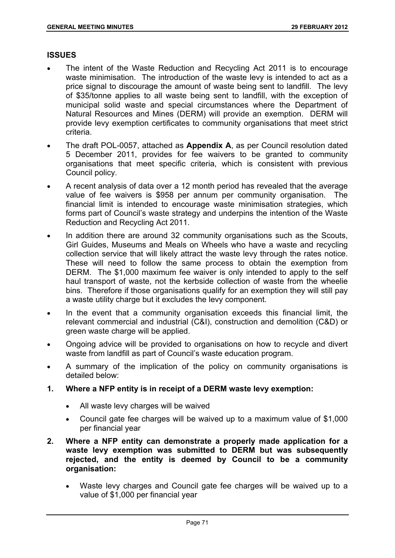#### **ISSUES**

- The intent of the Waste Reduction and Recycling Act 2011 is to encourage waste minimisation. The introduction of the waste levy is intended to act as a price signal to discourage the amount of waste being sent to landfill. The levy of \$35/tonne applies to all waste being sent to landfill, with the exception of municipal solid waste and special circumstances where the Department of Natural Resources and Mines (DERM) will provide an exemption. DERM will provide levy exemption certificates to community organisations that meet strict criteria.
- The draft POL-0057, attached as **Appendix A**, as per Council resolution dated 5 December 2011, provides for fee waivers to be granted to community organisations that meet specific criteria, which is consistent with previous Council policy.
- A recent analysis of data over a 12 month period has revealed that the average value of fee waivers is \$958 per annum per community organisation. The financial limit is intended to encourage waste minimisation strategies, which forms part of Council's waste strategy and underpins the intention of the Waste Reduction and Recycling Act 2011.
- In addition there are around 32 community organisations such as the Scouts, Girl Guides, Museums and Meals on Wheels who have a waste and recycling collection service that will likely attract the waste levy through the rates notice. These will need to follow the same process to obtain the exemption from DERM. The \$1,000 maximum fee waiver is only intended to apply to the self haul transport of waste, not the kerbside collection of waste from the wheelie bins. Therefore if those organisations qualify for an exemption they will still pay a waste utility charge but it excludes the levy component.
- In the event that a community organisation exceeds this financial limit, the relevant commercial and industrial (C&I), construction and demolition (C&D) or green waste charge will be applied.
- Ongoing advice will be provided to organisations on how to recycle and divert waste from landfill as part of Council's waste education program.
- A summary of the implication of the policy on community organisations is detailed below:
- **1. Where a NFP entity is in receipt of a DERM waste levy exemption:** 
	- All waste levy charges will be waived
	- Council gate fee charges will be waived up to a maximum value of \$1,000 per financial year
- **2. Where a NFP entity can demonstrate a properly made application for a waste levy exemption was submitted to DERM but was subsequently rejected, and the entity is deemed by Council to be a community organisation:** 
	- Waste levy charges and Council gate fee charges will be waived up to a value of \$1,000 per financial year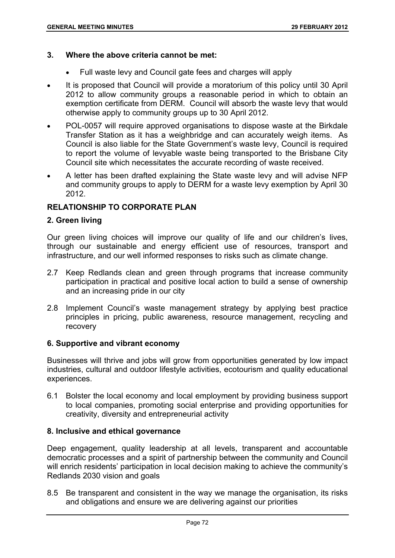#### **3. Where the above criteria cannot be met:**

- Full waste levy and Council gate fees and charges will apply
- It is proposed that Council will provide a moratorium of this policy until 30 April 2012 to allow community groups a reasonable period in which to obtain an exemption certificate from DERM. Council will absorb the waste levy that would otherwise apply to community groups up to 30 April 2012.
- POL-0057 will require approved organisations to dispose waste at the Birkdale Transfer Station as it has a weighbridge and can accurately weigh items. As Council is also liable for the State Government's waste levy, Council is required to report the volume of levyable waste being transported to the Brisbane City Council site which necessitates the accurate recording of waste received.
- A letter has been drafted explaining the State waste levy and will advise NFP and community groups to apply to DERM for a waste levy exemption by April 30 2012.

# **RELATIONSHIP TO CORPORATE PLAN**

# **2. Green living**

Our green living choices will improve our quality of life and our children's lives, through our sustainable and energy efficient use of resources, transport and infrastructure, and our well informed responses to risks such as climate change.

- 2.7 Keep Redlands clean and green through programs that increase community participation in practical and positive local action to build a sense of ownership and an increasing pride in our city
- 2.8 Implement Council's waste management strategy by applying best practice principles in pricing, public awareness, resource management, recycling and recovery

# **6. Supportive and vibrant economy**

Businesses will thrive and jobs will grow from opportunities generated by low impact industries, cultural and outdoor lifestyle activities, ecotourism and quality educational experiences.

6.1 Bolster the local economy and local employment by providing business support to local companies, promoting social enterprise and providing opportunities for creativity, diversity and entrepreneurial activity

#### **8. Inclusive and ethical governance**

Deep engagement, quality leadership at all levels, transparent and accountable democratic processes and a spirit of partnership between the community and Council will enrich residents' participation in local decision making to achieve the community's Redlands 2030 vision and goals

8.5 Be transparent and consistent in the way we manage the organisation, its risks and obligations and ensure we are delivering against our priorities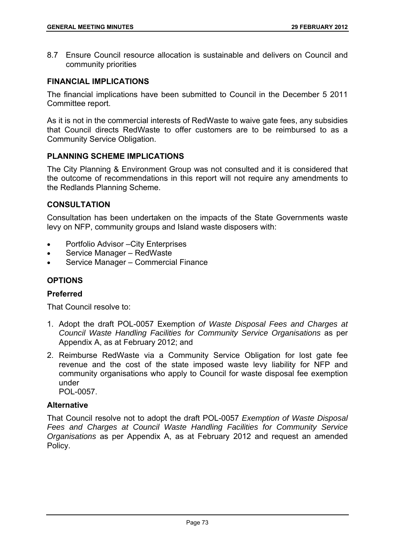8.7 Ensure Council resource allocation is sustainable and delivers on Council and community priorities

# **FINANCIAL IMPLICATIONS**

The financial implications have been submitted to Council in the December 5 2011 Committee report.

As it is not in the commercial interests of RedWaste to waive gate fees, any subsidies that Council directs RedWaste to offer customers are to be reimbursed to as a Community Service Obligation.

# **PLANNING SCHEME IMPLICATIONS**

The City Planning & Environment Group was not consulted and it is considered that the outcome of recommendations in this report will not require any amendments to the Redlands Planning Scheme.

# **CONSULTATION**

Consultation has been undertaken on the impacts of the State Governments waste levy on NFP, community groups and Island waste disposers with:

- Portfolio Advisor –City Enterprises
- Service Manager RedWaste
- Service Manager Commercial Finance

# **OPTIONS**

# **Preferred**

That Council resolve to:

- 1. Adopt the draft POL-0057 Exemption *of Waste Disposal Fees and Charges at Council Waste Handling Facilities for Community Service Organisations* as per Appendix A, as at February 2012; and
- 2. Reimburse RedWaste via a Community Service Obligation for lost gate fee revenue and the cost of the state imposed waste levy liability for NFP and community organisations who apply to Council for waste disposal fee exemption under POL-0057.

# **Alternative**

That Council resolve not to adopt the draft POL-0057 *Exemption of Waste Disposal Fees and Charges at Council Waste Handling Facilities for Community Service Organisations* as per Appendix A, as at February 2012 and request an amended Policy.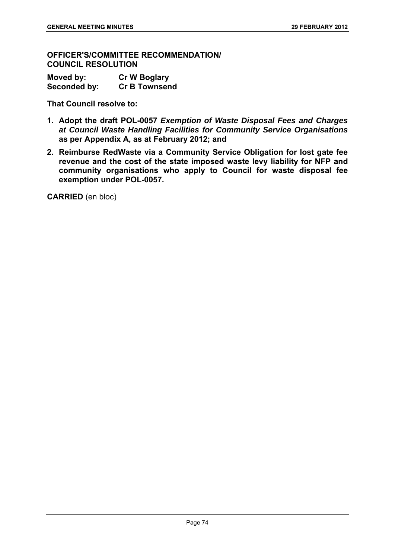**OFFICER'S/COMMITTEE RECOMMENDATION/ COUNCIL RESOLUTION** 

| Moved by:    | <b>Cr W Boglary</b>  |
|--------------|----------------------|
| Seconded by: | <b>Cr B Townsend</b> |

**That Council resolve to:** 

- **1. Adopt the draft POL-0057** *Exemption of Waste Disposal Fees and Charges at Council Waste Handling Facilities for Community Service Organisations* **as per Appendix A, as at February 2012; and**
- **2. Reimburse RedWaste via a Community Service Obligation for lost gate fee revenue and the cost of the state imposed waste levy liability for NFP and community organisations who apply to Council for waste disposal fee exemption under POL-0057.**

**CARRIED** (en bloc)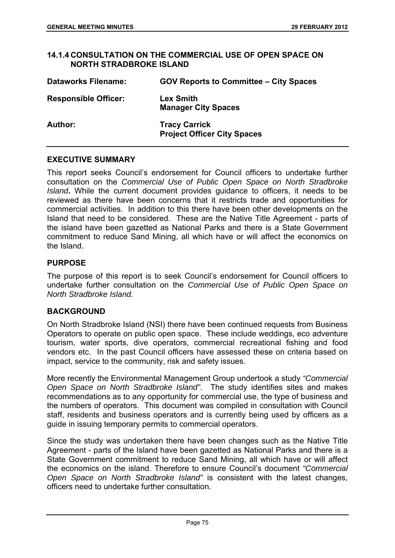#### **14.1.4 CONSULTATION ON THE COMMERCIAL USE OF OPEN SPACE ON NORTH STRADBROKE ISLAND**

| <b>Dataworks Filename:</b>  | <b>GOV Reports to Committee - City Spaces</b>              |
|-----------------------------|------------------------------------------------------------|
| <b>Responsible Officer:</b> | <b>Lex Smith</b><br><b>Manager City Spaces</b>             |
| <b>Author:</b>              | <b>Tracy Carrick</b><br><b>Project Officer City Spaces</b> |

# **EXECUTIVE SUMMARY**

This report seeks Council's endorsement for Council officers to undertake further consultation on the *Commercial Use of Public Open Space on North Stradbroke Island***.** While the current document provides guidance to officers, it needs to be reviewed as there have been concerns that it restricts trade and opportunities for commercial activities. In addition to this there have been other developments on the Island that need to be considered. These are the Native Title Agreement - parts of the island have been gazetted as National Parks and there is a State Government commitment to reduce Sand Mining, all which have or will affect the economics on the Island.

# **PURPOSE**

The purpose of this report is to seek Council's endorsement for Council officers to undertake further consultation on the *Commercial Use of Public Open Space on North Stradbroke Island.* 

# **BACKGROUND**

On North Stradbroke Island (NSI) there have been continued requests from Business Operators to operate on public open space. These include weddings, eco adventure tourism, water sports, dive operators, commercial recreational fishing and food vendors etc. In the past Council officers have assessed these on criteria based on impact, service to the community, risk and safety issues.

More recently the Environmental Management Group undertook a study *"Commercial Open Space on North Stradbroke Island"*. The study identifies sites and makes recommendations as to any opportunity for commercial use, the type of business and the numbers of operators. This document was compiled in consultation with Council staff, residents and business operators and is currently being used by officers as a guide in issuing temporary permits to commercial operators.

Since the study was undertaken there have been changes such as the Native Title Agreement - parts of the Island have been gazetted as National Parks and there is a State Government commitment to reduce Sand Mining, all which have or will affect the economics on the island. Therefore to ensure Council's document *"Commercial Open Space on North Stradbroke Island"* is consistent with the latest changes, officers need to undertake further consultation.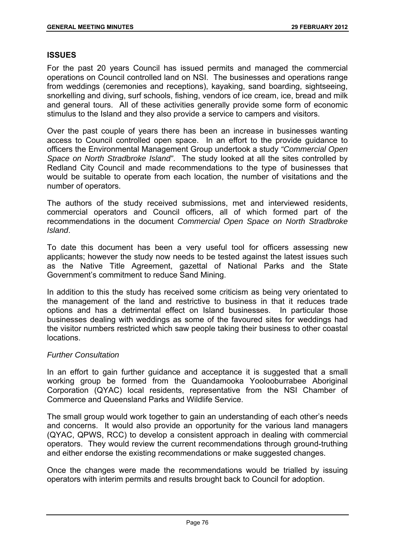#### **ISSUES**

For the past 20 years Council has issued permits and managed the commercial operations on Council controlled land on NSI. The businesses and operations range from weddings (ceremonies and receptions), kayaking, sand boarding, sightseeing, snorkelling and diving, surf schools, fishing, vendors of ice cream, ice, bread and milk and general tours. All of these activities generally provide some form of economic stimulus to the Island and they also provide a service to campers and visitors.

Over the past couple of years there has been an increase in businesses wanting access to Council controlled open space. In an effort to the provide guidance to officers the Environmental Management Group undertook a study *"Commercial Open Space on North Stradbroke Island"*. The study looked at all the sites controlled by Redland City Council and made recommendations to the type of businesses that would be suitable to operate from each location, the number of visitations and the number of operators.

The authors of the study received submissions, met and interviewed residents, commercial operators and Council officers, all of which formed part of the recommendations in the document *Commercial Open Space on North Stradbroke Island*.

To date this document has been a very useful tool for officers assessing new applicants; however the study now needs to be tested against the latest issues such as the Native Title Agreement, gazettal of National Parks and the State Government's commitment to reduce Sand Mining.

In addition to this the study has received some criticism as being very orientated to the management of the land and restrictive to business in that it reduces trade options and has a detrimental effect on Island businesses. In particular those businesses dealing with weddings as some of the favoured sites for weddings had the visitor numbers restricted which saw people taking their business to other coastal locations.

# *Further Consultation*

In an effort to gain further guidance and acceptance it is suggested that a small working group be formed from the Quandamooka Yoolooburrabee Aboriginal Corporation (QYAC) local residents, representative from the NSI Chamber of Commerce and Queensland Parks and Wildlife Service.

The small group would work together to gain an understanding of each other's needs and concerns. It would also provide an opportunity for the various land managers (QYAC, QPWS, RCC) to develop a consistent approach in dealing with commercial operators. They would review the current recommendations through ground-truthing and either endorse the existing recommendations or make suggested changes.

Once the changes were made the recommendations would be trialled by issuing operators with interim permits and results brought back to Council for adoption.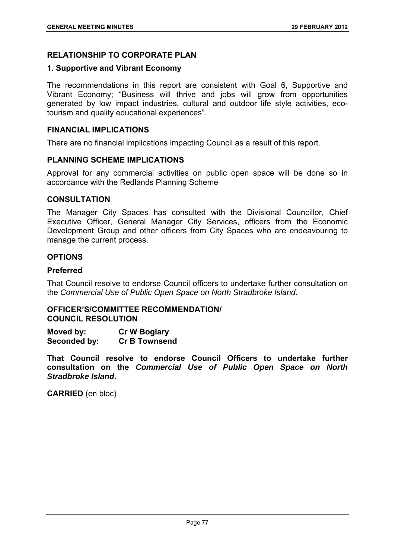# **RELATIONSHIP TO CORPORATE PLAN**

#### **1. Supportive and Vibrant Economy**

The recommendations in this report are consistent with Goal 6, Supportive and Vibrant Economy; "Business will thrive and jobs will grow from opportunities generated by low impact industries, cultural and outdoor life style activities, ecotourism and quality educational experiences".

# **FINANCIAL IMPLICATIONS**

There are no financial implications impacting Council as a result of this report.

#### **PLANNING SCHEME IMPLICATIONS**

Approval for any commercial activities on public open space will be done so in accordance with the Redlands Planning Scheme

#### **CONSULTATION**

The Manager City Spaces has consulted with the Divisional Councillor, Chief Executive Officer, General Manager City Services, officers from the Economic Development Group and other officers from City Spaces who are endeavouring to manage the current process.

# **OPTIONS**

#### **Preferred**

That Council resolve to endorse Council officers to undertake further consultation on the *Commercial Use of Public Open Space on North Stradbroke Island.* 

# **OFFICER'S/COMMITTEE RECOMMENDATION/ COUNCIL RESOLUTION**

**Moved by: Cr W Boglary Seconded by: Cr B Townsend** 

**That Council resolve to endorse Council Officers to undertake further consultation on the** *Commercial Use of Public Open Space on North Stradbroke Island***.** 

**CARRIED** (en bloc)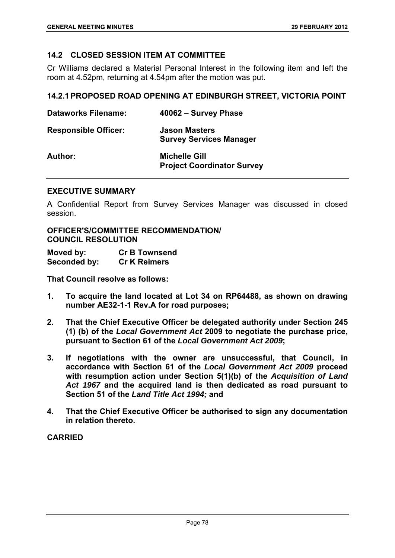# **14.2 CLOSED SESSION ITEM AT COMMITTEE**

Cr Williams declared a Material Personal Interest in the following item and left the room at 4.52pm, returning at 4.54pm after the motion was put.

#### **14.2.1 PROPOSED ROAD OPENING AT EDINBURGH STREET, VICTORIA POINT**

| <b>Dataworks Filename:</b>  | 40062 - Survey Phase                                      |
|-----------------------------|-----------------------------------------------------------|
| <b>Responsible Officer:</b> | <b>Jason Masters</b><br><b>Survey Services Manager</b>    |
| Author:                     | <b>Michelle Gill</b><br><b>Project Coordinator Survey</b> |

#### **EXECUTIVE SUMMARY**

A Confidential Report from Survey Services Manager was discussed in closed session.

**OFFICER'S/COMMITTEE RECOMMENDATION/ COUNCIL RESOLUTION** 

| Moved by:    | <b>Cr B Townsend</b> |
|--------------|----------------------|
| Seconded by: | <b>Cr K Reimers</b>  |

**That Council resolve as follows:** 

- **1. To acquire the land located at Lot 34 on RP64488, as shown on drawing number AE32-1-1 Rev.A for road purposes;**
- **2. That the Chief Executive Officer be delegated authority under Section 245 (1) (b) of the** *Local Government Act* **2009 to negotiate the purchase price, pursuant to Section 61 of the** *Local Government Act 2009***;**
- **3. If negotiations with the owner are unsuccessful, that Council, in accordance with Section 61 of the** *Local Government Act 2009* **proceed with resumption action under Section 5(1)(b) of the** *Acquisition of Land Act 1967* **and the acquired land is then dedicated as road pursuant to Section 51 of the** *Land Title Act 1994;* **and**
- **4. That the Chief Executive Officer be authorised to sign any documentation in relation thereto.**

#### **CARRIED**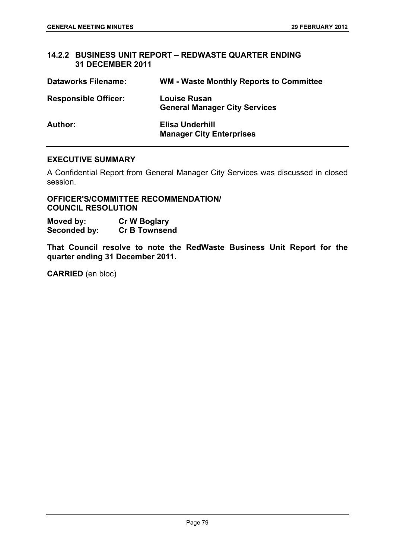# **14.2.2 BUSINESS UNIT REPORT – REDWASTE QUARTER ENDING 31 DECEMBER 2011**

| <b>Dataworks Filename:</b>  | <b>WM - Waste Monthly Reports to Committee</b>              |
|-----------------------------|-------------------------------------------------------------|
| <b>Responsible Officer:</b> | <b>Louise Rusan</b><br><b>General Manager City Services</b> |
| <b>Author:</b>              | Elisa Underhill<br><b>Manager City Enterprises</b>          |

#### **EXECUTIVE SUMMARY**

A Confidential Report from General Manager City Services was discussed in closed session.

**OFFICER'S/COMMITTEE RECOMMENDATION/ COUNCIL RESOLUTION** 

**Moved by:** Cr W Boglary<br> **Seconded by:** Cr B Townsend **Seconded by:** 

**That Council resolve to note the RedWaste Business Unit Report for the quarter ending 31 December 2011.** 

**CARRIED** (en bloc)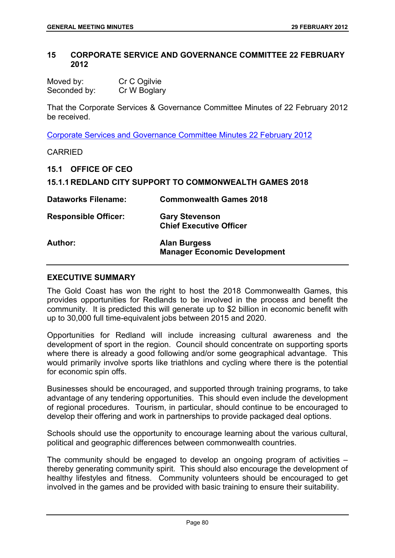#### **15 CORPORATE SERVICE AND GOVERNANCE COMMITTEE 22 FEBRUARY 2012**

Moved by: Cr C Ogilvie Seconded by: Cr W Boglary

That the Corporate Services & Governance Committee Minutes of 22 February 2012 be received.

Corporate Services and Governance Committee Minutes 22 February 2012

#### CARRIED

**15.1 OFFICE OF CEO** 

|  |  | <b>15.1.1 REDLAND CITY SUPPORT TO COMMONWEALTH GAMES 2018</b> |  |
|--|--|---------------------------------------------------------------|--|
|--|--|---------------------------------------------------------------|--|

| <b>Dataworks Filename:</b>  | <b>Commonwealth Games 2018</b>                             |
|-----------------------------|------------------------------------------------------------|
| <b>Responsible Officer:</b> | <b>Gary Stevenson</b><br><b>Chief Executive Officer</b>    |
| Author:                     | <b>Alan Burgess</b><br><b>Manager Economic Development</b> |

#### **EXECUTIVE SUMMARY**

The Gold Coast has won the right to host the 2018 Commonwealth Games, this provides opportunities for Redlands to be involved in the process and benefit the community. It is predicted this will generate up to \$2 billion in economic benefit with up to 30,000 full time-equivalent jobs between 2015 and 2020.

Opportunities for Redland will include increasing cultural awareness and the development of sport in the region. Council should concentrate on supporting sports where there is already a good following and/or some geographical advantage. This would primarily involve sports like triathlons and cycling where there is the potential for economic spin offs.

Businesses should be encouraged, and supported through training programs, to take advantage of any tendering opportunities. This should even include the development of regional procedures. Tourism, in particular, should continue to be encouraged to develop their offering and work in partnerships to provide packaged deal options.

Schools should use the opportunity to encourage learning about the various cultural, political and geographic differences between commonwealth countries.

The community should be engaged to develop an ongoing program of activities – thereby generating community spirit. This should also encourage the development of healthy lifestyles and fitness. Community volunteers should be encouraged to get involved in the games and be provided with basic training to ensure their suitability.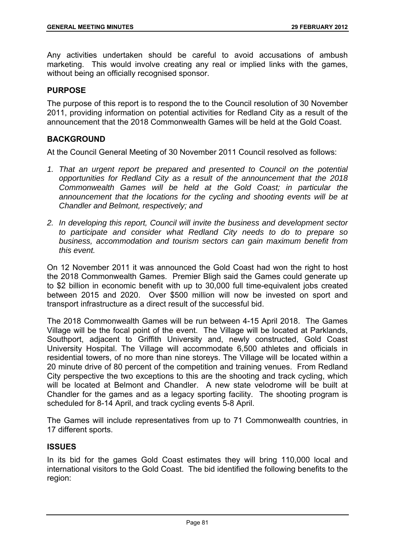Any activities undertaken should be careful to avoid accusations of ambush marketing. This would involve creating any real or implied links with the games, without being an officially recognised sponsor.

#### **PURPOSE**

The purpose of this report is to respond the to the Council resolution of 30 November 2011, providing information on potential activities for Redland City as a result of the announcement that the 2018 Commonwealth Games will be held at the Gold Coast.

# **BACKGROUND**

At the Council General Meeting of 30 November 2011 Council resolved as follows:

- 1. That an urgent report be prepared and presented to Council on the potential *opportunities for Redland City as a result of the announcement that the 2018 Commonwealth Games will be held at the Gold Coast; in particular the announcement that the locations for the cycling and shooting events will be at Chandler and Belmont, respectively; and*
- *2. In developing this report, Council will invite the business and development sector to participate and consider what Redland City needs to do to prepare so business, accommodation and tourism sectors can gain maximum benefit from this event.*

On 12 November 2011 it was announced the Gold Coast had won the right to host the 2018 Commonwealth Games. Premier Bligh said the Games could generate up to \$2 billion in economic benefit with up to 30,000 full time-equivalent jobs created between 2015 and 2020. Over \$500 million will now be invested on sport and transport infrastructure as a direct result of the successful bid.

The 2018 Commonwealth Games will be run between 4-15 April 2018. The Games Village will be the focal point of the event. The Village will be located at Parklands, Southport, adjacent to Griffith University and, newly constructed, Gold Coast University Hospital. The Village will accommodate 6,500 athletes and officials in residential towers, of no more than nine storeys. The Village will be located within a 20 minute drive of 80 percent of the competition and training venues. From Redland City perspective the two exceptions to this are the shooting and track cycling, which will be located at Belmont and Chandler. A new state velodrome will be built at Chandler for the games and as a legacy sporting facility. The shooting program is scheduled for 8-14 April, and track cycling events 5-8 April.

The Games will include representatives from up to 71 Commonwealth countries, in 17 different sports.

# **ISSUES**

In its bid for the games Gold Coast estimates they will bring 110,000 local and international visitors to the Gold Coast. The bid identified the following benefits to the region: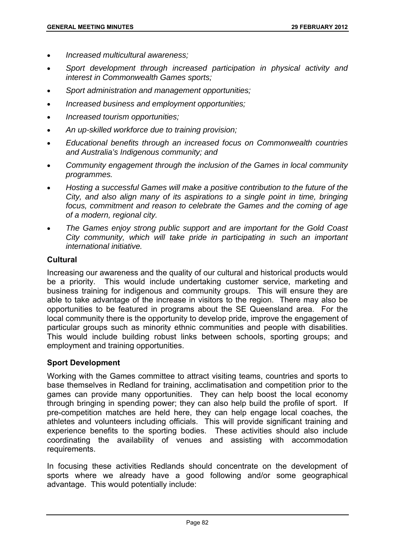- *Increased multicultural awareness;*
- *Sport development through increased participation in physical activity and interest in Commonwealth Games sports;*
- *Sport administration and management opportunities;*
- *Increased business and employment opportunities;*
- *Increased tourism opportunities;*
- *An up-skilled workforce due to training provision;*
- *Educational benefits through an increased focus on Commonwealth countries and Australia's Indigenous community; and*
- *Community engagement through the inclusion of the Games in local community programmes.*
- *Hosting a successful Games will make a positive contribution to the future of the City, and also align many of its aspirations to a single point in time, bringing focus, commitment and reason to celebrate the Games and the coming of age of a modern, regional city.*
- *The Games enjoy strong public support and are important for the Gold Coast City community, which will take pride in participating in such an important international initiative.*

#### **Cultural**

Increasing our awareness and the quality of our cultural and historical products would be a priority. This would include undertaking customer service, marketing and business training for indigenous and community groups. This will ensure they are able to take advantage of the increase in visitors to the region. There may also be opportunities to be featured in programs about the SE Queensland area. For the local community there is the opportunity to develop pride, improve the engagement of particular groups such as minority ethnic communities and people with disabilities. This would include building robust links between schools, sporting groups; and employment and training opportunities.

#### **Sport Development**

Working with the Games committee to attract visiting teams, countries and sports to base themselves in Redland for training, acclimatisation and competition prior to the games can provide many opportunities. They can help boost the local economy through bringing in spending power; they can also help build the profile of sport. If pre-competition matches are held here, they can help engage local coaches, the athletes and volunteers including officials. This will provide significant training and experience benefits to the sporting bodies. These activities should also include coordinating the availability of venues and assisting with accommodation requirements.

In focusing these activities Redlands should concentrate on the development of sports where we already have a good following and/or some geographical advantage. This would potentially include: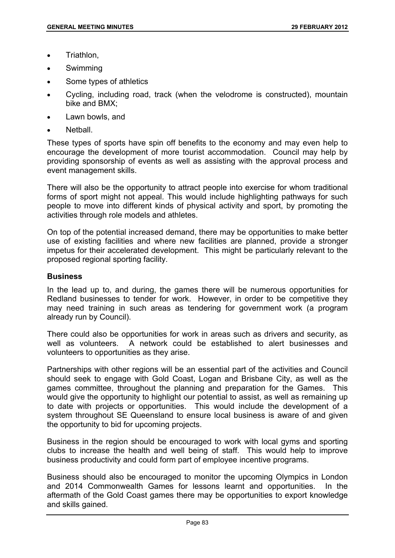- Triathlon,
- Swimming
- Some types of athletics
- Cycling, including road, track (when the velodrome is constructed), mountain bike and BMX;
- Lawn bowls, and
- Netball.

These types of sports have spin off benefits to the economy and may even help to encourage the development of more tourist accommodation. Council may help by providing sponsorship of events as well as assisting with the approval process and event management skills.

There will also be the opportunity to attract people into exercise for whom traditional forms of sport might not appeal. This would include highlighting pathways for such people to move into different kinds of physical activity and sport, by promoting the activities through role models and athletes.

On top of the potential increased demand, there may be opportunities to make better use of existing facilities and where new facilities are planned, provide a stronger impetus for their accelerated development. This might be particularly relevant to the proposed regional sporting facility.

#### **Business**

In the lead up to, and during, the games there will be numerous opportunities for Redland businesses to tender for work. However, in order to be competitive they may need training in such areas as tendering for government work (a program already run by Council).

There could also be opportunities for work in areas such as drivers and security, as well as volunteers. A network could be established to alert businesses and volunteers to opportunities as they arise.

Partnerships with other regions will be an essential part of the activities and Council should seek to engage with Gold Coast, Logan and Brisbane City, as well as the games committee, throughout the planning and preparation for the Games. This would give the opportunity to highlight our potential to assist, as well as remaining up to date with projects or opportunities. This would include the development of a system throughout SE Queensland to ensure local business is aware of and given the opportunity to bid for upcoming projects.

Business in the region should be encouraged to work with local gyms and sporting clubs to increase the health and well being of staff. This would help to improve business productivity and could form part of employee incentive programs.

Business should also be encouraged to monitor the upcoming Olympics in London and 2014 Commonwealth Games for lessons learnt and opportunities. In the aftermath of the Gold Coast games there may be opportunities to export knowledge and skills gained.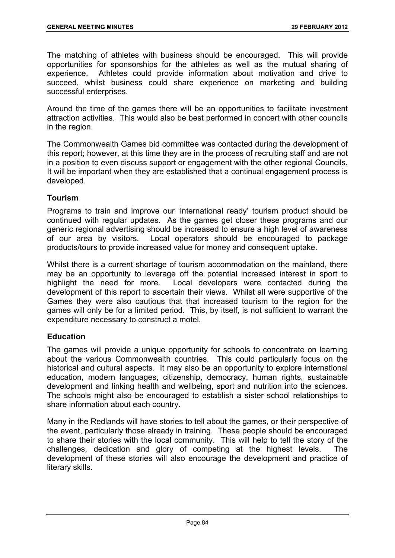The matching of athletes with business should be encouraged. This will provide opportunities for sponsorships for the athletes as well as the mutual sharing of experience. Athletes could provide information about motivation and drive to succeed, whilst business could share experience on marketing and building successful enterprises.

Around the time of the games there will be an opportunities to facilitate investment attraction activities. This would also be best performed in concert with other councils in the region.

The Commonwealth Games bid committee was contacted during the development of this report; however, at this time they are in the process of recruiting staff and are not in a position to even discuss support or engagement with the other regional Councils. It will be important when they are established that a continual engagement process is developed.

# **Tourism**

Programs to train and improve our 'international ready' tourism product should be continued with regular updates. As the games get closer these programs and our generic regional advertising should be increased to ensure a high level of awareness of our area by visitors. Local operators should be encouraged to package products/tours to provide increased value for money and consequent uptake.

Whilst there is a current shortage of tourism accommodation on the mainland, there may be an opportunity to leverage off the potential increased interest in sport to highlight the need for more. Local developers were contacted during the development of this report to ascertain their views. Whilst all were supportive of the Games they were also cautious that that increased tourism to the region for the games will only be for a limited period. This, by itself, is not sufficient to warrant the expenditure necessary to construct a motel.

# **Education**

The games will provide a unique opportunity for schools to concentrate on learning about the various Commonwealth countries. This could particularly focus on the historical and cultural aspects. It may also be an opportunity to explore international education, modern languages, citizenship, democracy, human rights, sustainable development and linking health and wellbeing, sport and nutrition into the sciences. The schools might also be encouraged to establish a sister school relationships to share information about each country.

Many in the Redlands will have stories to tell about the games, or their perspective of the event, particularly those already in training. These people should be encouraged to share their stories with the local community. This will help to tell the story of the challenges, dedication and glory of competing at the highest levels. The development of these stories will also encourage the development and practice of literary skills.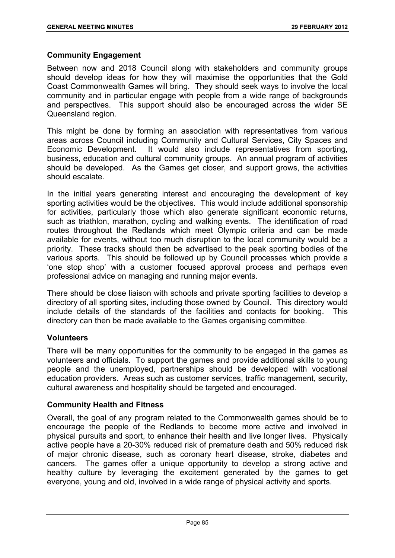# **Community Engagement**

Between now and 2018 Council along with stakeholders and community groups should develop ideas for how they will maximise the opportunities that the Gold Coast Commonwealth Games will bring. They should seek ways to involve the local community and in particular engage with people from a wide range of backgrounds and perspectives. This support should also be encouraged across the wider SE Queensland region.

This might be done by forming an association with representatives from various areas across Council including Community and Cultural Services, City Spaces and Economic Development. It would also include representatives from sporting, business, education and cultural community groups. An annual program of activities should be developed. As the Games get closer, and support grows, the activities should escalate.

In the initial years generating interest and encouraging the development of key sporting activities would be the objectives. This would include additional sponsorship for activities, particularly those which also generate significant economic returns, such as triathlon, marathon, cycling and walking events. The identification of road routes throughout the Redlands which meet Olympic criteria and can be made available for events, without too much disruption to the local community would be a priority. These tracks should then be advertised to the peak sporting bodies of the various sports. This should be followed up by Council processes which provide a 'one stop shop' with a customer focused approval process and perhaps even professional advice on managing and running major events.

There should be close liaison with schools and private sporting facilities to develop a directory of all sporting sites, including those owned by Council. This directory would include details of the standards of the facilities and contacts for booking. This directory can then be made available to the Games organising committee.

# **Volunteers**

There will be many opportunities for the community to be engaged in the games as volunteers and officials. To support the games and provide additional skills to young people and the unemployed, partnerships should be developed with vocational education providers. Areas such as customer services, traffic management, security, cultural awareness and hospitality should be targeted and encouraged.

# **Community Health and Fitness**

Overall, the goal of any program related to the Commonwealth games should be to encourage the people of the Redlands to become more active and involved in physical pursuits and sport, to enhance their health and live longer lives. Physically active people have a 20-30% reduced risk of premature death and 50% reduced risk of major chronic disease, such as coronary heart disease, stroke, diabetes and cancers. The games offer a unique opportunity to develop a strong active and healthy culture by leveraging the excitement generated by the games to get everyone, young and old, involved in a wide range of physical activity and sports.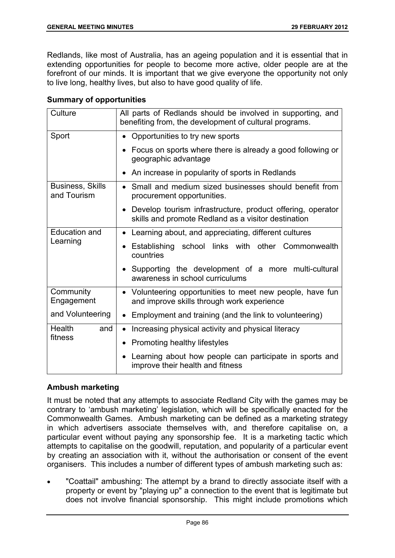Redlands, like most of Australia, has an ageing population and it is essential that in extending opportunities for people to become more active, older people are at the forefront of our minds. It is important that we give everyone the opportunity not only to live long, healthy lives, but also to have good quality of life.

# **Summary of opportunities**

| Culture                                | All parts of Redlands should be involved in supporting, and<br>benefiting from, the development of cultural programs.          |
|----------------------------------------|--------------------------------------------------------------------------------------------------------------------------------|
| Sport                                  | Opportunities to try new sports<br>$\bullet$                                                                                   |
|                                        | • Focus on sports where there is already a good following or<br>geographic advantage                                           |
|                                        | • An increase in popularity of sports in Redlands                                                                              |
| <b>Business, Skills</b><br>and Tourism | Small and medium sized businesses should benefit from<br>$\bullet$<br>procurement opportunities.                               |
|                                        | Develop tourism infrastructure, product offering, operator<br>$\bullet$<br>skills and promote Redland as a visitor destination |
| <b>Education and</b>                   | • Learning about, and appreciating, different cultures                                                                         |
| Learning                               | Establishing school links with other Commonwealth<br>countries                                                                 |
|                                        | • Supporting the development of a more multi-cultural<br>awareness in school curriculums                                       |
| Community<br>Engagement                | • Volunteering opportunities to meet new people, have fun<br>and improve skills through work experience                        |
| and Volunteering                       | • Employment and training (and the link to volunteering)                                                                       |
| Health<br>and                          | Increasing physical activity and physical literacy<br>$\bullet$                                                                |
| fitness                                | • Promoting healthy lifestyles                                                                                                 |
|                                        | Learning about how people can participate in sports and<br>improve their health and fitness                                    |

# **Ambush marketing**

It must be noted that any attempts to associate Redland City with the games may be contrary to 'ambush marketing' legislation, which will be specifically enacted for the Commonwealth Games. Ambush marketing can be defined as a marketing strategy in which advertisers associate themselves with, and therefore capitalise on, a particular event without paying any sponsorship fee. It is a marketing tactic which attempts to capitalise on the goodwill, reputation, and popularity of a particular event by creating an association with it, without the authorisation or consent of the event organisers. This includes a number of different types of ambush marketing such as:

 "Coattail" ambushing: The attempt by a brand to directly associate itself with a property or event by "playing up" a connection to the event that is legitimate but does not involve financial sponsorship. This might include promotions which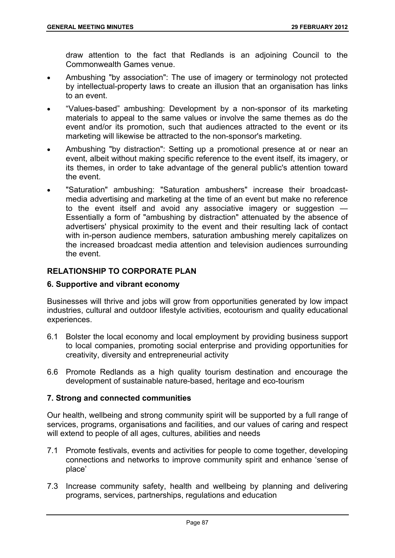draw attention to the fact that Redlands is an adjoining Council to the Commonwealth Games venue.

- Ambushing "by association": The use of imagery or terminology not protected by intellectual-property laws to create an illusion that an organisation has links to an event.
- "Values-based" ambushing: Development by a non-sponsor of its marketing materials to appeal to the same values or involve the same themes as do the event and/or its promotion, such that audiences attracted to the event or its marketing will likewise be attracted to the non-sponsor's marketing.
- Ambushing "by distraction": Setting up a promotional presence at or near an event, albeit without making specific reference to the event itself, its imagery, or its themes, in order to take advantage of the general public's attention toward the event.
- "Saturation" ambushing: "Saturation ambushers" increase their broadcastmedia advertising and marketing at the time of an event but make no reference to the event itself and avoid any associative imagery or suggestion -Essentially a form of "ambushing by distraction" attenuated by the absence of advertisers' physical proximity to the event and their resulting lack of contact with in-person audience members, saturation ambushing merely capitalizes on the increased broadcast media attention and television audiences surrounding the event.

# **RELATIONSHIP TO CORPORATE PLAN**

# **6. Supportive and vibrant economy**

Businesses will thrive and jobs will grow from opportunities generated by low impact industries, cultural and outdoor lifestyle activities, ecotourism and quality educational experiences.

- 6.1 Bolster the local economy and local employment by providing business support to local companies, promoting social enterprise and providing opportunities for creativity, diversity and entrepreneurial activity
- 6.6 Promote Redlands as a high quality tourism destination and encourage the development of sustainable nature-based, heritage and eco-tourism

# **7. Strong and connected communities**

Our health, wellbeing and strong community spirit will be supported by a full range of services, programs, organisations and facilities, and our values of caring and respect will extend to people of all ages, cultures, abilities and needs

- 7.1 Promote festivals, events and activities for people to come together, developing connections and networks to improve community spirit and enhance 'sense of place'
- 7.3 Increase community safety, health and wellbeing by planning and delivering programs, services, partnerships, regulations and education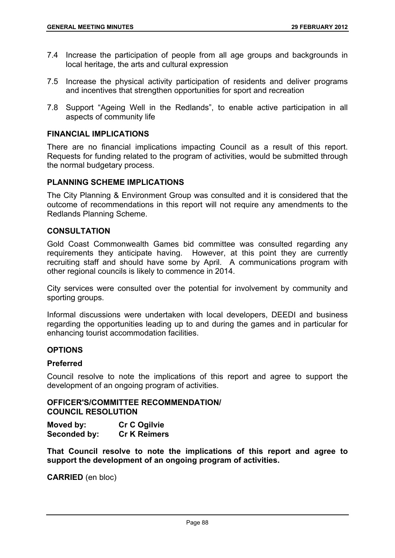- 7.4 Increase the participation of people from all age groups and backgrounds in local heritage, the arts and cultural expression
- 7.5 Increase the physical activity participation of residents and deliver programs and incentives that strengthen opportunities for sport and recreation
- 7.8 Support "Ageing Well in the Redlands", to enable active participation in all aspects of community life

#### **FINANCIAL IMPLICATIONS**

There are no financial implications impacting Council as a result of this report. Requests for funding related to the program of activities, would be submitted through the normal budgetary process.

#### **PLANNING SCHEME IMPLICATIONS**

The City Planning & Environment Group was consulted and it is considered that the outcome of recommendations in this report will not require any amendments to the Redlands Planning Scheme.

# **CONSULTATION**

Gold Coast Commonwealth Games bid committee was consulted regarding any requirements they anticipate having. However, at this point they are currently recruiting staff and should have some by April. A communications program with other regional councils is likely to commence in 2014.

City services were consulted over the potential for involvement by community and sporting groups.

Informal discussions were undertaken with local developers, DEEDI and business regarding the opportunities leading up to and during the games and in particular for enhancing tourist accommodation facilities.

#### **OPTIONS**

#### **Preferred**

Council resolve to note the implications of this report and agree to support the development of an ongoing program of activities.

# **OFFICER'S/COMMITTEE RECOMMENDATION/ COUNCIL RESOLUTION**

**Moved by: Cr C Ogilvie Seconded by: Cr K Reimers** 

**That Council resolve to note the implications of this report and agree to support the development of an ongoing program of activities.** 

**CARRIED** (en bloc)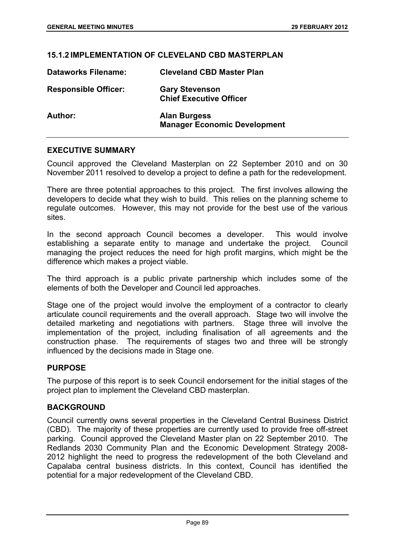#### **15.1.2 IMPLEMENTATION OF CLEVELAND CBD MASTERPLAN**

| <b>Dataworks Filename:</b>  | <b>Cleveland CBD Master Plan</b>                           |
|-----------------------------|------------------------------------------------------------|
| <b>Responsible Officer:</b> | <b>Gary Stevenson</b><br><b>Chief Executive Officer</b>    |
| Author:                     | <b>Alan Burgess</b><br><b>Manager Economic Development</b> |

#### **EXECUTIVE SUMMARY**

Council approved the Cleveland Masterplan on 22 September 2010 and on 30 November 2011 resolved to develop a project to define a path for the redevelopment.

There are three potential approaches to this project. The first involves allowing the developers to decide what they wish to build. This relies on the planning scheme to regulate outcomes. However, this may not provide for the best use of the various sites.

In the second approach Council becomes a developer. This would involve establishing a separate entity to manage and undertake the project. Council managing the project reduces the need for high profit margins, which might be the difference which makes a project viable.

The third approach is a public private partnership which includes some of the elements of both the Developer and Council led approaches.

Stage one of the project would involve the employment of a contractor to clearly articulate council requirements and the overall approach. Stage two will involve the detailed marketing and negotiations with partners. Stage three will involve the implementation of the project, including finalisation of all agreements and the construction phase. The requirements of stages two and three will be strongly influenced by the decisions made in Stage one.

#### **PURPOSE**

The purpose of this report is to seek Council endorsement for the initial stages of the project plan to implement the Cleveland CBD masterplan.

#### **BACKGROUND**

Council currently owns several properties in the Cleveland Central Business District (CBD). The majority of these properties are currently used to provide free off-street parking. Council approved the Cleveland Master plan on 22 September 2010. The Redlands 2030 Community Plan and the Economic Development Strategy 2008- 2012 highlight the need to progress the redevelopment of the both Cleveland and Capalaba central business districts. In this context, Council has identified the potential for a major redevelopment of the Cleveland CBD.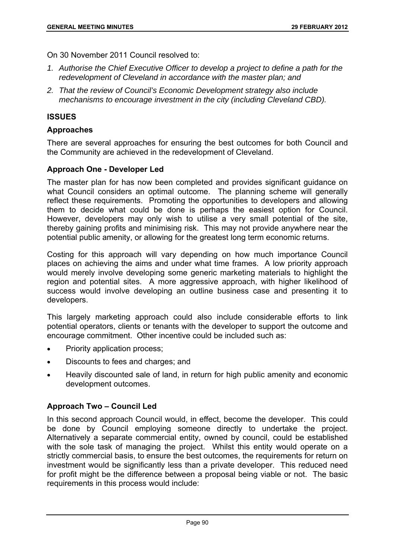On 30 November 2011 Council resolved to:

- *1. Authorise the Chief Executive Officer to develop a project to define a path for the redevelopment of Cleveland in accordance with the master plan; and*
- *2. That the review of Council's Economic Development strategy also include mechanisms to encourage investment in the city (including Cleveland CBD).*

# **ISSUES**

# **Approaches**

There are several approaches for ensuring the best outcomes for both Council and the Community are achieved in the redevelopment of Cleveland.

# **Approach One - Developer Led**

The master plan for has now been completed and provides significant guidance on what Council considers an optimal outcome. The planning scheme will generally reflect these requirements. Promoting the opportunities to developers and allowing them to decide what could be done is perhaps the easiest option for Council. However, developers may only wish to utilise a very small potential of the site, thereby gaining profits and minimising risk. This may not provide anywhere near the potential public amenity, or allowing for the greatest long term economic returns.

Costing for this approach will vary depending on how much importance Council places on achieving the aims and under what time frames. A low priority approach would merely involve developing some generic marketing materials to highlight the region and potential sites. A more aggressive approach, with higher likelihood of success would involve developing an outline business case and presenting it to developers.

This largely marketing approach could also include considerable efforts to link potential operators, clients or tenants with the developer to support the outcome and encourage commitment. Other incentive could be included such as:

- Priority application process;
- Discounts to fees and charges; and
- Heavily discounted sale of land, in return for high public amenity and economic development outcomes.

# **Approach Two – Council Led**

In this second approach Council would, in effect, become the developer. This could be done by Council employing someone directly to undertake the project. Alternatively a separate commercial entity, owned by council, could be established with the sole task of managing the project. Whilst this entity would operate on a strictly commercial basis, to ensure the best outcomes, the requirements for return on investment would be significantly less than a private developer. This reduced need for profit might be the difference between a proposal being viable or not. The basic requirements in this process would include: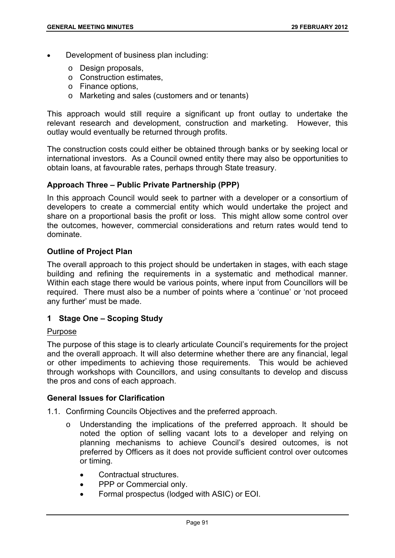- Development of business plan including:
	- o Design proposals,
	- o Construction estimates,
	- o Finance options,
	- o Marketing and sales (customers and or tenants)

This approach would still require a significant up front outlay to undertake the relevant research and development, construction and marketing. However, this outlay would eventually be returned through profits.

The construction costs could either be obtained through banks or by seeking local or international investors. As a Council owned entity there may also be opportunities to obtain loans, at favourable rates, perhaps through State treasury.

# **Approach Three – Public Private Partnership (PPP)**

In this approach Council would seek to partner with a developer or a consortium of developers to create a commercial entity which would undertake the project and share on a proportional basis the profit or loss. This might allow some control over the outcomes, however, commercial considerations and return rates would tend to dominate.

# **Outline of Project Plan**

The overall approach to this project should be undertaken in stages, with each stage building and refining the requirements in a systematic and methodical manner. Within each stage there would be various points, where input from Councillors will be required. There must also be a number of points where a 'continue' or 'not proceed any further' must be made.

# **1 Stage One – Scoping Study**

#### Purpose

The purpose of this stage is to clearly articulate Council's requirements for the project and the overall approach. It will also determine whether there are any financial, legal or other impediments to achieving those requirements. This would be achieved through workshops with Councillors, and using consultants to develop and discuss the pros and cons of each approach.

#### **General Issues for Clarification**

- 1.1. Confirming Councils Objectives and the preferred approach.
	- o Understanding the implications of the preferred approach. It should be noted the option of selling vacant lots to a developer and relying on planning mechanisms to achieve Council's desired outcomes, is not preferred by Officers as it does not provide sufficient control over outcomes or timing.
		- Contractual structures.
		- PPP or Commercial only.
		- Formal prospectus (lodged with ASIC) or EOI.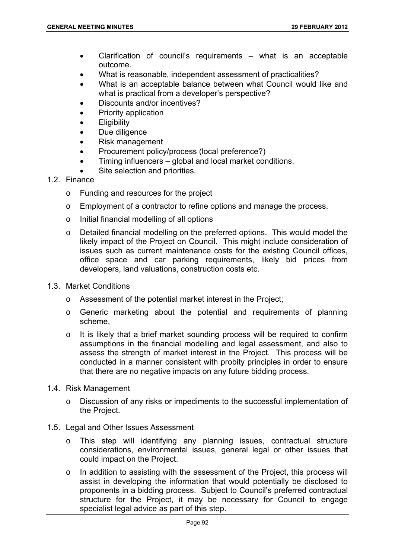- Clarification of council's requirements what is an acceptable outcome.
- What is reasonable, independent assessment of practicalities?
- What is an acceptable balance between what Council would like and what is practical from a developer's perspective?
- Discounts and/or incentives?
- Priority application
- **Eligibility**
- Due diligence
- Risk management
- Procurement policy/process (local preference?)
- Timing influencers global and local market conditions.
- Site selection and priorities.

#### 1.2. Finance

- o Funding and resources for the project
- o Employment of a contractor to refine options and manage the process.
- o Initial financial modelling of all options
- o Detailed financial modelling on the preferred options. This would model the likely impact of the Project on Council. This might include consideration of issues such as current maintenance costs for the existing Council offices, office space and car parking requirements, likely bid prices from developers, land valuations, construction costs etc.
- 1.3. Market Conditions
	- o Assessment of the potential market interest in the Project;
	- o Generic marketing about the potential and requirements of planning scheme,
	- o It is likely that a brief market sounding process will be required to confirm assumptions in the financial modelling and legal assessment, and also to assess the strength of market interest in the Project. This process will be conducted in a manner consistent with probity principles in order to ensure that there are no negative impacts on any future bidding process.
- 1.4. Risk Management
	- o Discussion of any risks or impediments to the successful implementation of the Project.
- 1.5. Legal and Other Issues Assessment
	- o This step will identifying any planning issues, contractual structure considerations, environmental issues, general legal or other issues that could impact on the Project.
	- o In addition to assisting with the assessment of the Project, this process will assist in developing the information that would potentially be disclosed to proponents in a bidding process. Subject to Council's preferred contractual structure for the Project, it may be necessary for Council to engage specialist legal advice as part of this step.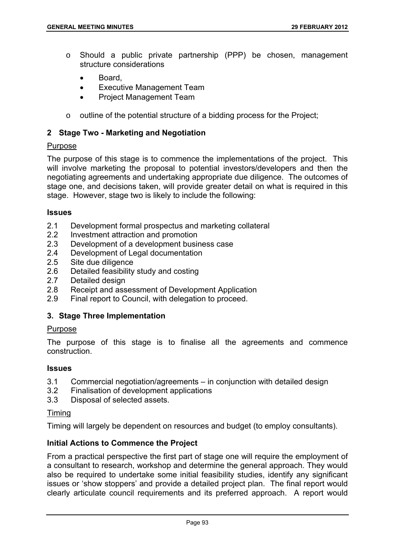- o Should a public private partnership (PPP) be chosen, management structure considerations
	- Board,
	- Executive Management Team
	- Project Management Team
- $\circ$  outline of the potential structure of a bidding process for the Project;

#### **2 Stage Two - Marketing and Negotiation**

#### Purpose

The purpose of this stage is to commence the implementations of the project. This will involve marketing the proposal to potential investors/developers and then the negotiating agreements and undertaking appropriate due diligence. The outcomes of stage one, and decisions taken, will provide greater detail on what is required in this stage. However, stage two is likely to include the following:

#### **Issues**

- 2.1 Development formal prospectus and marketing collateral
- 2.2 Investment attraction and promotion
- 2.3 Development of a development business case
- 2.4 Development of Legal documentation
- 2.5 Site due diligence
- 2.6 Detailed feasibility study and costing
- 2.7 Detailed design
- 2.8 Receipt and assessment of Development Application
- 2.9 Final report to Council, with delegation to proceed.

# **3. Stage Three Implementation**

#### **Purpose**

The purpose of this stage is to finalise all the agreements and commence construction.

#### **Issues**

- 3.1 Commercial negotiation/agreements in conjunction with detailed design
- 3.2 Finalisation of development applications
- 3.3 Disposal of selected assets.

#### Timing

Timing will largely be dependent on resources and budget (to employ consultants).

# **Initial Actions to Commence the Project**

From a practical perspective the first part of stage one will require the employment of a consultant to research, workshop and determine the general approach. They would also be required to undertake some initial feasibility studies, identify any significant issues or 'show stoppers' and provide a detailed project plan. The final report would clearly articulate council requirements and its preferred approach. A report would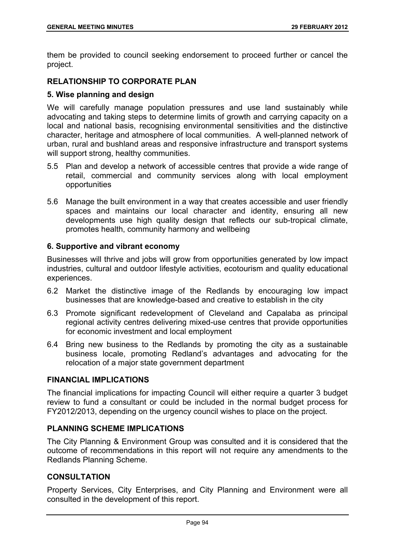them be provided to council seeking endorsement to proceed further or cancel the project.

# **RELATIONSHIP TO CORPORATE PLAN**

#### **5. Wise planning and design**

We will carefully manage population pressures and use land sustainably while advocating and taking steps to determine limits of growth and carrying capacity on a local and national basis, recognising environmental sensitivities and the distinctive character, heritage and atmosphere of local communities. A well-planned network of urban, rural and bushland areas and responsive infrastructure and transport systems will support strong, healthy communities.

- 5.5 Plan and develop a network of accessible centres that provide a wide range of retail, commercial and community services along with local employment opportunities
- 5.6 Manage the built environment in a way that creates accessible and user friendly spaces and maintains our local character and identity, ensuring all new developments use high quality design that reflects our sub-tropical climate, promotes health, community harmony and wellbeing

#### **6. Supportive and vibrant economy**

Businesses will thrive and jobs will grow from opportunities generated by low impact industries, cultural and outdoor lifestyle activities, ecotourism and quality educational experiences.

- 6.2 Market the distinctive image of the Redlands by encouraging low impact businesses that are knowledge-based and creative to establish in the city
- 6.3 Promote significant redevelopment of Cleveland and Capalaba as principal regional activity centres delivering mixed-use centres that provide opportunities for economic investment and local employment
- 6.4 Bring new business to the Redlands by promoting the city as a sustainable business locale, promoting Redland's advantages and advocating for the relocation of a major state government department

#### **FINANCIAL IMPLICATIONS**

The financial implications for impacting Council will either require a quarter 3 budget review to fund a consultant or could be included in the normal budget process for FY2012/2013, depending on the urgency council wishes to place on the project.

# **PLANNING SCHEME IMPLICATIONS**

The City Planning & Environment Group was consulted and it is considered that the outcome of recommendations in this report will not require any amendments to the Redlands Planning Scheme.

# **CONSULTATION**

Property Services, City Enterprises, and City Planning and Environment were all consulted in the development of this report.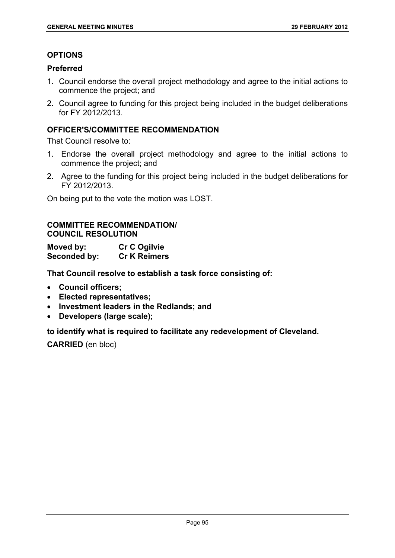# **OPTIONS**

# **Preferred**

- 1. Council endorse the overall project methodology and agree to the initial actions to commence the project; and
- 2. Council agree to funding for this project being included in the budget deliberations for FY 2012/2013.

# **OFFICER'S/COMMITTEE RECOMMENDATION**

That Council resolve to:

- 1. Endorse the overall project methodology and agree to the initial actions to commence the project; and
- 2. Agree to the funding for this project being included in the budget deliberations for FY 2012/2013.

On being put to the vote the motion was LOST.

# **COMMITTEE RECOMMENDATION/ COUNCIL RESOLUTION**

**Moved by: Cr C Ogilvie Seconded by: Cr K Reimers** 

**That Council resolve to establish a task force consisting of:** 

- **Council officers;**
- **Elected representatives;**
- **Investment leaders in the Redlands; and**
- **Developers (large scale);**

# **to identify what is required to facilitate any redevelopment of Cleveland.**

**CARRIED** (en bloc)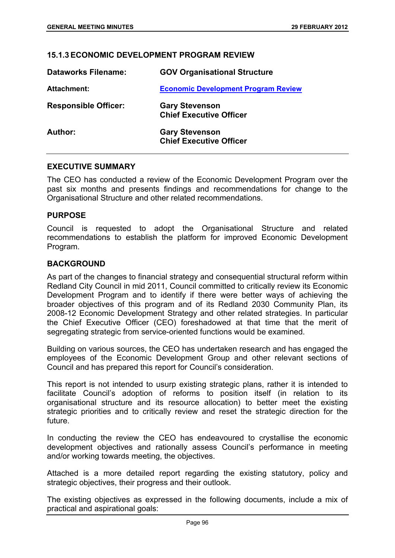#### **15.1.3 ECONOMIC DEVELOPMENT PROGRAM REVIEW**

| <b>Dataworks Filename:</b>  | <b>GOV Organisational Structure</b>                     |
|-----------------------------|---------------------------------------------------------|
| <b>Attachment:</b>          | <b>Economic Development Program Review</b>              |
| <b>Responsible Officer:</b> | <b>Gary Stevenson</b><br><b>Chief Executive Officer</b> |
| Author:                     | <b>Gary Stevenson</b><br><b>Chief Executive Officer</b> |

#### **EXECUTIVE SUMMARY**

The CEO has conducted a review of the Economic Development Program over the past six months and presents findings and recommendations for change to the Organisational Structure and other related recommendations.

#### **PURPOSE**

Council is requested to adopt the Organisational Structure and related recommendations to establish the platform for improved Economic Development Program.

#### **BACKGROUND**

As part of the changes to financial strategy and consequential structural reform within Redland City Council in mid 2011, Council committed to critically review its Economic Development Program and to identify if there were better ways of achieving the broader objectives of this program and of its Redland 2030 Community Plan, its 2008-12 Economic Development Strategy and other related strategies. In particular the Chief Executive Officer (CEO) foreshadowed at that time that the merit of segregating strategic from service-oriented functions would be examined.

Building on various sources, the CEO has undertaken research and has engaged the employees of the Economic Development Group and other relevant sections of Council and has prepared this report for Council's consideration.

This report is not intended to usurp existing strategic plans, rather it is intended to facilitate Council's adoption of reforms to position itself (in relation to its organisational structure and its resource allocation) to better meet the existing strategic priorities and to critically review and reset the strategic direction for the future.

In conducting the review the CEO has endeavoured to crystallise the economic development objectives and rationally assess Council's performance in meeting and/or working towards meeting, the objectives.

Attached is a more detailed report regarding the existing statutory, policy and strategic objectives, their progress and their outlook.

The existing objectives as expressed in the following documents, include a mix of practical and aspirational goals: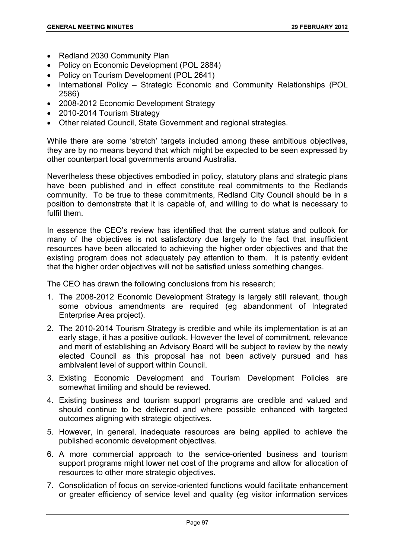- Redland 2030 Community Plan
- Policy on Economic Development (POL 2884)
- Policy on Tourism Development (POL 2641)
- International Policy Strategic Economic and Community Relationships (POL 2586)
- 2008-2012 Economic Development Strategy
- 2010-2014 Tourism Strategy
- Other related Council, State Government and regional strategies.

While there are some 'stretch' targets included among these ambitious objectives, they are by no means beyond that which might be expected to be seen expressed by other counterpart local governments around Australia.

Nevertheless these objectives embodied in policy, statutory plans and strategic plans have been published and in effect constitute real commitments to the Redlands community. To be true to these commitments, Redland City Council should be in a position to demonstrate that it is capable of, and willing to do what is necessary to fulfil them.

In essence the CEO's review has identified that the current status and outlook for many of the objectives is not satisfactory due largely to the fact that insufficient resources have been allocated to achieving the higher order objectives and that the existing program does not adequately pay attention to them. It is patently evident that the higher order objectives will not be satisfied unless something changes.

The CEO has drawn the following conclusions from his research;

- 1. The 2008-2012 Economic Development Strategy is largely still relevant, though some obvious amendments are required (eg abandonment of Integrated Enterprise Area project).
- 2. The 2010-2014 Tourism Strategy is credible and while its implementation is at an early stage, it has a positive outlook. However the level of commitment, relevance and merit of establishing an Advisory Board will be subject to review by the newly elected Council as this proposal has not been actively pursued and has ambivalent level of support within Council.
- 3. Existing Economic Development and Tourism Development Policies are somewhat limiting and should be reviewed.
- 4. Existing business and tourism support programs are credible and valued and should continue to be delivered and where possible enhanced with targeted outcomes aligning with strategic objectives.
- 5. However, in general, inadequate resources are being applied to achieve the published economic development objectives.
- 6. A more commercial approach to the service-oriented business and tourism support programs might lower net cost of the programs and allow for allocation of resources to other more strategic objectives.
- 7. Consolidation of focus on service-oriented functions would facilitate enhancement or greater efficiency of service level and quality (eg visitor information services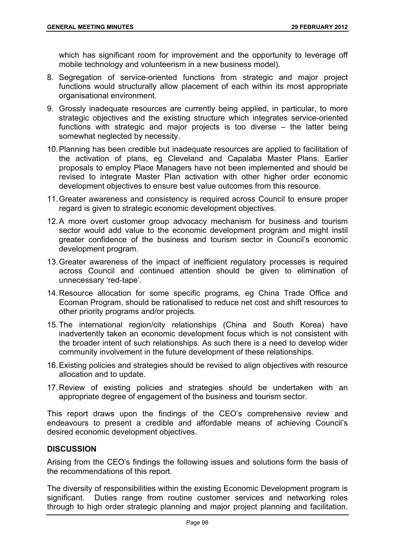which has significant room for improvement and the opportunity to leverage off mobile technology and volunteerism in a new business model).

- 8. Segregation of service-oriented functions from strategic and major project functions would structurally allow placement of each within its most appropriate organisational environment.
- 9. Grossly inadequate resources are currently being applied, in particular, to more strategic objectives and the existing structure which integrates service-oriented functions with strategic and major projects is too diverse – the latter being somewhat neglected by necessity.
- 10. Planning has been credible but inadequate resources are applied to facilitation of the activation of plans, eg Cleveland and Capalaba Master Plans. Earlier proposals to employ Place Managers have not been implemented and should be revised to integrate Master Plan activation with other higher order economic development objectives to ensure best value outcomes from this resource.
- 11. Greater awareness and consistency is required across Council to ensure proper regard is given to strategic economic development objectives.
- 12. A more overt customer group advocacy mechanism for business and tourism sector would add value to the economic development program and might instil greater confidence of the business and tourism sector in Council's economic development program.
- 13. Greater awareness of the impact of inefficient regulatory processes is required across Council and continued attention should be given to elimination of unnecessary 'red-tape'.
- 14. Resource allocation for some specific programs, eg China Trade Office and Ecoman Program, should be rationalised to reduce net cost and shift resources to other priority programs and/or projects.
- 15. The international region/city relationships (China and South Korea) have inadvertently taken an economic development focus which is not consistent with the broader intent of such relationships. As such there is a need to develop wider community involvement in the future development of these relationships.
- 16. Existing policies and strategies should be revised to align objectives with resource allocation and to update.
- 17. Review of existing policies and strategies should be undertaken with an appropriate degree of engagement of the business and tourism sector.

This report draws upon the findings of the CEO's comprehensive review and endeavours to present a credible and affordable means of achieving Council's desired economic development objectives.

# **DISCUSSION**

Arising from the CEO's findings the following issues and solutions form the basis of the recommendations of this report.

The diversity of responsibilities within the existing Economic Development program is significant. Duties range from routine customer services and networking roles through to high order strategic planning and major project planning and facilitation.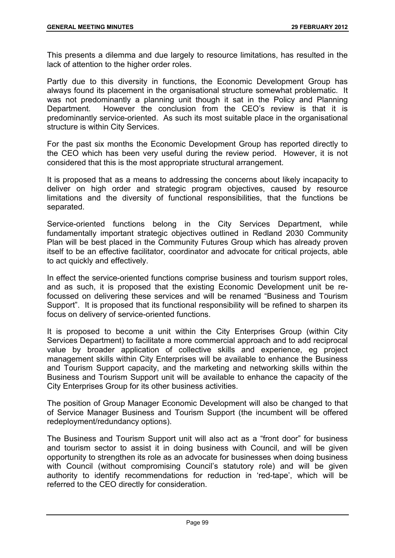This presents a dilemma and due largely to resource limitations, has resulted in the lack of attention to the higher order roles.

Partly due to this diversity in functions, the Economic Development Group has always found its placement in the organisational structure somewhat problematic. It was not predominantly a planning unit though it sat in the Policy and Planning Department. However the conclusion from the CEO's review is that it is predominantly service-oriented. As such its most suitable place in the organisational structure is within City Services.

For the past six months the Economic Development Group has reported directly to the CEO which has been very useful during the review period. However, it is not considered that this is the most appropriate structural arrangement.

It is proposed that as a means to addressing the concerns about likely incapacity to deliver on high order and strategic program objectives, caused by resource limitations and the diversity of functional responsibilities, that the functions be separated.

Service-oriented functions belong in the City Services Department, while fundamentally important strategic objectives outlined in Redland 2030 Community Plan will be best placed in the Community Futures Group which has already proven itself to be an effective facilitator, coordinator and advocate for critical projects, able to act quickly and effectively.

In effect the service-oriented functions comprise business and tourism support roles, and as such, it is proposed that the existing Economic Development unit be refocussed on delivering these services and will be renamed "Business and Tourism Support". It is proposed that its functional responsibility will be refined to sharpen its focus on delivery of service-oriented functions.

It is proposed to become a unit within the City Enterprises Group (within City Services Department) to facilitate a more commercial approach and to add reciprocal value by broader application of collective skills and experience, eg project management skills within City Enterprises will be available to enhance the Business and Tourism Support capacity, and the marketing and networking skills within the Business and Tourism Support unit will be available to enhance the capacity of the City Enterprises Group for its other business activities.

The position of Group Manager Economic Development will also be changed to that of Service Manager Business and Tourism Support (the incumbent will be offered redeployment/redundancy options).

The Business and Tourism Support unit will also act as a "front door" for business and tourism sector to assist it in doing business with Council, and will be given opportunity to strengthen its role as an advocate for businesses when doing business with Council (without compromising Council's statutory role) and will be given authority to identify recommendations for reduction in 'red-tape', which will be referred to the CEO directly for consideration.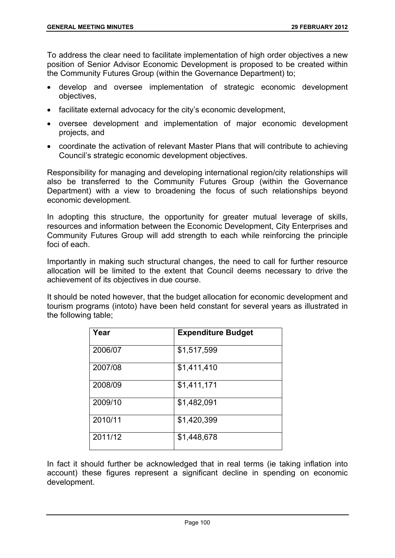To address the clear need to facilitate implementation of high order objectives a new position of Senior Advisor Economic Development is proposed to be created within the Community Futures Group (within the Governance Department) to;

- develop and oversee implementation of strategic economic development objectives,
- facilitate external advocacy for the city's economic development,
- oversee development and implementation of major economic development projects, and
- coordinate the activation of relevant Master Plans that will contribute to achieving Council's strategic economic development objectives.

Responsibility for managing and developing international region/city relationships will also be transferred to the Community Futures Group (within the Governance Department) with a view to broadening the focus of such relationships beyond economic development.

In adopting this structure, the opportunity for greater mutual leverage of skills, resources and information between the Economic Development, City Enterprises and Community Futures Group will add strength to each while reinforcing the principle foci of each.

Importantly in making such structural changes, the need to call for further resource allocation will be limited to the extent that Council deems necessary to drive the achievement of its objectives in due course.

It should be noted however, that the budget allocation for economic development and tourism programs (intoto) have been held constant for several years as illustrated in the following table;

| Year    | <b>Expenditure Budget</b> |
|---------|---------------------------|
| 2006/07 | \$1,517,599               |
| 2007/08 | \$1,411,410               |
| 2008/09 | \$1,411,171               |
| 2009/10 | \$1,482,091               |
| 2010/11 | \$1,420,399               |
| 2011/12 | \$1,448,678               |

In fact it should further be acknowledged that in real terms (ie taking inflation into account) these figures represent a significant decline in spending on economic development.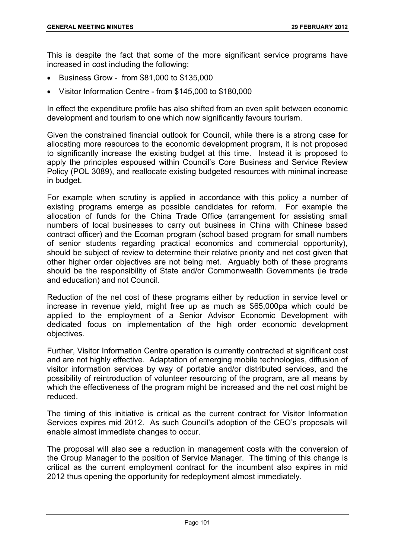This is despite the fact that some of the more significant service programs have increased in cost including the following:

- Business Grow from \$81,000 to \$135,000
- Visitor Information Centre from \$145,000 to \$180,000

In effect the expenditure profile has also shifted from an even split between economic development and tourism to one which now significantly favours tourism.

Given the constrained financial outlook for Council, while there is a strong case for allocating more resources to the economic development program, it is not proposed to significantly increase the existing budget at this time. Instead it is proposed to apply the principles espoused within Council's Core Business and Service Review Policy (POL 3089), and reallocate existing budgeted resources with minimal increase in budget.

For example when scrutiny is applied in accordance with this policy a number of existing programs emerge as possible candidates for reform. For example the allocation of funds for the China Trade Office (arrangement for assisting small numbers of local businesses to carry out business in China with Chinese based contract officer) and the Ecoman program (school based program for small numbers of senior students regarding practical economics and commercial opportunity), should be subject of review to determine their relative priority and net cost given that other higher order objectives are not being met. Arguably both of these programs should be the responsibility of State and/or Commonwealth Governments (ie trade and education) and not Council.

Reduction of the net cost of these programs either by reduction in service level or increase in revenue yield, might free up as much as \$65,000pa which could be applied to the employment of a Senior Advisor Economic Development with dedicated focus on implementation of the high order economic development objectives.

Further, Visitor Information Centre operation is currently contracted at significant cost and are not highly effective. Adaptation of emerging mobile technologies, diffusion of visitor information services by way of portable and/or distributed services, and the possibility of reintroduction of volunteer resourcing of the program, are all means by which the effectiveness of the program might be increased and the net cost might be reduced.

The timing of this initiative is critical as the current contract for Visitor Information Services expires mid 2012. As such Council's adoption of the CEO's proposals will enable almost immediate changes to occur.

The proposal will also see a reduction in management costs with the conversion of the Group Manager to the position of Service Manager. The timing of this change is critical as the current employment contract for the incumbent also expires in mid 2012 thus opening the opportunity for redeployment almost immediately.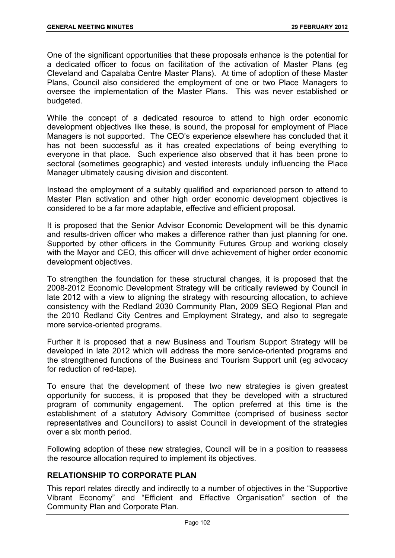One of the significant opportunities that these proposals enhance is the potential for a dedicated officer to focus on facilitation of the activation of Master Plans (eg Cleveland and Capalaba Centre Master Plans). At time of adoption of these Master Plans, Council also considered the employment of one or two Place Managers to oversee the implementation of the Master Plans. This was never established or budgeted.

While the concept of a dedicated resource to attend to high order economic development objectives like these, is sound, the proposal for employment of Place Managers is not supported. The CEO's experience elsewhere has concluded that it has not been successful as it has created expectations of being everything to everyone in that place. Such experience also observed that it has been prone to sectoral (sometimes geographic) and vested interests unduly influencing the Place Manager ultimately causing division and discontent.

Instead the employment of a suitably qualified and experienced person to attend to Master Plan activation and other high order economic development objectives is considered to be a far more adaptable, effective and efficient proposal.

It is proposed that the Senior Advisor Economic Development will be this dynamic and results-driven officer who makes a difference rather than just planning for one. Supported by other officers in the Community Futures Group and working closely with the Mayor and CEO, this officer will drive achievement of higher order economic development objectives.

To strengthen the foundation for these structural changes, it is proposed that the 2008-2012 Economic Development Strategy will be critically reviewed by Council in late 2012 with a view to aligning the strategy with resourcing allocation, to achieve consistency with the Redland 2030 Community Plan, 2009 SEQ Regional Plan and the 2010 Redland City Centres and Employment Strategy, and also to segregate more service-oriented programs.

Further it is proposed that a new Business and Tourism Support Strategy will be developed in late 2012 which will address the more service-oriented programs and the strengthened functions of the Business and Tourism Support unit (eg advocacy for reduction of red-tape).

To ensure that the development of these two new strategies is given greatest opportunity for success, it is proposed that they be developed with a structured program of community engagement. The option preferred at this time is the establishment of a statutory Advisory Committee (comprised of business sector representatives and Councillors) to assist Council in development of the strategies over a six month period.

Following adoption of these new strategies, Council will be in a position to reassess the resource allocation required to implement its objectives.

# **RELATIONSHIP TO CORPORATE PLAN**

This report relates directly and indirectly to a number of objectives in the "Supportive Vibrant Economy" and "Efficient and Effective Organisation" section of the Community Plan and Corporate Plan.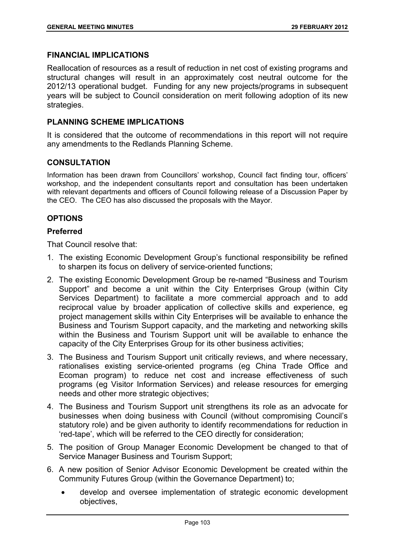### **FINANCIAL IMPLICATIONS**

Reallocation of resources as a result of reduction in net cost of existing programs and structural changes will result in an approximately cost neutral outcome for the 2012/13 operational budget. Funding for any new projects/programs in subsequent years will be subject to Council consideration on merit following adoption of its new strategies.

### **PLANNING SCHEME IMPLICATIONS**

It is considered that the outcome of recommendations in this report will not require any amendments to the Redlands Planning Scheme.

### **CONSULTATION**

Information has been drawn from Councillors' workshop, Council fact finding tour, officers' workshop, and the independent consultants report and consultation has been undertaken with relevant departments and officers of Council following release of a Discussion Paper by the CEO. The CEO has also discussed the proposals with the Mayor.

### **OPTIONS**

#### **Preferred**

That Council resolve that:

- 1. The existing Economic Development Group's functional responsibility be refined to sharpen its focus on delivery of service-oriented functions;
- 2. The existing Economic Development Group be re-named "Business and Tourism Support" and become a unit within the City Enterprises Group (within City Services Department) to facilitate a more commercial approach and to add reciprocal value by broader application of collective skills and experience, eg project management skills within City Enterprises will be available to enhance the Business and Tourism Support capacity, and the marketing and networking skills within the Business and Tourism Support unit will be available to enhance the capacity of the City Enterprises Group for its other business activities;
- 3. The Business and Tourism Support unit critically reviews, and where necessary, rationalises existing service-oriented programs (eg China Trade Office and Ecoman program) to reduce net cost and increase effectiveness of such programs (eg Visitor Information Services) and release resources for emerging needs and other more strategic objectives;
- 4. The Business and Tourism Support unit strengthens its role as an advocate for businesses when doing business with Council (without compromising Council's statutory role) and be given authority to identify recommendations for reduction in 'red-tape', which will be referred to the CEO directly for consideration;
- 5. The position of Group Manager Economic Development be changed to that of Service Manager Business and Tourism Support;
- 6. A new position of Senior Advisor Economic Development be created within the Community Futures Group (within the Governance Department) to;
	- develop and oversee implementation of strategic economic development objectives,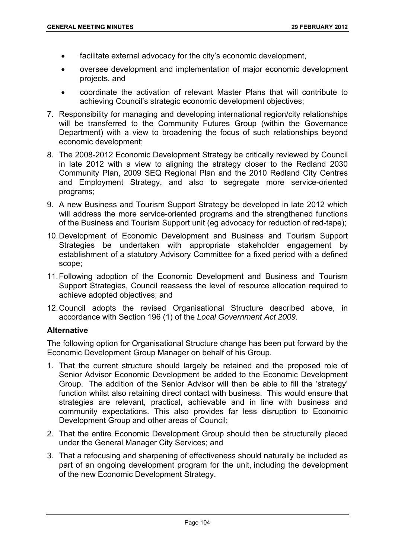- facilitate external advocacy for the city's economic development,
- oversee development and implementation of major economic development projects, and
- coordinate the activation of relevant Master Plans that will contribute to achieving Council's strategic economic development objectives;
- 7. Responsibility for managing and developing international region/city relationships will be transferred to the Community Futures Group (within the Governance Department) with a view to broadening the focus of such relationships beyond economic development;
- 8. The 2008-2012 Economic Development Strategy be critically reviewed by Council in late 2012 with a view to aligning the strategy closer to the Redland 2030 Community Plan, 2009 SEQ Regional Plan and the 2010 Redland City Centres and Employment Strategy, and also to segregate more service-oriented programs;
- 9. A new Business and Tourism Support Strategy be developed in late 2012 which will address the more service-oriented programs and the strengthened functions of the Business and Tourism Support unit (eg advocacy for reduction of red-tape);
- 10. Development of Economic Development and Business and Tourism Support Strategies be undertaken with appropriate stakeholder engagement by establishment of a statutory Advisory Committee for a fixed period with a defined scope;
- 11. Following adoption of the Economic Development and Business and Tourism Support Strategies, Council reassess the level of resource allocation required to achieve adopted objectives; and
- 12. Council adopts the revised Organisational Structure described above, in accordance with Section 196 (1) of the *Local Government Act 2009*.

## **Alternative**

The following option for Organisational Structure change has been put forward by the Economic Development Group Manager on behalf of his Group.

- 1. That the current structure should largely be retained and the proposed role of Senior Advisor Economic Development be added to the Economic Development Group. The addition of the Senior Advisor will then be able to fill the 'strategy' function whilst also retaining direct contact with business. This would ensure that strategies are relevant, practical, achievable and in line with business and community expectations. This also provides far less disruption to Economic Development Group and other areas of Council;
- 2. That the entire Economic Development Group should then be structurally placed under the General Manager City Services; and
- 3. That a refocusing and sharpening of effectiveness should naturally be included as part of an ongoing development program for the unit, including the development of the new Economic Development Strategy.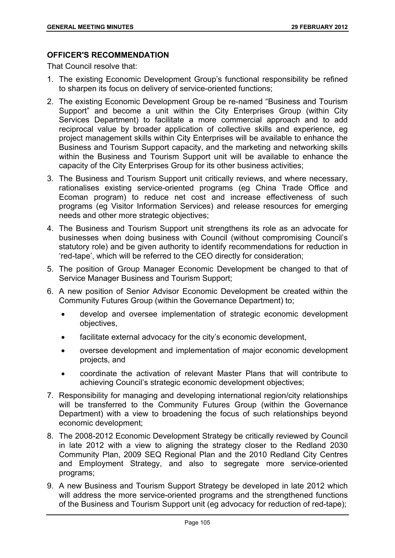# **OFFICER'S RECOMMENDATION**

That Council resolve that:

- 1. The existing Economic Development Group's functional responsibility be refined to sharpen its focus on delivery of service-oriented functions;
- 2. The existing Economic Development Group be re-named "Business and Tourism Support" and become a unit within the City Enterprises Group (within City Services Department) to facilitate a more commercial approach and to add reciprocal value by broader application of collective skills and experience, eg project management skills within City Enterprises will be available to enhance the Business and Tourism Support capacity, and the marketing and networking skills within the Business and Tourism Support unit will be available to enhance the capacity of the City Enterprises Group for its other business activities;
- 3. The Business and Tourism Support unit critically reviews, and where necessary, rationalises existing service-oriented programs (eg China Trade Office and Ecoman program) to reduce net cost and increase effectiveness of such programs (eg Visitor Information Services) and release resources for emerging needs and other more strategic objectives;
- 4. The Business and Tourism Support unit strengthens its role as an advocate for businesses when doing business with Council (without compromising Council's statutory role) and be given authority to identify recommendations for reduction in 'red-tape', which will be referred to the CEO directly for consideration;
- 5. The position of Group Manager Economic Development be changed to that of Service Manager Business and Tourism Support;
- 6. A new position of Senior Advisor Economic Development be created within the Community Futures Group (within the Governance Department) to;
	- develop and oversee implementation of strategic economic development objectives,
	- facilitate external advocacy for the city's economic development,
	- oversee development and implementation of major economic development projects, and
	- coordinate the activation of relevant Master Plans that will contribute to achieving Council's strategic economic development objectives;
- 7. Responsibility for managing and developing international region/city relationships will be transferred to the Community Futures Group (within the Governance Department) with a view to broadening the focus of such relationships beyond economic development;
- 8. The 2008-2012 Economic Development Strategy be critically reviewed by Council in late 2012 with a view to aligning the strategy closer to the Redland 2030 Community Plan, 2009 SEQ Regional Plan and the 2010 Redland City Centres and Employment Strategy, and also to segregate more service-oriented programs;
- 9. A new Business and Tourism Support Strategy be developed in late 2012 which will address the more service-oriented programs and the strengthened functions of the Business and Tourism Support unit (eg advocacy for reduction of red-tape);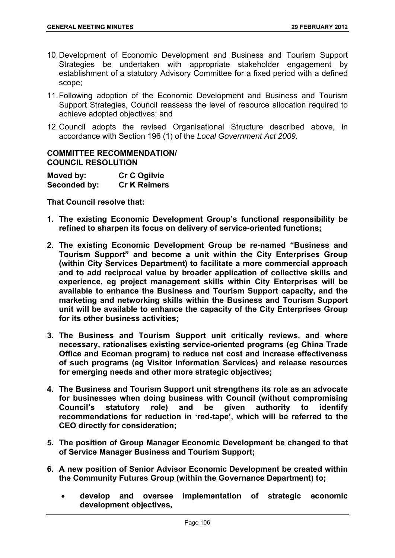- 10. Development of Economic Development and Business and Tourism Support Strategies be undertaken with appropriate stakeholder engagement by establishment of a statutory Advisory Committee for a fixed period with a defined scope;
- 11. Following adoption of the Economic Development and Business and Tourism Support Strategies, Council reassess the level of resource allocation required to achieve adopted objectives; and
- 12. Council adopts the revised Organisational Structure described above, in accordance with Section 196 (1) of the *Local Government Act 2009*.

### **COMMITTEE RECOMMENDATION/ COUNCIL RESOLUTION**

| Moved by:    | <b>Cr C Ogilvie</b> |
|--------------|---------------------|
| Seconded by: | <b>Cr K Reimers</b> |

**That Council resolve that:** 

- **1. The existing Economic Development Group's functional responsibility be refined to sharpen its focus on delivery of service-oriented functions;**
- **2. The existing Economic Development Group be re-named "Business and Tourism Support" and become a unit within the City Enterprises Group (within City Services Department) to facilitate a more commercial approach and to add reciprocal value by broader application of collective skills and experience, eg project management skills within City Enterprises will be available to enhance the Business and Tourism Support capacity, and the marketing and networking skills within the Business and Tourism Support unit will be available to enhance the capacity of the City Enterprises Group for its other business activities;**
- **3. The Business and Tourism Support unit critically reviews, and where necessary, rationalises existing service-oriented programs (eg China Trade Office and Ecoman program) to reduce net cost and increase effectiveness of such programs (eg Visitor Information Services) and release resources for emerging needs and other more strategic objectives;**
- **4. The Business and Tourism Support unit strengthens its role as an advocate for businesses when doing business with Council (without compromising Council's statutory role) and be given authority to identify recommendations for reduction in 'red-tape', which will be referred to the CEO directly for consideration;**
- **5. The position of Group Manager Economic Development be changed to that of Service Manager Business and Tourism Support;**
- **6. A new position of Senior Advisor Economic Development be created within the Community Futures Group (within the Governance Department) to;** 
	- **develop and oversee implementation of strategic economic development objectives,**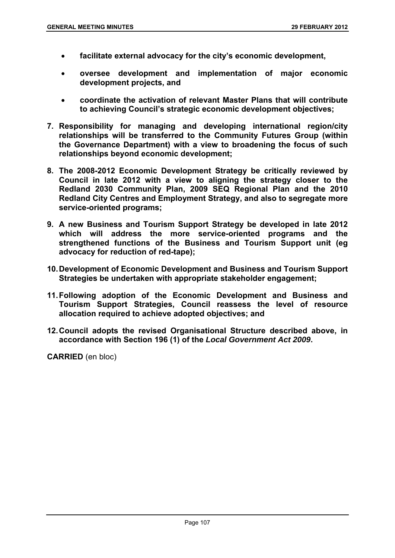- **facilitate external advocacy for the city's economic development,**
- **oversee development and implementation of major economic development projects, and**
- **coordinate the activation of relevant Master Plans that will contribute to achieving Council's strategic economic development objectives;**
- **7. Responsibility for managing and developing international region/city relationships will be transferred to the Community Futures Group (within the Governance Department) with a view to broadening the focus of such relationships beyond economic development;**
- **8. The 2008-2012 Economic Development Strategy be critically reviewed by Council in late 2012 with a view to aligning the strategy closer to the Redland 2030 Community Plan, 2009 SEQ Regional Plan and the 2010 Redland City Centres and Employment Strategy, and also to segregate more service-oriented programs;**
- **9. A new Business and Tourism Support Strategy be developed in late 2012 which will address the more service-oriented programs and the strengthened functions of the Business and Tourism Support unit (eg advocacy for reduction of red-tape);**
- **10. Development of Economic Development and Business and Tourism Support Strategies be undertaken with appropriate stakeholder engagement;**
- **11. Following adoption of the Economic Development and Business and Tourism Support Strategies, Council reassess the level of resource allocation required to achieve adopted objectives; and**
- **12. Council adopts the revised Organisational Structure described above, in accordance with Section 196 (1) of the** *Local Government Act 2009***.**

**CARRIED** (en bloc)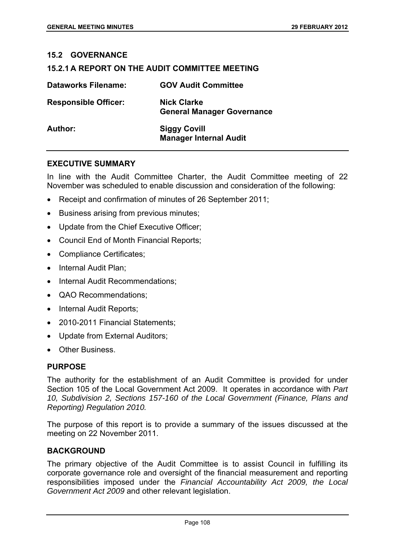#### **15.2 GOVERNANCE**

#### **15.2.1 A REPORT ON THE AUDIT COMMITTEE MEETING**

| <b>Dataworks Filename:</b>  | <b>GOV Audit Committee</b>                              |
|-----------------------------|---------------------------------------------------------|
| <b>Responsible Officer:</b> | <b>Nick Clarke</b><br><b>General Manager Governance</b> |
| Author:                     | <b>Siggy Covill</b><br><b>Manager Internal Audit</b>    |

#### **EXECUTIVE SUMMARY**

In line with the Audit Committee Charter, the Audit Committee meeting of 22 November was scheduled to enable discussion and consideration of the following:

- Receipt and confirmation of minutes of 26 September 2011;
- Business arising from previous minutes;
- Update from the Chief Executive Officer;
- Council End of Month Financial Reports;
- Compliance Certificates;
- Internal Audit Plan:
- Internal Audit Recommendations;
- QAO Recommendations:
- Internal Audit Reports;
- 2010-2011 Financial Statements:
- Update from External Auditors;
- Other Business.

#### **PURPOSE**

The authority for the establishment of an Audit Committee is provided for under Section 105 of the Local Government Act 2009. It operates in accordance with *Part 10, Subdivision 2, Sections 157-160 of the Local Government (Finance, Plans and Reporting) Regulation 2010.*

The purpose of this report is to provide a summary of the issues discussed at the meeting on 22 November 2011.

#### **BACKGROUND**

The primary objective of the Audit Committee is to assist Council in fulfilling its corporate governance role and oversight of the financial measurement and reporting responsibilities imposed under the *Financial Accountability Act 2009, the Local Government Act 2009* and other relevant legislation.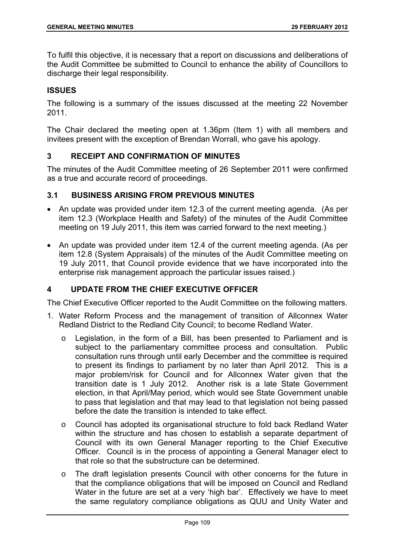To fulfil this objective, it is necessary that a report on discussions and deliberations of the Audit Committee be submitted to Council to enhance the ability of Councillors to discharge their legal responsibility.

## **ISSUES**

The following is a summary of the issues discussed at the meeting 22 November 2011.

The Chair declared the meeting open at 1.36pm (Item 1) with all members and invitees present with the exception of Brendan Worrall, who gave his apology.

## **3 RECEIPT AND CONFIRMATION OF MINUTES**

The minutes of the Audit Committee meeting of 26 September 2011 were confirmed as a true and accurate record of proceedings.

## **3.1 BUSINESS ARISING FROM PREVIOUS MINUTES**

- An update was provided under item 12.3 of the current meeting agenda. (As per item 12.3 (Workplace Health and Safety) of the minutes of the Audit Committee meeting on 19 July 2011, this item was carried forward to the next meeting.)
- An update was provided under item 12.4 of the current meeting agenda. (As per item 12.8 (System Appraisals) of the minutes of the Audit Committee meeting on 19 July 2011, that Council provide evidence that we have incorporated into the enterprise risk management approach the particular issues raised.)

# **4 UPDATE FROM THE CHIEF EXECUTIVE OFFICER**

The Chief Executive Officer reported to the Audit Committee on the following matters.

- 1. Water Reform Process and the management of transition of Allconnex Water Redland District to the Redland City Council; to become Redland Water.
	- o Legislation, in the form of a Bill, has been presented to Parliament and is subject to the parliamentary committee process and consultation. Public consultation runs through until early December and the committee is required to present its findings to parliament by no later than April 2012. This is a major problem/risk for Council and for Allconnex Water given that the transition date is 1 July 2012. Another risk is a late State Government election, in that April/May period, which would see State Government unable to pass that legislation and that may lead to that legislation not being passed before the date the transition is intended to take effect.
	- o Council has adopted its organisational structure to fold back Redland Water within the structure and has chosen to establish a separate department of Council with its own General Manager reporting to the Chief Executive Officer. Council is in the process of appointing a General Manager elect to that role so that the substructure can be determined.
	- o The draft legislation presents Council with other concerns for the future in that the compliance obligations that will be imposed on Council and Redland Water in the future are set at a very 'high bar'. Effectively we have to meet the same regulatory compliance obligations as QUU and Unity Water and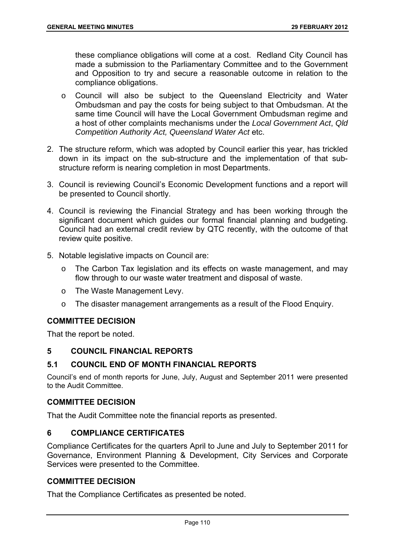these compliance obligations will come at a cost. Redland City Council has made a submission to the Parliamentary Committee and to the Government and Opposition to try and secure a reasonable outcome in relation to the compliance obligations.

- o Council will also be subject to the Queensland Electricity and Water Ombudsman and pay the costs for being subject to that Ombudsman. At the same time Council will have the Local Government Ombudsman regime and a host of other complaints mechanisms under the *Local Government Act*, *Qld Competition Authority Act, Queensland Water Act* etc.
- 2. The structure reform, which was adopted by Council earlier this year, has trickled down in its impact on the sub-structure and the implementation of that substructure reform is nearing completion in most Departments.
- 3. Council is reviewing Council's Economic Development functions and a report will be presented to Council shortly.
- 4. Council is reviewing the Financial Strategy and has been working through the significant document which guides our formal financial planning and budgeting. Council had an external credit review by QTC recently, with the outcome of that review quite positive.
- 5. Notable legislative impacts on Council are:
	- o The Carbon Tax legislation and its effects on waste management, and may flow through to our waste water treatment and disposal of waste.
	- o The Waste Management Levy.
	- o The disaster management arrangements as a result of the Flood Enquiry.

## **COMMITTEE DECISION**

That the report be noted.

#### **5 COUNCIL FINANCIAL REPORTS**

#### **5.1 COUNCIL END OF MONTH FINANCIAL REPORTS**

Council's end of month reports for June, July, August and September 2011 were presented to the Audit Committee.

#### **COMMITTEE DECISION**

That the Audit Committee note the financial reports as presented.

# **6 COMPLIANCE CERTIFICATES**

Compliance Certificates for the quarters April to June and July to September 2011 for Governance, Environment Planning & Development, City Services and Corporate Services were presented to the Committee.

### **COMMITTEE DECISION**

That the Compliance Certificates as presented be noted.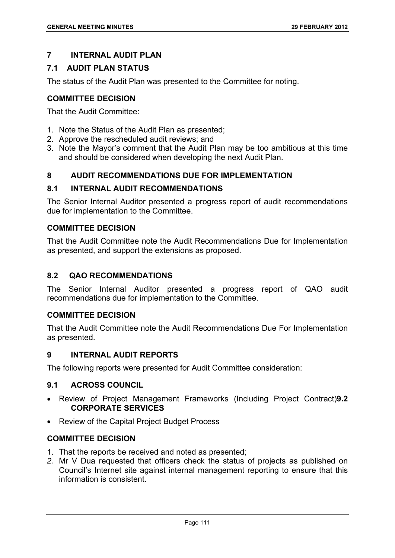# **7 INTERNAL AUDIT PLAN**

# **7.1 AUDIT PLAN STATUS**

The status of the Audit Plan was presented to the Committee for noting.

## **COMMITTEE DECISION**

That the Audit Committee:

- 1. Note the Status of the Audit Plan as presented;
- 2. Approve the rescheduled audit reviews; and
- 3. Note the Mayor's comment that the Audit Plan may be too ambitious at this time and should be considered when developing the next Audit Plan.

## **8 AUDIT RECOMMENDATIONS DUE FOR IMPLEMENTATION**

## **8.1 INTERNAL AUDIT RECOMMENDATIONS**

The Senior Internal Auditor presented a progress report of audit recommendations due for implementation to the Committee.

## **COMMITTEE DECISION**

That the Audit Committee note the Audit Recommendations Due for Implementation as presented, and support the extensions as proposed.

## **8.2 QAO RECOMMENDATIONS**

The Senior Internal Auditor presented a progress report of QAO audit recommendations due for implementation to the Committee.

## **COMMITTEE DECISION**

That the Audit Committee note the Audit Recommendations Due For Implementation as presented.

### **9 INTERNAL AUDIT REPORTS**

The following reports were presented for Audit Committee consideration:

## **9.1 ACROSS COUNCIL**

- Review of Project Management Frameworks (Including Project Contract)**9.2 CORPORATE SERVICES**
- Review of the Capital Project Budget Process

# **COMMITTEE DECISION**

- 1. That the reports be received and noted as presented;
- *2.* Mr V Dua requested that officers check the status of projects as published on Council's Internet site against internal management reporting to ensure that this information is consistent.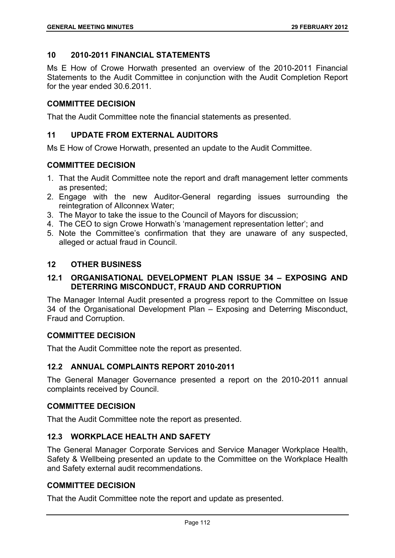## **10 2010-2011 FINANCIAL STATEMENTS**

Ms E How of Crowe Horwath presented an overview of the 2010-2011 Financial Statements to the Audit Committee in conjunction with the Audit Completion Report for the year ended 30.6.2011.

### **COMMITTEE DECISION**

That the Audit Committee note the financial statements as presented.

## **11 UPDATE FROM EXTERNAL AUDITORS**

Ms E How of Crowe Horwath, presented an update to the Audit Committee.

### **COMMITTEE DECISION**

- 1. That the Audit Committee note the report and draft management letter comments as presented;
- 2. Engage with the new Auditor-General regarding issues surrounding the reintegration of Allconnex Water;
- 3. The Mayor to take the issue to the Council of Mayors for discussion;
- 4. The CEO to sign Crowe Horwath's 'management representation letter'; and
- 5. Note the Committee's confirmation that they are unaware of any suspected, alleged or actual fraud in Council.

## **12 OTHER BUSINESS**

## **12.1 ORGANISATIONAL DEVELOPMENT PLAN ISSUE 34 – EXPOSING AND DETERRING MISCONDUCT, FRAUD AND CORRUPTION**

The Manager Internal Audit presented a progress report to the Committee on Issue 34 of the Organisational Development Plan – Exposing and Deterring Misconduct, Fraud and Corruption.

#### **COMMITTEE DECISION**

That the Audit Committee note the report as presented.

## **12.2 ANNUAL COMPLAINTS REPORT 2010-2011**

The General Manager Governance presented a report on the 2010-2011 annual complaints received by Council.

#### **COMMITTEE DECISION**

That the Audit Committee note the report as presented.

## **12.3 WORKPLACE HEALTH AND SAFETY**

The General Manager Corporate Services and Service Manager Workplace Health, Safety & Wellbeing presented an update to the Committee on the Workplace Health and Safety external audit recommendations.

#### **COMMITTEE DECISION**

That the Audit Committee note the report and update as presented.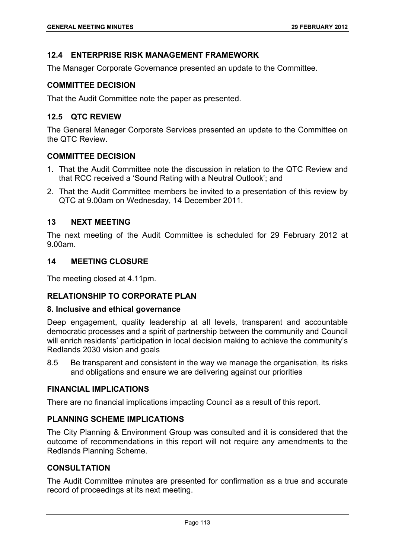## **12.4 ENTERPRISE RISK MANAGEMENT FRAMEWORK**

The Manager Corporate Governance presented an update to the Committee.

### **COMMITTEE DECISION**

That the Audit Committee note the paper as presented.

## **12.5 QTC REVIEW**

The General Manager Corporate Services presented an update to the Committee on the QTC Review.

## **COMMITTEE DECISION**

- 1. That the Audit Committee note the discussion in relation to the QTC Review and that RCC received a 'Sound Rating with a Neutral Outlook'; and
- 2. That the Audit Committee members be invited to a presentation of this review by QTC at 9.00am on Wednesday, 14 December 2011.

### **13 NEXT MEETING**

The next meeting of the Audit Committee is scheduled for 29 February 2012 at 9.00am.

### **14 MEETING CLOSURE**

The meeting closed at 4.11pm.

## **RELATIONSHIP TO CORPORATE PLAN**

#### **8. Inclusive and ethical governance**

Deep engagement, quality leadership at all levels, transparent and accountable democratic processes and a spirit of partnership between the community and Council will enrich residents' participation in local decision making to achieve the community's Redlands 2030 vision and goals

8.5 Be transparent and consistent in the way we manage the organisation, its risks and obligations and ensure we are delivering against our priorities

## **FINANCIAL IMPLICATIONS**

There are no financial implications impacting Council as a result of this report.

## **PLANNING SCHEME IMPLICATIONS**

The City Planning & Environment Group was consulted and it is considered that the outcome of recommendations in this report will not require any amendments to the Redlands Planning Scheme.

## **CONSULTATION**

The Audit Committee minutes are presented for confirmation as a true and accurate record of proceedings at its next meeting.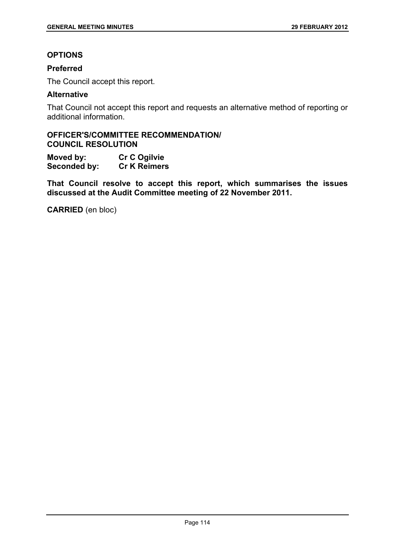# **OPTIONS**

## **Preferred**

The Council accept this report.

### **Alternative**

That Council not accept this report and requests an alternative method of reporting or additional information.

# **OFFICER'S/COMMITTEE RECOMMENDATION/ COUNCIL RESOLUTION**

**Moved by: Cr C Ogilvie Seconded by: Cr K Reimers** 

**That Council resolve to accept this report, which summarises the issues discussed at the Audit Committee meeting of 22 November 2011.** 

**CARRIED** (en bloc)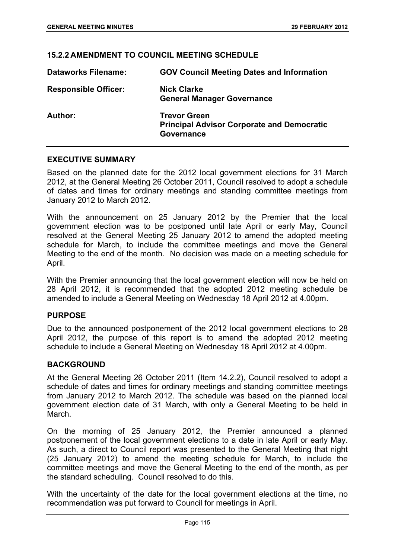### **15.2.2 AMENDMENT TO COUNCIL MEETING SCHEDULE**

| <b>Dataworks Filename:</b>  | <b>GOV Council Meeting Dates and Information</b>                                       |
|-----------------------------|----------------------------------------------------------------------------------------|
| <b>Responsible Officer:</b> | <b>Nick Clarke</b><br><b>General Manager Governance</b>                                |
| Author:                     | <b>Trevor Green</b><br><b>Principal Advisor Corporate and Democratic</b><br>Governance |

### **EXECUTIVE SUMMARY**

Based on the planned date for the 2012 local government elections for 31 March 2012, at the General Meeting 26 October 2011, Council resolved to adopt a schedule of dates and times for ordinary meetings and standing committee meetings from January 2012 to March 2012.

With the announcement on 25 January 2012 by the Premier that the local government election was to be postponed until late April or early May, Council resolved at the General Meeting 25 January 2012 to amend the adopted meeting schedule for March, to include the committee meetings and move the General Meeting to the end of the month. No decision was made on a meeting schedule for April.

With the Premier announcing that the local government election will now be held on 28 April 2012, it is recommended that the adopted 2012 meeting schedule be amended to include a General Meeting on Wednesday 18 April 2012 at 4.00pm.

#### **PURPOSE**

Due to the announced postponement of the 2012 local government elections to 28 April 2012, the purpose of this report is to amend the adopted 2012 meeting schedule to include a General Meeting on Wednesday 18 April 2012 at 4.00pm.

#### **BACKGROUND**

At the General Meeting 26 October 2011 (Item 14.2.2), Council resolved to adopt a schedule of dates and times for ordinary meetings and standing committee meetings from January 2012 to March 2012. The schedule was based on the planned local government election date of 31 March, with only a General Meeting to be held in March.

On the morning of 25 January 2012, the Premier announced a planned postponement of the local government elections to a date in late April or early May. As such, a direct to Council report was presented to the General Meeting that night (25 January 2012) to amend the meeting schedule for March, to include the committee meetings and move the General Meeting to the end of the month, as per the standard scheduling. Council resolved to do this.

With the uncertainty of the date for the local government elections at the time, no recommendation was put forward to Council for meetings in April.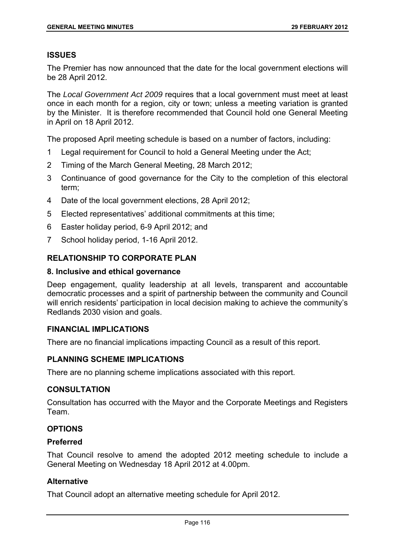### **ISSUES**

The Premier has now announced that the date for the local government elections will be 28 April 2012.

The *Local Government Act 2009* requires that a local government must meet at least once in each month for a region, city or town; unless a meeting variation is granted by the Minister. It is therefore recommended that Council hold one General Meeting in April on 18 April 2012.

The proposed April meeting schedule is based on a number of factors, including:

- 1 Legal requirement for Council to hold a General Meeting under the Act;
- 2 Timing of the March General Meeting, 28 March 2012;
- 3 Continuance of good governance for the City to the completion of this electoral term;
- 4 Date of the local government elections, 28 April 2012;
- 5 Elected representatives' additional commitments at this time;
- 6 Easter holiday period, 6-9 April 2012; and
- 7 School holiday period, 1-16 April 2012.

## **RELATIONSHIP TO CORPORATE PLAN**

#### **8. Inclusive and ethical governance**

Deep engagement, quality leadership at all levels, transparent and accountable democratic processes and a spirit of partnership between the community and Council will enrich residents' participation in local decision making to achieve the community's Redlands 2030 vision and goals.

## **FINANCIAL IMPLICATIONS**

There are no financial implications impacting Council as a result of this report.

## **PLANNING SCHEME IMPLICATIONS**

There are no planning scheme implications associated with this report.

#### **CONSULTATION**

Consultation has occurred with the Mayor and the Corporate Meetings and Registers Team.

# **OPTIONS**

#### **Preferred**

That Council resolve to amend the adopted 2012 meeting schedule to include a General Meeting on Wednesday 18 April 2012 at 4.00pm.

## **Alternative**

That Council adopt an alternative meeting schedule for April 2012.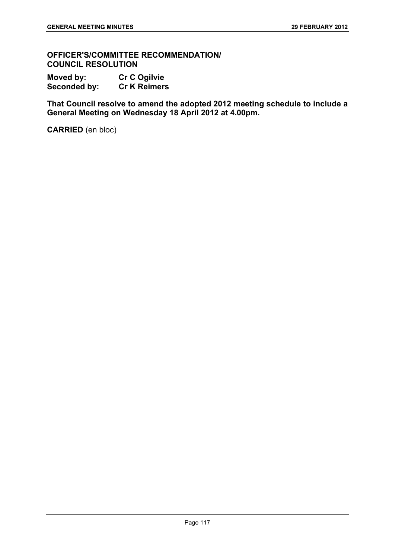**OFFICER'S/COMMITTEE RECOMMENDATION/ COUNCIL RESOLUTION** 

**Moved by: Cr C Ogilvie Seconded by: Cr K Reimers** 

**That Council resolve to amend the adopted 2012 meeting schedule to include a General Meeting on Wednesday 18 April 2012 at 4.00pm.** 

**CARRIED** (en bloc)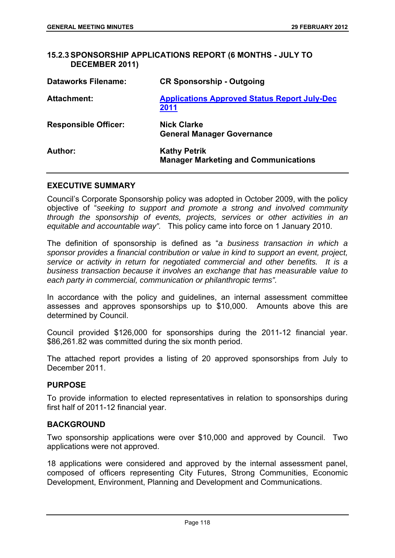## **15.2.3 SPONSORSHIP APPLICATIONS REPORT (6 MONTHS - JULY TO DECEMBER 2011)**

| <b>Dataworks Filename:</b>  | <b>CR Sponsorship - Outgoing</b>                                   |
|-----------------------------|--------------------------------------------------------------------|
| <b>Attachment:</b>          | <b>Applications Approved Status Report July-Dec</b><br>2011        |
| <b>Responsible Officer:</b> | Nick Clarke<br><b>General Manager Governance</b>                   |
| Author:                     | <b>Kathy Petrik</b><br><b>Manager Marketing and Communications</b> |

### **EXECUTIVE SUMMARY**

Council's Corporate Sponsorship policy was adopted in October 2009, with the policy objective of "*seeking to support and promote a strong and involved community through the sponsorship of events, projects, services or other activities in an equitable and accountable way".* This policy came into force on 1 January 2010.

The definition of sponsorship is defined as "*a business transaction in which a sponsor provides a financial contribution or value in kind to support an event, project, service or activity in return for negotiated commercial and other benefits. It is a business transaction because it involves an exchange that has measurable value to each party in commercial, communication or philanthropic terms".* 

In accordance with the policy and guidelines, an internal assessment committee assesses and approves sponsorships up to \$10,000. Amounts above this are determined by Council.

Council provided \$126,000 for sponsorships during the 2011-12 financial year. \$86,261.82 was committed during the six month period.

The attached report provides a listing of 20 approved sponsorships from July to December 2011.

#### **PURPOSE**

To provide information to elected representatives in relation to sponsorships during first half of 2011-12 financial year.

#### **BACKGROUND**

Two sponsorship applications were over \$10,000 and approved by Council. Two applications were not approved.

18 applications were considered and approved by the internal assessment panel, composed of officers representing City Futures, Strong Communities, Economic Development, Environment, Planning and Development and Communications.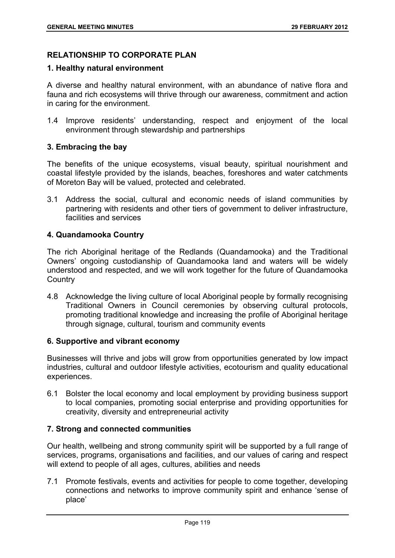# **RELATIONSHIP TO CORPORATE PLAN**

### **1. Healthy natural environment**

A diverse and healthy natural environment, with an abundance of native flora and fauna and rich ecosystems will thrive through our awareness, commitment and action in caring for the environment.

1.4 Improve residents' understanding, respect and enjoyment of the local environment through stewardship and partnerships

## **3. Embracing the bay**

The benefits of the unique ecosystems, visual beauty, spiritual nourishment and coastal lifestyle provided by the islands, beaches, foreshores and water catchments of Moreton Bay will be valued, protected and celebrated.

3.1 Address the social, cultural and economic needs of island communities by partnering with residents and other tiers of government to deliver infrastructure, facilities and services

## **4. Quandamooka Country**

The rich Aboriginal heritage of the Redlands (Quandamooka) and the Traditional Owners' ongoing custodianship of Quandamooka land and waters will be widely understood and respected, and we will work together for the future of Quandamooka **Country** 

4.8 Acknowledge the living culture of local Aboriginal people by formally recognising Traditional Owners in Council ceremonies by observing cultural protocols, promoting traditional knowledge and increasing the profile of Aboriginal heritage through signage, cultural, tourism and community events

## **6. Supportive and vibrant economy**

Businesses will thrive and jobs will grow from opportunities generated by low impact industries, cultural and outdoor lifestyle activities, ecotourism and quality educational experiences.

6.1 Bolster the local economy and local employment by providing business support to local companies, promoting social enterprise and providing opportunities for creativity, diversity and entrepreneurial activity

## **7. Strong and connected communities**

Our health, wellbeing and strong community spirit will be supported by a full range of services, programs, organisations and facilities, and our values of caring and respect will extend to people of all ages, cultures, abilities and needs

7.1 Promote festivals, events and activities for people to come together, developing connections and networks to improve community spirit and enhance 'sense of place'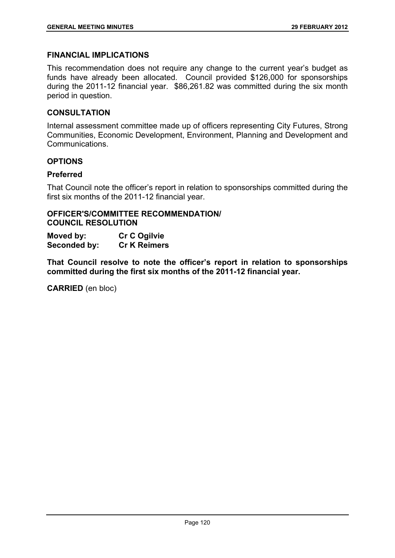### **FINANCIAL IMPLICATIONS**

This recommendation does not require any change to the current year's budget as funds have already been allocated. Council provided \$126,000 for sponsorships during the 2011-12 financial year. \$86,261.82 was committed during the six month period in question.

### **CONSULTATION**

Internal assessment committee made up of officers representing City Futures, Strong Communities, Economic Development, Environment, Planning and Development and Communications.

### **OPTIONS**

### **Preferred**

That Council note the officer's report in relation to sponsorships committed during the first six months of the 2011-12 financial year.

### **OFFICER'S/COMMITTEE RECOMMENDATION/ COUNCIL RESOLUTION**

| Moved by:    | <b>Cr C Ogilvie</b> |
|--------------|---------------------|
| Seconded by: | <b>Cr K Reimers</b> |

**That Council resolve to note the officer's report in relation to sponsorships committed during the first six months of the 2011-12 financial year.** 

**CARRIED** (en bloc)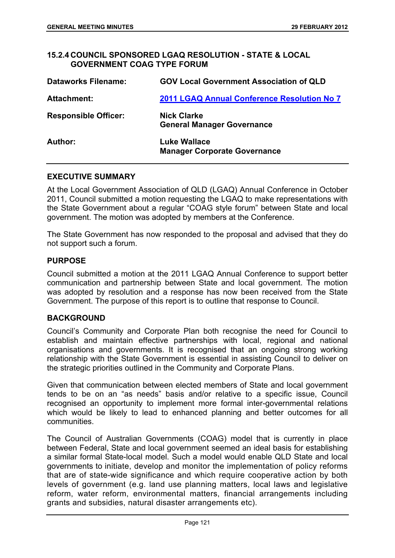## **15.2.4 COUNCIL SPONSORED LGAQ RESOLUTION - STATE & LOCAL GOVERNMENT COAG TYPE FORUM**

| <b>Dataworks Filename:</b>  | <b>GOV Local Government Association of QLD</b>             |
|-----------------------------|------------------------------------------------------------|
| <b>Attachment:</b>          | 2011 LGAQ Annual Conference Resolution No 7                |
| <b>Responsible Officer:</b> | <b>Nick Clarke</b><br><b>General Manager Governance</b>    |
| Author:                     | <b>Luke Wallace</b><br><b>Manager Corporate Governance</b> |

#### **EXECUTIVE SUMMARY**

At the Local Government Association of QLD (LGAQ) Annual Conference in October 2011, Council submitted a motion requesting the LGAQ to make representations with the State Government about a regular "COAG style forum" between State and local government. The motion was adopted by members at the Conference.

The State Government has now responded to the proposal and advised that they do not support such a forum.

### **PURPOSE**

Council submitted a motion at the 2011 LGAQ Annual Conference to support better communication and partnership between State and local government. The motion was adopted by resolution and a response has now been received from the State Government. The purpose of this report is to outline that response to Council.

## **BACKGROUND**

Council's Community and Corporate Plan both recognise the need for Council to establish and maintain effective partnerships with local, regional and national organisations and governments. It is recognised that an ongoing strong working relationship with the State Government is essential in assisting Council to deliver on the strategic priorities outlined in the Community and Corporate Plans.

Given that communication between elected members of State and local government tends to be on an "as needs" basis and/or relative to a specific issue, Council recognised an opportunity to implement more formal inter-governmental relations which would be likely to lead to enhanced planning and better outcomes for all communities.

The Council of Australian Governments (COAG) model that is currently in place between Federal, State and local government seemed an ideal basis for establishing a similar formal State-local model. Such a model would enable QLD State and local governments to initiate, develop and monitor the implementation of policy reforms that are of state-wide significance and which require cooperative action by both levels of government (e.g. land use planning matters, local laws and legislative reform, water reform, environmental matters, financial arrangements including grants and subsidies, natural disaster arrangements etc).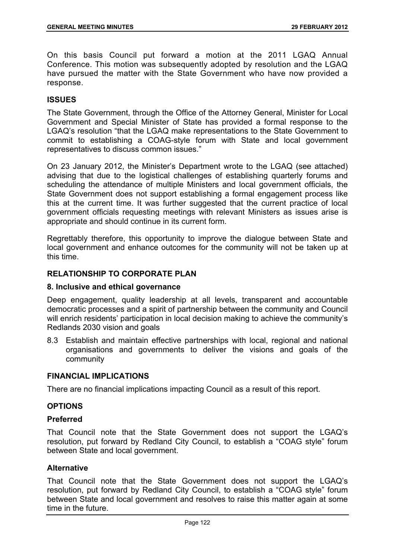On this basis Council put forward a motion at the 2011 LGAQ Annual Conference. This motion was subsequently adopted by resolution and the LGAQ have pursued the matter with the State Government who have now provided a response.

## **ISSUES**

The State Government, through the Office of the Attorney General, Minister for Local Government and Special Minister of State has provided a formal response to the LGAQ's resolution "that the LGAQ make representations to the State Government to commit to establishing a COAG-style forum with State and local government representatives to discuss common issues."

On 23 January 2012, the Minister's Department wrote to the LGAQ (see attached) advising that due to the logistical challenges of establishing quarterly forums and scheduling the attendance of multiple Ministers and local government officials, the State Government does not support establishing a formal engagement process like this at the current time. It was further suggested that the current practice of local government officials requesting meetings with relevant Ministers as issues arise is appropriate and should continue in its current form.

Regrettably therefore, this opportunity to improve the dialogue between State and local government and enhance outcomes for the community will not be taken up at this time.

## **RELATIONSHIP TO CORPORATE PLAN**

### **8. Inclusive and ethical governance**

Deep engagement, quality leadership at all levels, transparent and accountable democratic processes and a spirit of partnership between the community and Council will enrich residents' participation in local decision making to achieve the community's Redlands 2030 vision and goals

8.3 Establish and maintain effective partnerships with local, regional and national organisations and governments to deliver the visions and goals of the community

#### **FINANCIAL IMPLICATIONS**

There are no financial implications impacting Council as a result of this report.

#### **OPTIONS**

### **Preferred**

That Council note that the State Government does not support the LGAQ's resolution, put forward by Redland City Council, to establish a "COAG style" forum between State and local government.

### **Alternative**

That Council note that the State Government does not support the LGAQ's resolution, put forward by Redland City Council, to establish a "COAG style" forum between State and local government and resolves to raise this matter again at some time in the future.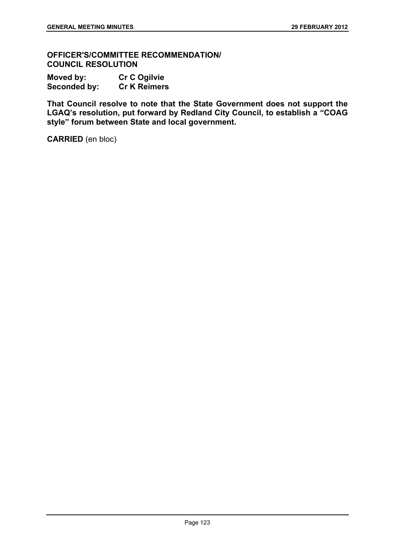**OFFICER'S/COMMITTEE RECOMMENDATION/ COUNCIL RESOLUTION** 

**Moved by: Cr C Ogilvie Seconded by: Cr K Reimers** 

**That Council resolve to note that the State Government does not support the LGAQ's resolution, put forward by Redland City Council, to establish a "COAG style" forum between State and local government.** 

**CARRIED** (en bloc)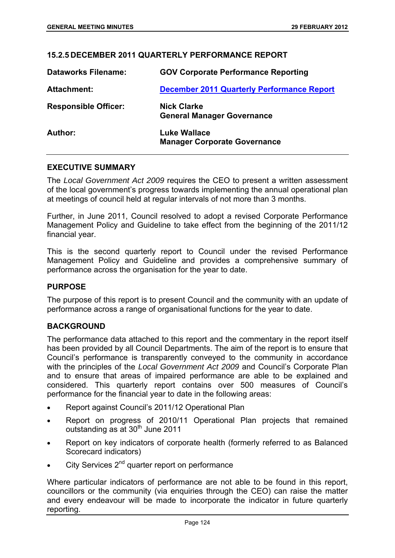## **15.2.5 DECEMBER 2011 QUARTERLY PERFORMANCE REPORT**

| <b>Dataworks Filename:</b>  | <b>GOV Corporate Performance Reporting</b>                 |
|-----------------------------|------------------------------------------------------------|
| Attachment:                 | <b>December 2011 Quarterly Performance Report</b>          |
| <b>Responsible Officer:</b> | <b>Nick Clarke</b><br><b>General Manager Governance</b>    |
| Author:                     | <b>Luke Wallace</b><br><b>Manager Corporate Governance</b> |

### **EXECUTIVE SUMMARY**

The *Local Government Act 2009* requires the CEO to present a written assessment of the local government's progress towards implementing the annual operational plan at meetings of council held at regular intervals of not more than 3 months.

Further, in June 2011, Council resolved to adopt a revised Corporate Performance Management Policy and Guideline to take effect from the beginning of the 2011/12 financial year.

This is the second quarterly report to Council under the revised Performance Management Policy and Guideline and provides a comprehensive summary of performance across the organisation for the year to date.

#### **PURPOSE**

The purpose of this report is to present Council and the community with an update of performance across a range of organisational functions for the year to date.

#### **BACKGROUND**

The performance data attached to this report and the commentary in the report itself has been provided by all Council Departments. The aim of the report is to ensure that Council's performance is transparently conveyed to the community in accordance with the principles of the *Local Government Act 2009* and Council's Corporate Plan and to ensure that areas of impaired performance are able to be explained and considered. This quarterly report contains over 500 measures of Council's performance for the financial year to date in the following areas:

- Report against Council's 2011/12 Operational Plan
- Report on progress of 2010/11 Operational Plan projects that remained outstanding as at  $30<sup>th</sup>$  June 2011
- Report on key indicators of corporate health (formerly referred to as Balanced Scorecard indicators)
- $\bullet$  City Services 2<sup>nd</sup> quarter report on performance

Where particular indicators of performance are not able to be found in this report, councillors or the community (via enquiries through the CEO) can raise the matter and every endeavour will be made to incorporate the indicator in future quarterly reporting.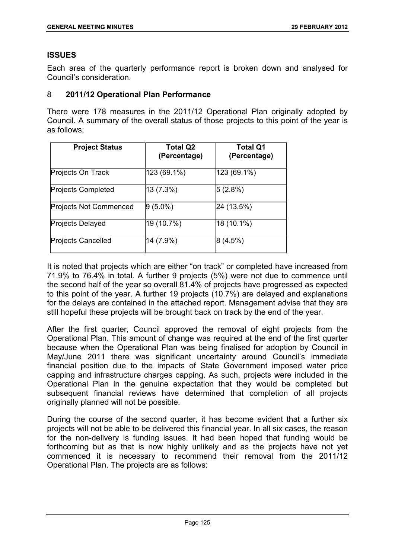## **ISSUES**

Each area of the quarterly performance report is broken down and analysed for Council's consideration.

### 8 **2011/12 Operational Plan Performance**

There were 178 measures in the 2011/12 Operational Plan originally adopted by Council. A summary of the overall status of those projects to this point of the year is as follows;

| <b>Project Status</b>         | <b>Total Q2</b><br>(Percentage) | <b>Total Q1</b><br>(Percentage) |
|-------------------------------|---------------------------------|---------------------------------|
| Projects On Track             | 123 (69.1%)                     | 123 (69.1%)                     |
| <b>Projects Completed</b>     | 13 (7.3%)                       | 5 (2.8%)                        |
| <b>Projects Not Commenced</b> | $9(5.0\%)$                      | 24 (13.5%)                      |
| <b>Projects Delayed</b>       | 19 (10.7%)                      | 18 (10.1%)                      |
| <b>Projects Cancelled</b>     | 14 (7.9%)                       | 8(4.5%)                         |

It is noted that projects which are either "on track" or completed have increased from 71.9% to 76.4% in total. A further 9 projects (5%) were not due to commence until the second half of the year so overall 81.4% of projects have progressed as expected to this point of the year. A further 19 projects (10.7%) are delayed and explanations for the delays are contained in the attached report. Management advise that they are still hopeful these projects will be brought back on track by the end of the year.

After the first quarter, Council approved the removal of eight projects from the Operational Plan. This amount of change was required at the end of the first quarter because when the Operational Plan was being finalised for adoption by Council in May/June 2011 there was significant uncertainty around Council's immediate financial position due to the impacts of State Government imposed water price capping and infrastructure charges capping. As such, projects were included in the Operational Plan in the genuine expectation that they would be completed but subsequent financial reviews have determined that completion of all projects originally planned will not be possible.

During the course of the second quarter, it has become evident that a further six projects will not be able to be delivered this financial year. In all six cases, the reason for the non-delivery is funding issues. It had been hoped that funding would be forthcoming but as that is now highly unlikely and as the projects have not yet commenced it is necessary to recommend their removal from the 2011/12 Operational Plan. The projects are as follows: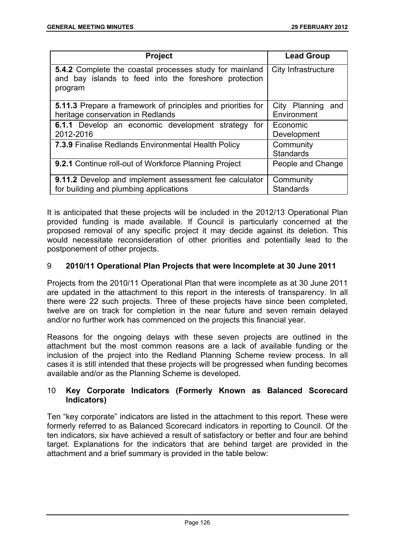| <b>Project</b>                                                                                                                     | <b>Lead Group</b>                   |
|------------------------------------------------------------------------------------------------------------------------------------|-------------------------------------|
| <b>5.4.2</b> Complete the coastal processes study for mainland<br>and bay islands to feed into the foreshore protection<br>program | City Infrastructure                 |
| 5.11.3 Prepare a framework of principles and priorities for<br>heritage conservation in Redlands                                   | City Planning<br>and<br>Environment |
| 6.1.1 Develop an economic development strategy for<br>2012-2016                                                                    | Economic<br>Development             |
| <b>7.3.9 Finalise Redlands Environmental Health Policy</b>                                                                         | Community<br><b>Standards</b>       |
| <b>9.2.1 Continue roll-out of Workforce Planning Project</b>                                                                       | People and Change                   |
| 9.11.2 Develop and implement assessment fee calculator<br>for building and plumbing applications                                   | Community<br><b>Standards</b>       |

It is anticipated that these projects will be included in the 2012/13 Operational Plan provided funding is made available. If Council is particularly concerned at the proposed removal of any specific project it may decide against its deletion. This would necessitate reconsideration of other priorities and potentially lead to the postponement of other projects.

## 9 **2010/11 Operational Plan Projects that were Incomplete at 30 June 2011**

Projects from the 2010/11 Operational Plan that were incomplete as at 30 June 2011 are updated in the attachment to this report in the interests of transparency. In all there were 22 such projects. Three of these projects have since been completed, twelve are on track for completion in the near future and seven remain delayed and/or no further work has commenced on the projects this financial year.

Reasons for the ongoing delays with these seven projects are outlined in the attachment but the most common reasons are a lack of available funding or the inclusion of the project into the Redland Planning Scheme review process. In all cases it is still intended that these projects will be progressed when funding becomes available and/or as the Planning Scheme is developed.

## 10 **Key Corporate Indicators (Formerly Known as Balanced Scorecard Indicators)**

Ten "key corporate" indicators are listed in the attachment to this report. These were formerly referred to as Balanced Scorecard indicators in reporting to Council. Of the ten indicators, six have achieved a result of satisfactory or better and four are behind target. Explanations for the indicators that are behind target are provided in the attachment and a brief summary is provided in the table below: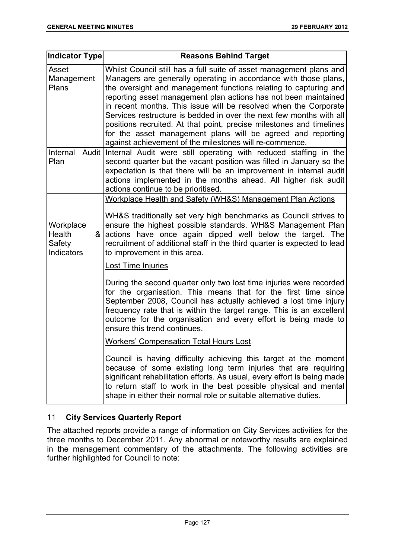| Indicator Type                                   | <b>Reasons Behind Target</b>                                                                                                                                                                                                                                                                                                                                                                                                                                                                                                                                                                                                |
|--------------------------------------------------|-----------------------------------------------------------------------------------------------------------------------------------------------------------------------------------------------------------------------------------------------------------------------------------------------------------------------------------------------------------------------------------------------------------------------------------------------------------------------------------------------------------------------------------------------------------------------------------------------------------------------------|
| Asset<br>Management<br>Plans                     | Whilst Council still has a full suite of asset management plans and<br>Managers are generally operating in accordance with those plans,<br>the oversight and management functions relating to capturing and<br>reporting asset management plan actions has not been maintained<br>in recent months. This issue will be resolved when the Corporate<br>Services restructure is bedded in over the next few months with all<br>positions recruited. At that point, precise milestones and timelines<br>for the asset management plans will be agreed and reporting<br>against achievement of the milestones will re-commence. |
| Internal<br>Plan                                 | Audit Internal Audit were still operating with reduced staffing in the<br>second quarter but the vacant position was filled in January so the<br>expectation is that there will be an improvement in internal audit<br>actions implemented in the months ahead. All higher risk audit<br>actions continue to be prioritised.                                                                                                                                                                                                                                                                                                |
|                                                  | Workplace Health and Safety (WH&S) Management Plan Actions                                                                                                                                                                                                                                                                                                                                                                                                                                                                                                                                                                  |
| Workplace<br>Health<br>&<br>Safety<br>Indicators | WH&S traditionally set very high benchmarks as Council strives to<br>ensure the highest possible standards. WH&S Management Plan<br>actions have once again dipped well below the target. The<br>recruitment of additional staff in the third quarter is expected to lead<br>to improvement in this area.<br><b>Lost Time Injuries</b>                                                                                                                                                                                                                                                                                      |
|                                                  | During the second quarter only two lost time injuries were recorded<br>for the organisation. This means that for the first time since<br>September 2008, Council has actually achieved a lost time injury<br>frequency rate that is within the target range. This is an excellent<br>outcome for the organisation and every effort is being made to<br>ensure this trend continues.                                                                                                                                                                                                                                         |
|                                                  | <b>Workers' Compensation Total Hours Lost</b>                                                                                                                                                                                                                                                                                                                                                                                                                                                                                                                                                                               |
|                                                  | Council is having difficulty achieving this target at the moment<br>because of some existing long term injuries that are requiring<br>significant rehabilitation efforts. As usual, every effort is being made<br>to return staff to work in the best possible physical and mental<br>shape in either their normal role or suitable alternative duties.                                                                                                                                                                                                                                                                     |

# 11 **City Services Quarterly Report**

The attached reports provide a range of information on City Services activities for the three months to December 2011. Any abnormal or noteworthy results are explained in the management commentary of the attachments. The following activities are further highlighted for Council to note: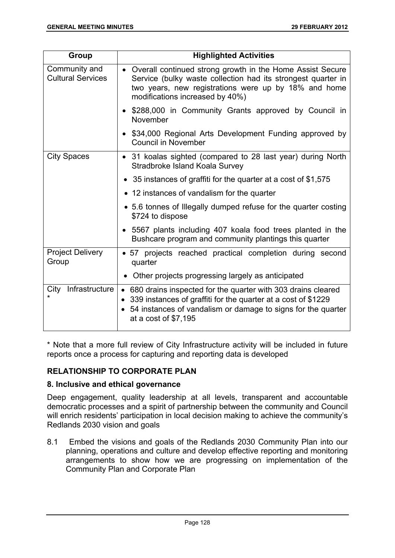| Group                                     | <b>Highlighted Activities</b>                                                                                                                                                                                           |  |
|-------------------------------------------|-------------------------------------------------------------------------------------------------------------------------------------------------------------------------------------------------------------------------|--|
| Community and<br><b>Cultural Services</b> | • Overall continued strong growth in the Home Assist Secure<br>Service (bulky waste collection had its strongest quarter in<br>two years, new registrations were up by 18% and home<br>modifications increased by 40%)  |  |
|                                           | • \$288,000 in Community Grants approved by Council in<br>November                                                                                                                                                      |  |
|                                           | \$34,000 Regional Arts Development Funding approved by<br><b>Council in November</b>                                                                                                                                    |  |
| <b>City Spaces</b>                        | • 31 koalas sighted (compared to 28 last year) during North<br>Stradbroke Island Koala Survey                                                                                                                           |  |
|                                           | 35 instances of graffiti for the quarter at a cost of \$1,575                                                                                                                                                           |  |
|                                           | • 12 instances of vandalism for the quarter                                                                                                                                                                             |  |
|                                           | • 5.6 tonnes of Illegally dumped refuse for the quarter costing<br>\$724 to dispose                                                                                                                                     |  |
|                                           | 5567 plants including 407 koala food trees planted in the<br>Bushcare program and community plantings this quarter                                                                                                      |  |
| <b>Project Delivery</b><br>Group          | • 57 projects reached practical completion during second<br>quarter                                                                                                                                                     |  |
|                                           | Other projects progressing largely as anticipated                                                                                                                                                                       |  |
| Infrastructure<br>City                    | • 680 drains inspected for the quarter with 303 drains cleared<br>339 instances of graffiti for the quarter at a cost of \$1229<br>54 instances of vandalism or damage to signs for the quarter<br>at a cost of \$7,195 |  |

\* Note that a more full review of City Infrastructure activity will be included in future reports once a process for capturing and reporting data is developed

# **RELATIONSHIP TO CORPORATE PLAN**

## **8. Inclusive and ethical governance**

Deep engagement, quality leadership at all levels, transparent and accountable democratic processes and a spirit of partnership between the community and Council will enrich residents' participation in local decision making to achieve the community's Redlands 2030 vision and goals

8.1 Embed the visions and goals of the Redlands 2030 Community Plan into our planning, operations and culture and develop effective reporting and monitoring arrangements to show how we are progressing on implementation of the Community Plan and Corporate Plan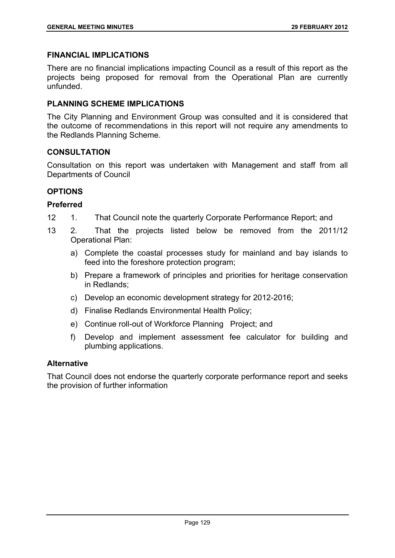### **FINANCIAL IMPLICATIONS**

There are no financial implications impacting Council as a result of this report as the projects being proposed for removal from the Operational Plan are currently unfunded.

## **PLANNING SCHEME IMPLICATIONS**

The City Planning and Environment Group was consulted and it is considered that the outcome of recommendations in this report will not require any amendments to the Redlands Planning Scheme.

## **CONSULTATION**

Consultation on this report was undertaken with Management and staff from all Departments of Council

## **OPTIONS**

## **Preferred**

- 12 1. That Council note the quarterly Corporate Performance Report; and
- 13 2. That the projects listed below be removed from the 2011/12 Operational Plan:
	- a) Complete the coastal processes study for mainland and bay islands to feed into the foreshore protection program;
	- b) Prepare a framework of principles and priorities for heritage conservation in Redlands;
	- c) Develop an economic development strategy for 2012-2016;
	- d) Finalise Redlands Environmental Health Policy;
	- e) Continue roll-out of Workforce Planning Project; and
	- f) Develop and implement assessment fee calculator for building and plumbing applications.

#### **Alternative**

That Council does not endorse the quarterly corporate performance report and seeks the provision of further information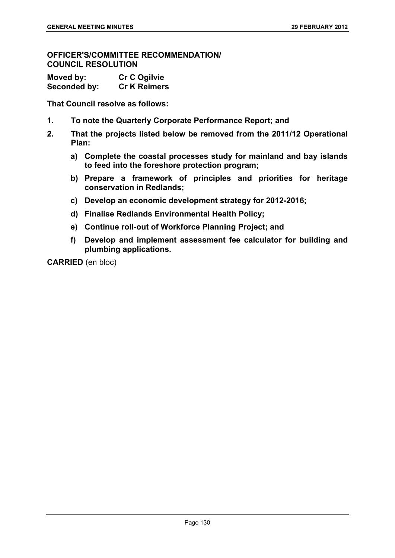**OFFICER'S/COMMITTEE RECOMMENDATION/ COUNCIL RESOLUTION** 

| Moved by:    | <b>Cr C Ogilvie</b> |
|--------------|---------------------|
| Seconded by: | <b>Cr K Reimers</b> |

**That Council resolve as follows:** 

- **1. To note the Quarterly Corporate Performance Report; and**
- **2. That the projects listed below be removed from the 2011/12 Operational Plan:** 
	- **a) Complete the coastal processes study for mainland and bay islands to feed into the foreshore protection program;**
	- **b) Prepare a framework of principles and priorities for heritage conservation in Redlands;**
	- **c) Develop an economic development strategy for 2012-2016;**
	- **d) Finalise Redlands Environmental Health Policy;**
	- **e) Continue roll-out of Workforce Planning Project; and**
	- **f) Develop and implement assessment fee calculator for building and plumbing applications.**

**CARRIED** (en bloc)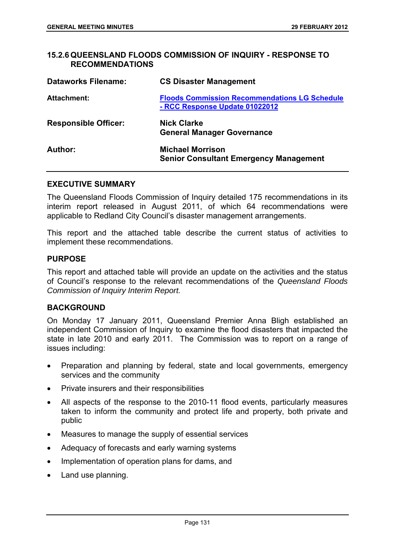### **15.2.6 QUEENSLAND FLOODS COMMISSION OF INQUIRY - RESPONSE TO RECOMMENDATIONS**

| <b>Dataworks Filename:</b>  | <b>CS Disaster Management</b>                                                          |
|-----------------------------|----------------------------------------------------------------------------------------|
| <b>Attachment:</b>          | <b>Floods Commission Recommendations LG Schedule</b><br>- RCC Response Update 01022012 |
| <b>Responsible Officer:</b> | <b>Nick Clarke</b><br><b>General Manager Governance</b>                                |
| Author:                     | <b>Michael Morrison</b><br><b>Senior Consultant Emergency Management</b>               |

#### **EXECUTIVE SUMMARY**

The Queensland Floods Commission of Inquiry detailed 175 recommendations in its interim report released in August 2011, of which 64 recommendations were applicable to Redland City Council's disaster management arrangements.

This report and the attached table describe the current status of activities to implement these recommendations.

#### **PURPOSE**

This report and attached table will provide an update on the activities and the status of Council's response to the relevant recommendations of the *Queensland Floods Commission of Inquiry Interim Report.*

## **BACKGROUND**

On Monday 17 January 2011, Queensland Premier Anna Bligh established an independent Commission of Inquiry to examine the flood disasters that impacted the state in late 2010 and early 2011. The Commission was to report on a range of issues including:

- Preparation and planning by federal, state and local governments, emergency services and the community
- Private insurers and their responsibilities
- All aspects of the response to the 2010-11 flood events, particularly measures taken to inform the community and protect life and property, both private and public
- Measures to manage the supply of essential services
- Adequacy of forecasts and early warning systems
- Implementation of operation plans for dams, and
- Land use planning.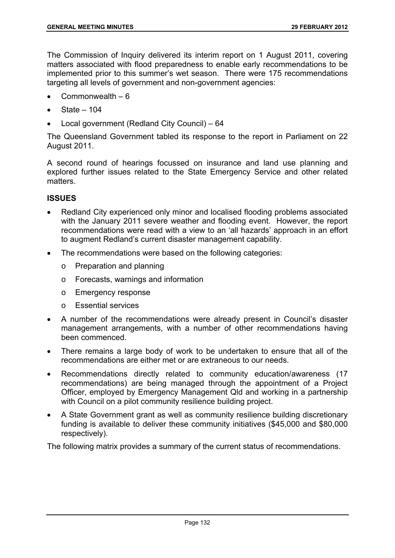The Commission of Inquiry delivered its interim report on 1 August 2011, covering matters associated with flood preparedness to enable early recommendations to be implemented prior to this summer's wet season. There were 175 recommendations targeting all levels of government and non-government agencies:

- Commonwealth 6
- State 104
- Local government (Redland City Council) 64

The Queensland Government tabled its response to the report in Parliament on 22 August 2011.

A second round of hearings focussed on insurance and land use planning and explored further issues related to the State Emergency Service and other related matters.

### **ISSUES**

- Redland City experienced only minor and localised flooding problems associated with the January 2011 severe weather and flooding event. However, the report recommendations were read with a view to an 'all hazards' approach in an effort to augment Redland's current disaster management capability.
- The recommendations were based on the following categories:
	- o Preparation and planning
	- o Forecasts, warnings and information
	- o Emergency response
	- o Essential services
- A number of the recommendations were already present in Council's disaster management arrangements, with a number of other recommendations having been commenced.
- There remains a large body of work to be undertaken to ensure that all of the recommendations are either met or are extraneous to our needs.
- Recommendations directly related to community education/awareness (17 recommendations) are being managed through the appointment of a Project Officer, employed by Emergency Management Qld and working in a partnership with Council on a pilot community resilience building project.
- A State Government grant as well as community resilience building discretionary funding is available to deliver these community initiatives (\$45,000 and \$80,000 respectively).

The following matrix provides a summary of the current status of recommendations.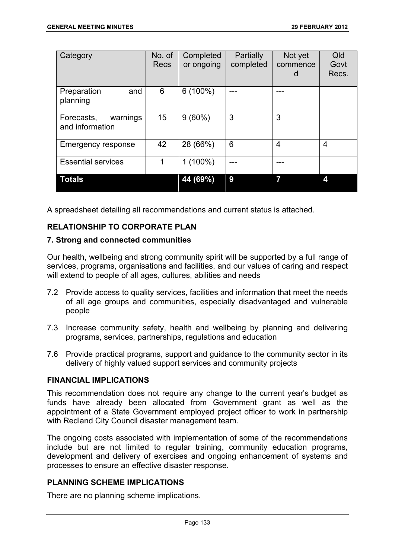| Category                                  | No. of<br><b>Recs</b> | Completed<br>or ongoing | Partially<br>completed | Not yet<br>commence<br>d | Qld<br>Govt<br>Recs. |
|-------------------------------------------|-----------------------|-------------------------|------------------------|--------------------------|----------------------|
| Preparation<br>and<br>planning            | 6                     | $6(100\%)$              |                        |                          |                      |
| warnings<br>Forecasts,<br>and information | 15                    | $9(60\%)$               | 3                      | 3                        |                      |
| Emergency response                        | 42                    | 28 (66%)                | 6                      | 4                        | 4                    |
| <b>Essential services</b>                 | 1                     | $1(100\%)$              |                        |                          |                      |
| <b>Totals</b>                             |                       | 44 (69%)                | 9                      | 7                        |                      |

A spreadsheet detailing all recommendations and current status is attached.

# **RELATIONSHIP TO CORPORATE PLAN**

## **7. Strong and connected communities**

Our health, wellbeing and strong community spirit will be supported by a full range of services, programs, organisations and facilities, and our values of caring and respect will extend to people of all ages, cultures, abilities and needs

- 7.2 Provide access to quality services, facilities and information that meet the needs of all age groups and communities, especially disadvantaged and vulnerable people
- 7.3 Increase community safety, health and wellbeing by planning and delivering programs, services, partnerships, regulations and education
- 7.6 Provide practical programs, support and guidance to the community sector in its delivery of highly valued support services and community projects

## **FINANCIAL IMPLICATIONS**

This recommendation does not require any change to the current year's budget as funds have already been allocated from Government grant as well as the appointment of a State Government employed project officer to work in partnership with Redland City Council disaster management team.

The ongoing costs associated with implementation of some of the recommendations include but are not limited to regular training, community education programs, development and delivery of exercises and ongoing enhancement of systems and processes to ensure an effective disaster response.

## **PLANNING SCHEME IMPLICATIONS**

There are no planning scheme implications.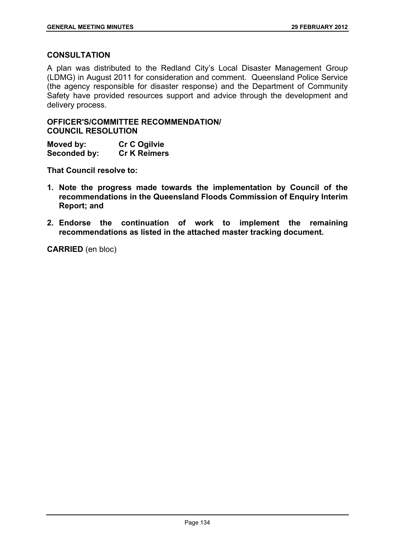## **CONSULTATION**

A plan was distributed to the Redland City's Local Disaster Management Group (LDMG) in August 2011 for consideration and comment. Queensland Police Service (the agency responsible for disaster response) and the Department of Community Safety have provided resources support and advice through the development and delivery process.

**OFFICER'S/COMMITTEE RECOMMENDATION/ COUNCIL RESOLUTION** 

**Moved by: Cr C Ogilvie Seconded by: Cr K Reimers** 

**That Council resolve to:** 

- **1. Note the progress made towards the implementation by Council of the recommendations in the Queensland Floods Commission of Enquiry Interim Report; and**
- **2. Endorse the continuation of work to implement the remaining recommendations as listed in the attached master tracking document.**

**CARRIED** (en bloc)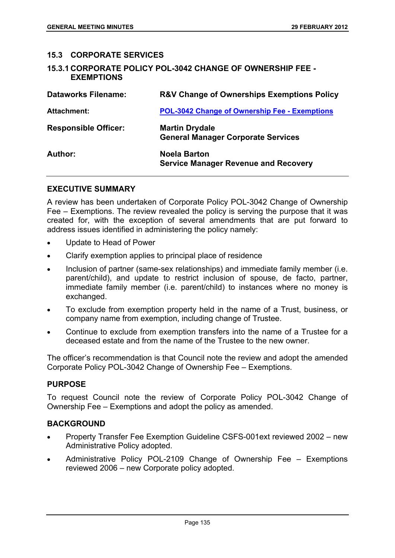### **15.3 CORPORATE SERVICES**

**15.3.1 CORPORATE POLICY POL-3042 CHANGE OF OWNERSHIP FEE - EXEMPTIONS** 

| <b>Dataworks Filename:</b>  | <b>R&amp;V Change of Ownerships Exemptions Policy</b>              |
|-----------------------------|--------------------------------------------------------------------|
| <b>Attachment:</b>          | <b>POL-3042 Change of Ownership Fee - Exemptions</b>               |
| <b>Responsible Officer:</b> | <b>Martin Drydale</b><br><b>General Manager Corporate Services</b> |
| Author:                     | <b>Noela Barton</b><br><b>Service Manager Revenue and Recovery</b> |

## **EXECUTIVE SUMMARY**

A review has been undertaken of Corporate Policy POL-3042 Change of Ownership Fee – Exemptions. The review revealed the policy is serving the purpose that it was created for, with the exception of several amendments that are put forward to address issues identified in administering the policy namely:

- Update to Head of Power
- Clarify exemption applies to principal place of residence
- Inclusion of partner (same-sex relationships) and immediate family member (i.e. parent/child), and update to restrict inclusion of spouse, de facto, partner, immediate family member (i.e. parent/child) to instances where no money is exchanged.
- To exclude from exemption property held in the name of a Trust, business, or company name from exemption, including change of Trustee.
- Continue to exclude from exemption transfers into the name of a Trustee for a deceased estate and from the name of the Trustee to the new owner.

The officer's recommendation is that Council note the review and adopt the amended Corporate Policy POL-3042 Change of Ownership Fee – Exemptions.

#### **PURPOSE**

To request Council note the review of Corporate Policy POL-3042 Change of Ownership Fee – Exemptions and adopt the policy as amended.

## **BACKGROUND**

- Property Transfer Fee Exemption Guideline CSFS-001ext reviewed 2002 new Administrative Policy adopted.
- Administrative Policy POL-2109 Change of Ownership Fee Exemptions reviewed 2006 – new Corporate policy adopted.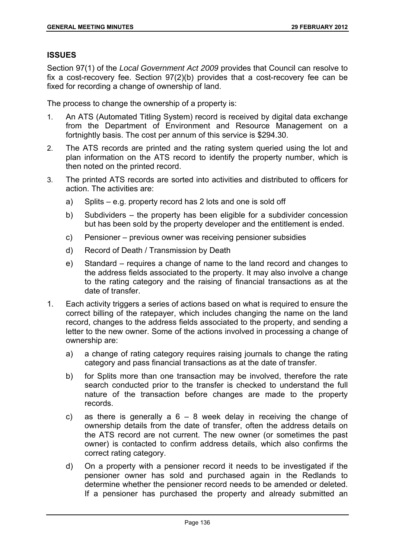## **ISSUES**

Section 97(1) of the *Local Government Act 2009* provides that Council can resolve to fix a cost-recovery fee. Section 97(2)(b) provides that a cost-recovery fee can be fixed for recording a change of ownership of land.

The process to change the ownership of a property is:

- 1. An ATS (Automated Titling System) record is received by digital data exchange from the Department of Environment and Resource Management on a fortnightly basis. The cost per annum of this service is \$294.30.
- 2. The ATS records are printed and the rating system queried using the lot and plan information on the ATS record to identify the property number, which is then noted on the printed record.
- 3. The printed ATS records are sorted into activities and distributed to officers for action. The activities are:
	- a) Splits e.g. property record has 2 lots and one is sold off
	- b) Subdividers the property has been eligible for a subdivider concession but has been sold by the property developer and the entitlement is ended.
	- c) Pensioner previous owner was receiving pensioner subsidies
	- d) Record of Death / Transmission by Death
	- e) Standard requires a change of name to the land record and changes to the address fields associated to the property. It may also involve a change to the rating category and the raising of financial transactions as at the date of transfer.
- 1. Each activity triggers a series of actions based on what is required to ensure the correct billing of the ratepayer, which includes changing the name on the land record, changes to the address fields associated to the property, and sending a letter to the new owner. Some of the actions involved in processing a change of ownership are:
	- a) a change of rating category requires raising journals to change the rating category and pass financial transactions as at the date of transfer.
	- b) for Splits more than one transaction may be involved, therefore the rate search conducted prior to the transfer is checked to understand the full nature of the transaction before changes are made to the property records.
	- c) as there is generally a  $6 8$  week delay in receiving the change of ownership details from the date of transfer, often the address details on the ATS record are not current. The new owner (or sometimes the past owner) is contacted to confirm address details, which also confirms the correct rating category.
	- d) On a property with a pensioner record it needs to be investigated if the pensioner owner has sold and purchased again in the Redlands to determine whether the pensioner record needs to be amended or deleted. If a pensioner has purchased the property and already submitted an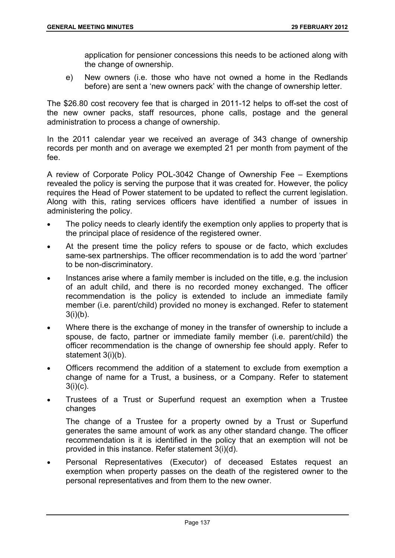application for pensioner concessions this needs to be actioned along with the change of ownership.

e) New owners (i.e. those who have not owned a home in the Redlands before) are sent a 'new owners pack' with the change of ownership letter.

The \$26.80 cost recovery fee that is charged in 2011-12 helps to off-set the cost of the new owner packs, staff resources, phone calls, postage and the general administration to process a change of ownership.

In the 2011 calendar year we received an average of 343 change of ownership records per month and on average we exempted 21 per month from payment of the fee.

A review of Corporate Policy POL-3042 Change of Ownership Fee – Exemptions revealed the policy is serving the purpose that it was created for. However, the policy requires the Head of Power statement to be updated to reflect the current legislation. Along with this, rating services officers have identified a number of issues in administering the policy.

- The policy needs to clearly identify the exemption only applies to property that is the principal place of residence of the registered owner.
- At the present time the policy refers to spouse or de facto, which excludes same-sex partnerships. The officer recommendation is to add the word 'partner' to be non-discriminatory.
- Instances arise where a family member is included on the title, e.g. the inclusion of an adult child, and there is no recorded money exchanged. The officer recommendation is the policy is extended to include an immediate family member (i.e. parent/child) provided no money is exchanged. Refer to statement  $3(i)(b)$ .
- Where there is the exchange of money in the transfer of ownership to include a spouse, de facto, partner or immediate family member (i.e. parent/child) the officer recommendation is the change of ownership fee should apply. Refer to statement 3(i)(b).
- Officers recommend the addition of a statement to exclude from exemption a change of name for a Trust, a business, or a Company. Refer to statement  $3(i)(c)$ .
- Trustees of a Trust or Superfund request an exemption when a Trustee changes

The change of a Trustee for a property owned by a Trust or Superfund generates the same amount of work as any other standard change. The officer recommendation is it is identified in the policy that an exemption will not be provided in this instance. Refer statement 3(i)(d).

 Personal Representatives (Executor) of deceased Estates request an exemption when property passes on the death of the registered owner to the personal representatives and from them to the new owner.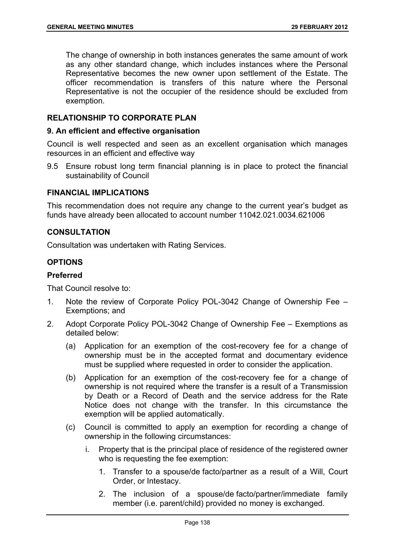The change of ownership in both instances generates the same amount of work as any other standard change, which includes instances where the Personal Representative becomes the new owner upon settlement of the Estate. The officer recommendation is transfers of this nature where the Personal Representative is not the occupier of the residence should be excluded from exemption.

# **RELATIONSHIP TO CORPORATE PLAN**

## **9. An efficient and effective organisation**

Council is well respected and seen as an excellent organisation which manages resources in an efficient and effective way

9.5 Ensure robust long term financial planning is in place to protect the financial sustainability of Council

## **FINANCIAL IMPLICATIONS**

This recommendation does not require any change to the current year's budget as funds have already been allocated to account number 11042.021.0034.621006

## **CONSULTATION**

Consultation was undertaken with Rating Services.

# **OPTIONS**

# **Preferred**

That Council resolve to:

- 1. Note the review of Corporate Policy POL-3042 Change of Ownership Fee Exemptions; and
- 2. Adopt Corporate Policy POL-3042 Change of Ownership Fee Exemptions as detailed below:
	- (a) Application for an exemption of the cost-recovery fee for a change of ownership must be in the accepted format and documentary evidence must be supplied where requested in order to consider the application.
	- (b) Application for an exemption of the cost-recovery fee for a change of ownership is not required where the transfer is a result of a Transmission by Death or a Record of Death and the service address for the Rate Notice does not change with the transfer. In this circumstance the exemption will be applied automatically.
	- (c) Council is committed to apply an exemption for recording a change of ownership in the following circumstances:
		- i. Property that is the principal place of residence of the registered owner who is requesting the fee exemption:
			- 1. Transfer to a spouse/de facto/partner as a result of a Will, Court Order, or Intestacy.
			- 2. The inclusion of a spouse/de facto/partner/immediate family member (i.e. parent/child) provided no money is exchanged.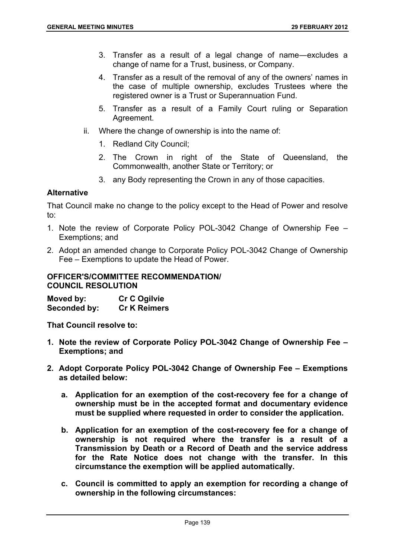- 3. Transfer as a result of a legal change of name―excludes a change of name for a Trust, business, or Company.
- 4. Transfer as a result of the removal of any of the owners' names in the case of multiple ownership, excludes Trustees where the registered owner is a Trust or Superannuation Fund.
- 5. Transfer as a result of a Family Court ruling or Separation Agreement.
- ii. Where the change of ownership is into the name of:
	- 1. Redland City Council;
	- 2. The Crown in right of the State of Queensland, the Commonwealth, another State or Territory; or
	- 3. any Body representing the Crown in any of those capacities.

# **Alternative**

That Council make no change to the policy except to the Head of Power and resolve to:

- 1. Note the review of Corporate Policy POL-3042 Change of Ownership Fee Exemptions; and
- 2. Adopt an amended change to Corporate Policy POL-3042 Change of Ownership Fee – Exemptions to update the Head of Power.

#### **OFFICER'S/COMMITTEE RECOMMENDATION/ COUNCIL RESOLUTION**

| Moved by:    | <b>Cr C Ogilvie</b> |
|--------------|---------------------|
| Seconded by: | <b>Cr K Reimers</b> |

**That Council resolve to:** 

- **1. Note the review of Corporate Policy POL-3042 Change of Ownership Fee Exemptions; and**
- **2. Adopt Corporate Policy POL-3042 Change of Ownership Fee Exemptions as detailed below:** 
	- **a. Application for an exemption of the cost-recovery fee for a change of ownership must be in the accepted format and documentary evidence must be supplied where requested in order to consider the application.**
	- **b. Application for an exemption of the cost-recovery fee for a change of ownership is not required where the transfer is a result of a Transmission by Death or a Record of Death and the service address for the Rate Notice does not change with the transfer. In this circumstance the exemption will be applied automatically.**
	- **c. Council is committed to apply an exemption for recording a change of ownership in the following circumstances:**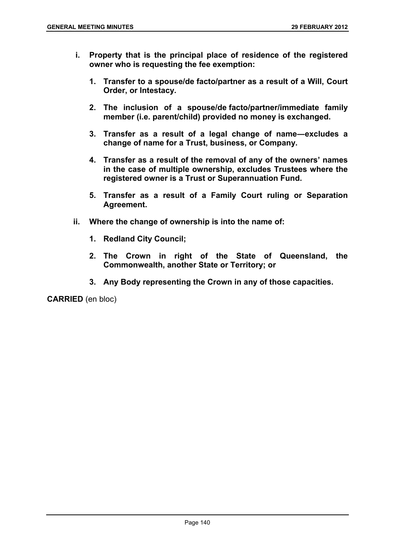- **i. Property that is the principal place of residence of the registered owner who is requesting the fee exemption:** 
	- **1. Transfer to a spouse/de facto/partner as a result of a Will, Court Order, or Intestacy.**
	- **2. The inclusion of a spouse/de facto/partner/immediate family member (i.e. parent/child) provided no money is exchanged.**
	- **3. Transfer as a result of a legal change of name―excludes a change of name for a Trust, business, or Company.**
	- **4. Transfer as a result of the removal of any of the owners' names in the case of multiple ownership, excludes Trustees where the registered owner is a Trust or Superannuation Fund.**
	- **5. Transfer as a result of a Family Court ruling or Separation Agreement.**
- **ii. Where the change of ownership is into the name of:** 
	- **1. Redland City Council;**
	- **2. The Crown in right of the State of Queensland, the Commonwealth, another State or Territory; or**
	- **3. Any Body representing the Crown in any of those capacities.**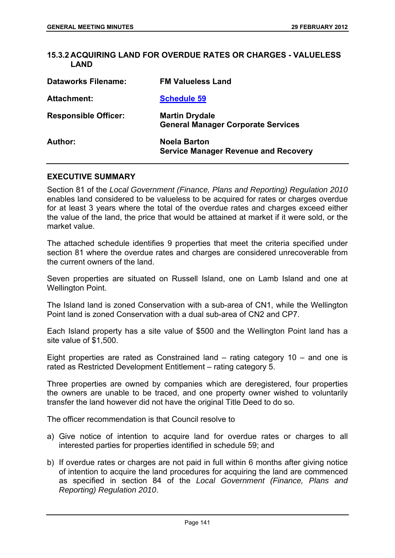## **15.3.2 ACQUIRING LAND FOR OVERDUE RATES OR CHARGES - VALUELESS LAND**

| <b>Dataworks Filename:</b>  | <b>FM Valueless Land</b>                                           |
|-----------------------------|--------------------------------------------------------------------|
| <b>Attachment:</b>          | <b>Schedule 59</b>                                                 |
| <b>Responsible Officer:</b> | <b>Martin Drydale</b><br><b>General Manager Corporate Services</b> |
| Author:                     | <b>Noela Barton</b><br><b>Service Manager Revenue and Recovery</b> |

#### **EXECUTIVE SUMMARY**

Section 81 of the *Local Government (Finance, Plans and Reporting) Regulation 2010* enables land considered to be valueless to be acquired for rates or charges overdue for at least 3 years where the total of the overdue rates and charges exceed either the value of the land, the price that would be attained at market if it were sold, or the market value.

The attached schedule identifies 9 properties that meet the criteria specified under section 81 where the overdue rates and charges are considered unrecoverable from the current owners of the land.

Seven properties are situated on Russell Island, one on Lamb Island and one at Wellington Point.

The Island land is zoned Conservation with a sub-area of CN1, while the Wellington Point land is zoned Conservation with a dual sub-area of CN2 and CP7.

Each Island property has a site value of \$500 and the Wellington Point land has a site value of \$1,500.

Eight properties are rated as Constrained land – rating category 10 – and one is rated as Restricted Development Entitlement – rating category 5.

Three properties are owned by companies which are deregistered, four properties the owners are unable to be traced, and one property owner wished to voluntarily transfer the land however did not have the original Title Deed to do so.

The officer recommendation is that Council resolve to

- a) Give notice of intention to acquire land for overdue rates or charges to all interested parties for properties identified in schedule 59; and
- b) If overdue rates or charges are not paid in full within 6 months after giving notice of intention to acquire the land procedures for acquiring the land are commenced as specified in section 84 of the *Local Government (Finance, Plans and Reporting) Regulation 2010*.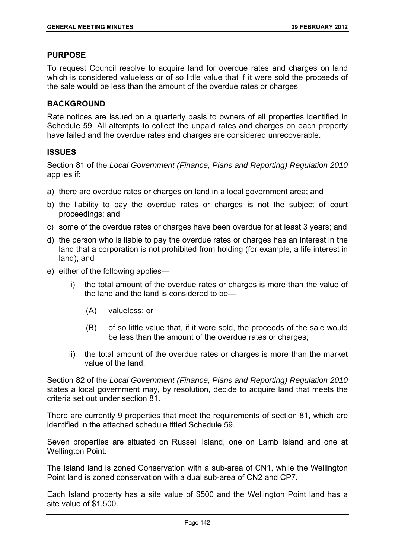## **PURPOSE**

To request Council resolve to acquire land for overdue rates and charges on land which is considered valueless or of so little value that if it were sold the proceeds of the sale would be less than the amount of the overdue rates or charges

## **BACKGROUND**

Rate notices are issued on a quarterly basis to owners of all properties identified in Schedule 59. All attempts to collect the unpaid rates and charges on each property have failed and the overdue rates and charges are considered unrecoverable.

## **ISSUES**

Section 81 of the *Local Government (Finance, Plans and Reporting) Regulation 2010* applies if:

- a) there are overdue rates or charges on land in a local government area; and
- b) the liability to pay the overdue rates or charges is not the subject of court proceedings; and
- c) some of the overdue rates or charges have been overdue for at least 3 years; and
- d) the person who is liable to pay the overdue rates or charges has an interest in the land that a corporation is not prohibited from holding (for example, a life interest in land); and
- e) either of the following applies
	- the total amount of the overdue rates or charges is more than the value of the land and the land is considered to be—
		- (A) valueless; or
		- (B) of so little value that, if it were sold, the proceeds of the sale would be less than the amount of the overdue rates or charges;
	- ii) the total amount of the overdue rates or charges is more than the market value of the land.

Section 82 of the *Local Government (Finance, Plans and Reporting) Regulation 2010* states a local government may, by resolution, decide to acquire land that meets the criteria set out under section 81.

There are currently 9 properties that meet the requirements of section 81, which are identified in the attached schedule titled Schedule 59.

Seven properties are situated on Russell Island, one on Lamb Island and one at Wellington Point.

The Island land is zoned Conservation with a sub-area of CN1, while the Wellington Point land is zoned conservation with a dual sub-area of CN2 and CP7.

Each Island property has a site value of \$500 and the Wellington Point land has a site value of \$1,500.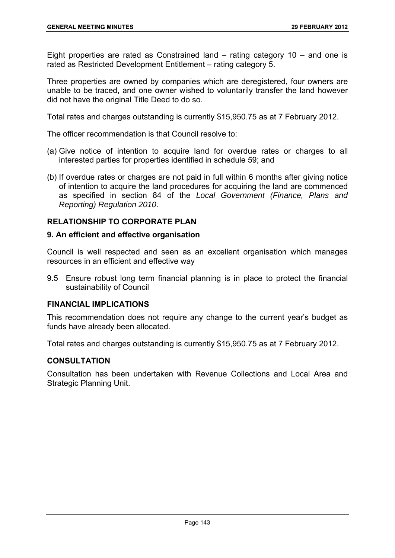Eight properties are rated as Constrained land – rating category 10 – and one is rated as Restricted Development Entitlement – rating category 5.

Three properties are owned by companies which are deregistered, four owners are unable to be traced, and one owner wished to voluntarily transfer the land however did not have the original Title Deed to do so.

Total rates and charges outstanding is currently \$15,950.75 as at 7 February 2012.

The officer recommendation is that Council resolve to:

- (a) Give notice of intention to acquire land for overdue rates or charges to all interested parties for properties identified in schedule 59; and
- (b) If overdue rates or charges are not paid in full within 6 months after giving notice of intention to acquire the land procedures for acquiring the land are commenced as specified in section 84 of the *Local Government (Finance, Plans and Reporting) Regulation 2010*.

# **RELATIONSHIP TO CORPORATE PLAN**

## **9. An efficient and effective organisation**

Council is well respected and seen as an excellent organisation which manages resources in an efficient and effective way

9.5 Ensure robust long term financial planning is in place to protect the financial sustainability of Council

#### **FINANCIAL IMPLICATIONS**

This recommendation does not require any change to the current year's budget as funds have already been allocated.

Total rates and charges outstanding is currently \$15,950.75 as at 7 February 2012.

# **CONSULTATION**

Consultation has been undertaken with Revenue Collections and Local Area and Strategic Planning Unit.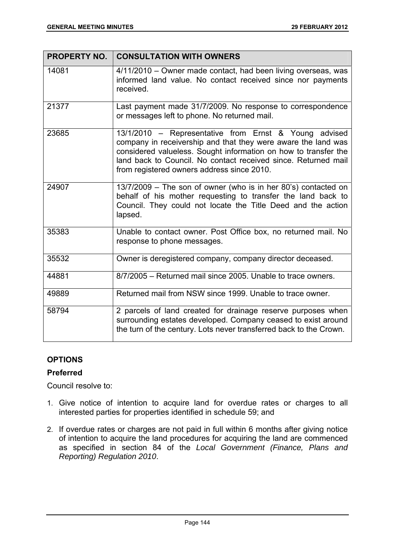| <b>PROPERTY NO.</b> | <b>CONSULTATION WITH OWNERS</b>                                                                                                                                                                                                                                                                           |
|---------------------|-----------------------------------------------------------------------------------------------------------------------------------------------------------------------------------------------------------------------------------------------------------------------------------------------------------|
| 14081               | 4/11/2010 – Owner made contact, had been living overseas, was<br>informed land value. No contact received since nor payments<br>received.                                                                                                                                                                 |
| 21377               | Last payment made 31/7/2009. No response to correspondence<br>or messages left to phone. No returned mail.                                                                                                                                                                                                |
| 23685               | 13/1/2010 - Representative from Ernst & Young advised<br>company in receivership and that they were aware the land was<br>considered valueless. Sought information on how to transfer the<br>land back to Council. No contact received since. Returned mail<br>from registered owners address since 2010. |
| 24907               | 13/7/2009 - The son of owner (who is in her 80's) contacted on<br>behalf of his mother requesting to transfer the land back to<br>Council. They could not locate the Title Deed and the action<br>lapsed.                                                                                                 |
| 35383               | Unable to contact owner. Post Office box, no returned mail. No<br>response to phone messages.                                                                                                                                                                                                             |
| 35532               | Owner is deregistered company, company director deceased.                                                                                                                                                                                                                                                 |
| 44881               | 8/7/2005 - Returned mail since 2005. Unable to trace owners.                                                                                                                                                                                                                                              |
| 49889               | Returned mail from NSW since 1999. Unable to trace owner.                                                                                                                                                                                                                                                 |
| 58794               | 2 parcels of land created for drainage reserve purposes when<br>surrounding estates developed. Company ceased to exist around<br>the turn of the century. Lots never transferred back to the Crown.                                                                                                       |

# **OPTIONS**

# **Preferred**

Council resolve to:

- 1. Give notice of intention to acquire land for overdue rates or charges to all interested parties for properties identified in schedule 59; and
- 2. If overdue rates or charges are not paid in full within 6 months after giving notice of intention to acquire the land procedures for acquiring the land are commenced as specified in section 84 of the *Local Government (Finance, Plans and Reporting) Regulation 2010*.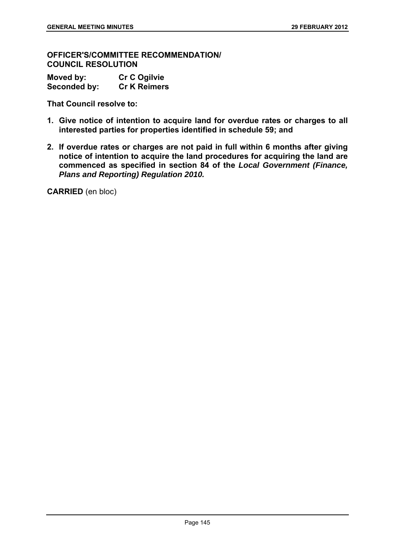**OFFICER'S/COMMITTEE RECOMMENDATION/ COUNCIL RESOLUTION** 

| Moved by:    | <b>Cr C Ogilvie</b> |
|--------------|---------------------|
| Seconded by: | <b>Cr K Reimers</b> |

**That Council resolve to:** 

- **1. Give notice of intention to acquire land for overdue rates or charges to all interested parties for properties identified in schedule 59; and**
- **2. If overdue rates or charges are not paid in full within 6 months after giving notice of intention to acquire the land procedures for acquiring the land are commenced as specified in section 84 of the** *Local Government (Finance, Plans and Reporting) Regulation 2010.*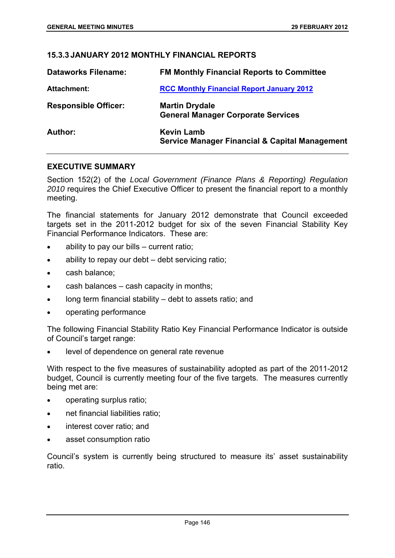## **15.3.3 JANUARY 2012 MONTHLY FINANCIAL REPORTS**

| <b>Dataworks Filename:</b>  | <b>FM Monthly Financial Reports to Committee</b>                               |
|-----------------------------|--------------------------------------------------------------------------------|
| <b>Attachment:</b>          | <b>RCC Monthly Financial Report January 2012</b>                               |
| <b>Responsible Officer:</b> | <b>Martin Drydale</b><br><b>General Manager Corporate Services</b>             |
| Author:                     | <b>Kevin Lamb</b><br><b>Service Manager Financial &amp; Capital Management</b> |

## **EXECUTIVE SUMMARY**

Section 152(2) of the *Local Government (Finance Plans & Reporting) Regulation 2010* requires the Chief Executive Officer to present the financial report to a monthly meeting.

The financial statements for January 2012 demonstrate that Council exceeded targets set in the 2011-2012 budget for six of the seven Financial Stability Key Financial Performance Indicators. These are:

- ability to pay our bills current ratio;
- ability to repay our debt debt servicing ratio;
- cash balance;
- cash balances cash capacity in months;
- long term financial stability debt to assets ratio; and
- operating performance

The following Financial Stability Ratio Key Financial Performance Indicator is outside of Council's target range:

level of dependence on general rate revenue

With respect to the five measures of sustainability adopted as part of the 2011-2012 budget, Council is currently meeting four of the five targets. The measures currently being met are:

- operating surplus ratio;
- net financial liabilities ratio;
- interest cover ratio; and
- asset consumption ratio

Council's system is currently being structured to measure its' asset sustainability ratio.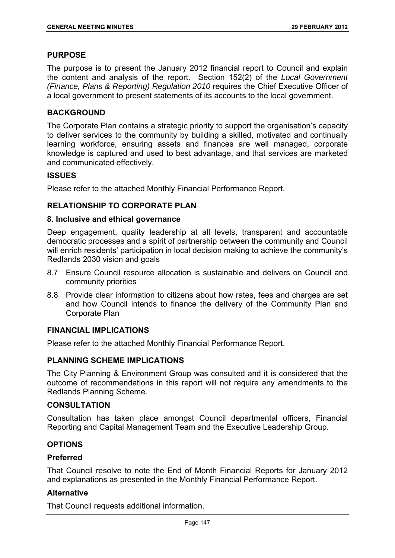#### **PURPOSE**

The purpose is to present the January 2012 financial report to Council and explain the content and analysis of the report. Section 152(2) of the *Local Government (Finance, Plans & Reporting) Regulation 2010* requires the Chief Executive Officer of a local government to present statements of its accounts to the local government.

# **BACKGROUND**

The Corporate Plan contains a strategic priority to support the organisation's capacity to deliver services to the community by building a skilled, motivated and continually learning workforce, ensuring assets and finances are well managed, corporate knowledge is captured and used to best advantage, and that services are marketed and communicated effectively.

# **ISSUES**

Please refer to the attached Monthly Financial Performance Report.

# **RELATIONSHIP TO CORPORATE PLAN**

## **8. Inclusive and ethical governance**

Deep engagement, quality leadership at all levels, transparent and accountable democratic processes and a spirit of partnership between the community and Council will enrich residents' participation in local decision making to achieve the community's Redlands 2030 vision and goals

- 8.7 Ensure Council resource allocation is sustainable and delivers on Council and community priorities
- 8.8 Provide clear information to citizens about how rates, fees and charges are set and how Council intends to finance the delivery of the Community Plan and Corporate Plan

# **FINANCIAL IMPLICATIONS**

Please refer to the attached Monthly Financial Performance Report.

# **PLANNING SCHEME IMPLICATIONS**

The City Planning & Environment Group was consulted and it is considered that the outcome of recommendations in this report will not require any amendments to the Redlands Planning Scheme.

# **CONSULTATION**

Consultation has taken place amongst Council departmental officers, Financial Reporting and Capital Management Team and the Executive Leadership Group.

# **OPTIONS**

#### **Preferred**

That Council resolve to note the End of Month Financial Reports for January 2012 and explanations as presented in the Monthly Financial Performance Report.

# **Alternative**

That Council requests additional information.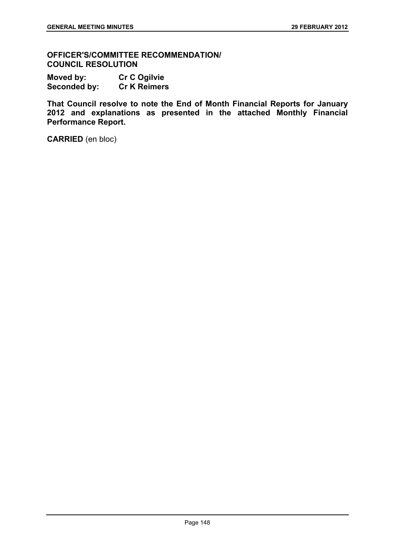**OFFICER'S/COMMITTEE RECOMMENDATION/ COUNCIL RESOLUTION** 

**Moved by: Cr C Ogilvie Seconded by: Cr K Reimers** 

**That Council resolve to note the End of Month Financial Reports for January 2012 and explanations as presented in the attached Monthly Financial Performance Report.**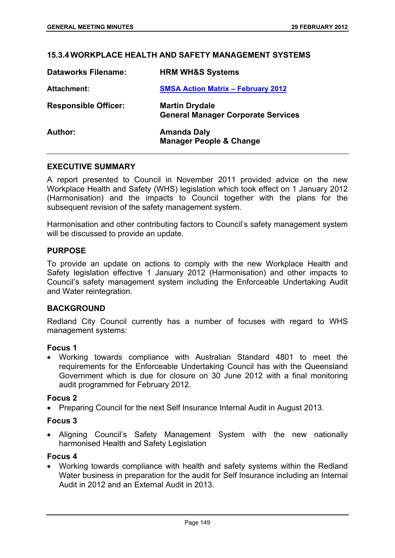## **15.3.4 WORKPLACE HEALTH AND SAFETY MANAGEMENT SYSTEMS**

| <b>Dataworks Filename:</b>  | <b>HRM WH&amp;S Systems</b>                                        |
|-----------------------------|--------------------------------------------------------------------|
| <b>Attachment:</b>          | <b>SMSA Action Matrix - February 2012</b>                          |
| <b>Responsible Officer:</b> | <b>Martin Drydale</b><br><b>General Manager Corporate Services</b> |
| Author:                     | <b>Amanda Daly</b><br><b>Manager People &amp; Change</b>           |

#### **EXECUTIVE SUMMARY**

A report presented to Council in November 2011 provided advice on the new Workplace Health and Safety (WHS) legislation which took effect on 1 January 2012 (Harmonisation) and the impacts to Council together with the plans for the subsequent revision of the safety management system.

Harmonisation and other contributing factors to Council's safety management system will be discussed to provide an update.

## **PURPOSE**

To provide an update on actions to comply with the new Workplace Health and Safety legislation effective 1 January 2012 (Harmonisation) and other impacts to Council's safety management system including the Enforceable Undertaking Audit and Water reintegration.

## **BACKGROUND**

Redland City Council currently has a number of focuses with regard to WHS management systems:

#### **Focus 1**

 Working towards compliance with Australian Standard 4801 to meet the requirements for the Enforceable Undertaking Council has with the Queensland Government which is due for closure on 30 June 2012 with a final monitoring audit programmed for February 2012.

#### **Focus 2**

• Preparing Council for the next Self Insurance Internal Audit in August 2013.

## **Focus 3**

 Aligning Council's Safety Management System with the new nationally harmonised Health and Safety Legislation

#### **Focus 4**

 Working towards compliance with health and safety systems within the Redland Water business in preparation for the audit for Self Insurance including an Internal Audit in 2012 and an External Audit in 2013.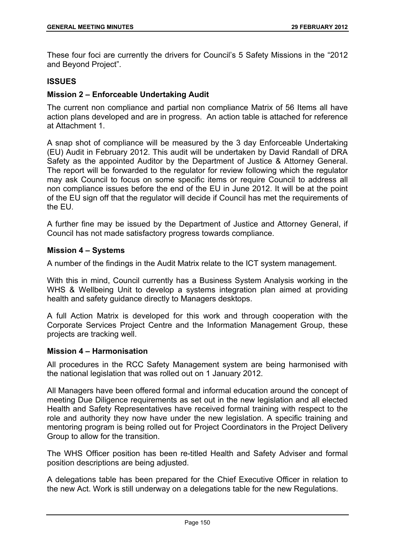These four foci are currently the drivers for Council's 5 Safety Missions in the "2012 and Beyond Project".

## **ISSUES**

## **Mission 2 – Enforceable Undertaking Audit**

The current non compliance and partial non compliance Matrix of 56 Items all have action plans developed and are in progress. An action table is attached for reference at Attachment 1.

A snap shot of compliance will be measured by the 3 day Enforceable Undertaking (EU) Audit in February 2012. This audit will be undertaken by David Randall of DRA Safety as the appointed Auditor by the Department of Justice & Attorney General. The report will be forwarded to the regulator for review following which the regulator may ask Council to focus on some specific items or require Council to address all non compliance issues before the end of the EU in June 2012. It will be at the point of the EU sign off that the regulator will decide if Council has met the requirements of the EU.

A further fine may be issued by the Department of Justice and Attorney General, if Council has not made satisfactory progress towards compliance.

#### **Mission 4 – Systems**

A number of the findings in the Audit Matrix relate to the ICT system management.

With this in mind, Council currently has a Business System Analysis working in the WHS & Wellbeing Unit to develop a systems integration plan aimed at providing health and safety guidance directly to Managers desktops.

A full Action Matrix is developed for this work and through cooperation with the Corporate Services Project Centre and the Information Management Group, these projects are tracking well.

#### **Mission 4 – Harmonisation**

All procedures in the RCC Safety Management system are being harmonised with the national legislation that was rolled out on 1 January 2012.

All Managers have been offered formal and informal education around the concept of meeting Due Diligence requirements as set out in the new legislation and all elected Health and Safety Representatives have received formal training with respect to the role and authority they now have under the new legislation. A specific training and mentoring program is being rolled out for Project Coordinators in the Project Delivery Group to allow for the transition.

The WHS Officer position has been re-titled Health and Safety Adviser and formal position descriptions are being adjusted.

A delegations table has been prepared for the Chief Executive Officer in relation to the new Act. Work is still underway on a delegations table for the new Regulations.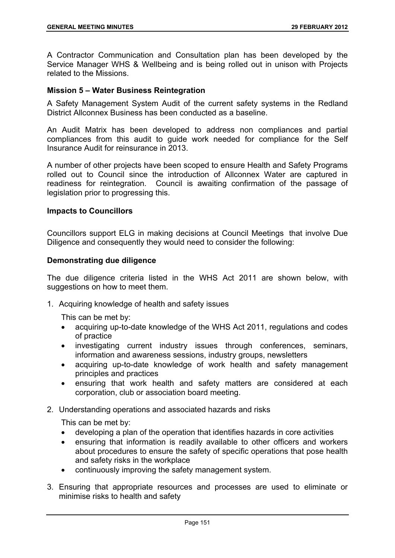A Contractor Communication and Consultation plan has been developed by the Service Manager WHS & Wellbeing and is being rolled out in unison with Projects related to the Missions.

## **Mission 5 – Water Business Reintegration**

A Safety Management System Audit of the current safety systems in the Redland District Allconnex Business has been conducted as a baseline.

An Audit Matrix has been developed to address non compliances and partial compliances from this audit to guide work needed for compliance for the Self Insurance Audit for reinsurance in 2013.

A number of other projects have been scoped to ensure Health and Safety Programs rolled out to Council since the introduction of Allconnex Water are captured in readiness for reintegration. Council is awaiting confirmation of the passage of legislation prior to progressing this.

#### **Impacts to Councillors**

Councillors support ELG in making decisions at Council Meetings that involve Due Diligence and consequently they would need to consider the following:

## **Demonstrating due diligence**

The due diligence criteria listed in the WHS Act 2011 are shown below, with suggestions on how to meet them.

1. Acquiring knowledge of health and safety issues

This can be met by:

- acquiring up-to-date knowledge of the WHS Act 2011, regulations and codes of practice
- investigating current industry issues through conferences, seminars, information and awareness sessions, industry groups, newsletters
- acquiring up-to-date knowledge of work health and safety management principles and practices
- ensuring that work health and safety matters are considered at each corporation, club or association board meeting.
- 2. Understanding operations and associated hazards and risks

This can be met by:

- developing a plan of the operation that identifies hazards in core activities
- ensuring that information is readily available to other officers and workers about procedures to ensure the safety of specific operations that pose health and safety risks in the workplace
- continuously improving the safety management system.
- 3. Ensuring that appropriate resources and processes are used to eliminate or minimise risks to health and safety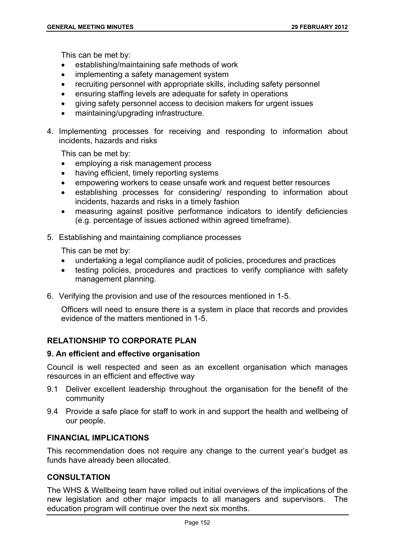This can be met by:

- establishing/maintaining safe methods of work
- implementing a safety management system
- recruiting personnel with appropriate skills, including safety personnel
- ensuring staffing levels are adequate for safety in operations
- giving safety personnel access to decision makers for urgent issues
- maintaining/upgrading infrastructure.
- 4. Implementing processes for receiving and responding to information about incidents, hazards and risks

This can be met by:

- employing a risk management process
- having efficient, timely reporting systems
- empowering workers to cease unsafe work and request better resources
- establishing processes for considering/ responding to information about incidents, hazards and risks in a timely fashion
- measuring against positive performance indicators to identify deficiencies (e.g. percentage of issues actioned within agreed timeframe).
- 5. Establishing and maintaining compliance processes

This can be met by:

- undertaking a legal compliance audit of policies, procedures and practices
- testing policies, procedures and practices to verify compliance with safety management planning.
- 6. Verifying the provision and use of the resources mentioned in 1-5.

Officers will need to ensure there is a system in place that records and provides evidence of the matters mentioned in 1-5.

# **RELATIONSHIP TO CORPORATE PLAN**

#### **9. An efficient and effective organisation**

Council is well respected and seen as an excellent organisation which manages resources in an efficient and effective way

- 9.1 Deliver excellent leadership throughout the organisation for the benefit of the community
- 9.4 Provide a safe place for staff to work in and support the health and wellbeing of our people.

## **FINANCIAL IMPLICATIONS**

This recommendation does not require any change to the current year's budget as funds have already been allocated.

## **CONSULTATION**

The WHS & Wellbeing team have rolled out initial overviews of the implications of the new legislation and other major impacts to all managers and supervisors. The education program will continue over the next six months.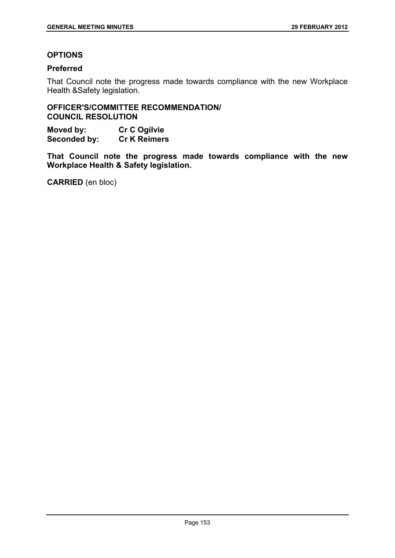# **OPTIONS**

# **Preferred**

That Council note the progress made towards compliance with the new Workplace Health &Safety legislation.

# **OFFICER'S/COMMITTEE RECOMMENDATION/ COUNCIL RESOLUTION**

**Moved by: Cr C Ogilvie Seconded by: Cr K Reimers** 

**That Council note the progress made towards compliance with the new Workplace Health & Safety legislation.**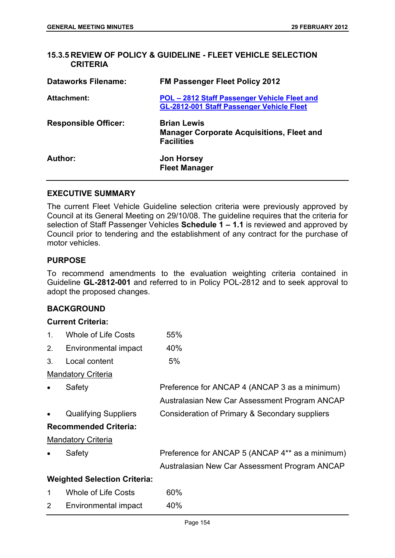## **15.3.5 REVIEW OF POLICY & GUIDELINE - FLEET VEHICLE SELECTION CRITERIA**

| <b>Dataworks Filename:</b>  | <b>FM Passenger Fleet Policy 2012</b>                                                            |
|-----------------------------|--------------------------------------------------------------------------------------------------|
| <b>Attachment:</b>          | POL - 2812 Staff Passenger Vehicle Fleet and<br><b>GL-2812-001 Staff Passenger Vehicle Fleet</b> |
| <b>Responsible Officer:</b> | <b>Brian Lewis</b><br><b>Manager Corporate Acquisitions, Fleet and</b><br><b>Facilities</b>      |
| Author:                     | <b>Jon Horsey</b><br><b>Fleet Manager</b>                                                        |

# **EXECUTIVE SUMMARY**

The current Fleet Vehicle Guideline selection criteria were previously approved by Council at its General Meeting on 29/10/08. The guideline requires that the criteria for selection of Staff Passenger Vehicles **Schedule 1 – 1.1** is reviewed and approved by Council prior to tendering and the establishment of any contract for the purchase of motor vehicles.

# **PURPOSE**

To recommend amendments to the evaluation weighting criteria contained in Guideline **GL-2812-001** and referred to in Policy POL-2812 and to seek approval to adopt the proposed changes.

# **BACKGROUND**

# **Current Criteria:**

|                | Gurrent Griteria:                   |                                                 |
|----------------|-------------------------------------|-------------------------------------------------|
| $1_{\cdot}$    | <b>Whole of Life Costs</b>          | 55%                                             |
| 2.             | Environmental impact                | 40%                                             |
| 3.             | Local content                       | 5%                                              |
|                | <b>Mandatory Criteria</b>           |                                                 |
| $\bullet$      | Safety                              | Preference for ANCAP 4 (ANCAP 3 as a minimum)   |
|                |                                     | Australasian New Car Assessment Program ANCAP   |
| $\bullet$      | <b>Qualifying Suppliers</b>         | Consideration of Primary & Secondary suppliers  |
|                | <b>Recommended Criteria:</b>        |                                                 |
|                | <b>Mandatory Criteria</b>           |                                                 |
|                | Safety                              | Preference for ANCAP 5 (ANCAP 4** as a minimum) |
|                |                                     | Australasian New Car Assessment Program ANCAP   |
|                | <b>Weighted Selection Criteria:</b> |                                                 |
| 1              | <b>Whole of Life Costs</b>          | 60%                                             |
| $\overline{2}$ | Environmental impact                | 40%                                             |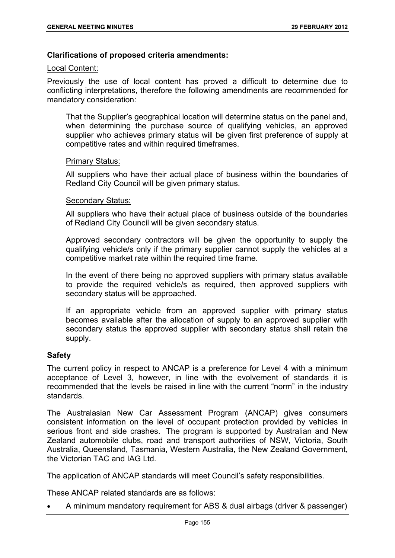## **Clarifications of proposed criteria amendments:**

#### Local Content:

Previously the use of local content has proved a difficult to determine due to conflicting interpretations, therefore the following amendments are recommended for mandatory consideration:

That the Supplier's geographical location will determine status on the panel and, when determining the purchase source of qualifying vehicles, an approved supplier who achieves primary status will be given first preference of supply at competitive rates and within required timeframes.

#### Primary Status:

All suppliers who have their actual place of business within the boundaries of Redland City Council will be given primary status.

#### Secondary Status:

All suppliers who have their actual place of business outside of the boundaries of Redland City Council will be given secondary status.

Approved secondary contractors will be given the opportunity to supply the qualifying vehicle/s only if the primary supplier cannot supply the vehicles at a competitive market rate within the required time frame.

In the event of there being no approved suppliers with primary status available to provide the required vehicle/s as required, then approved suppliers with secondary status will be approached.

If an appropriate vehicle from an approved supplier with primary status becomes available after the allocation of supply to an approved supplier with secondary status the approved supplier with secondary status shall retain the supply.

#### **Safety**

The current policy in respect to ANCAP is a preference for Level 4 with a minimum acceptance of Level 3, however, in line with the evolvement of standards it is recommended that the levels be raised in line with the current "norm" in the industry standards.

The Australasian New Car Assessment Program (ANCAP) gives consumers consistent information on the level of occupant protection provided by vehicles in serious front and side crashes. The program is supported by Australian and New Zealand automobile clubs, road and transport authorities of NSW, Victoria, South Australia, Queensland, Tasmania, Western Australia, the New Zealand Government, the Victorian TAC and IAG Ltd.

The application of ANCAP standards will meet Council's safety responsibilities.

These ANCAP related standards are as follows:

A minimum mandatory requirement for ABS & dual airbags (driver & passenger)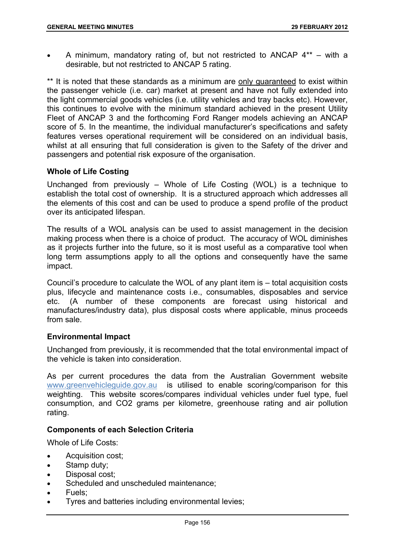A minimum, mandatory rating of, but not restricted to ANCAP 4\*\* – with a desirable, but not restricted to ANCAP 5 rating.

\*\* It is noted that these standards as a minimum are only quaranteed to exist within the passenger vehicle (i.e. car) market at present and have not fully extended into the light commercial goods vehicles (i.e. utility vehicles and tray backs etc). However, this continues to evolve with the minimum standard achieved in the present Utility Fleet of ANCAP 3 and the forthcoming Ford Ranger models achieving an ANCAP score of 5. In the meantime, the individual manufacturer's specifications and safety features verses operational requirement will be considered on an individual basis, whilst at all ensuring that full consideration is given to the Safety of the driver and passengers and potential risk exposure of the organisation.

# **Whole of Life Costing**

Unchanged from previously – Whole of Life Costing (WOL) is a technique to establish the total cost of ownership. It is a structured approach which addresses all the elements of this cost and can be used to produce a spend profile of the product over its anticipated lifespan.

The results of a WOL analysis can be used to assist management in the decision making process when there is a choice of product. The accuracy of WOL diminishes as it projects further into the future, so it is most useful as a comparative tool when long term assumptions apply to all the options and consequently have the same impact.

Council's procedure to calculate the WOL of any plant item is – total acquisition costs plus, lifecycle and maintenance costs i.e., consumables, disposables and service etc. (A number of these components are forecast using historical and manufactures/industry data), plus disposal costs where applicable, minus proceeds from sale.

# **Environmental Impact**

Unchanged from previously, it is recommended that the total environmental impact of the vehicle is taken into consideration.

As per current procedures the data from the Australian Government website www.greenvehicleguide.gov.au is utilised to enable scoring/comparison for this weighting. This website scores/compares individual vehicles under fuel type, fuel consumption, and CO2 grams per kilometre, greenhouse rating and air pollution rating.

# **Components of each Selection Criteria**

Whole of Life Costs:

- Acquisition cost:
- Stamp duty:
- Disposal cost;
- Scheduled and unscheduled maintenance;
- Fuels;
- **•** Tyres and batteries including environmental levies;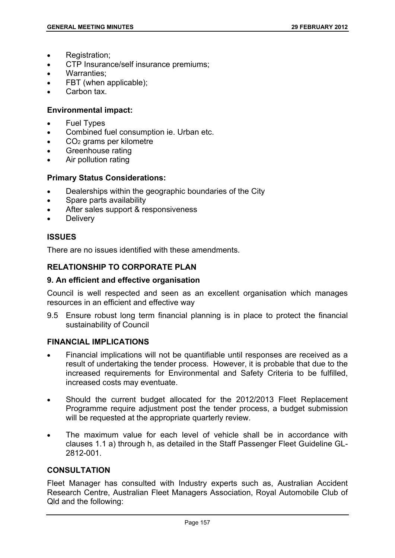- Registration;
- CTP Insurance/self insurance premiums;
- Warranties;
- FBT (when applicable);
- Carbon tax.

## **Environmental impact:**

- Fuel Types
- Combined fuel consumption ie. Urban etc.
- CO2 grams per kilometre
- Greenhouse rating
- Air pollution rating

## **Primary Status Considerations:**

- Dealerships within the geographic boundaries of the City
- Spare parts availability
- After sales support & responsiveness
- Delivery

# **ISSUES**

There are no issues identified with these amendments.

# **RELATIONSHIP TO CORPORATE PLAN**

#### **9. An efficient and effective organisation**

Council is well respected and seen as an excellent organisation which manages resources in an efficient and effective way

9.5 Ensure robust long term financial planning is in place to protect the financial sustainability of Council

# **FINANCIAL IMPLICATIONS**

- Financial implications will not be quantifiable until responses are received as a result of undertaking the tender process. However, it is probable that due to the increased requirements for Environmental and Safety Criteria to be fulfilled, increased costs may eventuate.
- Should the current budget allocated for the 2012/2013 Fleet Replacement Programme require adjustment post the tender process, a budget submission will be requested at the appropriate quarterly review.
- The maximum value for each level of vehicle shall be in accordance with clauses 1.1 a) through h, as detailed in the Staff Passenger Fleet Guideline GL-2812-001.

#### **CONSULTATION**

Fleet Manager has consulted with Industry experts such as, Australian Accident Research Centre, Australian Fleet Managers Association, Royal Automobile Club of Qld and the following: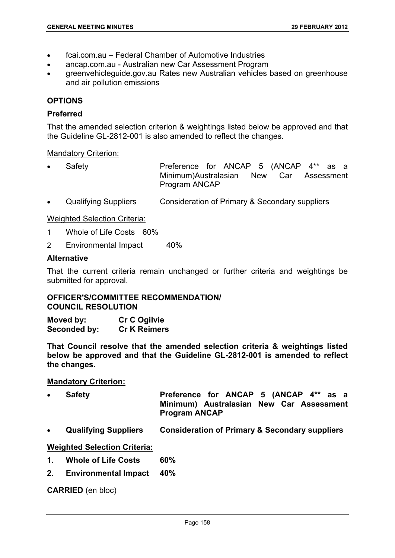- fcai.com.au Federal Chamber of Automotive Industries
- ancap.com.au Australian new Car Assessment Program
- greenvehicleguide.gov.au Rates new Australian vehicles based on greenhouse and air pollution emissions

# **OPTIONS**

## **Preferred**

That the amended selection criterion & weightings listed below be approved and that the Guideline GL-2812-001 is also amended to reflect the changes.

## Mandatory Criterion:

- Safety **Preference for ANCAP 5 (ANCAP 4\*\* as a** Minimum)Australasian New Car Assessment Program ANCAP
- Qualifying Suppliers Consideration of Primary & Secondary suppliers

## Weighted Selection Criteria:

- 1 Whole of Life Costs 60%
- 2 Environmental Impact 40%

## **Alternative**

That the current criteria remain unchanged or further criteria and weightings be submitted for approval.

#### **OFFICER'S/COMMITTEE RECOMMENDATION/ COUNCIL RESOLUTION**

**Moved by: Cr C Ogilvie Seconded by: Cr K Reimers** 

**That Council resolve that the amended selection criteria & weightings listed below be approved and that the Guideline GL-2812-001 is amended to reflect the changes.** 

#### **Mandatory Criterion:**

- Safety **Preference for ANCAP 5 (ANCAP 4\*\* as a Minimum) Australasian New Car Assessment Program ANCAP**
- **Qualifying Suppliers Consideration of Primary & Secondary suppliers**

# **Weighted Selection Criteria:**

- **1. Whole of Life Costs 60%**
- **2. Environmental Impact 40%**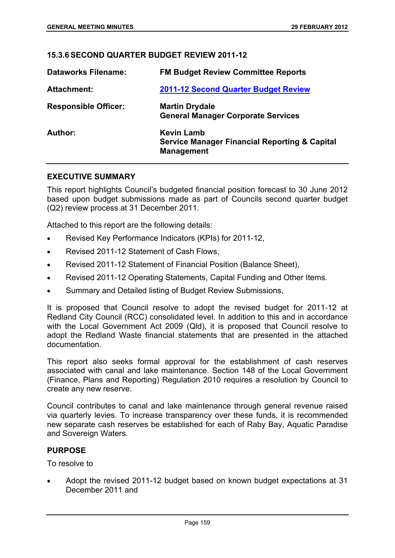## **15.3.6 SECOND QUARTER BUDGET REVIEW 2011-12**

| <b>Dataworks Filename:</b>  | <b>FM Budget Review Committee Reports</b>                                                          |
|-----------------------------|----------------------------------------------------------------------------------------------------|
| Attachment:                 | 2011-12 Second Quarter Budget Review                                                               |
| <b>Responsible Officer:</b> | <b>Martin Drydale</b><br><b>General Manager Corporate Services</b>                                 |
| Author:                     | <b>Kevin Lamb</b><br><b>Service Manager Financial Reporting &amp; Capital</b><br><b>Management</b> |

#### **EXECUTIVE SUMMARY**

This report highlights Council's budgeted financial position forecast to 30 June 2012 based upon budget submissions made as part of Councils second quarter budget (Q2) review process at 31 December 2011.

Attached to this report are the following details:

- Revised Key Performance Indicators (KPIs) for 2011-12,
- Revised 2011-12 Statement of Cash Flows,
- Revised 2011-12 Statement of Financial Position (Balance Sheet),
- Revised 2011-12 Operating Statements, Capital Funding and Other Items.
- Summary and Detailed listing of Budget Review Submissions,

It is proposed that Council resolve to adopt the revised budget for 2011-12 at Redland City Council (RCC) consolidated level. In addition to this and in accordance with the Local Government Act 2009 (Qld), it is proposed that Council resolve to adopt the Redland Waste financial statements that are presented in the attached documentation.

This report also seeks formal approval for the establishment of cash reserves associated with canal and lake maintenance. Section 148 of the Local Government (Finance, Plans and Reporting) Regulation 2010 requires a resolution by Council to create any new reserve.

Council contributes to canal and lake maintenance through general revenue raised via quarterly levies. To increase transparency over these funds, it is recommended new separate cash reserves be established for each of Raby Bay, Aquatic Paradise and Sovereign Waters.

#### **PURPOSE**

To resolve to

 Adopt the revised 2011-12 budget based on known budget expectations at 31 December 2011 and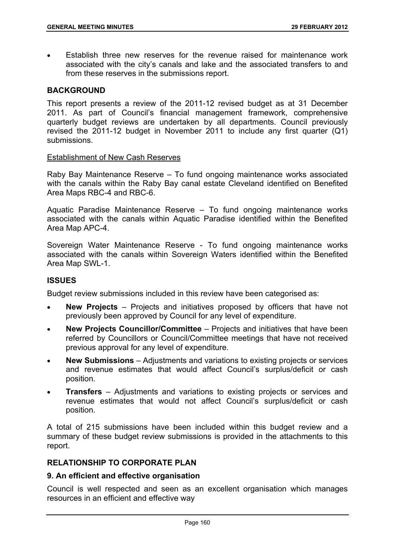Establish three new reserves for the revenue raised for maintenance work associated with the city's canals and lake and the associated transfers to and from these reserves in the submissions report.

# **BACKGROUND**

This report presents a review of the 2011-12 revised budget as at 31 December 2011. As part of Council's financial management framework, comprehensive quarterly budget reviews are undertaken by all departments. Council previously revised the 2011-12 budget in November 2011 to include any first quarter (Q1) submissions.

#### Establishment of New Cash Reserves

Raby Bay Maintenance Reserve – To fund ongoing maintenance works associated with the canals within the Raby Bay canal estate Cleveland identified on Benefited Area Maps RBC-4 and RBC-6.

Aquatic Paradise Maintenance Reserve – To fund ongoing maintenance works associated with the canals within Aquatic Paradise identified within the Benefited Area Map APC-4.

Sovereign Water Maintenance Reserve - To fund ongoing maintenance works associated with the canals within Sovereign Waters identified within the Benefited Area Map SWL-1.

# **ISSUES**

Budget review submissions included in this review have been categorised as:

- **New Projects** Projects and initiatives proposed by officers that have not previously been approved by Council for any level of expenditure.
- **New Projects Councillor/Committee** Projects and initiatives that have been referred by Councillors or Council/Committee meetings that have not received previous approval for any level of expenditure.
- **New Submissions** Adjustments and variations to existing projects or services and revenue estimates that would affect Council's surplus/deficit or cash position.
- **Transfers**  Adjustments and variations to existing projects or services and revenue estimates that would not affect Council's surplus/deficit or cash position.

A total of 215 submissions have been included within this budget review and a summary of these budget review submissions is provided in the attachments to this report.

# **RELATIONSHIP TO CORPORATE PLAN**

# **9. An efficient and effective organisation**

Council is well respected and seen as an excellent organisation which manages resources in an efficient and effective way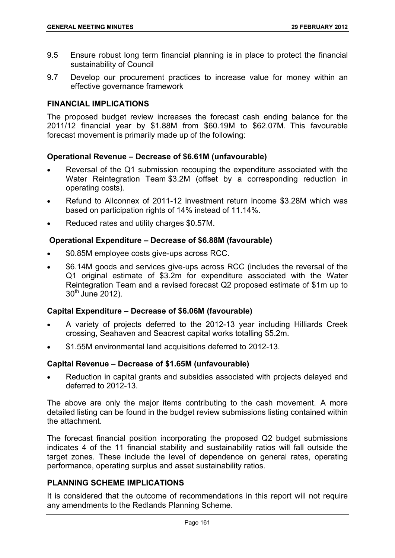- 9.5 Ensure robust long term financial planning is in place to protect the financial sustainability of Council
- 9.7 Develop our procurement practices to increase value for money within an effective governance framework

# **FINANCIAL IMPLICATIONS**

The proposed budget review increases the forecast cash ending balance for the 2011/12 financial year by \$1.88M from \$60.19M to \$62.07M. This favourable forecast movement is primarily made up of the following:

## **Operational Revenue – Decrease of \$6.61M (unfavourable)**

- Reversal of the Q1 submission recouping the expenditure associated with the Water Reintegration Team \$3.2M (offset by a corresponding reduction in operating costs).
- Refund to Allconnex of 2011-12 investment return income \$3.28M which was based on participation rights of 14% instead of 11.14%.
- Reduced rates and utility charges \$0.57M.

## **Operational Expenditure – Decrease of \$6.88M (favourable)**

- \$0.85M employee costs give-ups across RCC.
- \$6.14M goods and services give-ups across RCC (includes the reversal of the Q1 original estimate of \$3.2m for expenditure associated with the Water Reintegration Team and a revised forecast Q2 proposed estimate of \$1m up to  $30<sup>th</sup>$  June 2012).

#### **Capital Expenditure – Decrease of \$6.06M (favourable)**

- A variety of projects deferred to the 2012-13 year including Hilliards Creek crossing, Seahaven and Seacrest capital works totalling \$5.2m.
- \$1.55M environmental land acquisitions deferred to 2012-13.

# **Capital Revenue – Decrease of \$1.65M (unfavourable)**

 Reduction in capital grants and subsidies associated with projects delayed and deferred to 2012-13.

The above are only the major items contributing to the cash movement. A more detailed listing can be found in the budget review submissions listing contained within the attachment.

The forecast financial position incorporating the proposed Q2 budget submissions indicates 4 of the 11 financial stability and sustainability ratios will fall outside the target zones. These include the level of dependence on general rates, operating performance, operating surplus and asset sustainability ratios.

# **PLANNING SCHEME IMPLICATIONS**

It is considered that the outcome of recommendations in this report will not require any amendments to the Redlands Planning Scheme.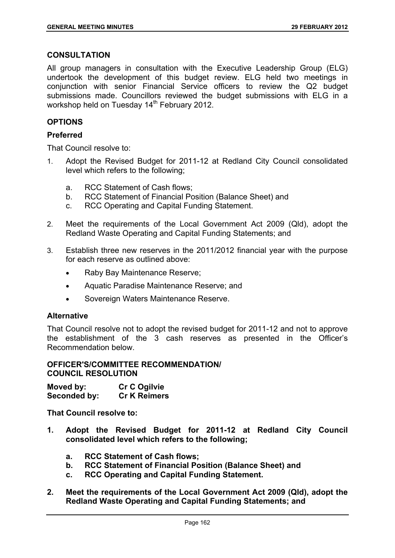## **CONSULTATION**

All group managers in consultation with the Executive Leadership Group (ELG) undertook the development of this budget review. ELG held two meetings in conjunction with senior Financial Service officers to review the Q2 budget submissions made. Councillors reviewed the budget submissions with ELG in a workshop held on Tuesday 14<sup>th</sup> February 2012.

# **OPTIONS**

# **Preferred**

That Council resolve to:

- 1. Adopt the Revised Budget for 2011-12 at Redland City Council consolidated level which refers to the following;
	- a. RCC Statement of Cash flows;
	- b. RCC Statement of Financial Position (Balance Sheet) and
	- c. RCC Operating and Capital Funding Statement.
- 2. Meet the requirements of the Local Government Act 2009 (Qld), adopt the Redland Waste Operating and Capital Funding Statements; and
- 3. Establish three new reserves in the 2011/2012 financial year with the purpose for each reserve as outlined above:
	- Raby Bay Maintenance Reserve;
	- Aquatic Paradise Maintenance Reserve; and
	- Sovereign Waters Maintenance Reserve.

#### **Alternative**

That Council resolve not to adopt the revised budget for 2011-12 and not to approve the establishment of the 3 cash reserves as presented in the Officer's Recommendation below.

## **OFFICER'S/COMMITTEE RECOMMENDATION/ COUNCIL RESOLUTION**

**Moved by: Cr C Ogilvie Seconded by: Cr K Reimers** 

**That Council resolve to:** 

- **1. Adopt the Revised Budget for 2011-12 at Redland City Council consolidated level which refers to the following;** 
	- **a. RCC Statement of Cash flows;**
	- **b. RCC Statement of Financial Position (Balance Sheet) and**
	- **c. RCC Operating and Capital Funding Statement.**
- **2. Meet the requirements of the Local Government Act 2009 (Qld), adopt the Redland Waste Operating and Capital Funding Statements; and**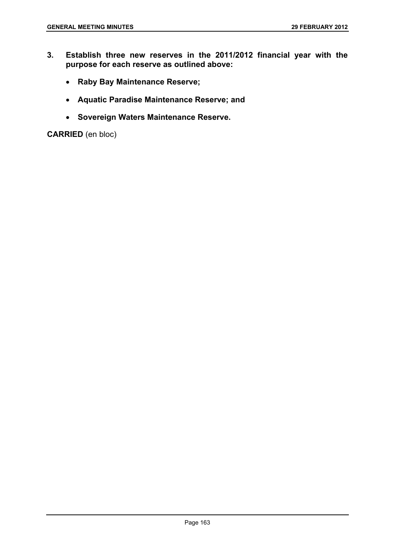- **3. Establish three new reserves in the 2011/2012 financial year with the purpose for each reserve as outlined above:** 
	- **Raby Bay Maintenance Reserve;**
	- **Aquatic Paradise Maintenance Reserve; and**
	- **Sovereign Waters Maintenance Reserve.**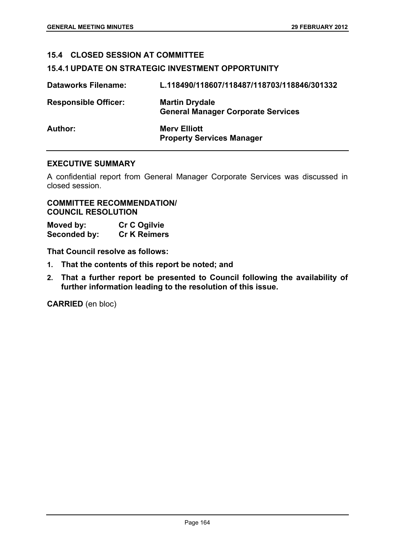# **15.4 CLOSED SESSION AT COMMITTEE**

#### **15.4.1 UPDATE ON STRATEGIC INVESTMENT OPPORTUNITY**

| <b>Dataworks Filename:</b>  | L.118490/118607/118487/118703/118846/301332                        |
|-----------------------------|--------------------------------------------------------------------|
| <b>Responsible Officer:</b> | <b>Martin Drydale</b><br><b>General Manager Corporate Services</b> |
| Author:                     | <b>Merv Elliott</b><br><b>Property Services Manager</b>            |

## **EXECUTIVE SUMMARY**

A confidential report from General Manager Corporate Services was discussed in closed session.

# **COMMITTEE RECOMMENDATION/ COUNCIL RESOLUTION**

| Moved by:    | <b>Cr C Ogilvie</b> |
|--------------|---------------------|
| Seconded by: | <b>Cr K Reimers</b> |

**That Council resolve as follows:** 

- **1. That the contents of this report be noted; and**
- **2. That a further report be presented to Council following the availability of further information leading to the resolution of this issue.**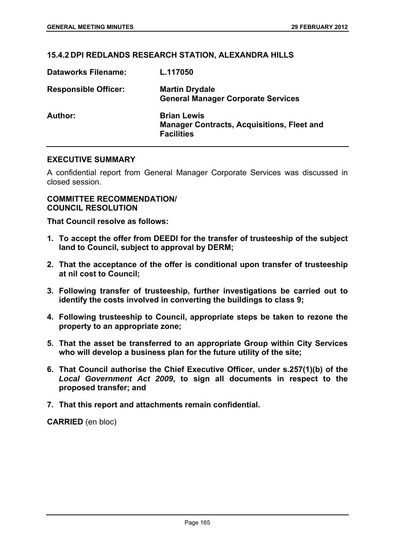## **15.4.2 DPI REDLANDS RESEARCH STATION, ALEXANDRA HILLS**

| <b>Dataworks Filename:</b>  | L.117050                                                                                     |
|-----------------------------|----------------------------------------------------------------------------------------------|
| <b>Responsible Officer:</b> | <b>Martin Drydale</b><br><b>General Manager Corporate Services</b>                           |
| Author:                     | <b>Brian Lewis</b><br><b>Manager Contracts, Acquisitions, Fleet and</b><br><b>Facilities</b> |

## **EXECUTIVE SUMMARY**

A confidential report from General Manager Corporate Services was discussed in closed session.

#### **COMMITTEE RECOMMENDATION/ COUNCIL RESOLUTION**

**That Council resolve as follows:** 

- **1. To accept the offer from DEEDI for the transfer of trusteeship of the subject land to Council, subject to approval by DERM;**
- **2. That the acceptance of the offer is conditional upon transfer of trusteeship at nil cost to Council;**
- **3. Following transfer of trusteeship, further investigations be carried out to identify the costs involved in converting the buildings to class 9;**
- **4. Following trusteeship to Council, appropriate steps be taken to rezone the property to an appropriate zone;**
- **5. That the asset be transferred to an appropriate Group within City Services who will develop a business plan for the future utility of the site;**
- **6. That Council authorise the Chief Executive Officer, under s.257(1)(b) of the**  *Local Government Act 2009***, to sign all documents in respect to the proposed transfer; and**
- **7. That this report and attachments remain confidential.**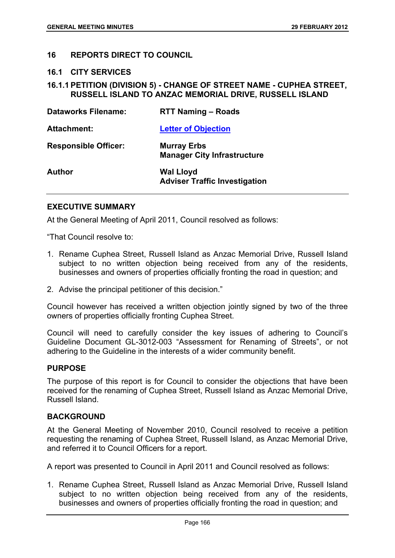## **16 REPORTS DIRECT TO COUNCIL**

**16.1 CITY SERVICES** 

## **16.1.1 PETITION (DIVISION 5) - CHANGE OF STREET NAME - CUPHEA STREET, RUSSELL ISLAND TO ANZAC MEMORIAL DRIVE, RUSSELL ISLAND**

| <b>Dataworks Filename:</b>  | <b>RTT Naming - Roads</b>                                |
|-----------------------------|----------------------------------------------------------|
| <b>Attachment:</b>          | <b>Letter of Objection</b>                               |
| <b>Responsible Officer:</b> | <b>Murray Erbs</b><br><b>Manager City Infrastructure</b> |
| <b>Author</b>               | <b>Wal Lloyd</b><br><b>Adviser Traffic Investigation</b> |

## **EXECUTIVE SUMMARY**

At the General Meeting of April 2011, Council resolved as follows:

"That Council resolve to:

- 1. Rename Cuphea Street, Russell Island as Anzac Memorial Drive, Russell Island subject to no written objection being received from any of the residents, businesses and owners of properties officially fronting the road in question; and
- 2. Advise the principal petitioner of this decision."

Council however has received a written objection jointly signed by two of the three owners of properties officially fronting Cuphea Street.

Council will need to carefully consider the key issues of adhering to Council's Guideline Document GL-3012-003 "Assessment for Renaming of Streets", or not adhering to the Guideline in the interests of a wider community benefit.

#### **PURPOSE**

The purpose of this report is for Council to consider the objections that have been received for the renaming of Cuphea Street, Russell Island as Anzac Memorial Drive, Russell Island.

#### **BACKGROUND**

At the General Meeting of November 2010, Council resolved to receive a petition requesting the renaming of Cuphea Street, Russell Island, as Anzac Memorial Drive, and referred it to Council Officers for a report.

A report was presented to Council in April 2011 and Council resolved as follows:

1. Rename Cuphea Street, Russell Island as Anzac Memorial Drive, Russell Island subject to no written objection being received from any of the residents, businesses and owners of properties officially fronting the road in question; and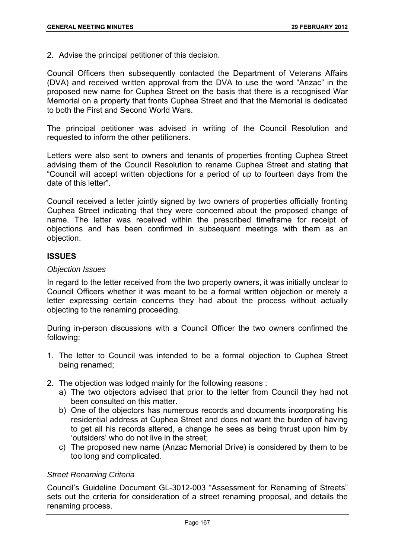2. Advise the principal petitioner of this decision.

Council Officers then subsequently contacted the Department of Veterans Affairs (DVA) and received written approval from the DVA to use the word "Anzac" in the proposed new name for Cuphea Street on the basis that there is a recognised War Memorial on a property that fronts Cuphea Street and that the Memorial is dedicated to both the First and Second World Wars.

The principal petitioner was advised in writing of the Council Resolution and requested to inform the other petitioners.

Letters were also sent to owners and tenants of properties fronting Cuphea Street advising them of the Council Resolution to rename Cuphea Street and stating that "Council will accept written objections for a period of up to fourteen days from the date of this letter".

Council received a letter jointly signed by two owners of properties officially fronting Cuphea Street indicating that they were concerned about the proposed change of name. The letter was received within the prescribed timeframe for receipt of objections and has been confirmed in subsequent meetings with them as an objection.

# **ISSUES**

## *Objection Issues*

In regard to the letter received from the two property owners, it was initially unclear to Council Officers whether it was meant to be a formal written objection or merely a letter expressing certain concerns they had about the process without actually objecting to the renaming proceeding.

During in-person discussions with a Council Officer the two owners confirmed the following:

- 1. The letter to Council was intended to be a formal objection to Cuphea Street being renamed;
- 2. The objection was lodged mainly for the following reasons :
	- a) The two objectors advised that prior to the letter from Council they had not been consulted on this matter.
	- b) One of the objectors has numerous records and documents incorporating his residential address at Cuphea Street and does not want the burden of having to get all his records altered, a change he sees as being thrust upon him by 'outsiders' who do not live in the street;
	- c) The proposed new name (Anzac Memorial Drive) is considered by them to be too long and complicated.

## *Street Renaming Criteria*

Council's Guideline Document GL-3012-003 "Assessment for Renaming of Streets" sets out the criteria for consideration of a street renaming proposal, and details the renaming process.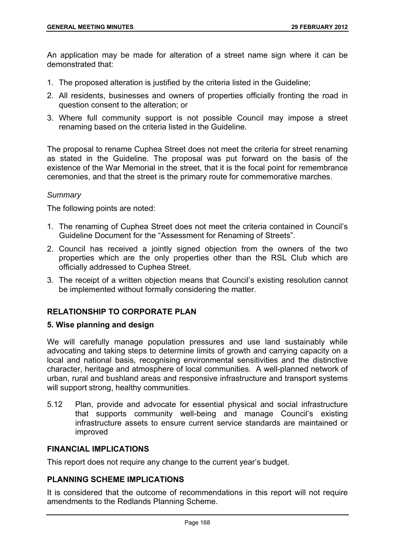An application may be made for alteration of a street name sign where it can be demonstrated that:

- 1. The proposed alteration is justified by the criteria listed in the Guideline;
- 2. All residents, businesses and owners of properties officially fronting the road in question consent to the alteration; or
- 3. Where full community support is not possible Council may impose a street renaming based on the criteria listed in the Guideline.

The proposal to rename Cuphea Street does not meet the criteria for street renaming as stated in the Guideline. The proposal was put forward on the basis of the existence of the War Memorial in the street, that it is the focal point for remembrance ceremonies, and that the street is the primary route for commemorative marches.

#### *Summary*

The following points are noted:

- 1. The renaming of Cuphea Street does not meet the criteria contained in Council's Guideline Document for the "Assessment for Renaming of Streets".
- 2. Council has received a jointly signed objection from the owners of the two properties which are the only properties other than the RSL Club which are officially addressed to Cuphea Street.
- 3. The receipt of a written objection means that Council's existing resolution cannot be implemented without formally considering the matter.

# **RELATIONSHIP TO CORPORATE PLAN**

# **5. Wise planning and design**

We will carefully manage population pressures and use land sustainably while advocating and taking steps to determine limits of growth and carrying capacity on a local and national basis, recognising environmental sensitivities and the distinctive character, heritage and atmosphere of local communities. A well-planned network of urban, rural and bushland areas and responsive infrastructure and transport systems will support strong, healthy communities.

5.12 Plan, provide and advocate for essential physical and social infrastructure that supports community well-being and manage Council's existing infrastructure assets to ensure current service standards are maintained or improved

#### **FINANCIAL IMPLICATIONS**

This report does not require any change to the current year's budget.

# **PLANNING SCHEME IMPLICATIONS**

It is considered that the outcome of recommendations in this report will not require amendments to the Redlands Planning Scheme.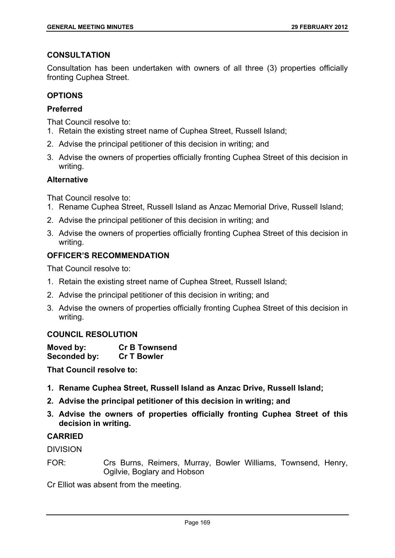## **CONSULTATION**

Consultation has been undertaken with owners of all three (3) properties officially fronting Cuphea Street.

# **OPTIONS**

# **Preferred**

That Council resolve to:

- 1. Retain the existing street name of Cuphea Street, Russell Island;
- 2. Advise the principal petitioner of this decision in writing; and
- 3. Advise the owners of properties officially fronting Cuphea Street of this decision in writing.

# **Alternative**

That Council resolve to:

- 1. Rename Cuphea Street, Russell Island as Anzac Memorial Drive, Russell Island;
- 2. Advise the principal petitioner of this decision in writing; and
- 3. Advise the owners of properties officially fronting Cuphea Street of this decision in writing.

# **OFFICER'S RECOMMENDATION**

That Council resolve to:

- 1. Retain the existing street name of Cuphea Street, Russell Island;
- 2. Advise the principal petitioner of this decision in writing; and
- 3. Advise the owners of properties officially fronting Cuphea Street of this decision in writing.

# **COUNCIL RESOLUTION**

| Moved by:    | <b>Cr B Townsend</b> |
|--------------|----------------------|
| Seconded by: | <b>Cr T Bowler</b>   |

**That Council resolve to:** 

- **1. Rename Cuphea Street, Russell Island as Anzac Drive, Russell Island;**
- **2. Advise the principal petitioner of this decision in writing; and**
- **3. Advise the owners of properties officially fronting Cuphea Street of this decision in writing.**

# **CARRIED**

DIVISION

FOR: Crs Burns, Reimers, Murray, Bowler Williams, Townsend, Henry, Ogilvie, Boglary and Hobson

Cr Elliot was absent from the meeting.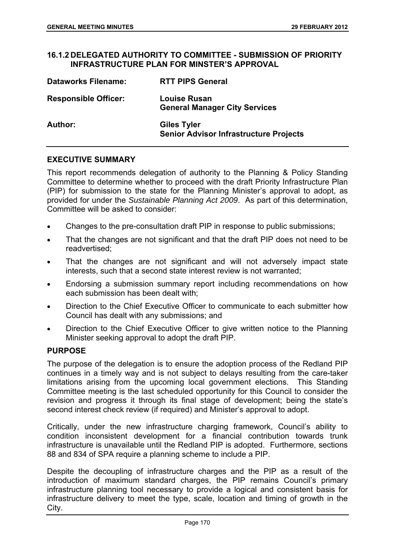## **16.1.2 DELEGATED AUTHORITY TO COMMITTEE - SUBMISSION OF PRIORITY INFRASTRUCTURE PLAN FOR MINSTER'S APPROVAL**

| <b>Dataworks Filename:</b>  | <b>RTT PIPS General</b>                                             |
|-----------------------------|---------------------------------------------------------------------|
| <b>Responsible Officer:</b> | <b>Louise Rusan</b><br><b>General Manager City Services</b>         |
| <b>Author:</b>              | <b>Giles Tyler</b><br><b>Senior Advisor Infrastructure Projects</b> |

## **EXECUTIVE SUMMARY**

This report recommends delegation of authority to the Planning & Policy Standing Committee to determine whether to proceed with the draft Priority Infrastructure Plan (PIP) for submission to the state for the Planning Minister's approval to adopt, as provided for under the *Sustainable Planning Act 2009*. As part of this determination, Committee will be asked to consider:

- Changes to the pre-consultation draft PIP in response to public submissions;
- That the changes are not significant and that the draft PIP does not need to be readvertised;
- That the changes are not significant and will not adversely impact state interests, such that a second state interest review is not warranted;
- Endorsing a submission summary report including recommendations on how each submission has been dealt with;
- Direction to the Chief Executive Officer to communicate to each submitter how Council has dealt with any submissions; and
- Direction to the Chief Executive Officer to give written notice to the Planning Minister seeking approval to adopt the draft PIP.

## **PURPOSE**

The purpose of the delegation is to ensure the adoption process of the Redland PIP continues in a timely way and is not subject to delays resulting from the care-taker limitations arising from the upcoming local government elections. This Standing Committee meeting is the last scheduled opportunity for this Council to consider the revision and progress it through its final stage of development; being the state's second interest check review (if required) and Minister's approval to adopt.

Critically, under the new infrastructure charging framework, Council's ability to condition inconsistent development for a financial contribution towards trunk infrastructure is unavailable until the Redland PIP is adopted. Furthermore, sections 88 and 834 of SPA require a planning scheme to include a PIP.

Despite the decoupling of infrastructure charges and the PIP as a result of the introduction of maximum standard charges, the PIP remains Council's primary infrastructure planning tool necessary to provide a logical and consistent basis for infrastructure delivery to meet the type, scale, location and timing of growth in the City.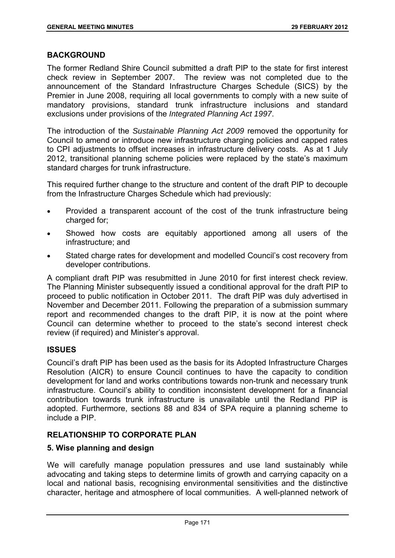## **BACKGROUND**

The former Redland Shire Council submitted a draft PIP to the state for first interest check review in September 2007. The review was not completed due to the announcement of the Standard Infrastructure Charges Schedule (SICS) by the Premier in June 2008, requiring all local governments to comply with a new suite of mandatory provisions, standard trunk infrastructure inclusions and standard exclusions under provisions of the *Integrated Planning Act 1997*.

The introduction of the *Sustainable Planning Act 2009* removed the opportunity for Council to amend or introduce new infrastructure charging policies and capped rates to CPI adjustments to offset increases in infrastructure delivery costs. As at 1 July 2012, transitional planning scheme policies were replaced by the state's maximum standard charges for trunk infrastructure.

This required further change to the structure and content of the draft PIP to decouple from the Infrastructure Charges Schedule which had previously:

- Provided a transparent account of the cost of the trunk infrastructure being charged for;
- Showed how costs are equitably apportioned among all users of the infrastructure; and
- Stated charge rates for development and modelled Council's cost recovery from developer contributions.

A compliant draft PIP was resubmitted in June 2010 for first interest check review. The Planning Minister subsequently issued a conditional approval for the draft PIP to proceed to public notification in October 2011. The draft PIP was duly advertised in November and December 2011. Following the preparation of a submission summary report and recommended changes to the draft PIP, it is now at the point where Council can determine whether to proceed to the state's second interest check review (if required) and Minister's approval.

# **ISSUES**

Council's draft PIP has been used as the basis for its Adopted Infrastructure Charges Resolution (AICR) to ensure Council continues to have the capacity to condition development for land and works contributions towards non-trunk and necessary trunk infrastructure. Council's ability to condition inconsistent development for a financial contribution towards trunk infrastructure is unavailable until the Redland PIP is adopted. Furthermore, sections 88 and 834 of SPA require a planning scheme to include a PIP.

# **RELATIONSHIP TO CORPORATE PLAN**

# **5. Wise planning and design**

We will carefully manage population pressures and use land sustainably while advocating and taking steps to determine limits of growth and carrying capacity on a local and national basis, recognising environmental sensitivities and the distinctive character, heritage and atmosphere of local communities. A well-planned network of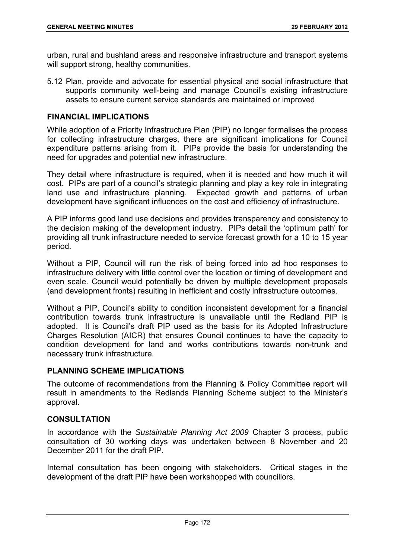urban, rural and bushland areas and responsive infrastructure and transport systems will support strong, healthy communities.

5.12 Plan, provide and advocate for essential physical and social infrastructure that supports community well-being and manage Council's existing infrastructure assets to ensure current service standards are maintained or improved

# **FINANCIAL IMPLICATIONS**

While adoption of a Priority Infrastructure Plan (PIP) no longer formalises the process for collecting infrastructure charges, there are significant implications for Council expenditure patterns arising from it. PIPs provide the basis for understanding the need for upgrades and potential new infrastructure.

They detail where infrastructure is required, when it is needed and how much it will cost. PIPs are part of a council's strategic planning and play a key role in integrating land use and infrastructure planning. Expected growth and patterns of urban development have significant influences on the cost and efficiency of infrastructure.

A PIP informs good land use decisions and provides transparency and consistency to the decision making of the development industry. PIPs detail the 'optimum path' for providing all trunk infrastructure needed to service forecast growth for a 10 to 15 year period.

Without a PIP, Council will run the risk of being forced into ad hoc responses to infrastructure delivery with little control over the location or timing of development and even scale. Council would potentially be driven by multiple development proposals (and development fronts) resulting in inefficient and costly infrastructure outcomes.

Without a PIP, Council's ability to condition inconsistent development for a financial contribution towards trunk infrastructure is unavailable until the Redland PIP is adopted. It is Council's draft PIP used as the basis for its Adopted Infrastructure Charges Resolution (AICR) that ensures Council continues to have the capacity to condition development for land and works contributions towards non-trunk and necessary trunk infrastructure.

# **PLANNING SCHEME IMPLICATIONS**

The outcome of recommendations from the Planning & Policy Committee report will result in amendments to the Redlands Planning Scheme subject to the Minister's approval.

# **CONSULTATION**

In accordance with the *Sustainable Planning Act 2009* Chapter 3 process, public consultation of 30 working days was undertaken between 8 November and 20 December 2011 for the draft PIP.

Internal consultation has been ongoing with stakeholders. Critical stages in the development of the draft PIP have been workshopped with councillors.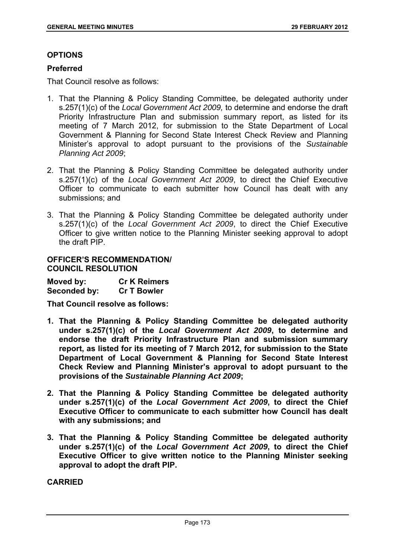# **OPTIONS**

# **Preferred**

That Council resolve as follows:

- 1. That the Planning & Policy Standing Committee, be delegated authority under s.257(1)(c) of the *Local Government Act 2009,* to determine and endorse the draft Priority Infrastructure Plan and submission summary report, as listed for its meeting of 7 March 2012, for submission to the State Department of Local Government & Planning for Second State Interest Check Review and Planning Minister's approval to adopt pursuant to the provisions of the *Sustainable Planning Act 2009*;
- 2. That the Planning & Policy Standing Committee be delegated authority under s.257(1)(c) of the *Local Government Act 2009*, to direct the Chief Executive Officer to communicate to each submitter how Council has dealt with any submissions; and
- 3. That the Planning & Policy Standing Committee be delegated authority under s.257(1)(c) of the *Local Government Act 2009*, to direct the Chief Executive Officer to give written notice to the Planning Minister seeking approval to adopt the draft PIP.

## **OFFICER'S RECOMMENDATION/ COUNCIL RESOLUTION**

**Moved by: Cr K Reimers Seconded by: Cr T Bowler** 

**That Council resolve as follows:** 

- **1. That the Planning & Policy Standing Committee be delegated authority under s.257(1)(c) of the** *Local Government Act 2009***, to determine and endorse the draft Priority Infrastructure Plan and submission summary report, as listed for its meeting of 7 March 2012, for submission to the State Department of Local Government & Planning for Second State Interest Check Review and Planning Minister's approval to adopt pursuant to the provisions of the** *Sustainable Planning Act 2009***;**
- **2. That the Planning & Policy Standing Committee be delegated authority under s.257(1)(c) of the** *Local Government Act 2009***, to direct the Chief Executive Officer to communicate to each submitter how Council has dealt with any submissions; and**
- **3. That the Planning & Policy Standing Committee be delegated authority under s.257(1)(c) of the** *Local Government Act 2009***, to direct the Chief Executive Officer to give written notice to the Planning Minister seeking approval to adopt the draft PIP.**

**CARRIED**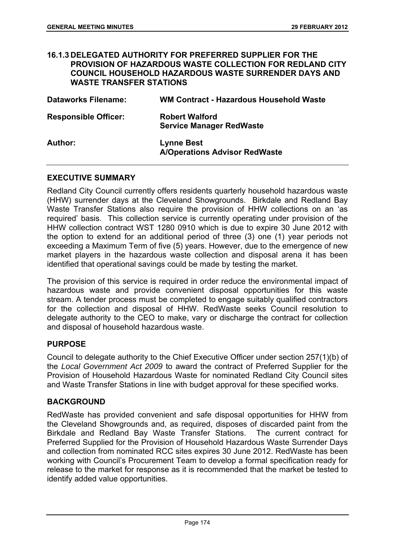| <b>WASTE TRANSFER STATIONS</b> | <b>16.1.3 DELEGATED AUTHORITY FOR PREFERRED SUPPLIER FOR THE</b><br><b>PROVISION OF HAZARDOUS WASTE COLLECTION FOR REDLAND CITY</b><br><b>COUNCIL HOUSEHOLD HAZARDOUS WASTE SURRENDER DAYS AND</b> |
|--------------------------------|----------------------------------------------------------------------------------------------------------------------------------------------------------------------------------------------------|
| <b>Dataworks Filename:</b>     | <b>WM Contract - Hazardous Household Waste</b>                                                                                                                                                     |
| <b>Responsible Officer:</b>    | <b>Robert Walford</b><br><b>Service Manager RedWaste</b>                                                                                                                                           |
| Author:                        | <b>Lynne Best</b><br><b>A/Operations Advisor RedWaste</b>                                                                                                                                          |

### **EXECUTIVE SUMMARY**

Redland City Council currently offers residents quarterly household hazardous waste (HHW) surrender days at the Cleveland Showgrounds. Birkdale and Redland Bay Waste Transfer Stations also require the provision of HHW collections on an 'as required' basis. This collection service is currently operating under provision of the HHW collection contract WST 1280 0910 which is due to expire 30 June 2012 with the option to extend for an additional period of three (3) one (1) year periods not exceeding a Maximum Term of five (5) years. However, due to the emergence of new market players in the hazardous waste collection and disposal arena it has been identified that operational savings could be made by testing the market.

The provision of this service is required in order reduce the environmental impact of hazardous waste and provide convenient disposal opportunities for this waste stream. A tender process must be completed to engage suitably qualified contractors for the collection and disposal of HHW. RedWaste seeks Council resolution to delegate authority to the CEO to make, vary or discharge the contract for collection and disposal of household hazardous waste.

#### **PURPOSE**

Council to delegate authority to the Chief Executive Officer under section 257(1)(b) of the *Local Government Act 2009* to award the contract of Preferred Supplier for the Provision of Household Hazardous Waste for nominated Redland City Council sites and Waste Transfer Stations in line with budget approval for these specified works.

#### **BACKGROUND**

RedWaste has provided convenient and safe disposal opportunities for HHW from the Cleveland Showgrounds and, as required, disposes of discarded paint from the Birkdale and Redland Bay Waste Transfer Stations. The current contract for Preferred Supplied for the Provision of Household Hazardous Waste Surrender Days and collection from nominated RCC sites expires 30 June 2012. RedWaste has been working with Council's Procurement Team to develop a formal specification ready for release to the market for response as it is recommended that the market be tested to identify added value opportunities.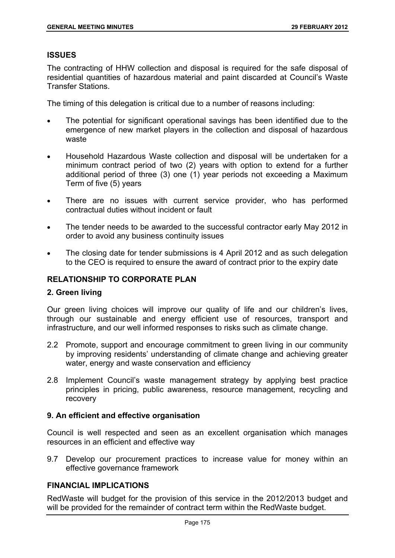### **ISSUES**

The contracting of HHW collection and disposal is required for the safe disposal of residential quantities of hazardous material and paint discarded at Council's Waste Transfer Stations.

The timing of this delegation is critical due to a number of reasons including:

- The potential for significant operational savings has been identified due to the emergence of new market players in the collection and disposal of hazardous waste
- Household Hazardous Waste collection and disposal will be undertaken for a minimum contract period of two (2) years with option to extend for a further additional period of three (3) one (1) year periods not exceeding a Maximum Term of five (5) years
- There are no issues with current service provider, who has performed contractual duties without incident or fault
- The tender needs to be awarded to the successful contractor early May 2012 in order to avoid any business continuity issues
- The closing date for tender submissions is 4 April 2012 and as such delegation to the CEO is required to ensure the award of contract prior to the expiry date

# **RELATIONSHIP TO CORPORATE PLAN**

#### **2. Green living**

Our green living choices will improve our quality of life and our children's lives, through our sustainable and energy efficient use of resources, transport and infrastructure, and our well informed responses to risks such as climate change.

- 2.2 Promote, support and encourage commitment to green living in our community by improving residents' understanding of climate change and achieving greater water, energy and waste conservation and efficiency
- 2.8 Implement Council's waste management strategy by applying best practice principles in pricing, public awareness, resource management, recycling and recovery

# **9. An efficient and effective organisation**

Council is well respected and seen as an excellent organisation which manages resources in an efficient and effective way

9.7 Develop our procurement practices to increase value for money within an effective governance framework

# **FINANCIAL IMPLICATIONS**

RedWaste will budget for the provision of this service in the 2012/2013 budget and will be provided for the remainder of contract term within the RedWaste budget.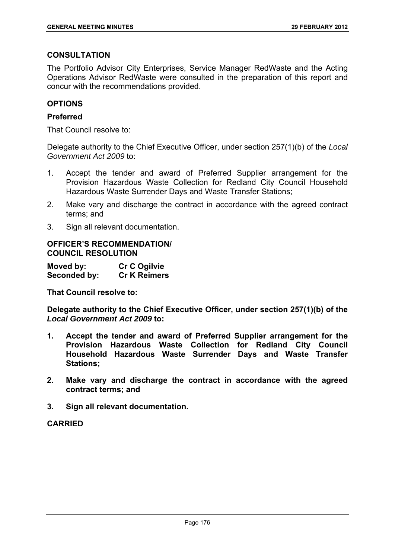# **CONSULTATION**

The Portfolio Advisor City Enterprises, Service Manager RedWaste and the Acting Operations Advisor RedWaste were consulted in the preparation of this report and concur with the recommendations provided.

## **OPTIONS**

### **Preferred**

That Council resolve to:

Delegate authority to the Chief Executive Officer, under section 257(1)(b) of the *Local Government Act 2009* to:

- 1. Accept the tender and award of Preferred Supplier arrangement for the Provision Hazardous Waste Collection for Redland City Council Household Hazardous Waste Surrender Days and Waste Transfer Stations;
- 2. Make vary and discharge the contract in accordance with the agreed contract terms; and
- 3. Sign all relevant documentation.

### **OFFICER'S RECOMMENDATION/ COUNCIL RESOLUTION**

| Moved by:    | <b>Cr C Ogilvie</b> |
|--------------|---------------------|
| Seconded by: | <b>Cr K Reimers</b> |

**That Council resolve to:** 

**Delegate authority to the Chief Executive Officer, under section 257(1)(b) of the**  *Local Government Act 2009* **to:** 

- **1. Accept the tender and award of Preferred Supplier arrangement for the Provision Hazardous Waste Collection for Redland City Council Household Hazardous Waste Surrender Days and Waste Transfer Stations;**
- **2. Make vary and discharge the contract in accordance with the agreed contract terms; and**
- **3. Sign all relevant documentation.**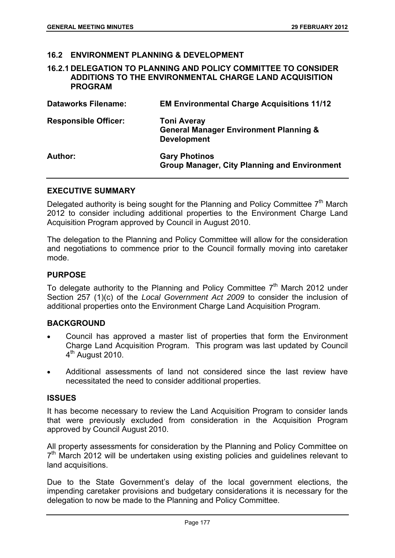# **16.2 ENVIRONMENT PLANNING & DEVELOPMENT**

**16.2.1 DELEGATION TO PLANNING AND POLICY COMMITTEE TO CONSIDER ADDITIONS TO THE ENVIRONMENTAL CHARGE LAND ACQUISITION PROGRAM** 

| <b>Dataworks Filename:</b>  | <b>EM Environmental Charge Acquisitions 11/12</b>                                             |
|-----------------------------|-----------------------------------------------------------------------------------------------|
| <b>Responsible Officer:</b> | <b>Toni Averay</b><br><b>General Manager Environment Planning &amp;</b><br><b>Development</b> |
| Author:                     | <b>Gary Photinos</b><br><b>Group Manager, City Planning and Environment</b>                   |

#### **EXECUTIVE SUMMARY**

Delegated authority is being sought for the Planning and Policy Committee  $7<sup>th</sup>$  March 2012 to consider including additional properties to the Environment Charge Land Acquisition Program approved by Council in August 2010.

The delegation to the Planning and Policy Committee will allow for the consideration and negotiations to commence prior to the Council formally moving into caretaker mode.

#### **PURPOSE**

To delegate authority to the Planning and Policy Committee  $7<sup>th</sup>$  March 2012 under Section 257 (1)(c) of the *Local Government Act 2009* to consider the inclusion of additional properties onto the Environment Charge Land Acquisition Program.

# **BACKGROUND**

- Council has approved a master list of properties that form the Environment Charge Land Acquisition Program. This program was last updated by Council  $4<sup>th</sup>$  August 2010.
- Additional assessments of land not considered since the last review have necessitated the need to consider additional properties.

#### **ISSUES**

It has become necessary to review the Land Acquisition Program to consider lands that were previously excluded from consideration in the Acquisition Program approved by Council August 2010.

All property assessments for consideration by the Planning and Policy Committee on  $7<sup>th</sup>$  March 2012 will be undertaken using existing policies and quidelines relevant to land acquisitions.

Due to the State Government's delay of the local government elections, the impending caretaker provisions and budgetary considerations it is necessary for the delegation to now be made to the Planning and Policy Committee.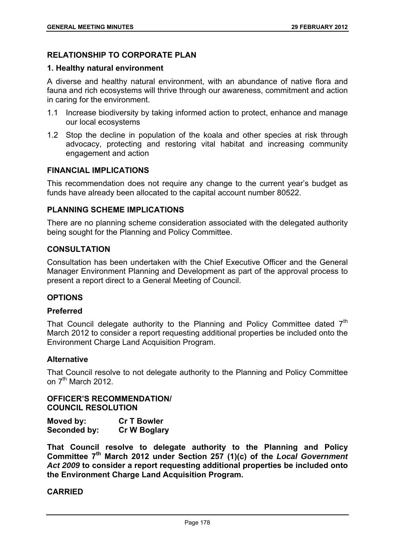# **RELATIONSHIP TO CORPORATE PLAN**

#### **1. Healthy natural environment**

A diverse and healthy natural environment, with an abundance of native flora and fauna and rich ecosystems will thrive through our awareness, commitment and action in caring for the environment.

- 1.1 Increase biodiversity by taking informed action to protect, enhance and manage our local ecosystems
- 1.2 Stop the decline in population of the koala and other species at risk through advocacy, protecting and restoring vital habitat and increasing community engagement and action

# **FINANCIAL IMPLICATIONS**

This recommendation does not require any change to the current year's budget as funds have already been allocated to the capital account number 80522.

# **PLANNING SCHEME IMPLICATIONS**

There are no planning scheme consideration associated with the delegated authority being sought for the Planning and Policy Committee.

### **CONSULTATION**

Consultation has been undertaken with the Chief Executive Officer and the General Manager Environment Planning and Development as part of the approval process to present a report direct to a General Meeting of Council.

# **OPTIONS**

#### **Preferred**

That Council delegate authority to the Planning and Policy Committee dated  $7<sup>th</sup>$ March 2012 to consider a report requesting additional properties be included onto the Environment Charge Land Acquisition Program.

#### **Alternative**

That Council resolve to not delegate authority to the Planning and Policy Committee on  $7<sup>th</sup>$  March 2012.

**OFFICER'S RECOMMENDATION/ COUNCIL RESOLUTION** 

| Moved by:    | <b>Cr T Bowler</b>  |
|--------------|---------------------|
| Seconded by: | <b>Cr W Boglary</b> |

**That Council resolve to delegate authority to the Planning and Policy Committee 7th March 2012 under Section 257 (1)(c) of the** *Local Government Act 2009* **to consider a report requesting additional properties be included onto the Environment Charge Land Acquisition Program.**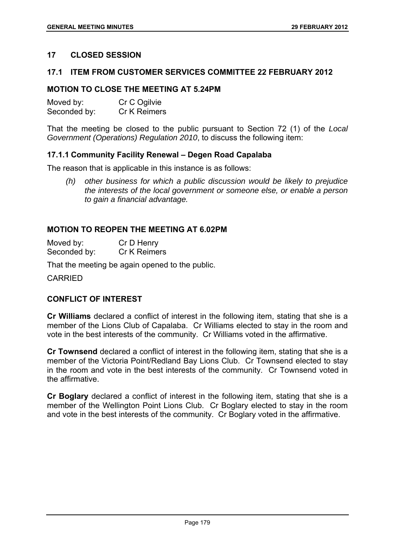# **17 CLOSED SESSION**

#### **17.1 ITEM FROM CUSTOMER SERVICES COMMITTEE 22 FEBRUARY 2012**

## **MOTION TO CLOSE THE MEETING AT 5.24PM**

| Moved by:    | Cr C Ogilvie |
|--------------|--------------|
| Seconded by: | Cr K Reimers |

That the meeting be closed to the public pursuant to Section 72 (1) of the *Local Government (Operations) Regulation 2010*, to discuss the following item:

### **17.1.1 Community Facility Renewal – Degen Road Capalaba**

The reason that is applicable in this instance is as follows:

*(h) other business for which a public discussion would be likely to prejudice the interests of the local government or someone else, or enable a person to gain a financial advantage.* 

# **MOTION TO REOPEN THE MEETING AT 6.02PM**

Moved by: Cr D Henry Seconded by: Cr K Reimers

That the meeting be again opened to the public.

CARRIED

# **CONFLICT OF INTEREST**

**Cr Williams** declared a conflict of interest in the following item, stating that she is a member of the Lions Club of Capalaba. Cr Williams elected to stay in the room and vote in the best interests of the community. Cr Williams voted in the affirmative.

**Cr Townsend** declared a conflict of interest in the following item, stating that she is a member of the Victoria Point/Redland Bay Lions Club. Cr Townsend elected to stay in the room and vote in the best interests of the community. Cr Townsend voted in the affirmative.

**Cr Boglary** declared a conflict of interest in the following item, stating that she is a member of the Wellington Point Lions Club. Cr Boglary elected to stay in the room and vote in the best interests of the community. Cr Boglary voted in the affirmative.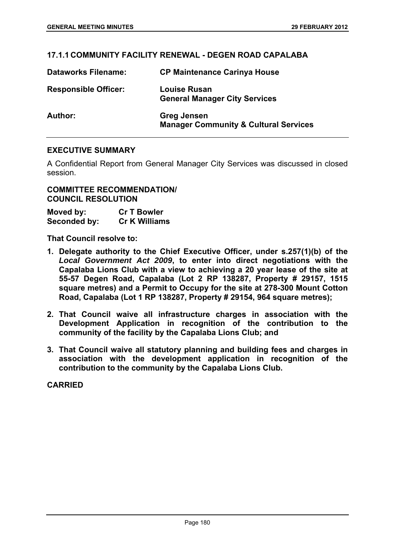# **17.1.1 COMMUNITY FACILITY RENEWAL - DEGEN ROAD CAPALABA**

| <b>Dataworks Filename:</b>  | <b>CP Maintenance Carinya House</b>                                    |
|-----------------------------|------------------------------------------------------------------------|
| <b>Responsible Officer:</b> | <b>Louise Rusan</b><br><b>General Manager City Services</b>            |
| Author:                     | <b>Greg Jensen</b><br><b>Manager Community &amp; Cultural Services</b> |

# **EXECUTIVE SUMMARY**

A Confidential Report from General Manager City Services was discussed in closed session.

# **COMMITTEE RECOMMENDATION/ COUNCIL RESOLUTION**

| Moved by:    | <b>Cr T Bowler</b>   |
|--------------|----------------------|
| Seconded by: | <b>Cr K Williams</b> |

**That Council resolve to:** 

- **1. Delegate authority to the Chief Executive Officer, under s.257(1)(b) of the**  *Local Government Act 2009***, to enter into direct negotiations with the Capalaba Lions Club with a view to achieving a 20 year lease of the site at 55-57 Degen Road, Capalaba (Lot 2 RP 138287, Property # 29157, 1515 square metres) and a Permit to Occupy for the site at 278-300 Mount Cotton Road, Capalaba (Lot 1 RP 138287, Property # 29154, 964 square metres);**
- **2. That Council waive all infrastructure charges in association with the Development Application in recognition of the contribution to the community of the facility by the Capalaba Lions Club; and**
- **3. That Council waive all statutory planning and building fees and charges in association with the development application in recognition of the contribution to the community by the Capalaba Lions Club.**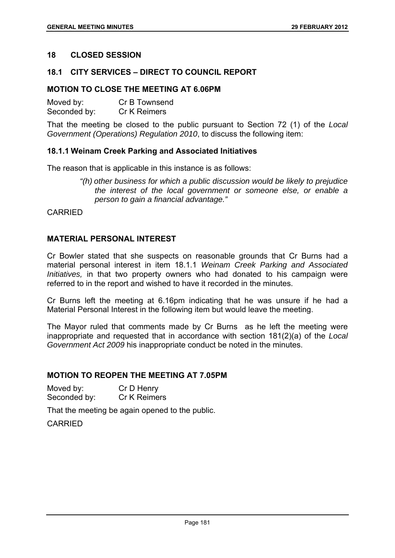## **18 CLOSED SESSION**

## **18.1 CITY SERVICES – DIRECT TO COUNCIL REPORT**

# **MOTION TO CLOSE THE MEETING AT 6.06PM**

| Moved by:    | Cr B Townsend |
|--------------|---------------|
| Seconded by: | Cr K Reimers  |

That the meeting be closed to the public pursuant to Section 72 (1) of the *Local Government (Operations) Regulation 2010*, to discuss the following item:

### **18.1.1 Weinam Creek Parking and Associated Initiatives**

The reason that is applicable in this instance is as follows:

*"(h) other business for which a public discussion would be likely to prejudice the interest of the local government or someone else, or enable a person to gain a financial advantage."* 

CARRIED

### **MATERIAL PERSONAL INTEREST**

Cr Bowler stated that she suspects on reasonable grounds that Cr Burns had a material personal interest in item 18.1.1 *Weinam Creek Parking and Associated Initiatives,* in that two property owners who had donated to his campaign were referred to in the report and wished to have it recorded in the minutes.

Cr Burns left the meeting at 6.16pm indicating that he was unsure if he had a Material Personal Interest in the following item but would leave the meeting.

The Mayor ruled that comments made by Cr Burns as he left the meeting were inappropriate and requested that in accordance with section 181(2)(a) of the *Local Government Act 2009* his inappropriate conduct be noted in the minutes.

## **MOTION TO REOPEN THE MEETING AT 7.05PM**

| Moved by:    | Cr D Henry   |
|--------------|--------------|
| Seconded by: | Cr K Reimers |

That the meeting be again opened to the public.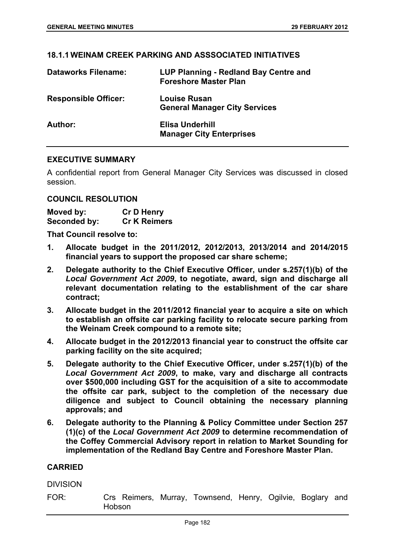## **18.1.1 WEINAM CREEK PARKING AND ASSSOCIATED INITIATIVES**

| <b>Dataworks Filename:</b>  | LUP Planning - Redland Bay Centre and<br><b>Foreshore Master Plan</b> |
|-----------------------------|-----------------------------------------------------------------------|
| <b>Responsible Officer:</b> | <b>Louise Rusan</b><br><b>General Manager City Services</b>           |
| Author:                     | Elisa Underhill<br><b>Manager City Enterprises</b>                    |

### **EXECUTIVE SUMMARY**

A confidential report from General Manager City Services was discussed in closed session.

#### **COUNCIL RESOLUTION**

| Moved by:    | <b>Cr D Henry</b>   |
|--------------|---------------------|
| Seconded by: | <b>Cr K Reimers</b> |

**That Council resolve to:** 

- **1. Allocate budget in the 2011/2012, 2012/2013, 2013/2014 and 2014/2015 financial years to support the proposed car share scheme;**
- **2. Delegate authority to the Chief Executive Officer, under s.257(1)(b) of the**  *Local Government Act 2009***, to negotiate, award, sign and discharge all relevant documentation relating to the establishment of the car share contract;**
- **3. Allocate budget in the 2011/2012 financial year to acquire a site on which to establish an offsite car parking facility to relocate secure parking from the Weinam Creek compound to a remote site;**
- **4. Allocate budget in the 2012/2013 financial year to construct the offsite car parking facility on the site acquired;**
- **5. Delegate authority to the Chief Executive Officer, under s.257(1)(b) of the**  *Local Government Act 2009***, to make, vary and discharge all contracts over \$500,000 including GST for the acquisition of a site to accommodate the offsite car park, subject to the completion of the necessary due diligence and subject to Council obtaining the necessary planning approvals; and**
- **6. Delegate authority to the Planning & Policy Committee under Section 257 (1)(c) of the** *Local Government Act 2009* **to determine recommendation of the Coffey Commercial Advisory report in relation to Market Sounding for implementation of the Redland Bay Centre and Foreshore Master Plan.**

#### **CARRIED**

DIVISION

FOR: Crs Reimers, Murray, Townsend, Henry, Ogilvie, Boglary and Hobson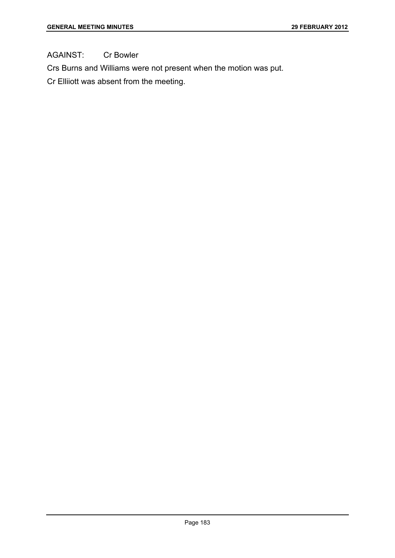AGAINST: Cr Bowler

Crs Burns and Williams were not present when the motion was put.

Cr Elliiott was absent from the meeting.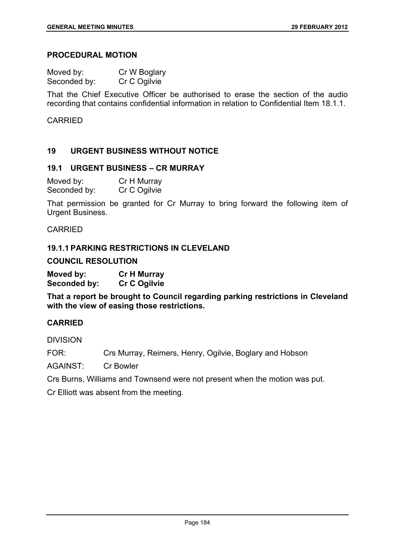# **PROCEDURAL MOTION**

| Moved by:    | Cr W Boglary |
|--------------|--------------|
| Seconded by: | Cr C Ogilvie |

That the Chief Executive Officer be authorised to erase the section of the audio recording that contains confidential information in relation to Confidential Item 18.1.1.

## **CARRIED**

## **19 URGENT BUSINESS WITHOUT NOTICE**

#### **19.1 URGENT BUSINESS – CR MURRAY**

| Moved by:    | Cr H Murray  |
|--------------|--------------|
| Seconded by: | Cr C Ogilvie |

That permission be granted for Cr Murray to bring forward the following item of Urgent Business.

CARRIED

### **19.1.1 PARKING RESTRICTIONS IN CLEVELAND**

**COUNCIL RESOLUTION** 

**Moved by: Cr H Murray Seconded by: Cr C Ogilvie** 

**That a report be brought to Council regarding parking restrictions in Cleveland with the view of easing those restrictions.** 

# **CARRIED**

DIVISION

FOR: Crs Murray, Reimers, Henry, Ogilvie, Boglary and Hobson

AGAINST: Cr Bowler

Crs Burns, Williams and Townsend were not present when the motion was put.

Cr Elliott was absent from the meeting.